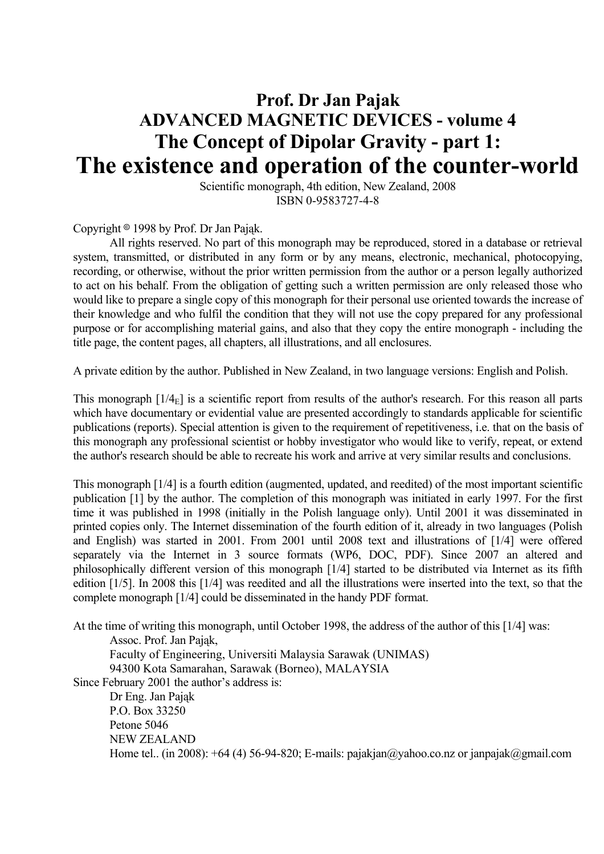# **Prof. Dr Jan Pajak ADVANCED MAGNETIC DEVICES - volume 4 The Concept of Dipolar Gravity - part 1: The existence and operation of the counter-world**

 Scientific monograph, 4th edition, New Zealand, 2008 ISBN 0-9583727-4-8

Copyright  $\circ$  1998 by Prof. Dr Jan Pajak.

 All rights reserved. No part of this monograph may be reproduced, stored in a database or retrieval system, transmitted, or distributed in any form or by any means, electronic, mechanical, photocopying, recording, or otherwise, without the prior written permission from the author or a person legally authorized to act on his behalf. From the obligation of getting such a written permission are only released those who would like to prepare a single copy of this monograph for their personal use oriented towards the increase of their knowledge and who fulfil the condition that they will not use the copy prepared for any professional purpose or for accomplishing material gains, and also that they copy the entire monograph - including the title page, the content pages, all chapters, all illustrations, and all enclosures.

A private edition by the author. Published in New Zealand, in two language versions: English and Polish.

This monograph  $[1/4<sub>E</sub>]$  is a scientific report from results of the author's research. For this reason all parts which have documentary or evidential value are presented accordingly to standards applicable for scientific publications (reports). Special attention is given to the requirement of repetitiveness, i.e. that on the basis of this monograph any professional scientist or hobby investigator who would like to verify, repeat, or extend the author's research should be able to recreate his work and arrive at very similar results and conclusions.

This monograph [1/4] is a fourth edition (augmented, updated, and reedited) of the most important scientific publication [1] by the author. The completion of this monograph was initiated in early 1997. For the first time it was published in 1998 (initially in the Polish language only). Until 2001 it was disseminated in printed copies only. The Internet dissemination of the fourth edition of it, already in two languages (Polish and English) was started in 2001. From 2001 until 2008 text and illustrations of [1/4] were offered separately via the Internet in 3 source formats (WP6, DOC, PDF). Since 2007 an altered and philosophically different version of this monograph [1/4] started to be distributed via Internet as its fifth edition [1/5]. In 2008 this [1/4] was reedited and all the illustrations were inserted into the text, so that the complete monograph [1/4] could be disseminated in the handy PDF format.

At the time of writing this monograph, until October 1998, the address of the author of this [1/4] was:

Assoc. Prof. Jan Pająk,

 Faculty of Engineering, Universiti Malaysia Sarawak (UNIMAS) 94300 Kota Samarahan, Sarawak (Borneo), MALAYSIA Since February 2001 the author's address is:

 Dr Eng. Jan Pająk P.O. Box 33250 Petone 5046 NEW ZEALAND Home tel.. (in 2008): +64 (4) 56-94-820; E-mails: pajakjan@yahoo.co.nz or janpajak@gmail.com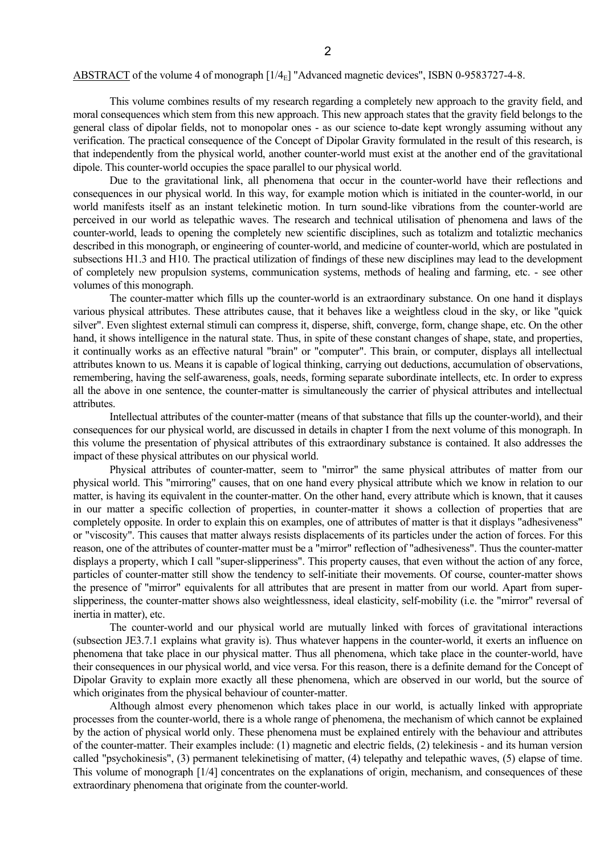#### ABSTRACT of the volume 4 of monograph [1/4<sub>E</sub>] "Advanced magnetic devices", ISBN 0-9583727-4-8.

 This volume combines results of my research regarding a completely new approach to the gravity field, and moral consequences which stem from this new approach. This new approach states that the gravity field belongs to the general class of dipolar fields, not to monopolar ones - as our science to-date kept wrongly assuming without any verification. The practical consequence of the Concept of Dipolar Gravity formulated in the result of this research, is that independently from the physical world, another counter-world must exist at the another end of the gravitational dipole. This counter-world occupies the space parallel to our physical world.

 Due to the gravitational link, all phenomena that occur in the counter-world have their reflections and consequences in our physical world. In this way, for example motion which is initiated in the counter-world, in our world manifests itself as an instant telekinetic motion. In turn sound-like vibrations from the counter-world are perceived in our world as telepathic waves. The research and technical utilisation of phenomena and laws of the counter-world, leads to opening the completely new scientific disciplines, such as totalizm and totaliztic mechanics described in this monograph, or engineering of counter-world, and medicine of counter-world, which are postulated in subsections H1.3 and H10. The practical utilization of findings of these new disciplines may lead to the development of completely new propulsion systems, communication systems, methods of healing and farming, etc. - see other volumes of this monograph.

 The counter-matter which fills up the counter-world is an extraordinary substance. On one hand it displays various physical attributes. These attributes cause, that it behaves like a weightless cloud in the sky, or like "quick silver". Even slightest external stimuli can compress it, disperse, shift, converge, form, change shape, etc. On the other hand, it shows intelligence in the natural state. Thus, in spite of these constant changes of shape, state, and properties, it continually works as an effective natural "brain" or "computer". This brain, or computer, displays all intellectual attributes known to us. Means it is capable of logical thinking, carrying out deductions, accumulation of observations, remembering, having the self-awareness, goals, needs, forming separate subordinate intellects, etc. In order to express all the above in one sentence, the counter-matter is simultaneously the carrier of physical attributes and intellectual attributes.

 Intellectual attributes of the counter-matter (means of that substance that fills up the counter-world), and their consequences for our physical world, are discussed in details in chapter I from the next volume of this monograph. In this volume the presentation of physical attributes of this extraordinary substance is contained. It also addresses the impact of these physical attributes on our physical world.

 Physical attributes of counter-matter, seem to "mirror" the same physical attributes of matter from our physical world. This "mirroring" causes, that on one hand every physical attribute which we know in relation to our matter, is having its equivalent in the counter-matter. On the other hand, every attribute which is known, that it causes in our matter a specific collection of properties, in counter-matter it shows a collection of properties that are completely opposite. In order to explain this on examples, one of attributes of matter is that it displays "adhesiveness" or "viscosity". This causes that matter always resists displacements of its particles under the action of forces. For this reason, one of the attributes of counter-matter must be a "mirror" reflection of "adhesiveness". Thus the counter-matter displays a property, which I call "super-slipperiness". This property causes, that even without the action of any force, particles of counter-matter still show the tendency to self-initiate their movements. Of course, counter-matter shows the presence of "mirror" equivalents for all attributes that are present in matter from our world. Apart from superslipperiness, the counter-matter shows also weightlessness, ideal elasticity, self-mobility (i.e. the "mirror" reversal of inertia in matter), etc.

 The counter-world and our physical world are mutually linked with forces of gravitational interactions (subsection JE3.7.1 explains what gravity is). Thus whatever happens in the counter-world, it exerts an influence on phenomena that take place in our physical matter. Thus all phenomena, which take place in the counter-world, have their consequences in our physical world, and vice versa. For this reason, there is a definite demand for the Concept of Dipolar Gravity to explain more exactly all these phenomena, which are observed in our world, but the source of which originates from the physical behaviour of counter-matter.

 Although almost every phenomenon which takes place in our world, is actually linked with appropriate processes from the counter-world, there is a whole range of phenomena, the mechanism of which cannot be explained by the action of physical world only. These phenomena must be explained entirely with the behaviour and attributes of the counter-matter. Their examples include: (1) magnetic and electric fields, (2) telekinesis - and its human version called "psychokinesis", (3) permanent telekinetising of matter, (4) telepathy and telepathic waves, (5) elapse of time. This volume of monograph [1/4] concentrates on the explanations of origin, mechanism, and consequences of these extraordinary phenomena that originate from the counter-world.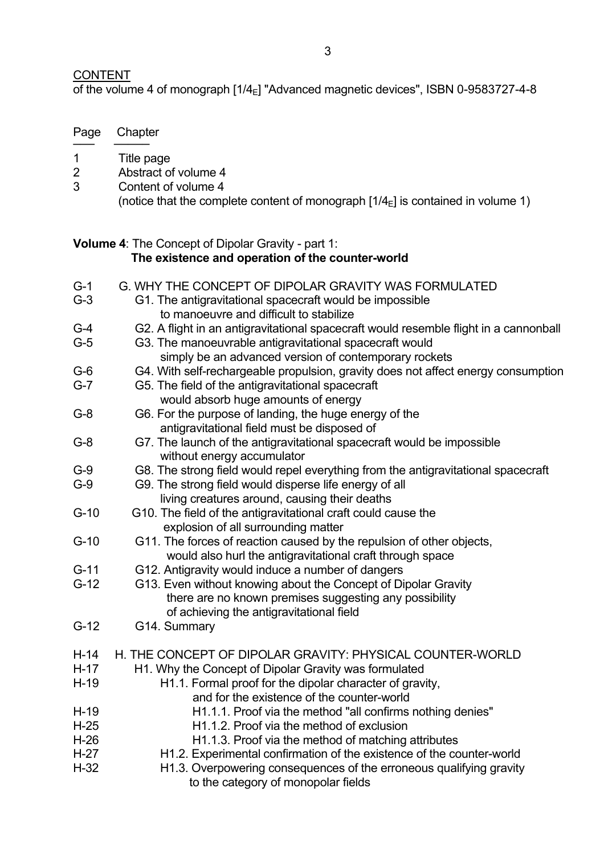## **CONTENT**

Page Chapter ─── ─────

of the volume 4 of monograph [1/4<sub>E</sub>] "Advanced magnetic devices", ISBN 0-9583727-4-8

| 1      | Title page                                                                                                       |
|--------|------------------------------------------------------------------------------------------------------------------|
| 2      | Abstract of volume 4                                                                                             |
| 3      | Content of volume 4                                                                                              |
|        | (notice that the complete content of monograph $[1/4_{\rm E}]$ is contained in volume 1)                         |
|        | <b>Volume 4:</b> The Concept of Dipolar Gravity - part 1:                                                        |
|        | The existence and operation of the counter-world                                                                 |
| $G-1$  | G. WHY THE CONCEPT OF DIPOLAR GRAVITY WAS FORMULATED                                                             |
| $G-3$  | G1. The antigravitational spacecraft would be impossible<br>to manoeuvre and difficult to stabilize              |
| $G-4$  | G2. A flight in an antigravitational spacecraft would resemble flight in a cannonball                            |
| $G-5$  | G3. The manoeuvrable antigravitational spacecraft would<br>simply be an advanced version of contemporary rockets |
| $G-6$  | G4. With self-rechargeable propulsion, gravity does not affect energy consumption                                |
| $G-7$  | G5. The field of the antigravitational spacecraft                                                                |
|        | would absorb huge amounts of energy                                                                              |
| $G-8$  | G6. For the purpose of landing, the huge energy of the<br>antigravitational field must be disposed of            |
| $G-8$  | G7. The launch of the antigravitational spacecraft would be impossible                                           |
|        | without energy accumulator                                                                                       |
| $G-9$  | G8. The strong field would repel everything from the antigravitational spacecraft                                |
| $G-9$  | G9. The strong field would disperse life energy of all                                                           |
|        | living creatures around, causing their deaths                                                                    |
| $G-10$ | G10. The field of the antigravitational craft could cause the<br>explosion of all surrounding matter             |
| $G-10$ | G11. The forces of reaction caused by the repulsion of other objects,                                            |
|        | would also hurl the antigravitational craft through space                                                        |
| $G-11$ | G12. Antigravity would induce a number of dangers                                                                |
| $G-12$ | G13. Even without knowing about the Concept of Dipolar Gravity                                                   |
|        | there are no known premises suggesting any possibility                                                           |
|        | of achieving the antigravitational field                                                                         |
| $G-12$ | G14. Summary                                                                                                     |
| $H-14$ | H. THE CONCEPT OF DIPOLAR GRAVITY: PHYSICAL COUNTER-WORLD                                                        |
| $H-17$ | H1. Why the Concept of Dipolar Gravity was formulated                                                            |
| $H-19$ | H1.1. Formal proof for the dipolar character of gravity,                                                         |
|        | and for the existence of the counter-world                                                                       |
| $H-19$ | H1.1.1. Proof via the method "all confirms nothing denies"                                                       |
| $H-25$ | H <sub>1.1.2</sub> . Proof via the method of exclusion                                                           |
| $H-26$ | H1.1.3. Proof via the method of matching attributes                                                              |
| $H-27$ | H1.2. Experimental confirmation of the existence of the counter-world                                            |
| $H-32$ | H1.3. Overpowering consequences of the erroneous qualifying gravity                                              |

to the category of monopolar fields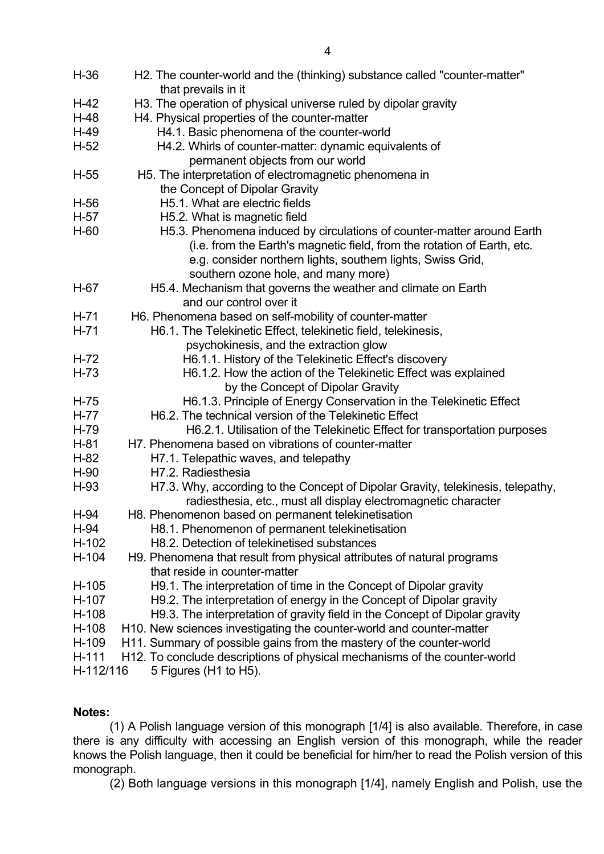| that prevails in it<br>H3. The operation of physical universe ruled by dipolar gravity<br>$H-42$<br>$H-48$<br>H4. Physical properties of the counter-matter<br>$H-49$<br>H4.1. Basic phenomena of the counter-world<br>H4.2. Whirls of counter-matter: dynamic equivalents of<br>$H-52$<br>permanent objects from our world<br>H5. The interpretation of electromagnetic phenomena in<br>$H-55$ |
|-------------------------------------------------------------------------------------------------------------------------------------------------------------------------------------------------------------------------------------------------------------------------------------------------------------------------------------------------------------------------------------------------|
|                                                                                                                                                                                                                                                                                                                                                                                                 |
|                                                                                                                                                                                                                                                                                                                                                                                                 |
|                                                                                                                                                                                                                                                                                                                                                                                                 |
|                                                                                                                                                                                                                                                                                                                                                                                                 |
|                                                                                                                                                                                                                                                                                                                                                                                                 |
|                                                                                                                                                                                                                                                                                                                                                                                                 |
|                                                                                                                                                                                                                                                                                                                                                                                                 |
| the Concept of Dipolar Gravity                                                                                                                                                                                                                                                                                                                                                                  |
| $H-56$<br>H5.1. What are electric fields                                                                                                                                                                                                                                                                                                                                                        |
| $H-57$<br>H5.2. What is magnetic field                                                                                                                                                                                                                                                                                                                                                          |
| H5.3. Phenomena induced by circulations of counter-matter around Earth<br>$H-60$<br>(i.e. from the Earth's magnetic field, from the rotation of Earth, etc.<br>e.g. consider northern lights, southern lights, Swiss Grid,<br>southern ozone hole, and many more)                                                                                                                               |
| H5.4. Mechanism that governs the weather and climate on Earth<br>H-67                                                                                                                                                                                                                                                                                                                           |
| and our control over it                                                                                                                                                                                                                                                                                                                                                                         |
| $H-71$<br>H6. Phenomena based on self-mobility of counter-matter                                                                                                                                                                                                                                                                                                                                |
| $H-71$<br>H6.1. The Telekinetic Effect, telekinetic field, telekinesis,                                                                                                                                                                                                                                                                                                                         |
| psychokinesis, and the extraction glow                                                                                                                                                                                                                                                                                                                                                          |
| H6.1.1. History of the Telekinetic Effect's discovery<br>$H-72$                                                                                                                                                                                                                                                                                                                                 |
| H6.1.2. How the action of the Telekinetic Effect was explained<br>$H-73$                                                                                                                                                                                                                                                                                                                        |
| by the Concept of Dipolar Gravity                                                                                                                                                                                                                                                                                                                                                               |
| $H-75$<br>H6.1.3. Principle of Energy Conservation in the Telekinetic Effect                                                                                                                                                                                                                                                                                                                    |
| H-77<br>H6.2. The technical version of the Telekinetic Effect                                                                                                                                                                                                                                                                                                                                   |
| H-79                                                                                                                                                                                                                                                                                                                                                                                            |
| H6.2.1. Utilisation of the Telekinetic Effect for transportation purposes<br>H7. Phenomena based on vibrations of counter-matter                                                                                                                                                                                                                                                                |
| $H-81$<br>$H-82$                                                                                                                                                                                                                                                                                                                                                                                |
| H7.1. Telepathic waves, and telepathy                                                                                                                                                                                                                                                                                                                                                           |
| $H-90$<br>H7.2. Radiesthesia                                                                                                                                                                                                                                                                                                                                                                    |
| H7.3. Why, according to the Concept of Dipolar Gravity, telekinesis, telepathy,<br>H-93<br>radiesthesia, etc., must all display electromagnetic character                                                                                                                                                                                                                                       |
| H-94<br>H8. Phenomenon based on permanent telekinetisation                                                                                                                                                                                                                                                                                                                                      |
| H-94<br>H8.1. Phenomenon of permanent telekinetisation                                                                                                                                                                                                                                                                                                                                          |
| $H-102$<br>H8.2. Detection of telekinetised substances                                                                                                                                                                                                                                                                                                                                          |
| H-104<br>H9. Phenomena that result from physical attributes of natural programs                                                                                                                                                                                                                                                                                                                 |
| that reside in counter-matter                                                                                                                                                                                                                                                                                                                                                                   |
| $H-105$<br>H9.1. The interpretation of time in the Concept of Dipolar gravity                                                                                                                                                                                                                                                                                                                   |
| H9.2. The interpretation of energy in the Concept of Dipolar gravity<br>H-107                                                                                                                                                                                                                                                                                                                   |
| $H-108$<br>H9.3. The interpretation of gravity field in the Concept of Dipolar gravity                                                                                                                                                                                                                                                                                                          |
| H-108<br>H10. New sciences investigating the counter-world and counter-matter                                                                                                                                                                                                                                                                                                                   |
| H11. Summary of possible gains from the mastery of the counter-world<br>H-109                                                                                                                                                                                                                                                                                                                   |
| H-111<br>H12. To conclude descriptions of physical mechanisms of the counter-world                                                                                                                                                                                                                                                                                                              |
| H-112/116<br>5 Figures (H1 to H5).                                                                                                                                                                                                                                                                                                                                                              |

## **Notes:**

 (1) A Polish language version of this monograph [1/4] is also available. Therefore, in case there is any difficulty with accessing an English version of this monograph, while the reader knows the Polish language, then it could be beneficial for him/her to read the Polish version of this monograph.

(2) Both language versions in this monograph [1/4], namely English and Polish, use the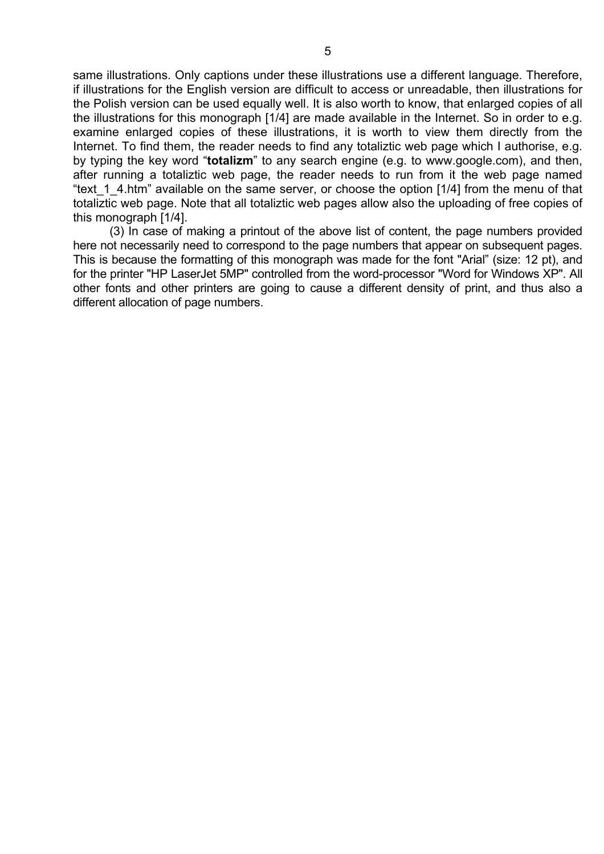same illustrations. Only captions under these illustrations use a different language. Therefore, if illustrations for the English version are difficult to access or unreadable, then illustrations for the Polish version can be used equally well. It is also worth to know, that enlarged copies of all the illustrations for this monograph [1/4] are made available in the Internet. So in order to e.g. examine enlarged copies of these illustrations, it is worth to view them directly from the Internet. To find them, the reader needs to find any totaliztic web page which I authorise, e.g. by typing the key word "**totalizm**" to any search engine (e.g. to www.google.com), and then, after running a totaliztic web page, the reader needs to run from it the web page named "text 1 4.htm" available on the same server, or choose the option [1/4] from the menu of that totaliztic web page. Note that all totaliztic web pages allow also the uploading of free copies of this monograph [1/4].

 (3) In case of making a printout of the above list of content, the page numbers provided here not necessarily need to correspond to the page numbers that appear on subsequent pages. This is because the formatting of this monograph was made for the font "Arial" (size: 12 pt), and for the printer "HP LaserJet 5MP" controlled from the word-processor "Word for Windows XP". All other fonts and other printers are going to cause a different density of print, and thus also a different allocation of page numbers.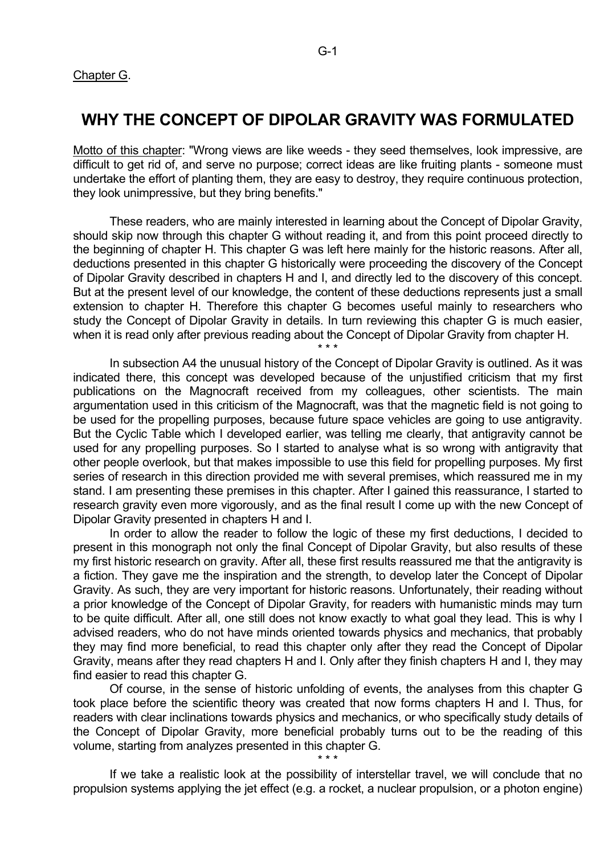## **WHY THE CONCEPT OF DIPOLAR GRAVITY WAS FORMULATED**

Motto of this chapter: "Wrong views are like weeds - they seed themselves, look impressive, are difficult to get rid of, and serve no purpose; correct ideas are like fruiting plants - someone must undertake the effort of planting them, they are easy to destroy, they require continuous protection, they look unimpressive, but they bring benefits."

 These readers, who are mainly interested in learning about the Concept of Dipolar Gravity, should skip now through this chapter G without reading it, and from this point proceed directly to the beginning of chapter H. This chapter G was left here mainly for the historic reasons. After all, deductions presented in this chapter G historically were proceeding the discovery of the Concept of Dipolar Gravity described in chapters H and I, and directly led to the discovery of this concept. But at the present level of our knowledge, the content of these deductions represents just a small extension to chapter H. Therefore this chapter G becomes useful mainly to researchers who study the Concept of Dipolar Gravity in details. In turn reviewing this chapter G is much easier, when it is read only after previous reading about the Concept of Dipolar Gravity from chapter H.

 $\star \star \star$ 

 In subsection A4 the unusual history of the Concept of Dipolar Gravity is outlined. As it was indicated there, this concept was developed because of the unjustified criticism that my first publications on the Magnocraft received from my colleagues, other scientists. The main argumentation used in this criticism of the Magnocraft, was that the magnetic field is not going to be used for the propelling purposes, because future space vehicles are going to use antigravity. But the Cyclic Table which I developed earlier, was telling me clearly, that antigravity cannot be used for any propelling purposes. So I started to analyse what is so wrong with antigravity that other people overlook, but that makes impossible to use this field for propelling purposes. My first series of research in this direction provided me with several premises, which reassured me in my stand. I am presenting these premises in this chapter. After I gained this reassurance, I started to research gravity even more vigorously, and as the final result I come up with the new Concept of Dipolar Gravity presented in chapters H and I.

 In order to allow the reader to follow the logic of these my first deductions, I decided to present in this monograph not only the final Concept of Dipolar Gravity, but also results of these my first historic research on gravity. After all, these first results reassured me that the antigravity is a fiction. They gave me the inspiration and the strength, to develop later the Concept of Dipolar Gravity. As such, they are very important for historic reasons. Unfortunately, their reading without a prior knowledge of the Concept of Dipolar Gravity, for readers with humanistic minds may turn to be quite difficult. After all, one still does not know exactly to what goal they lead. This is why I advised readers, who do not have minds oriented towards physics and mechanics, that probably they may find more beneficial, to read this chapter only after they read the Concept of Dipolar Gravity, means after they read chapters H and I. Only after they finish chapters H and I, they may find easier to read this chapter G.

 Of course, in the sense of historic unfolding of events, the analyses from this chapter G took place before the scientific theory was created that now forms chapters H and I. Thus, for readers with clear inclinations towards physics and mechanics, or who specifically study details of the Concept of Dipolar Gravity, more beneficial probably turns out to be the reading of this volume, starting from analyzes presented in this chapter G.

 If we take a realistic look at the possibility of interstellar travel, we will conclude that no propulsion systems applying the jet effect (e.g. a rocket, a nuclear propulsion, or a photon engine)

 $\star \star \star$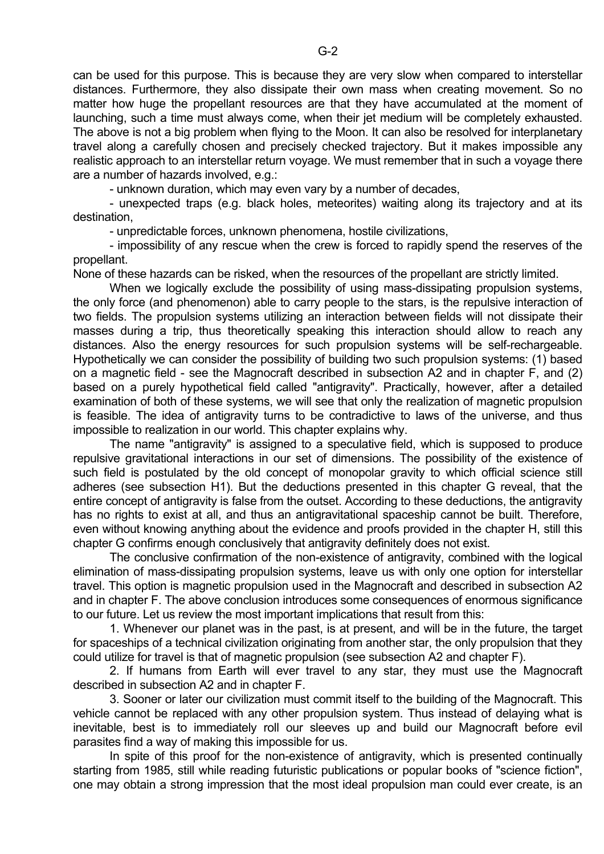can be used for this purpose. This is because they are very slow when compared to interstellar distances. Furthermore, they also dissipate their own mass when creating movement. So no matter how huge the propellant resources are that they have accumulated at the moment of launching, such a time must always come, when their jet medium will be completely exhausted. The above is not a big problem when flying to the Moon. It can also be resolved for interplanetary travel along a carefully chosen and precisely checked trajectory. But it makes impossible any realistic approach to an interstellar return voyage. We must remember that in such a voyage there are a number of hazards involved, e.g.:

- unknown duration, which may even vary by a number of decades,

 - unexpected traps (e.g. black holes, meteorites) waiting along its trajectory and at its destination,

- unpredictable forces, unknown phenomena, hostile civilizations,

 - impossibility of any rescue when the crew is forced to rapidly spend the reserves of the propellant.

None of these hazards can be risked, when the resources of the propellant are strictly limited.

When we logically exclude the possibility of using mass-dissipating propulsion systems, the only force (and phenomenon) able to carry people to the stars, is the repulsive interaction of two fields. The propulsion systems utilizing an interaction between fields will not dissipate their masses during a trip, thus theoretically speaking this interaction should allow to reach any distances. Also the energy resources for such propulsion systems will be self-rechargeable. Hypothetically we can consider the possibility of building two such propulsion systems: (1) based on a magnetic field - see the Magnocraft described in subsection A2 and in chapter F, and (2) based on a purely hypothetical field called "antigravity". Practically, however, after a detailed examination of both of these systems, we will see that only the realization of magnetic propulsion is feasible. The idea of antigravity turns to be contradictive to laws of the universe, and thus impossible to realization in our world. This chapter explains why.

 The name "antigravity" is assigned to a speculative field, which is supposed to produce repulsive gravitational interactions in our set of dimensions. The possibility of the existence of such field is postulated by the old concept of monopolar gravity to which official science still adheres (see subsection H1). But the deductions presented in this chapter G reveal, that the entire concept of antigravity is false from the outset. According to these deductions, the antigravity has no rights to exist at all, and thus an antigravitational spaceship cannot be built. Therefore, even without knowing anything about the evidence and proofs provided in the chapter H, still this chapter G confirms enough conclusively that antigravity definitely does not exist.

 The conclusive confirmation of the non-existence of antigravity, combined with the logical elimination of mass-dissipating propulsion systems, leave us with only one option for interstellar travel. This option is magnetic propulsion used in the Magnocraft and described in subsection A2 and in chapter F. The above conclusion introduces some consequences of enormous significance to our future. Let us review the most important implications that result from this:

 1. Whenever our planet was in the past, is at present, and will be in the future, the target for spaceships of a technical civilization originating from another star, the only propulsion that they could utilize for travel is that of magnetic propulsion (see subsection A2 and chapter F).

 2. If humans from Earth will ever travel to any star, they must use the Magnocraft described in subsection A2 and in chapter F.

 3. Sooner or later our civilization must commit itself to the building of the Magnocraft. This vehicle cannot be replaced with any other propulsion system. Thus instead of delaying what is inevitable, best is to immediately roll our sleeves up and build our Magnocraft before evil parasites find a way of making this impossible for us.

 In spite of this proof for the non-existence of antigravity, which is presented continually starting from 1985, still while reading futuristic publications or popular books of "science fiction", one may obtain a strong impression that the most ideal propulsion man could ever create, is an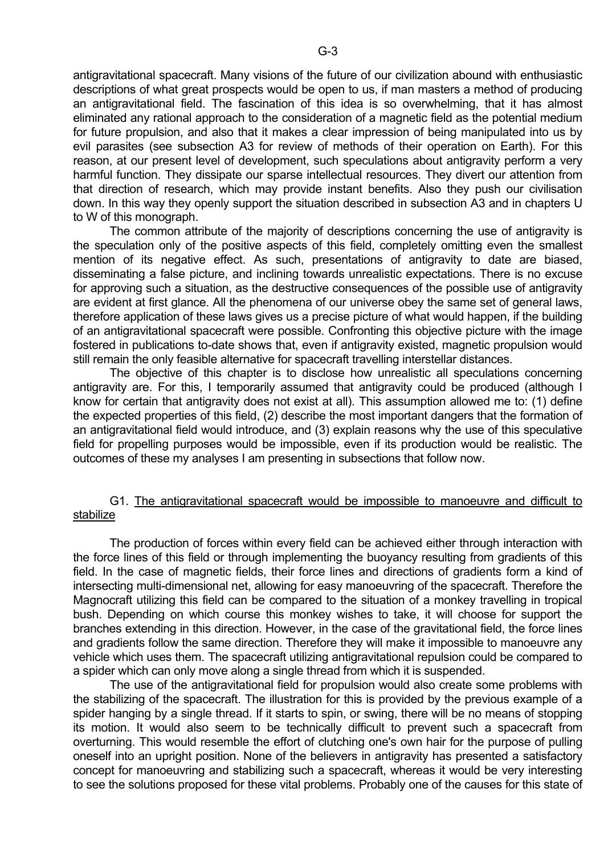antigravitational spacecraft. Many visions of the future of our civilization abound with enthusiastic descriptions of what great prospects would be open to us, if man masters a method of producing an antigravitational field. The fascination of this idea is so overwhelming, that it has almost eliminated any rational approach to the consideration of a magnetic field as the potential medium for future propulsion, and also that it makes a clear impression of being manipulated into us by evil parasites (see subsection A3 for review of methods of their operation on Earth). For this reason, at our present level of development, such speculations about antigravity perform a very harmful function. They dissipate our sparse intellectual resources. They divert our attention from that direction of research, which may provide instant benefits. Also they push our civilisation down. In this way they openly support the situation described in subsection A3 and in chapters U to W of this monograph.

 The common attribute of the majority of descriptions concerning the use of antigravity is the speculation only of the positive aspects of this field, completely omitting even the smallest mention of its negative effect. As such, presentations of antigravity to date are biased, disseminating a false picture, and inclining towards unrealistic expectations. There is no excuse for approving such a situation, as the destructive consequences of the possible use of antigravity are evident at first glance. All the phenomena of our universe obey the same set of general laws, therefore application of these laws gives us a precise picture of what would happen, if the building of an antigravitational spacecraft were possible. Confronting this objective picture with the image fostered in publications to-date shows that, even if antigravity existed, magnetic propulsion would still remain the only feasible alternative for spacecraft travelling interstellar distances.

 The objective of this chapter is to disclose how unrealistic all speculations concerning antigravity are. For this, I temporarily assumed that antigravity could be produced (although I know for certain that antigravity does not exist at all). This assumption allowed me to: (1) define the expected properties of this field, (2) describe the most important dangers that the formation of an antigravitational field would introduce, and (3) explain reasons why the use of this speculative field for propelling purposes would be impossible, even if its production would be realistic. The outcomes of these my analyses I am presenting in subsections that follow now.

#### G1. The antigravitational spacecraft would be impossible to manoeuvre and difficult to stabilize

 The production of forces within every field can be achieved either through interaction with the force lines of this field or through implementing the buoyancy resulting from gradients of this field. In the case of magnetic fields, their force lines and directions of gradients form a kind of intersecting multi-dimensional net, allowing for easy manoeuvring of the spacecraft. Therefore the Magnocraft utilizing this field can be compared to the situation of a monkey travelling in tropical bush. Depending on which course this monkey wishes to take, it will choose for support the branches extending in this direction. However, in the case of the gravitational field, the force lines and gradients follow the same direction. Therefore they will make it impossible to manoeuvre any vehicle which uses them. The spacecraft utilizing antigravitational repulsion could be compared to a spider which can only move along a single thread from which it is suspended.

 The use of the antigravitational field for propulsion would also create some problems with the stabilizing of the spacecraft. The illustration for this is provided by the previous example of a spider hanging by a single thread. If it starts to spin, or swing, there will be no means of stopping its motion. It would also seem to be technically difficult to prevent such a spacecraft from overturning. This would resemble the effort of clutching one's own hair for the purpose of pulling oneself into an upright position. None of the believers in antigravity has presented a satisfactory concept for manoeuvring and stabilizing such a spacecraft, whereas it would be very interesting to see the solutions proposed for these vital problems. Probably one of the causes for this state of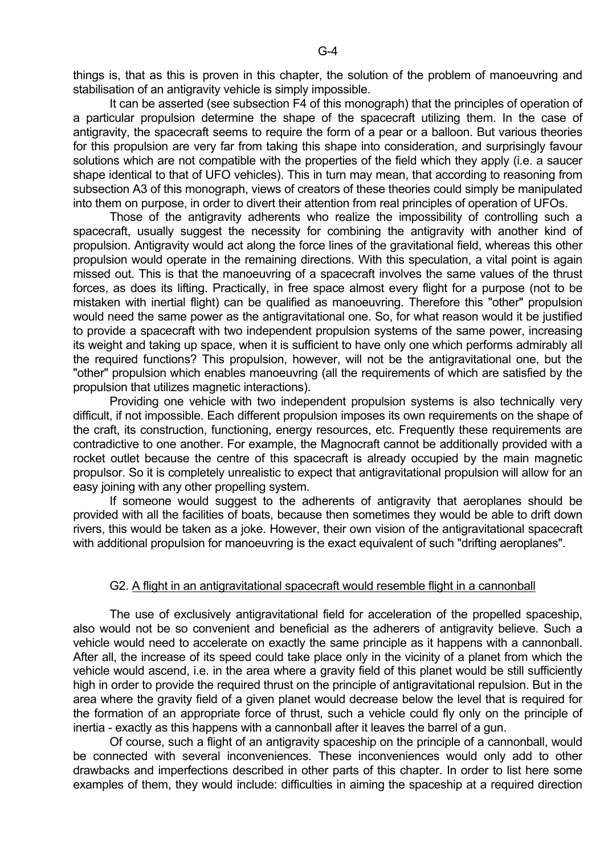things is, that as this is proven in this chapter, the solution of the problem of manoeuvring and stabilisation of an antigravity vehicle is simply impossible.

 It can be asserted (see subsection F4 of this monograph) that the principles of operation of a particular propulsion determine the shape of the spacecraft utilizing them. In the case of antigravity, the spacecraft seems to require the form of a pear or a balloon. But various theories for this propulsion are very far from taking this shape into consideration, and surprisingly favour solutions which are not compatible with the properties of the field which they apply (i.e. a saucer shape identical to that of UFO vehicles). This in turn may mean, that according to reasoning from subsection A3 of this monograph, views of creators of these theories could simply be manipulated into them on purpose, in order to divert their attention from real principles of operation of UFOs.

 Those of the antigravity adherents who realize the impossibility of controlling such a spacecraft, usually suggest the necessity for combining the antigravity with another kind of propulsion. Antigravity would act along the force lines of the gravitational field, whereas this other propulsion would operate in the remaining directions. With this speculation, a vital point is again missed out. This is that the manoeuvring of a spacecraft involves the same values of the thrust forces, as does its lifting. Practically, in free space almost every flight for a purpose (not to be mistaken with inertial flight) can be qualified as manoeuvring. Therefore this "other" propulsion would need the same power as the antigravitational one. So, for what reason would it be justified to provide a spacecraft with two independent propulsion systems of the same power, increasing its weight and taking up space, when it is sufficient to have only one which performs admirably all the required functions? This propulsion, however, will not be the antigravitational one, but the "other" propulsion which enables manoeuvring (all the requirements of which are satisfied by the propulsion that utilizes magnetic interactions).

 Providing one vehicle with two independent propulsion systems is also technically very difficult, if not impossible. Each different propulsion imposes its own requirements on the shape of the craft, its construction, functioning, energy resources, etc. Frequently these requirements are contradictive to one another. For example, the Magnocraft cannot be additionally provided with a rocket outlet because the centre of this spacecraft is already occupied by the main magnetic propulsor. So it is completely unrealistic to expect that antigravitational propulsion will allow for an easy joining with any other propelling system.

 If someone would suggest to the adherents of antigravity that aeroplanes should be provided with all the facilities of boats, because then sometimes they would be able to drift down rivers, this would be taken as a joke. However, their own vision of the antigravitational spacecraft with additional propulsion for manoeuvring is the exact equivalent of such "drifting aeroplanes".

#### G2. A flight in an antigravitational spacecraft would resemble flight in a cannonball

 The use of exclusively antigravitational field for acceleration of the propelled spaceship, also would not be so convenient and beneficial as the adherers of antigravity believe. Such a vehicle would need to accelerate on exactly the same principle as it happens with a cannonball. After all, the increase of its speed could take place only in the vicinity of a planet from which the vehicle would ascend, i.e. in the area where a gravity field of this planet would be still sufficiently high in order to provide the required thrust on the principle of antigravitational repulsion. But in the area where the gravity field of a given planet would decrease below the level that is required for the formation of an appropriate force of thrust, such a vehicle could fly only on the principle of inertia - exactly as this happens with a cannonball after it leaves the barrel of a gun.

 Of course, such a flight of an antigravity spaceship on the principle of a cannonball, would be connected with several inconveniences. These inconveniences would only add to other drawbacks and imperfections described in other parts of this chapter. In order to list here some examples of them, they would include: difficulties in aiming the spaceship at a required direction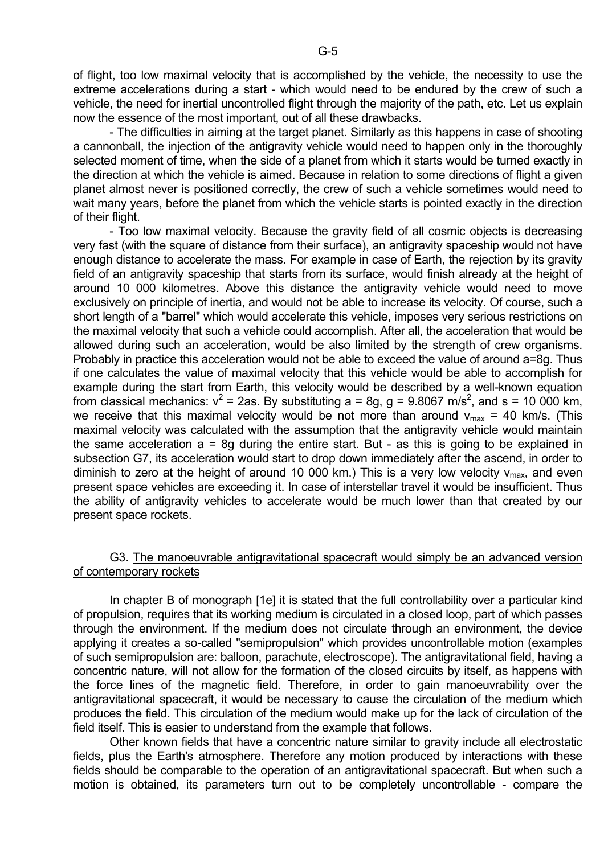of flight, too low maximal velocity that is accomplished by the vehicle, the necessity to use the extreme accelerations during a start - which would need to be endured by the crew of such a vehicle, the need for inertial uncontrolled flight through the majority of the path, etc. Let us explain now the essence of the most important, out of all these drawbacks.

 - The difficulties in aiming at the target planet. Similarly as this happens in case of shooting a cannonball, the injection of the antigravity vehicle would need to happen only in the thoroughly selected moment of time, when the side of a planet from which it starts would be turned exactly in the direction at which the vehicle is aimed. Because in relation to some directions of flight a given planet almost never is positioned correctly, the crew of such a vehicle sometimes would need to wait many years, before the planet from which the vehicle starts is pointed exactly in the direction of their flight.

 - Too low maximal velocity. Because the gravity field of all cosmic objects is decreasing very fast (with the square of distance from their surface), an antigravity spaceship would not have enough distance to accelerate the mass. For example in case of Earth, the rejection by its gravity field of an antigravity spaceship that starts from its surface, would finish already at the height of around 10 000 kilometres. Above this distance the antigravity vehicle would need to move exclusively on principle of inertia, and would not be able to increase its velocity. Of course, such a short length of a "barrel" which would accelerate this vehicle, imposes very serious restrictions on the maximal velocity that such a vehicle could accomplish. After all, the acceleration that would be allowed during such an acceleration, would be also limited by the strength of crew organisms. Probably in practice this acceleration would not be able to exceed the value of around a=8g. Thus if one calculates the value of maximal velocity that this vehicle would be able to accomplish for example during the start from Earth, this velocity would be described by a well-known equation from classical mechanics:  $v^2$  = 2as. By substituting a = 8g, g = 9.8067 m/s<sup>2</sup>, and s = 10 000 km, we receive that this maximal velocity would be not more than around  $v_{max} = 40$  km/s. (This maximal velocity was calculated with the assumption that the antigravity vehicle would maintain the same acceleration  $a = 8q$  during the entire start. But - as this is going to be explained in subsection G7, its acceleration would start to drop down immediately after the ascend, in order to diminish to zero at the height of around 10 000 km.) This is a very low velocity  $v_{\text{max}}$ , and even present space vehicles are exceeding it. In case of interstellar travel it would be insufficient. Thus the ability of antigravity vehicles to accelerate would be much lower than that created by our present space rockets.

## G3. The manoeuvrable antigravitational spacecraft would simply be an advanced version of contemporary rockets

 In chapter B of monograph [1e] it is stated that the full controllability over a particular kind of propulsion, requires that its working medium is circulated in a closed loop, part of which passes through the environment. If the medium does not circulate through an environment, the device applying it creates a so-called "semipropulsion" which provides uncontrollable motion (examples of such semipropulsion are: balloon, parachute, electroscope). The antigravitational field, having a concentric nature, will not allow for the formation of the closed circuits by itself, as happens with the force lines of the magnetic field. Therefore, in order to gain manoeuvrability over the antigravitational spacecraft, it would be necessary to cause the circulation of the medium which produces the field. This circulation of the medium would make up for the lack of circulation of the field itself. This is easier to understand from the example that follows.

 Other known fields that have a concentric nature similar to gravity include all electrostatic fields, plus the Earth's atmosphere. Therefore any motion produced by interactions with these fields should be comparable to the operation of an antigravitational spacecraft. But when such a motion is obtained, its parameters turn out to be completely uncontrollable - compare the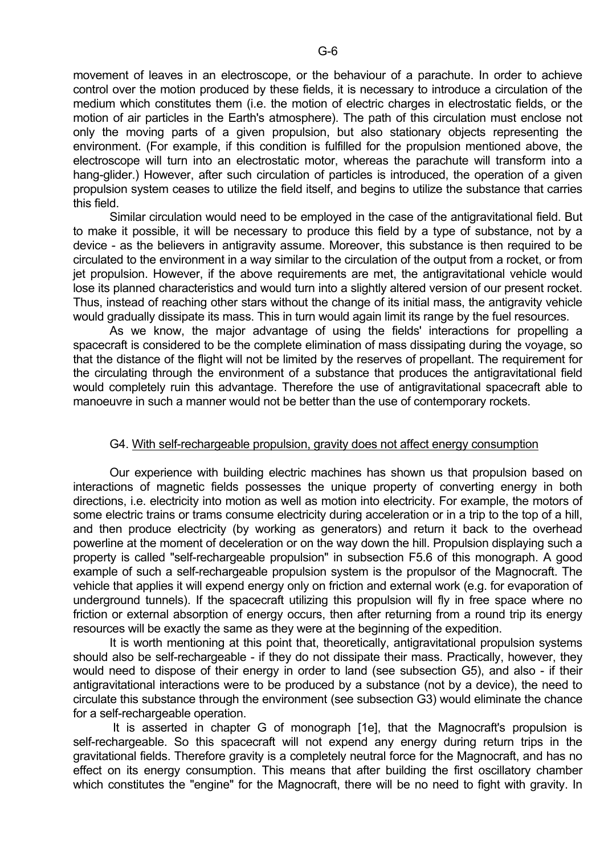movement of leaves in an electroscope, or the behaviour of a parachute. In order to achieve control over the motion produced by these fields, it is necessary to introduce a circulation of the medium which constitutes them (i.e. the motion of electric charges in electrostatic fields, or the motion of air particles in the Earth's atmosphere). The path of this circulation must enclose not only the moving parts of a given propulsion, but also stationary objects representing the environment. (For example, if this condition is fulfilled for the propulsion mentioned above, the electroscope will turn into an electrostatic motor, whereas the parachute will transform into a hang-glider.) However, after such circulation of particles is introduced, the operation of a given propulsion system ceases to utilize the field itself, and begins to utilize the substance that carries this field.

 Similar circulation would need to be employed in the case of the antigravitational field. But to make it possible, it will be necessary to produce this field by a type of substance, not by a device - as the believers in antigravity assume. Moreover, this substance is then required to be circulated to the environment in a way similar to the circulation of the output from a rocket, or from jet propulsion. However, if the above requirements are met, the antigravitational vehicle would lose its planned characteristics and would turn into a slightly altered version of our present rocket. Thus, instead of reaching other stars without the change of its initial mass, the antigravity vehicle would gradually dissipate its mass. This in turn would again limit its range by the fuel resources.

 As we know, the major advantage of using the fields' interactions for propelling a spacecraft is considered to be the complete elimination of mass dissipating during the voyage, so that the distance of the flight will not be limited by the reserves of propellant. The requirement for the circulating through the environment of a substance that produces the antigravitational field would completely ruin this advantage. Therefore the use of antigravitational spacecraft able to manoeuvre in such a manner would not be better than the use of contemporary rockets.

#### G4. With self-rechargeable propulsion, gravity does not affect energy consumption

 Our experience with building electric machines has shown us that propulsion based on interactions of magnetic fields possesses the unique property of converting energy in both directions, i.e. electricity into motion as well as motion into electricity. For example, the motors of some electric trains or trams consume electricity during acceleration or in a trip to the top of a hill, and then produce electricity (by working as generators) and return it back to the overhead powerline at the moment of deceleration or on the way down the hill. Propulsion displaying such a property is called "self-rechargeable propulsion" in subsection F5.6 of this monograph. A good example of such a self-rechargeable propulsion system is the propulsor of the Magnocraft. The vehicle that applies it will expend energy only on friction and external work (e.g. for evaporation of underground tunnels). If the spacecraft utilizing this propulsion will fly in free space where no friction or external absorption of energy occurs, then after returning from a round trip its energy resources will be exactly the same as they were at the beginning of the expedition.

 It is worth mentioning at this point that, theoretically, antigravitational propulsion systems should also be self-rechargeable - if they do not dissipate their mass. Practically, however, they would need to dispose of their energy in order to land (see subsection G5), and also - if their antigravitational interactions were to be produced by a substance (not by a device), the need to circulate this substance through the environment (see subsection G3) would eliminate the chance for a self-rechargeable operation.

 It is asserted in chapter G of monograph [1e], that the Magnocraft's propulsion is self-rechargeable. So this spacecraft will not expend any energy during return trips in the gravitational fields. Therefore gravity is a completely neutral force for the Magnocraft, and has no effect on its energy consumption. This means that after building the first oscillatory chamber which constitutes the "engine" for the Magnocraft, there will be no need to fight with gravity. In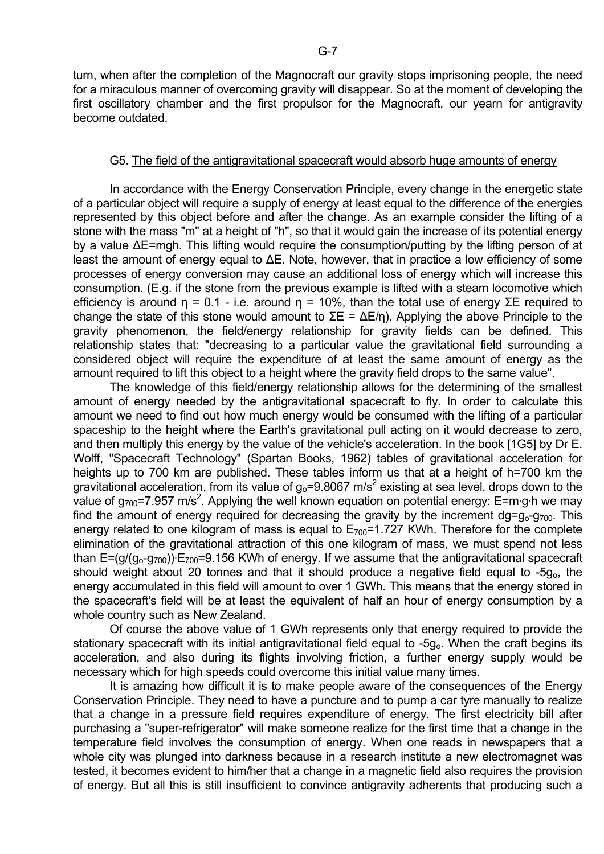turn, when after the completion of the Magnocraft our gravity stops imprisoning people, the need for a miraculous manner of overcoming gravity will disappear. So at the moment of developing the first oscillatory chamber and the first propulsor for the Magnocraft, our yearn for antigravity become outdated.

#### G5. The field of the antigravitational spacecraft would absorb huge amounts of energy

 In accordance with the Energy Conservation Principle, every change in the energetic state of a particular object will require a supply of energy at least equal to the difference of the energies represented by this object before and after the change. As an example consider the lifting of a stone with the mass "m" at a height of "h", so that it would gain the increase of its potential energy by a value ∆E=mgh. This lifting would require the consumption/putting by the lifting person of at least the amount of energy equal to ∆E. Note, however, that in practice a low efficiency of some processes of energy conversion may cause an additional loss of energy which will increase this consumption. (E.g. if the stone from the previous example is lifted with a steam locomotive which efficiency is around  $\eta = 0.1$  - i.e. around  $\eta = 10\%$ , than the total use of energy ΣE required to change the state of this stone would amount to  $\Sigma E = \Delta E/\eta$ ). Applying the above Principle to the gravity phenomenon, the field/energy relationship for gravity fields can be defined. This relationship states that: "decreasing to a particular value the gravitational field surrounding a considered object will require the expenditure of at least the same amount of energy as the amount required to lift this object to a height where the gravity field drops to the same value".

 The knowledge of this field/energy relationship allows for the determining of the smallest amount of energy needed by the antigravitational spacecraft to fly. In order to calculate this amount we need to find out how much energy would be consumed with the lifting of a particular spaceship to the height where the Earth's gravitational pull acting on it would decrease to zero, and then multiply this energy by the value of the vehicle's acceleration. In the book [1G5] by Dr E. Wolff, "Spacecraft Technology" (Spartan Books, 1962) tables of gravitational acceleration for heights up to 700 km are published. These tables inform us that at a height of h=700 km the gravitational acceleration, from its value of  $g_0$ =9.8067 m/s<sup>2</sup> existing at sea level, drops down to the value of  $g_{700}$ =7.957 m/s<sup>2</sup>. Applying the well known equation on potential energy: E=m·g·h we may find the amount of energy required for decreasing the gravity by the increment dg= $g_0$ - $g_{700}$ . This energy related to one kilogram of mass is equal to  $E_{700}$ =1.727 KWh. Therefore for the complete elimination of the gravitational attraction of this one kilogram of mass, we must spend not less than  $E = (g/(g<sub>o</sub>-g<sub>700</sub>))E<sub>700</sub>=9.156$  KWh of energy. If we assume that the antigravitational spacecraft should weight about 20 tonnes and that it should produce a negative field equal to  $-5q_0$ , the energy accumulated in this field will amount to over 1 GWh. This means that the energy stored in the spacecraft's field will be at least the equivalent of half an hour of energy consumption by a whole country such as New Zealand.

 Of course the above value of 1 GWh represents only that energy required to provide the stationary spacecraft with its initial antigravitational field equal to -5g<sub>o</sub>. When the craft begins its acceleration, and also during its flights involving friction, a further energy supply would be necessary which for high speeds could overcome this initial value many times.

 It is amazing how difficult it is to make people aware of the consequences of the Energy Conservation Principle. They need to have a puncture and to pump a car tyre manually to realize that a change in a pressure field requires expenditure of energy. The first electricity bill after purchasing a "super-refrigerator" will make someone realize for the first time that a change in the temperature field involves the consumption of energy. When one reads in newspapers that a whole city was plunged into darkness because in a research institute a new electromagnet was tested, it becomes evident to him/her that a change in a magnetic field also requires the provision of energy. But all this is still insufficient to convince antigravity adherents that producing such a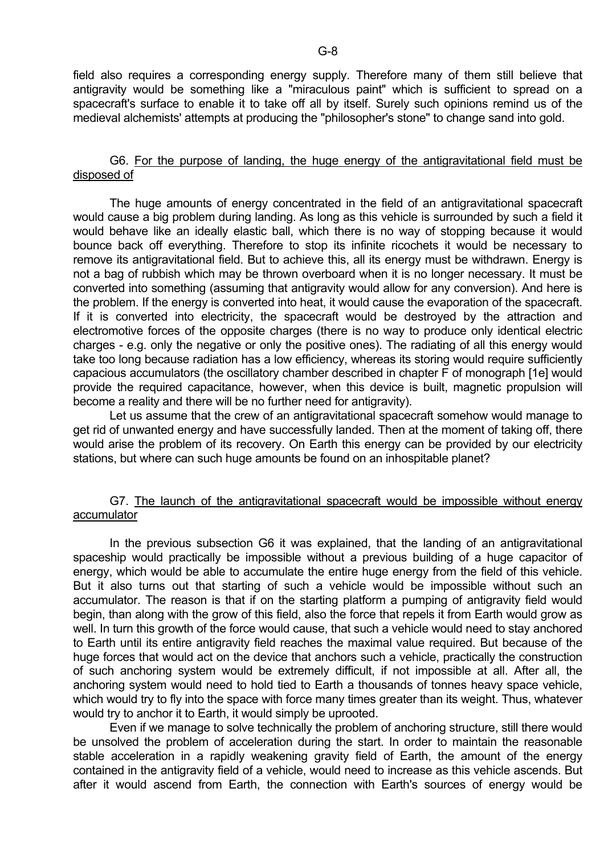field also requires a corresponding energy supply. Therefore many of them still believe that antigravity would be something like a "miraculous paint" which is sufficient to spread on a spacecraft's surface to enable it to take off all by itself. Surely such opinions remind us of the medieval alchemists' attempts at producing the "philosopher's stone" to change sand into gold.

#### G6. For the purpose of landing, the huge energy of the antigravitational field must be disposed of

 The huge amounts of energy concentrated in the field of an antigravitational spacecraft would cause a big problem during landing. As long as this vehicle is surrounded by such a field it would behave like an ideally elastic ball, which there is no way of stopping because it would bounce back off everything. Therefore to stop its infinite ricochets it would be necessary to remove its antigravitational field. But to achieve this, all its energy must be withdrawn. Energy is not a bag of rubbish which may be thrown overboard when it is no longer necessary. It must be converted into something (assuming that antigravity would allow for any conversion). And here is the problem. If the energy is converted into heat, it would cause the evaporation of the spacecraft. If it is converted into electricity, the spacecraft would be destroyed by the attraction and electromotive forces of the opposite charges (there is no way to produce only identical electric charges - e.g. only the negative or only the positive ones). The radiating of all this energy would take too long because radiation has a low efficiency, whereas its storing would require sufficiently capacious accumulators (the oscillatory chamber described in chapter F of monograph [1e] would provide the required capacitance, however, when this device is built, magnetic propulsion will become a reality and there will be no further need for antigravity).

 Let us assume that the crew of an antigravitational spacecraft somehow would manage to get rid of unwanted energy and have successfully landed. Then at the moment of taking off, there would arise the problem of its recovery. On Earth this energy can be provided by our electricity stations, but where can such huge amounts be found on an inhospitable planet?

## G7. The launch of the antigravitational spacecraft would be impossible without energy **accumulator**

 In the previous subsection G6 it was explained, that the landing of an antigravitational spaceship would practically be impossible without a previous building of a huge capacitor of energy, which would be able to accumulate the entire huge energy from the field of this vehicle. But it also turns out that starting of such a vehicle would be impossible without such an accumulator. The reason is that if on the starting platform a pumping of antigravity field would begin, than along with the grow of this field, also the force that repels it from Earth would grow as well. In turn this growth of the force would cause, that such a vehicle would need to stay anchored to Earth until its entire antigravity field reaches the maximal value required. But because of the huge forces that would act on the device that anchors such a vehicle, practically the construction of such anchoring system would be extremely difficult, if not impossible at all. After all, the anchoring system would need to hold tied to Earth a thousands of tonnes heavy space vehicle, which would try to fly into the space with force many times greater than its weight. Thus, whatever would try to anchor it to Earth, it would simply be uprooted.

 Even if we manage to solve technically the problem of anchoring structure, still there would be unsolved the problem of acceleration during the start. In order to maintain the reasonable stable acceleration in a rapidly weakening gravity field of Earth, the amount of the energy contained in the antigravity field of a vehicle, would need to increase as this vehicle ascends. But after it would ascend from Earth, the connection with Earth's sources of energy would be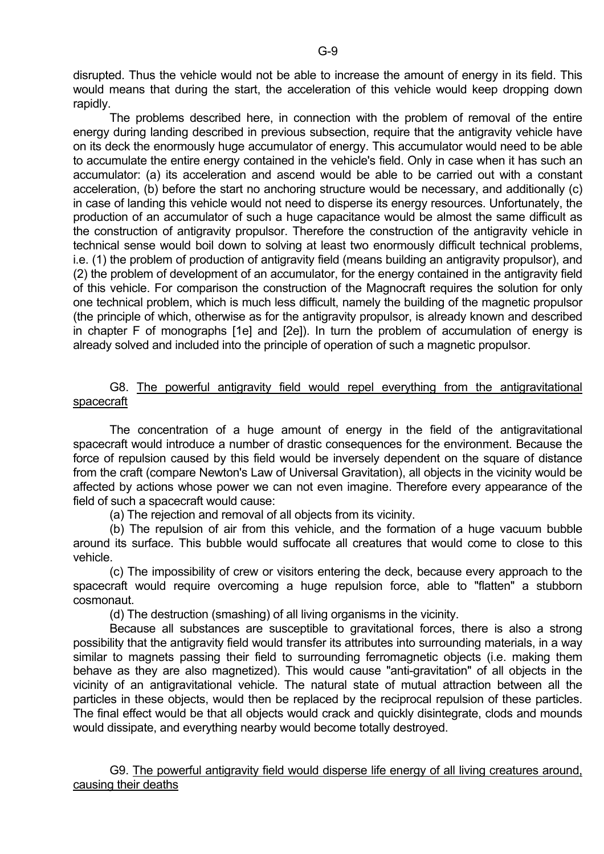disrupted. Thus the vehicle would not be able to increase the amount of energy in its field. This would means that during the start, the acceleration of this vehicle would keep dropping down rapidly.

 The problems described here, in connection with the problem of removal of the entire energy during landing described in previous subsection, require that the antigravity vehicle have on its deck the enormously huge accumulator of energy. This accumulator would need to be able to accumulate the entire energy contained in the vehicle's field. Only in case when it has such an accumulator: (a) its acceleration and ascend would be able to be carried out with a constant acceleration, (b) before the start no anchoring structure would be necessary, and additionally (c) in case of landing this vehicle would not need to disperse its energy resources. Unfortunately, the production of an accumulator of such a huge capacitance would be almost the same difficult as the construction of antigravity propulsor. Therefore the construction of the antigravity vehicle in technical sense would boil down to solving at least two enormously difficult technical problems, i.e. (1) the problem of production of antigravity field (means building an antigravity propulsor), and (2) the problem of development of an accumulator, for the energy contained in the antigravity field of this vehicle. For comparison the construction of the Magnocraft requires the solution for only one technical problem, which is much less difficult, namely the building of the magnetic propulsor (the principle of which, otherwise as for the antigravity propulsor, is already known and described in chapter F of monographs [1e] and [2e]). In turn the problem of accumulation of energy is already solved and included into the principle of operation of such a magnetic propulsor.

## G8. The powerful antigravity field would repel everything from the antigravitational spacecraft

 The concentration of a huge amount of energy in the field of the antigravitational spacecraft would introduce a number of drastic consequences for the environment. Because the force of repulsion caused by this field would be inversely dependent on the square of distance from the craft (compare Newton's Law of Universal Gravitation), all objects in the vicinity would be affected by actions whose power we can not even imagine. Therefore every appearance of the field of such a spacecraft would cause:

(a) The rejection and removal of all objects from its vicinity.

 (b) The repulsion of air from this vehicle, and the formation of a huge vacuum bubble around its surface. This bubble would suffocate all creatures that would come to close to this vehicle.

 (c) The impossibility of crew or visitors entering the deck, because every approach to the spacecraft would require overcoming a huge repulsion force, able to "flatten" a stubborn cosmonaut.

(d) The destruction (smashing) of all living organisms in the vicinity.

 Because all substances are susceptible to gravitational forces, there is also a strong possibility that the antigravity field would transfer its attributes into surrounding materials, in a way similar to magnets passing their field to surrounding ferromagnetic objects (i.e. making them behave as they are also magnetized). This would cause "anti-gravitation" of all objects in the vicinity of an antigravitational vehicle. The natural state of mutual attraction between all the particles in these objects, would then be replaced by the reciprocal repulsion of these particles. The final effect would be that all objects would crack and quickly disintegrate, clods and mounds would dissipate, and everything nearby would become totally destroyed.

 G9. The powerful antigravity field would disperse life energy of all living creatures around, causing their deaths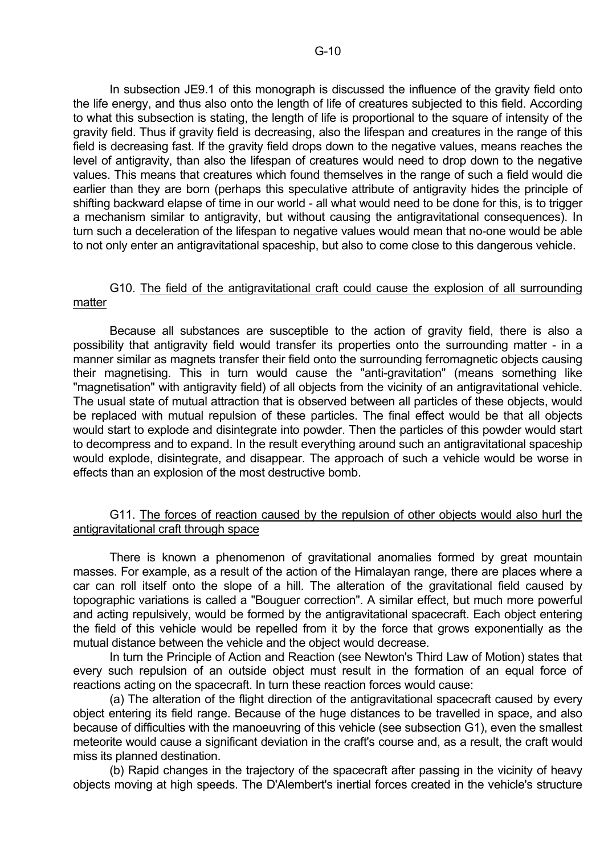In subsection JE9.1 of this monograph is discussed the influence of the gravity field onto the life energy, and thus also onto the length of life of creatures subjected to this field. According to what this subsection is stating, the length of life is proportional to the square of intensity of the gravity field. Thus if gravity field is decreasing, also the lifespan and creatures in the range of this field is decreasing fast. If the gravity field drops down to the negative values, means reaches the level of antigravity, than also the lifespan of creatures would need to drop down to the negative values. This means that creatures which found themselves in the range of such a field would die earlier than they are born (perhaps this speculative attribute of antigravity hides the principle of shifting backward elapse of time in our world - all what would need to be done for this, is to trigger a mechanism similar to antigravity, but without causing the antigravitational consequences). In turn such a deceleration of the lifespan to negative values would mean that no-one would be able to not only enter an antigravitational spaceship, but also to come close to this dangerous vehicle.

## G10. The field of the antigravitational craft could cause the explosion of all surrounding matter

 Because all substances are susceptible to the action of gravity field, there is also a possibility that antigravity field would transfer its properties onto the surrounding matter - in a manner similar as magnets transfer their field onto the surrounding ferromagnetic objects causing their magnetising. This in turn would cause the "anti-gravitation" (means something like "magnetisation" with antigravity field) of all objects from the vicinity of an antigravitational vehicle. The usual state of mutual attraction that is observed between all particles of these objects, would be replaced with mutual repulsion of these particles. The final effect would be that all objects would start to explode and disintegrate into powder. Then the particles of this powder would start to decompress and to expand. In the result everything around such an antigravitational spaceship would explode, disintegrate, and disappear. The approach of such a vehicle would be worse in effects than an explosion of the most destructive bomb.

## G11. The forces of reaction caused by the repulsion of other objects would also hurl the antigravitational craft through space

 There is known a phenomenon of gravitational anomalies formed by great mountain masses. For example, as a result of the action of the Himalayan range, there are places where a car can roll itself onto the slope of a hill. The alteration of the gravitational field caused by topographic variations is called a "Bouguer correction". A similar effect, but much more powerful and acting repulsively, would be formed by the antigravitational spacecraft. Each object entering the field of this vehicle would be repelled from it by the force that grows exponentially as the mutual distance between the vehicle and the object would decrease.

 In turn the Principle of Action and Reaction (see Newton's Third Law of Motion) states that every such repulsion of an outside object must result in the formation of an equal force of reactions acting on the spacecraft. In turn these reaction forces would cause:

 (a) The alteration of the flight direction of the antigravitational spacecraft caused by every object entering its field range. Because of the huge distances to be travelled in space, and also because of difficulties with the manoeuvring of this vehicle (see subsection G1), even the smallest meteorite would cause a significant deviation in the craft's course and, as a result, the craft would miss its planned destination.

 (b) Rapid changes in the trajectory of the spacecraft after passing in the vicinity of heavy objects moving at high speeds. The D'Alembert's inertial forces created in the vehicle's structure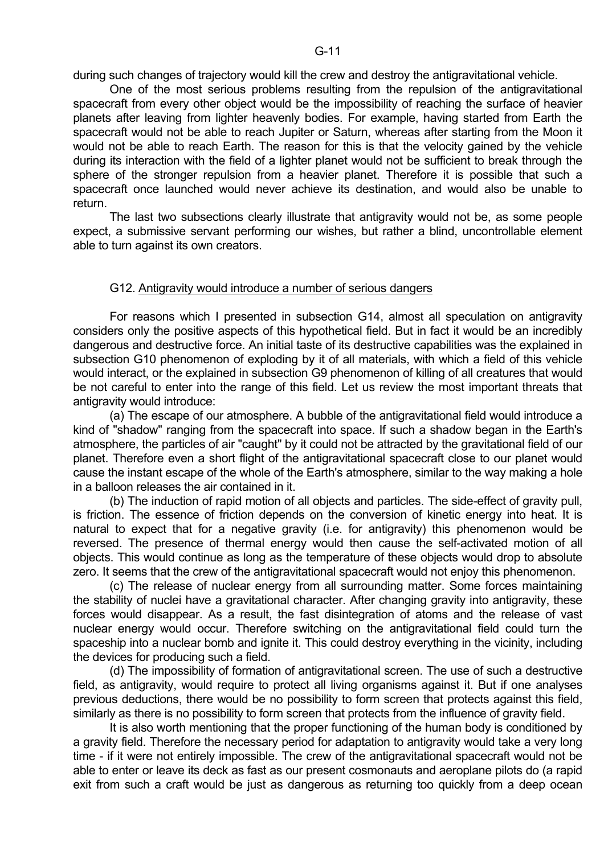during such changes of trajectory would kill the crew and destroy the antigravitational vehicle.

 One of the most serious problems resulting from the repulsion of the antigravitational spacecraft from every other object would be the impossibility of reaching the surface of heavier planets after leaving from lighter heavenly bodies. For example, having started from Earth the spacecraft would not be able to reach Jupiter or Saturn, whereas after starting from the Moon it would not be able to reach Earth. The reason for this is that the velocity gained by the vehicle during its interaction with the field of a lighter planet would not be sufficient to break through the sphere of the stronger repulsion from a heavier planet. Therefore it is possible that such a spacecraft once launched would never achieve its destination, and would also be unable to return.

 The last two subsections clearly illustrate that antigravity would not be, as some people expect, a submissive servant performing our wishes, but rather a blind, uncontrollable element able to turn against its own creators.

#### G12. Antigravity would introduce a number of serious dangers

 For reasons which I presented in subsection G14, almost all speculation on antigravity considers only the positive aspects of this hypothetical field. But in fact it would be an incredibly dangerous and destructive force. An initial taste of its destructive capabilities was the explained in subsection G10 phenomenon of exploding by it of all materials, with which a field of this vehicle would interact, or the explained in subsection G9 phenomenon of killing of all creatures that would be not careful to enter into the range of this field. Let us review the most important threats that antigravity would introduce:

 (a) The escape of our atmosphere. A bubble of the antigravitational field would introduce a kind of "shadow" ranging from the spacecraft into space. If such a shadow began in the Earth's atmosphere, the particles of air "caught" by it could not be attracted by the gravitational field of our planet. Therefore even a short flight of the antigravitational spacecraft close to our planet would cause the instant escape of the whole of the Earth's atmosphere, similar to the way making a hole in a balloon releases the air contained in it.

 (b) The induction of rapid motion of all objects and particles. The side-effect of gravity pull, is friction. The essence of friction depends on the conversion of kinetic energy into heat. It is natural to expect that for a negative gravity (i.e. for antigravity) this phenomenon would be reversed. The presence of thermal energy would then cause the self-activated motion of all objects. This would continue as long as the temperature of these objects would drop to absolute zero. It seems that the crew of the antigravitational spacecraft would not enjoy this phenomenon.

 (c) The release of nuclear energy from all surrounding matter. Some forces maintaining the stability of nuclei have a gravitational character. After changing gravity into antigravity, these forces would disappear. As a result, the fast disintegration of atoms and the release of vast nuclear energy would occur. Therefore switching on the antigravitational field could turn the spaceship into a nuclear bomb and ignite it. This could destroy everything in the vicinity, including the devices for producing such a field.

 (d) The impossibility of formation of antigravitational screen. The use of such a destructive field, as antigravity, would require to protect all living organisms against it. But if one analyses previous deductions, there would be no possibility to form screen that protects against this field, similarly as there is no possibility to form screen that protects from the influence of gravity field.

 It is also worth mentioning that the proper functioning of the human body is conditioned by a gravity field. Therefore the necessary period for adaptation to antigravity would take a very long time - if it were not entirely impossible. The crew of the antigravitational spacecraft would not be able to enter or leave its deck as fast as our present cosmonauts and aeroplane pilots do (a rapid exit from such a craft would be just as dangerous as returning too quickly from a deep ocean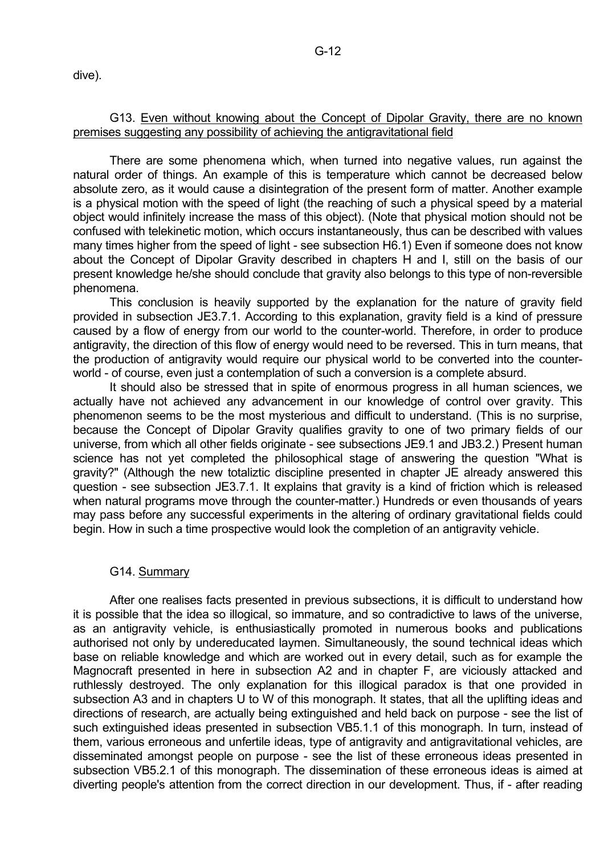dive).

## G13. Even without knowing about the Concept of Dipolar Gravity, there are no known premises suggesting any possibility of achieving the antigravitational field

 There are some phenomena which, when turned into negative values, run against the natural order of things. An example of this is temperature which cannot be decreased below absolute zero, as it would cause a disintegration of the present form of matter. Another example is a physical motion with the speed of light (the reaching of such a physical speed by a material object would infinitely increase the mass of this object). (Note that physical motion should not be confused with telekinetic motion, which occurs instantaneously, thus can be described with values many times higher from the speed of light - see subsection H6.1) Even if someone does not know about the Concept of Dipolar Gravity described in chapters H and I, still on the basis of our present knowledge he/she should conclude that gravity also belongs to this type of non-reversible phenomena.

 This conclusion is heavily supported by the explanation for the nature of gravity field provided in subsection JE3.7.1. According to this explanation, gravity field is a kind of pressure caused by a flow of energy from our world to the counter-world. Therefore, in order to produce antigravity, the direction of this flow of energy would need to be reversed. This in turn means, that the production of antigravity would require our physical world to be converted into the counterworld - of course, even just a contemplation of such a conversion is a complete absurd.

 It should also be stressed that in spite of enormous progress in all human sciences, we actually have not achieved any advancement in our knowledge of control over gravity. This phenomenon seems to be the most mysterious and difficult to understand. (This is no surprise, because the Concept of Dipolar Gravity qualifies gravity to one of two primary fields of our universe, from which all other fields originate - see subsections JE9.1 and JB3.2.) Present human science has not yet completed the philosophical stage of answering the question "What is gravity?" (Although the new totaliztic discipline presented in chapter JE already answered this question - see subsection JE3.7.1. It explains that gravity is a kind of friction which is released when natural programs move through the counter-matter.) Hundreds or even thousands of years may pass before any successful experiments in the altering of ordinary gravitational fields could begin. How in such a time prospective would look the completion of an antigravity vehicle.

#### G14. Summary

 After one realises facts presented in previous subsections, it is difficult to understand how it is possible that the idea so illogical, so immature, and so contradictive to laws of the universe, as an antigravity vehicle, is enthusiastically promoted in numerous books and publications authorised not only by undereducated laymen. Simultaneously, the sound technical ideas which base on reliable knowledge and which are worked out in every detail, such as for example the Magnocraft presented in here in subsection A2 and in chapter F, are viciously attacked and ruthlessly destroyed. The only explanation for this illogical paradox is that one provided in subsection A3 and in chapters U to W of this monograph. It states, that all the uplifting ideas and directions of research, are actually being extinguished and held back on purpose - see the list of such extinguished ideas presented in subsection VB5.1.1 of this monograph. In turn, instead of them, various erroneous and unfertile ideas, type of antigravity and antigravitational vehicles, are disseminated amongst people on purpose - see the list of these erroneous ideas presented in subsection VB5.2.1 of this monograph. The dissemination of these erroneous ideas is aimed at diverting people's attention from the correct direction in our development. Thus, if - after reading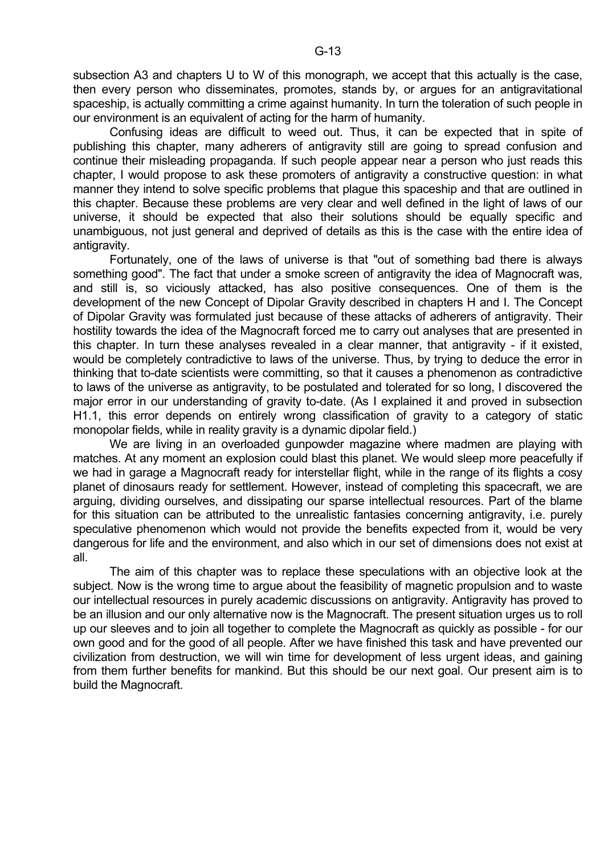subsection A3 and chapters U to W of this monograph, we accept that this actually is the case, then every person who disseminates, promotes, stands by, or argues for an antigravitational spaceship, is actually committing a crime against humanity. In turn the toleration of such people in our environment is an equivalent of acting for the harm of humanity.

 Confusing ideas are difficult to weed out. Thus, it can be expected that in spite of publishing this chapter, many adherers of antigravity still are going to spread confusion and continue their misleading propaganda. If such people appear near a person who just reads this chapter, I would propose to ask these promoters of antigravity a constructive question: in what manner they intend to solve specific problems that plague this spaceship and that are outlined in this chapter. Because these problems are very clear and well defined in the light of laws of our universe, it should be expected that also their solutions should be equally specific and unambiguous, not just general and deprived of details as this is the case with the entire idea of antigravity.

 Fortunately, one of the laws of universe is that "out of something bad there is always something good". The fact that under a smoke screen of antigravity the idea of Magnocraft was, and still is, so viciously attacked, has also positive consequences. One of them is the development of the new Concept of Dipolar Gravity described in chapters H and I. The Concept of Dipolar Gravity was formulated just because of these attacks of adherers of antigravity. Their hostility towards the idea of the Magnocraft forced me to carry out analyses that are presented in this chapter. In turn these analyses revealed in a clear manner, that antigravity - if it existed, would be completely contradictive to laws of the universe. Thus, by trying to deduce the error in thinking that to-date scientists were committing, so that it causes a phenomenon as contradictive to laws of the universe as antigravity, to be postulated and tolerated for so long, I discovered the major error in our understanding of gravity to-date. (As I explained it and proved in subsection H1.1, this error depends on entirely wrong classification of gravity to a category of static monopolar fields, while in reality gravity is a dynamic dipolar field.)

 We are living in an overloaded gunpowder magazine where madmen are playing with matches. At any moment an explosion could blast this planet. We would sleep more peacefully if we had in garage a Magnocraft ready for interstellar flight, while in the range of its flights a cosy planet of dinosaurs ready for settlement. However, instead of completing this spacecraft, we are arguing, dividing ourselves, and dissipating our sparse intellectual resources. Part of the blame for this situation can be attributed to the unrealistic fantasies concerning antigravity, i.e. purely speculative phenomenon which would not provide the benefits expected from it, would be very dangerous for life and the environment, and also which in our set of dimensions does not exist at all.

 The aim of this chapter was to replace these speculations with an objective look at the subject. Now is the wrong time to argue about the feasibility of magnetic propulsion and to waste our intellectual resources in purely academic discussions on antigravity. Antigravity has proved to be an illusion and our only alternative now is the Magnocraft. The present situation urges us to roll up our sleeves and to join all together to complete the Magnocraft as quickly as possible - for our own good and for the good of all people. After we have finished this task and have prevented our civilization from destruction, we will win time for development of less urgent ideas, and gaining from them further benefits for mankind. But this should be our next goal. Our present aim is to build the Magnocraft.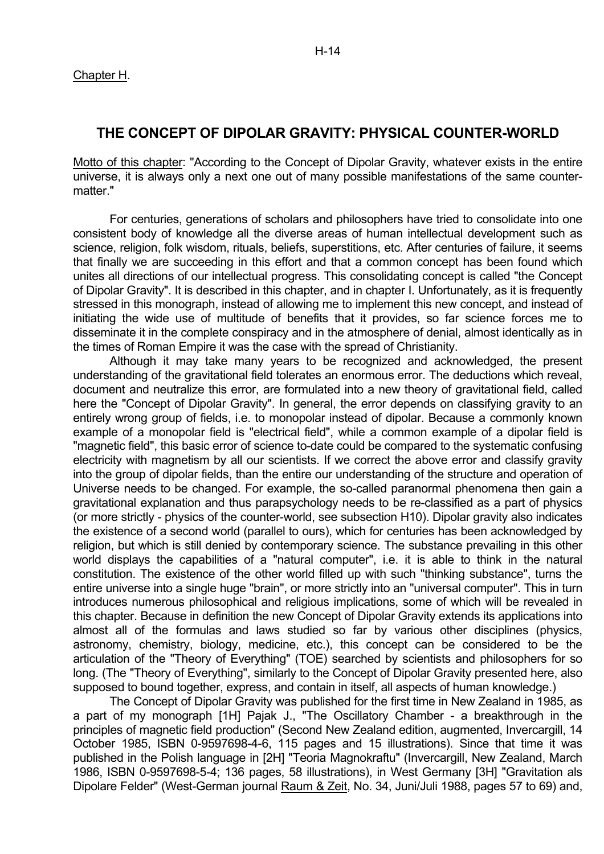## **THE CONCEPT OF DIPOLAR GRAVITY: PHYSICAL COUNTER-WORLD**

Motto of this chapter: "According to the Concept of Dipolar Gravity, whatever exists in the entire universe, it is always only a next one out of many possible manifestations of the same countermatter."

 For centuries, generations of scholars and philosophers have tried to consolidate into one consistent body of knowledge all the diverse areas of human intellectual development such as science, religion, folk wisdom, rituals, beliefs, superstitions, etc. After centuries of failure, it seems that finally we are succeeding in this effort and that a common concept has been found which unites all directions of our intellectual progress. This consolidating concept is called "the Concept of Dipolar Gravity". It is described in this chapter, and in chapter I. Unfortunately, as it is frequently stressed in this monograph, instead of allowing me to implement this new concept, and instead of initiating the wide use of multitude of benefits that it provides, so far science forces me to disseminate it in the complete conspiracy and in the atmosphere of denial, almost identically as in the times of Roman Empire it was the case with the spread of Christianity.

 Although it may take many years to be recognized and acknowledged, the present understanding of the gravitational field tolerates an enormous error. The deductions which reveal, document and neutralize this error, are formulated into a new theory of gravitational field, called here the "Concept of Dipolar Gravity". In general, the error depends on classifying gravity to an entirely wrong group of fields, i.e. to monopolar instead of dipolar. Because a commonly known example of a monopolar field is "electrical field", while a common example of a dipolar field is "magnetic field", this basic error of science to-date could be compared to the systematic confusing electricity with magnetism by all our scientists. If we correct the above error and classify gravity into the group of dipolar fields, than the entire our understanding of the structure and operation of Universe needs to be changed. For example, the so-called paranormal phenomena then gain a gravitational explanation and thus parapsychology needs to be re-classified as a part of physics (or more strictly - physics of the counter-world, see subsection H10). Dipolar gravity also indicates the existence of a second world (parallel to ours), which for centuries has been acknowledged by religion, but which is still denied by contemporary science. The substance prevailing in this other world displays the capabilities of a "natural computer", i.e. it is able to think in the natural constitution. The existence of the other world filled up with such "thinking substance", turns the entire universe into a single huge "brain", or more strictly into an "universal computer". This in turn introduces numerous philosophical and religious implications, some of which will be revealed in this chapter. Because in definition the new Concept of Dipolar Gravity extends its applications into almost all of the formulas and laws studied so far by various other disciplines (physics, astronomy, chemistry, biology, medicine, etc.), this concept can be considered to be the articulation of the "Theory of Everything" (TOE) searched by scientists and philosophers for so long. (The "Theory of Everything", similarly to the Concept of Dipolar Gravity presented here, also supposed to bound together, express, and contain in itself, all aspects of human knowledge.)

 The Concept of Dipolar Gravity was published for the first time in New Zealand in 1985, as a part of my monograph [1H] Pajak J., "The Oscillatory Chamber - a breakthrough in the principles of magnetic field production" (Second New Zealand edition, augmented, Invercargill, 14 October 1985, ISBN 0-9597698-4-6, 115 pages and 15 illustrations). Since that time it was published in the Polish language in [2H] "Teoria Magnokraftu" (Invercargill, New Zealand, March 1986, ISBN 0-9597698-5-4; 136 pages, 58 illustrations), in West Germany [3H] "Gravitation als Dipolare Felder" (West-German journal Raum & Zeit, No. 34, Juni/Juli 1988, pages 57 to 69) and,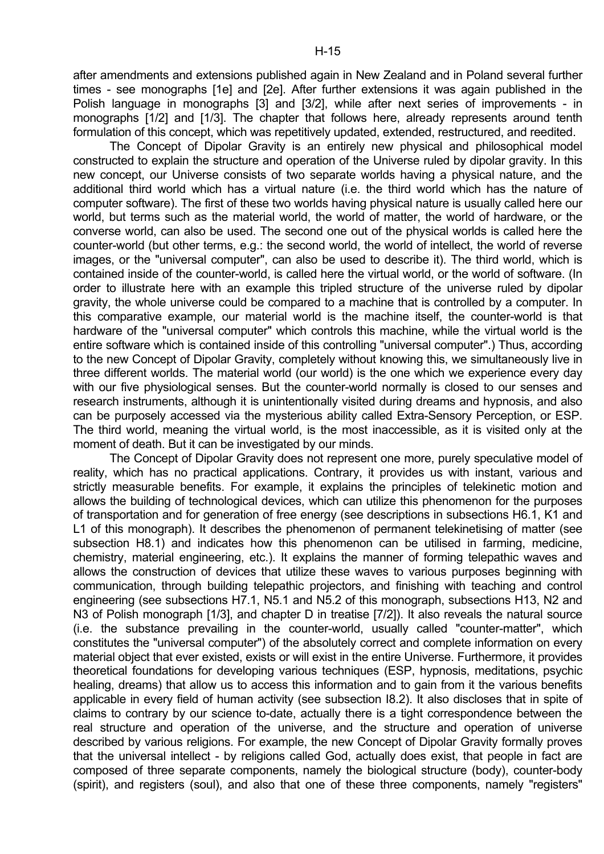after amendments and extensions published again in New Zealand and in Poland several further times - see monographs [1e] and [2e]. After further extensions it was again published in the Polish language in monographs [3] and [3/2], while after next series of improvements - in monographs [1/2] and [1/3]. The chapter that follows here, already represents around tenth formulation of this concept, which was repetitively updated, extended, restructured, and reedited.

 The Concept of Dipolar Gravity is an entirely new physical and philosophical model constructed to explain the structure and operation of the Universe ruled by dipolar gravity. In this new concept, our Universe consists of two separate worlds having a physical nature, and the additional third world which has a virtual nature (i.e. the third world which has the nature of computer software). The first of these two worlds having physical nature is usually called here our world, but terms such as the material world, the world of matter, the world of hardware, or the converse world, can also be used. The second one out of the physical worlds is called here the counter-world (but other terms, e.g.: the second world, the world of intellect, the world of reverse images, or the "universal computer", can also be used to describe it). The third world, which is contained inside of the counter-world, is called here the virtual world, or the world of software. (In order to illustrate here with an example this tripled structure of the universe ruled by dipolar gravity, the whole universe could be compared to a machine that is controlled by a computer. In this comparative example, our material world is the machine itself, the counter-world is that hardware of the "universal computer" which controls this machine, while the virtual world is the entire software which is contained inside of this controlling "universal computer".) Thus, according to the new Concept of Dipolar Gravity, completely without knowing this, we simultaneously live in three different worlds. The material world (our world) is the one which we experience every day with our five physiological senses. But the counter-world normally is closed to our senses and research instruments, although it is unintentionally visited during dreams and hypnosis, and also can be purposely accessed via the mysterious ability called Extra-Sensory Perception, or ESP. The third world, meaning the virtual world, is the most inaccessible, as it is visited only at the moment of death. But it can be investigated by our minds.

 The Concept of Dipolar Gravity does not represent one more, purely speculative model of reality, which has no practical applications. Contrary, it provides us with instant, various and strictly measurable benefits. For example, it explains the principles of telekinetic motion and allows the building of technological devices, which can utilize this phenomenon for the purposes of transportation and for generation of free energy (see descriptions in subsections H6.1, K1 and L1 of this monograph). It describes the phenomenon of permanent telekinetising of matter (see subsection H8.1) and indicates how this phenomenon can be utilised in farming, medicine, chemistry, material engineering, etc.). It explains the manner of forming telepathic waves and allows the construction of devices that utilize these waves to various purposes beginning with communication, through building telepathic projectors, and finishing with teaching and control engineering (see subsections H7.1, N5.1 and N5.2 of this monograph, subsections H13, N2 and N3 of Polish monograph [1/3], and chapter D in treatise [7/2]). It also reveals the natural source (i.e. the substance prevailing in the counter-world, usually called "counter-matter", which constitutes the "universal computer") of the absolutely correct and complete information on every material object that ever existed, exists or will exist in the entire Universe. Furthermore, it provides theoretical foundations for developing various techniques (ESP, hypnosis, meditations, psychic healing, dreams) that allow us to access this information and to gain from it the various benefits applicable in every field of human activity (see subsection I8.2). It also discloses that in spite of claims to contrary by our science to-date, actually there is a tight correspondence between the real structure and operation of the universe, and the structure and operation of universe described by various religions. For example, the new Concept of Dipolar Gravity formally proves that the universal intellect - by religions called God, actually does exist, that people in fact are composed of three separate components, namely the biological structure (body), counter-body (spirit), and registers (soul), and also that one of these three components, namely "registers"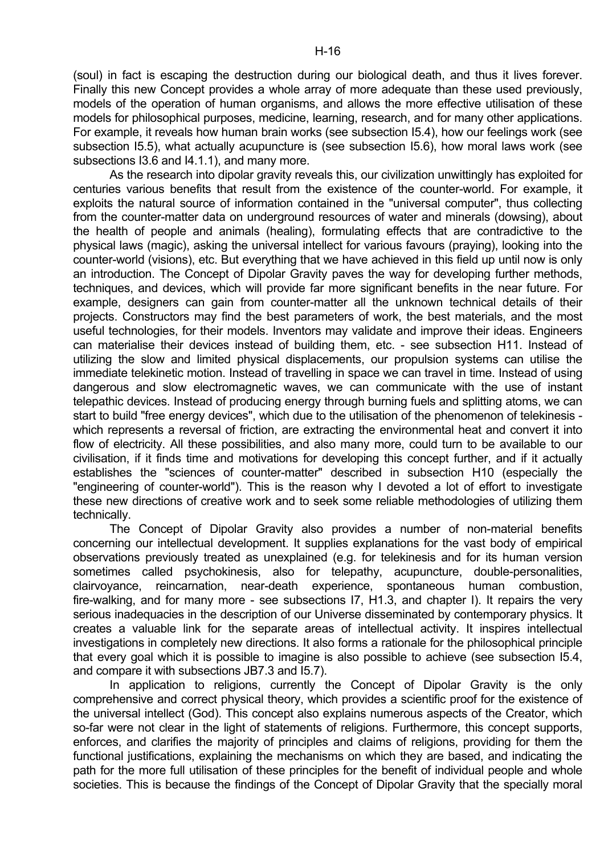(soul) in fact is escaping the destruction during our biological death, and thus it lives forever. Finally this new Concept provides a whole array of more adequate than these used previously, models of the operation of human organisms, and allows the more effective utilisation of these models for philosophical purposes, medicine, learning, research, and for many other applications. For example, it reveals how human brain works (see subsection I5.4), how our feelings work (see subsection I5.5), what actually acupuncture is (see subsection I5.6), how moral laws work (see subsections I3.6 and I4.1.1), and many more.

As the research into dipolar gravity reveals this, our civilization unwittingly has exploited for centuries various benefits that result from the existence of the counter-world. For example, it exploits the natural source of information contained in the "universal computer", thus collecting from the counter-matter data on underground resources of water and minerals (dowsing), about the health of people and animals (healing), formulating effects that are contradictive to the physical laws (magic), asking the universal intellect for various favours (praying), looking into the counter-world (visions), etc. But everything that we have achieved in this field up until now is only an introduction. The Concept of Dipolar Gravity paves the way for developing further methods, techniques, and devices, which will provide far more significant benefits in the near future. For example, designers can gain from counter-matter all the unknown technical details of their projects. Constructors may find the best parameters of work, the best materials, and the most useful technologies, for their models. Inventors may validate and improve their ideas. Engineers can materialise their devices instead of building them, etc. - see subsection H11. Instead of utilizing the slow and limited physical displacements, our propulsion systems can utilise the immediate telekinetic motion. Instead of travelling in space we can travel in time. Instead of using dangerous and slow electromagnetic waves, we can communicate with the use of instant telepathic devices. Instead of producing energy through burning fuels and splitting atoms, we can start to build "free energy devices", which due to the utilisation of the phenomenon of telekinesis which represents a reversal of friction, are extracting the environmental heat and convert it into flow of electricity. All these possibilities, and also many more, could turn to be available to our civilisation, if it finds time and motivations for developing this concept further, and if it actually establishes the "sciences of counter-matter" described in subsection H10 (especially the "engineering of counter-world"). This is the reason why I devoted a lot of effort to investigate these new directions of creative work and to seek some reliable methodologies of utilizing them technically.

 The Concept of Dipolar Gravity also provides a number of non-material benefits concerning our intellectual development. It supplies explanations for the vast body of empirical observations previously treated as unexplained (e.g. for telekinesis and for its human version sometimes called psychokinesis, also for telepathy, acupuncture, double-personalities, clairvoyance, reincarnation, near-death experience, spontaneous human combustion, fire-walking, and for many more - see subsections I7, H1.3, and chapter I). It repairs the very serious inadequacies in the description of our Universe disseminated by contemporary physics. It creates a valuable link for the separate areas of intellectual activity. It inspires intellectual investigations in completely new directions. It also forms a rationale for the philosophical principle that every goal which it is possible to imagine is also possible to achieve (see subsection I5.4, and compare it with subsections JB7.3 and I5.7).

 In application to religions, currently the Concept of Dipolar Gravity is the only comprehensive and correct physical theory, which provides a scientific proof for the existence of the universal intellect (God). This concept also explains numerous aspects of the Creator, which so-far were not clear in the light of statements of religions. Furthermore, this concept supports, enforces, and clarifies the majority of principles and claims of religions, providing for them the functional justifications, explaining the mechanisms on which they are based, and indicating the path for the more full utilisation of these principles for the benefit of individual people and whole societies. This is because the findings of the Concept of Dipolar Gravity that the specially moral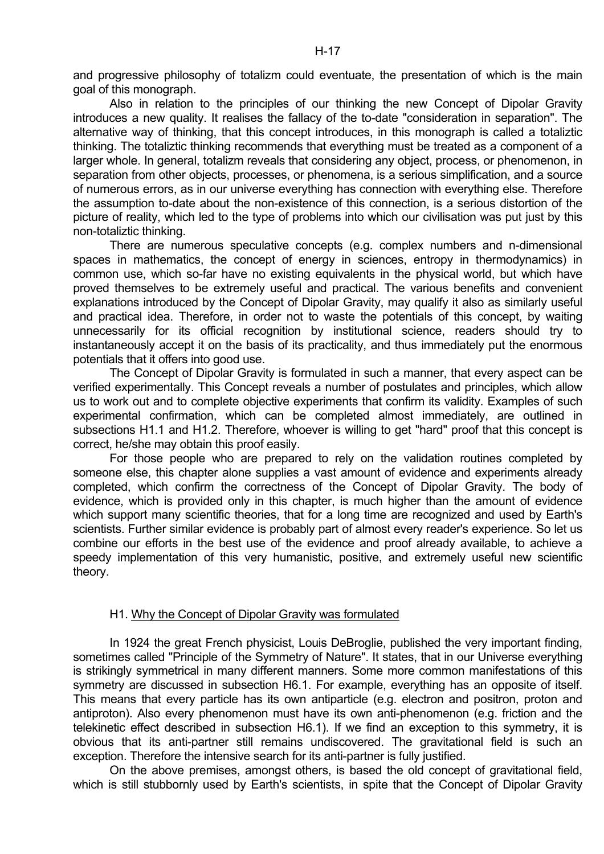and progressive philosophy of totalizm could eventuate, the presentation of which is the main goal of this monograph.

 Also in relation to the principles of our thinking the new Concept of Dipolar Gravity introduces a new quality. It realises the fallacy of the to-date "consideration in separation". The alternative way of thinking, that this concept introduces, in this monograph is called a totaliztic thinking. The totaliztic thinking recommends that everything must be treated as a component of a larger whole. In general, totalizm reveals that considering any object, process, or phenomenon, in separation from other objects, processes, or phenomena, is a serious simplification, and a source of numerous errors, as in our universe everything has connection with everything else. Therefore the assumption to-date about the non-existence of this connection, is a serious distortion of the picture of reality, which led to the type of problems into which our civilisation was put just by this non-totaliztic thinking.

 There are numerous speculative concepts (e.g. complex numbers and n-dimensional spaces in mathematics, the concept of energy in sciences, entropy in thermodynamics) in common use, which so-far have no existing equivalents in the physical world, but which have proved themselves to be extremely useful and practical. The various benefits and convenient explanations introduced by the Concept of Dipolar Gravity, may qualify it also as similarly useful and practical idea. Therefore, in order not to waste the potentials of this concept, by waiting unnecessarily for its official recognition by institutional science, readers should try to instantaneously accept it on the basis of its practicality, and thus immediately put the enormous potentials that it offers into good use.

 The Concept of Dipolar Gravity is formulated in such a manner, that every aspect can be verified experimentally. This Concept reveals a number of postulates and principles, which allow us to work out and to complete objective experiments that confirm its validity. Examples of such experimental confirmation, which can be completed almost immediately, are outlined in subsections H1.1 and H1.2. Therefore, whoever is willing to get "hard" proof that this concept is correct, he/she may obtain this proof easily.

 For those people who are prepared to rely on the validation routines completed by someone else, this chapter alone supplies a vast amount of evidence and experiments already completed, which confirm the correctness of the Concept of Dipolar Gravity. The body of evidence, which is provided only in this chapter, is much higher than the amount of evidence which support many scientific theories, that for a long time are recognized and used by Earth's scientists. Further similar evidence is probably part of almost every reader's experience. So let us combine our efforts in the best use of the evidence and proof already available, to achieve a speedy implementation of this very humanistic, positive, and extremely useful new scientific theory.

#### H1. Why the Concept of Dipolar Gravity was formulated

 In 1924 the great French physicist, Louis DeBroglie, published the very important finding, sometimes called "Principle of the Symmetry of Nature". It states, that in our Universe everything is strikingly symmetrical in many different manners. Some more common manifestations of this symmetry are discussed in subsection H6.1. For example, everything has an opposite of itself. This means that every particle has its own antiparticle (e.g. electron and positron, proton and antiproton). Also every phenomenon must have its own anti-phenomenon (e.g. friction and the telekinetic effect described in subsection H6.1). If we find an exception to this symmetry, it is obvious that its anti-partner still remains undiscovered. The gravitational field is such an exception. Therefore the intensive search for its anti-partner is fully justified.

 On the above premises, amongst others, is based the old concept of gravitational field, which is still stubbornly used by Earth's scientists, in spite that the Concept of Dipolar Gravity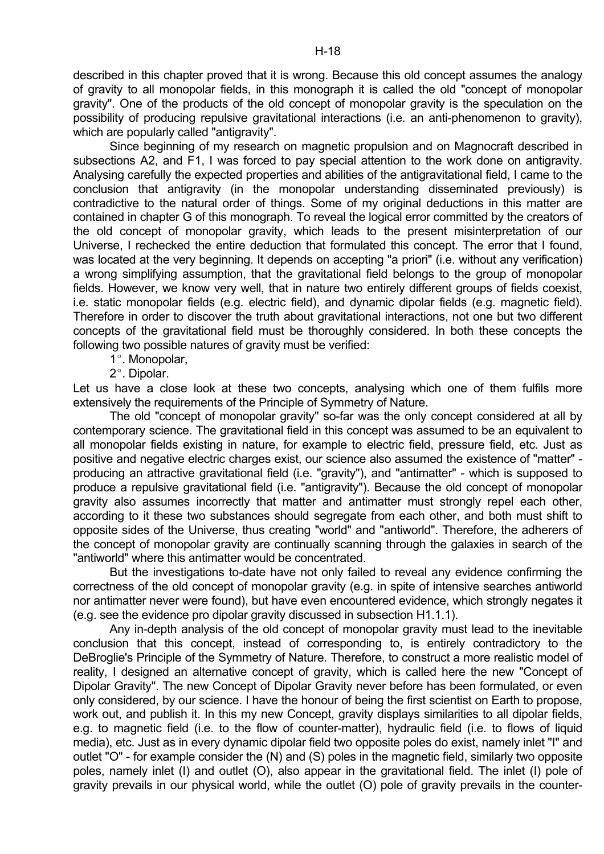described in this chapter proved that it is wrong. Because this old concept assumes the analogy of gravity to all monopolar fields, in this monograph it is called the old "concept of monopolar gravity". One of the products of the old concept of monopolar gravity is the speculation on the possibility of producing repulsive gravitational interactions (i.e. an anti-phenomenon to gravity), which are popularly called "antigravity".

 Since beginning of my research on magnetic propulsion and on Magnocraft described in subsections A2, and F1, I was forced to pay special attention to the work done on antigravity. Analysing carefully the expected properties and abilities of the antigravitational field, I came to the conclusion that antigravity (in the monopolar understanding disseminated previously) is contradictive to the natural order of things. Some of my original deductions in this matter are contained in chapter G of this monograph. To reveal the logical error committed by the creators of the old concept of monopolar gravity, which leads to the present misinterpretation of our Universe, I rechecked the entire deduction that formulated this concept. The error that I found, was located at the very beginning. It depends on accepting "a priori" (i.e. without any verification) a wrong simplifying assumption, that the gravitational field belongs to the group of monopolar fields. However, we know very well, that in nature two entirely different groups of fields coexist, i.e. static monopolar fields (e.g. electric field), and dynamic dipolar fields (e.g. magnetic field). Therefore in order to discover the truth about gravitational interactions, not one but two different concepts of the gravitational field must be thoroughly considered. In both these concepts the following two possible natures of gravity must be verified:

1°. Monopolar,

2°. Dipolar.

Let us have a close look at these two concepts, analysing which one of them fulfils more extensively the requirements of the Principle of Symmetry of Nature.

 The old "concept of monopolar gravity" so-far was the only concept considered at all by contemporary science. The gravitational field in this concept was assumed to be an equivalent to all monopolar fields existing in nature, for example to electric field, pressure field, etc. Just as positive and negative electric charges exist, our science also assumed the existence of "matter" producing an attractive gravitational field (i.e. "gravity"), and "antimatter" - which is supposed to produce a repulsive gravitational field (i.e. "antigravity"). Because the old concept of monopolar gravity also assumes incorrectly that matter and antimatter must strongly repel each other, according to it these two substances should segregate from each other, and both must shift to opposite sides of the Universe, thus creating "world" and "antiworld". Therefore, the adherers of the concept of monopolar gravity are continually scanning through the galaxies in search of the "antiworld" where this antimatter would be concentrated.

 But the investigations to-date have not only failed to reveal any evidence confirming the correctness of the old concept of monopolar gravity (e.g. in spite of intensive searches antiworld nor antimatter never were found), but have even encountered evidence, which strongly negates it (e.g. see the evidence pro dipolar gravity discussed in subsection H1.1.1).

 Any in-depth analysis of the old concept of monopolar gravity must lead to the inevitable conclusion that this concept, instead of corresponding to, is entirely contradictory to the DeBroglie's Principle of the Symmetry of Nature. Therefore, to construct a more realistic model of reality, I designed an alternative concept of gravity, which is called here the new "Concept of Dipolar Gravity". The new Concept of Dipolar Gravity never before has been formulated, or even only considered, by our science. I have the honour of being the first scientist on Earth to propose, work out, and publish it. In this my new Concept, gravity displays similarities to all dipolar fields, e.g. to magnetic field (i.e. to the flow of counter-matter), hydraulic field (i.e. to flows of liquid media), etc. Just as in every dynamic dipolar field two opposite poles do exist, namely inlet "I" and outlet "O" - for example consider the (N) and (S) poles in the magnetic field, similarly two opposite poles, namely inlet (I) and outlet (O), also appear in the gravitational field. The inlet (I) pole of gravity prevails in our physical world, while the outlet (O) pole of gravity prevails in the counter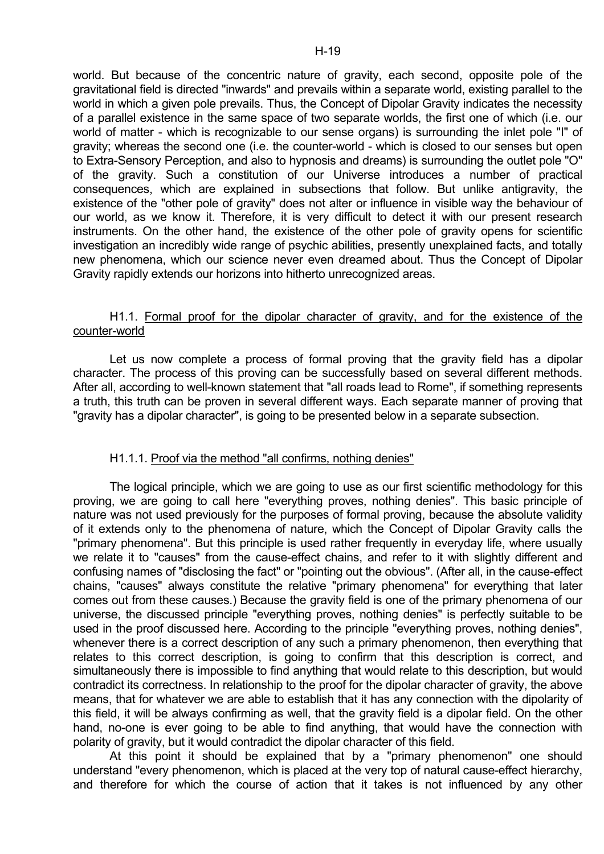world. But because of the concentric nature of gravity, each second, opposite pole of the gravitational field is directed "inwards" and prevails within a separate world, existing parallel to the world in which a given pole prevails. Thus, the Concept of Dipolar Gravity indicates the necessity of a parallel existence in the same space of two separate worlds, the first one of which (i.e. our world of matter - which is recognizable to our sense organs) is surrounding the inlet pole "I" of gravity; whereas the second one (i.e. the counter-world - which is closed to our senses but open to Extra-Sensory Perception, and also to hypnosis and dreams) is surrounding the outlet pole "O" of the gravity. Such a constitution of our Universe introduces a number of practical consequences, which are explained in subsections that follow. But unlike antigravity, the existence of the "other pole of gravity" does not alter or influence in visible way the behaviour of our world, as we know it. Therefore, it is very difficult to detect it with our present research instruments. On the other hand, the existence of the other pole of gravity opens for scientific investigation an incredibly wide range of psychic abilities, presently unexplained facts, and totally new phenomena, which our science never even dreamed about. Thus the Concept of Dipolar Gravity rapidly extends our horizons into hitherto unrecognized areas.

## H1.1. Formal proof for the dipolar character of gravity, and for the existence of the counter-world

 Let us now complete a process of formal proving that the gravity field has a dipolar character. The process of this proving can be successfully based on several different methods. After all, according to well-known statement that "all roads lead to Rome", if something represents a truth, this truth can be proven in several different ways. Each separate manner of proving that "gravity has a dipolar character", is going to be presented below in a separate subsection.

## H1.1.1. Proof via the method "all confirms, nothing denies"

 The logical principle, which we are going to use as our first scientific methodology for this proving, we are going to call here "everything proves, nothing denies". This basic principle of nature was not used previously for the purposes of formal proving, because the absolute validity of it extends only to the phenomena of nature, which the Concept of Dipolar Gravity calls the "primary phenomena". But this principle is used rather frequently in everyday life, where usually we relate it to "causes" from the cause-effect chains, and refer to it with slightly different and confusing names of "disclosing the fact" or "pointing out the obvious". (After all, in the cause-effect chains, "causes" always constitute the relative "primary phenomena" for everything that later comes out from these causes.) Because the gravity field is one of the primary phenomena of our universe, the discussed principle "everything proves, nothing denies" is perfectly suitable to be used in the proof discussed here. According to the principle "everything proves, nothing denies", whenever there is a correct description of any such a primary phenomenon, then everything that relates to this correct description, is going to confirm that this description is correct, and simultaneously there is impossible to find anything that would relate to this description, but would contradict its correctness. In relationship to the proof for the dipolar character of gravity, the above means, that for whatever we are able to establish that it has any connection with the dipolarity of this field, it will be always confirming as well, that the gravity field is a dipolar field. On the other hand, no-one is ever going to be able to find anything, that would have the connection with polarity of gravity, but it would contradict the dipolar character of this field.

 At this point it should be explained that by a "primary phenomenon" one should understand "every phenomenon, which is placed at the very top of natural cause-effect hierarchy, and therefore for which the course of action that it takes is not influenced by any other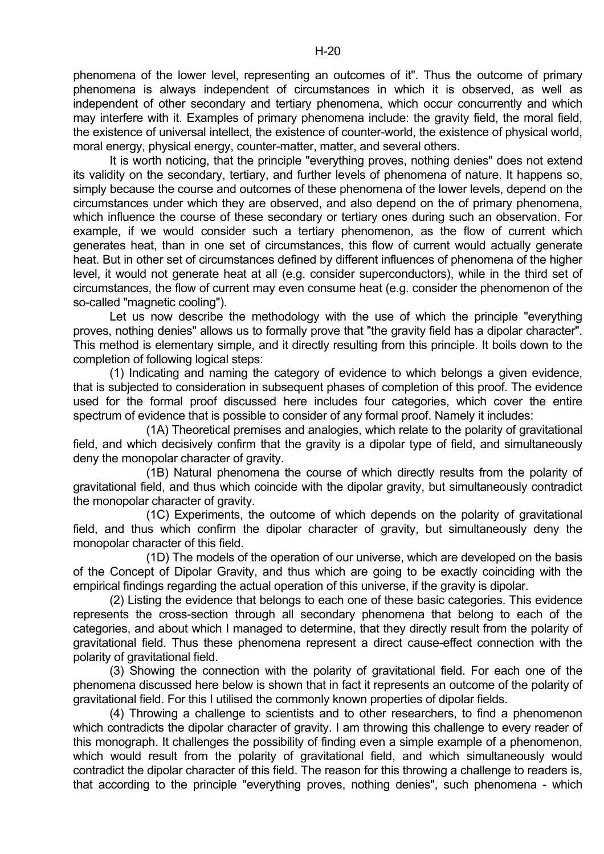phenomena of the lower level, representing an outcomes of it". Thus the outcome of primary phenomena is always independent of circumstances in which it is observed, as well as independent of other secondary and tertiary phenomena, which occur concurrently and which may interfere with it. Examples of primary phenomena include: the gravity field, the moral field, the existence of universal intellect, the existence of counter-world, the existence of physical world, moral energy, physical energy, counter-matter, matter, and several others.

 It is worth noticing, that the principle "everything proves, nothing denies" does not extend its validity on the secondary, tertiary, and further levels of phenomena of nature. It happens so, simply because the course and outcomes of these phenomena of the lower levels, depend on the circumstances under which they are observed, and also depend on the of primary phenomena, which influence the course of these secondary or tertiary ones during such an observation. For example, if we would consider such a tertiary phenomenon, as the flow of current which generates heat, than in one set of circumstances, this flow of current would actually generate heat. But in other set of circumstances defined by different influences of phenomena of the higher level, it would not generate heat at all (e.g. consider superconductors), while in the third set of circumstances, the flow of current may even consume heat (e.g. consider the phenomenon of the so-called "magnetic cooling").

 Let us now describe the methodology with the use of which the principle "everything proves, nothing denies" allows us to formally prove that "the gravity field has a dipolar character". This method is elementary simple, and it directly resulting from this principle. It boils down to the completion of following logical steps:

 (1) Indicating and naming the category of evidence to which belongs a given evidence, that is subjected to consideration in subsequent phases of completion of this proof. The evidence used for the formal proof discussed here includes four categories, which cover the entire spectrum of evidence that is possible to consider of any formal proof. Namely it includes:

 (1A) Theoretical premises and analogies, which relate to the polarity of gravitational field, and which decisively confirm that the gravity is a dipolar type of field, and simultaneously deny the monopolar character of gravity.

 (1B) Natural phenomena the course of which directly results from the polarity of gravitational field, and thus which coincide with the dipolar gravity, but simultaneously contradict the monopolar character of gravity.

 (1C) Experiments, the outcome of which depends on the polarity of gravitational field, and thus which confirm the dipolar character of gravity, but simultaneously deny the monopolar character of this field.

 (1D) The models of the operation of our universe, which are developed on the basis of the Concept of Dipolar Gravity, and thus which are going to be exactly coinciding with the empirical findings regarding the actual operation of this universe, if the gravity is dipolar.

 (2) Listing the evidence that belongs to each one of these basic categories. This evidence represents the cross-section through all secondary phenomena that belong to each of the categories, and about which I managed to determine, that they directly result from the polarity of gravitational field. Thus these phenomena represent a direct cause-effect connection with the polarity of gravitational field.

 (3) Showing the connection with the polarity of gravitational field. For each one of the phenomena discussed here below is shown that in fact it represents an outcome of the polarity of gravitational field. For this I utilised the commonly known properties of dipolar fields.

 (4) Throwing a challenge to scientists and to other researchers, to find a phenomenon which contradicts the dipolar character of gravity. I am throwing this challenge to every reader of this monograph. It challenges the possibility of finding even a simple example of a phenomenon, which would result from the polarity of gravitational field, and which simultaneously would contradict the dipolar character of this field. The reason for this throwing a challenge to readers is, that according to the principle "everything proves, nothing denies", such phenomena - which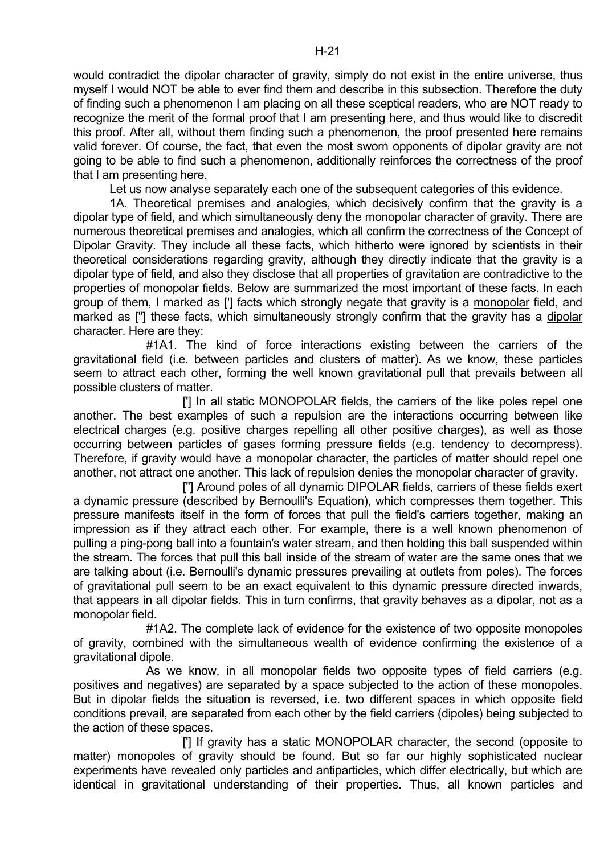would contradict the dipolar character of gravity, simply do not exist in the entire universe, thus myself I would NOT be able to ever find them and describe in this subsection. Therefore the duty of finding such a phenomenon I am placing on all these sceptical readers, who are NOT ready to recognize the merit of the formal proof that I am presenting here, and thus would like to discredit this proof. After all, without them finding such a phenomenon, the proof presented here remains valid forever. Of course, the fact, that even the most sworn opponents of dipolar gravity are not going to be able to find such a phenomenon, additionally reinforces the correctness of the proof that I am presenting here.

Let us now analyse separately each one of the subsequent categories of this evidence.

 1A. Theoretical premises and analogies, which decisively confirm that the gravity is a dipolar type of field, and which simultaneously deny the monopolar character of gravity. There are numerous theoretical premises and analogies, which all confirm the correctness of the Concept of Dipolar Gravity. They include all these facts, which hitherto were ignored by scientists in their theoretical considerations regarding gravity, although they directly indicate that the gravity is a dipolar type of field, and also they disclose that all properties of gravitation are contradictive to the properties of monopolar fields. Below are summarized the most important of these facts. In each group of them, I marked as ['] facts which strongly negate that gravity is a monopolar field, and marked as ["] these facts, which simultaneously strongly confirm that the gravity has a dipolar character. Here are they:

 #1A1. The kind of force interactions existing between the carriers of the gravitational field (i.e. between particles and clusters of matter). As we know, these particles seem to attract each other, forming the well known gravitational pull that prevails between all possible clusters of matter.

 ['] In all static MONOPOLAR fields, the carriers of the like poles repel one another. The best examples of such a repulsion are the interactions occurring between like electrical charges (e.g. positive charges repelling all other positive charges), as well as those occurring between particles of gases forming pressure fields (e.g. tendency to decompress). Therefore, if gravity would have a monopolar character, the particles of matter should repel one another, not attract one another. This lack of repulsion denies the monopolar character of gravity.

 ["] Around poles of all dynamic DIPOLAR fields, carriers of these fields exert a dynamic pressure (described by Bernoulli's Equation), which compresses them together. This pressure manifests itself in the form of forces that pull the field's carriers together, making an impression as if they attract each other. For example, there is a well known phenomenon of pulling a ping-pong ball into a fountain's water stream, and then holding this ball suspended within the stream. The forces that pull this ball inside of the stream of water are the same ones that we are talking about (i.e. Bernoulli's dynamic pressures prevailing at outlets from poles). The forces of gravitational pull seem to be an exact equivalent to this dynamic pressure directed inwards, that appears in all dipolar fields. This in turn confirms, that gravity behaves as a dipolar, not as a monopolar field.

 #1A2. The complete lack of evidence for the existence of two opposite monopoles of gravity, combined with the simultaneous wealth of evidence confirming the existence of a gravitational dipole.

 As we know, in all monopolar fields two opposite types of field carriers (e.g. positives and negatives) are separated by a space subjected to the action of these monopoles. But in dipolar fields the situation is reversed, i.e. two different spaces in which opposite field conditions prevail, are separated from each other by the field carriers (dipoles) being subjected to the action of these spaces.

 ['] If gravity has a static MONOPOLAR character, the second (opposite to matter) monopoles of gravity should be found. But so far our highly sophisticated nuclear experiments have revealed only particles and antiparticles, which differ electrically, but which are identical in gravitational understanding of their properties. Thus, all known particles and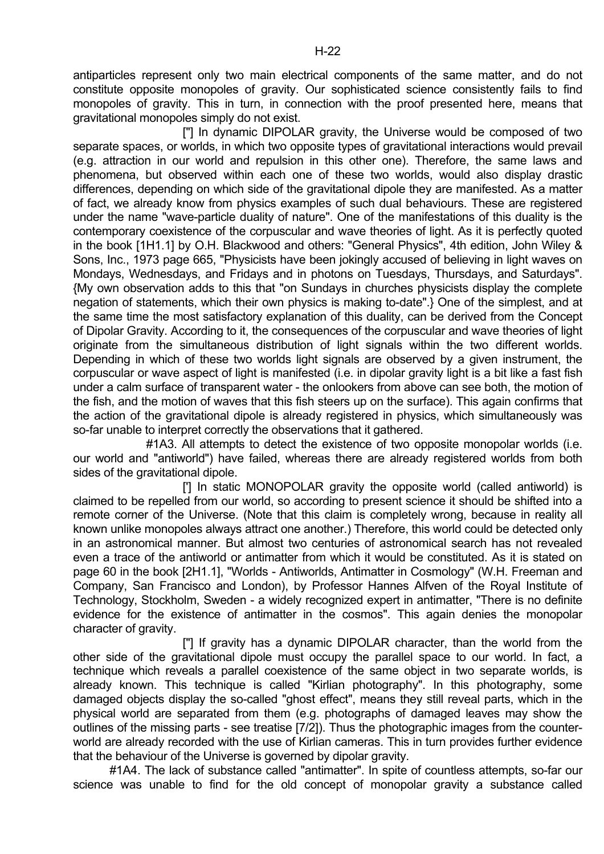antiparticles represent only two main electrical components of the same matter, and do not constitute opposite monopoles of gravity. Our sophisticated science consistently fails to find monopoles of gravity. This in turn, in connection with the proof presented here, means that gravitational monopoles simply do not exist.

 ["] In dynamic DIPOLAR gravity, the Universe would be composed of two separate spaces, or worlds, in which two opposite types of gravitational interactions would prevail (e.g. attraction in our world and repulsion in this other one). Therefore, the same laws and phenomena, but observed within each one of these two worlds, would also display drastic differences, depending on which side of the gravitational dipole they are manifested. As a matter of fact, we already know from physics examples of such dual behaviours. These are registered under the name "wave-particle duality of nature". One of the manifestations of this duality is the contemporary coexistence of the corpuscular and wave theories of light. As it is perfectly quoted in the book [1H1.1] by O.H. Blackwood and others: "General Physics", 4th edition, John Wiley & Sons, Inc., 1973 page 665, "Physicists have been jokingly accused of believing in light waves on Mondays, Wednesdays, and Fridays and in photons on Tuesdays, Thursdays, and Saturdays". {My own observation adds to this that "on Sundays in churches physicists display the complete negation of statements, which their own physics is making to-date".} One of the simplest, and at the same time the most satisfactory explanation of this duality, can be derived from the Concept of Dipolar Gravity. According to it, the consequences of the corpuscular and wave theories of light originate from the simultaneous distribution of light signals within the two different worlds. Depending in which of these two worlds light signals are observed by a given instrument, the corpuscular or wave aspect of light is manifested (i.e. in dipolar gravity light is a bit like a fast fish under a calm surface of transparent water - the onlookers from above can see both, the motion of the fish, and the motion of waves that this fish steers up on the surface). This again confirms that the action of the gravitational dipole is already registered in physics, which simultaneously was so-far unable to interpret correctly the observations that it gathered.

 #1A3. All attempts to detect the existence of two opposite monopolar worlds (i.e. our world and "antiworld") have failed, whereas there are already registered worlds from both sides of the gravitational dipole.

 ['] In static MONOPOLAR gravity the opposite world (called antiworld) is claimed to be repelled from our world, so according to present science it should be shifted into a remote corner of the Universe. (Note that this claim is completely wrong, because in reality all known unlike monopoles always attract one another.) Therefore, this world could be detected only in an astronomical manner. But almost two centuries of astronomical search has not revealed even a trace of the antiworld or antimatter from which it would be constituted. As it is stated on page 60 in the book [2H1.1], "Worlds - Antiworlds, Antimatter in Cosmology" (W.H. Freeman and Company, San Francisco and London), by Professor Hannes Alfven of the Royal Institute of Technology, Stockholm, Sweden - a widely recognized expert in antimatter, "There is no definite evidence for the existence of antimatter in the cosmos". This again denies the monopolar character of gravity.

 ["] If gravity has a dynamic DIPOLAR character, than the world from the other side of the gravitational dipole must occupy the parallel space to our world. In fact, a technique which reveals a parallel coexistence of the same object in two separate worlds, is already known. This technique is called "Kirlian photography". In this photography, some damaged objects display the so-called "ghost effect", means they still reveal parts, which in the physical world are separated from them (e.g. photographs of damaged leaves may show the outlines of the missing parts - see treatise [7/2]). Thus the photographic images from the counterworld are already recorded with the use of Kirlian cameras. This in turn provides further evidence that the behaviour of the Universe is governed by dipolar gravity.

#1A4. The lack of substance called "antimatter". In spite of countless attempts, so-far our science was unable to find for the old concept of monopolar gravity a substance called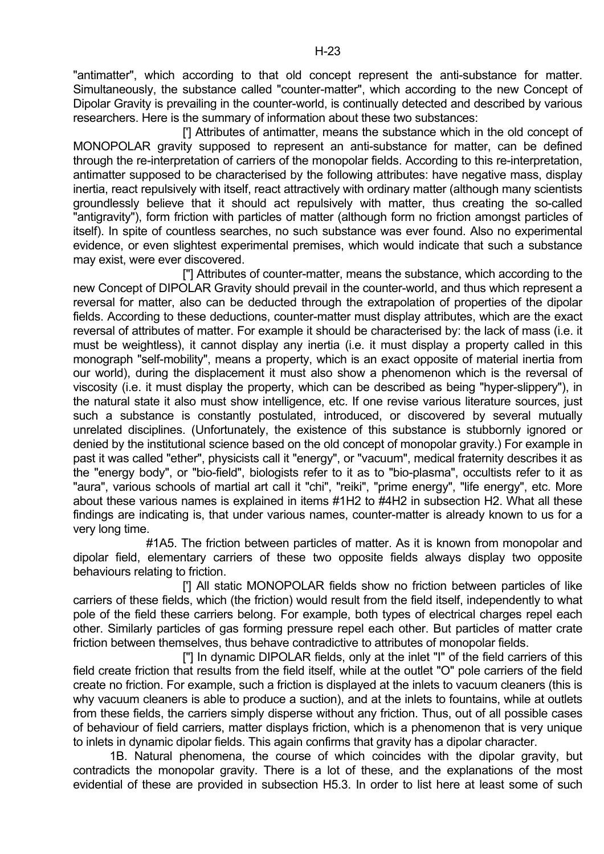"antimatter", which according to that old concept represent the anti-substance for matter. Simultaneously, the substance called "counter-matter", which according to the new Concept of Dipolar Gravity is prevailing in the counter-world, is continually detected and described by various researchers. Here is the summary of information about these two substances:

 ['] Attributes of antimatter, means the substance which in the old concept of MONOPOLAR gravity supposed to represent an anti-substance for matter, can be defined through the re-interpretation of carriers of the monopolar fields. According to this re-interpretation, antimatter supposed to be characterised by the following attributes: have negative mass, display inertia, react repulsively with itself, react attractively with ordinary matter (although many scientists groundlessly believe that it should act repulsively with matter, thus creating the so-called "antigravity"), form friction with particles of matter (although form no friction amongst particles of itself). In spite of countless searches, no such substance was ever found. Also no experimental evidence, or even slightest experimental premises, which would indicate that such a substance may exist, were ever discovered.

["] Attributes of counter-matter, means the substance, which according to the new Concept of DIPOLAR Gravity should prevail in the counter-world, and thus which represent a reversal for matter, also can be deducted through the extrapolation of properties of the dipolar fields. According to these deductions, counter-matter must display attributes, which are the exact reversal of attributes of matter. For example it should be characterised by: the lack of mass (i.e. it must be weightless), it cannot display any inertia (i.e. it must display a property called in this monograph "self-mobility", means a property, which is an exact opposite of material inertia from our world), during the displacement it must also show a phenomenon which is the reversal of viscosity (i.e. it must display the property, which can be described as being "hyper-slippery"), in the natural state it also must show intelligence, etc. If one revise various literature sources, just such a substance is constantly postulated, introduced, or discovered by several mutually unrelated disciplines. (Unfortunately, the existence of this substance is stubbornly ignored or denied by the institutional science based on the old concept of monopolar gravity.) For example in past it was called "ether", physicists call it "energy", or "vacuum", medical fraternity describes it as the "energy body", or "bio-field", biologists refer to it as to "bio-plasma", occultists refer to it as "aura", various schools of martial art call it "chi", "reiki", "prime energy", "life energy", etc. More about these various names is explained in items #1H2 to #4H2 in subsection H2. What all these findings are indicating is, that under various names, counter-matter is already known to us for a very long time.

 #1A5. The friction between particles of matter. As it is known from monopolar and dipolar field, elementary carriers of these two opposite fields always display two opposite behaviours relating to friction.

['] All static MONOPOLAR fields show no friction between particles of like carriers of these fields, which (the friction) would result from the field itself, independently to what pole of the field these carriers belong. For example, both types of electrical charges repel each other. Similarly particles of gas forming pressure repel each other. But particles of matter crate friction between themselves, thus behave contradictive to attributes of monopolar fields.

 ["] In dynamic DIPOLAR fields, only at the inlet "I" of the field carriers of this field create friction that results from the field itself, while at the outlet "O" pole carriers of the field create no friction. For example, such a friction is displayed at the inlets to vacuum cleaners (this is why vacuum cleaners is able to produce a suction), and at the inlets to fountains, while at outlets from these fields, the carriers simply disperse without any friction. Thus, out of all possible cases of behaviour of field carriers, matter displays friction, which is a phenomenon that is very unique to inlets in dynamic dipolar fields. This again confirms that gravity has a dipolar character.

 1B. Natural phenomena, the course of which coincides with the dipolar gravity, but contradicts the monopolar gravity. There is a lot of these, and the explanations of the most evidential of these are provided in subsection H5.3. In order to list here at least some of such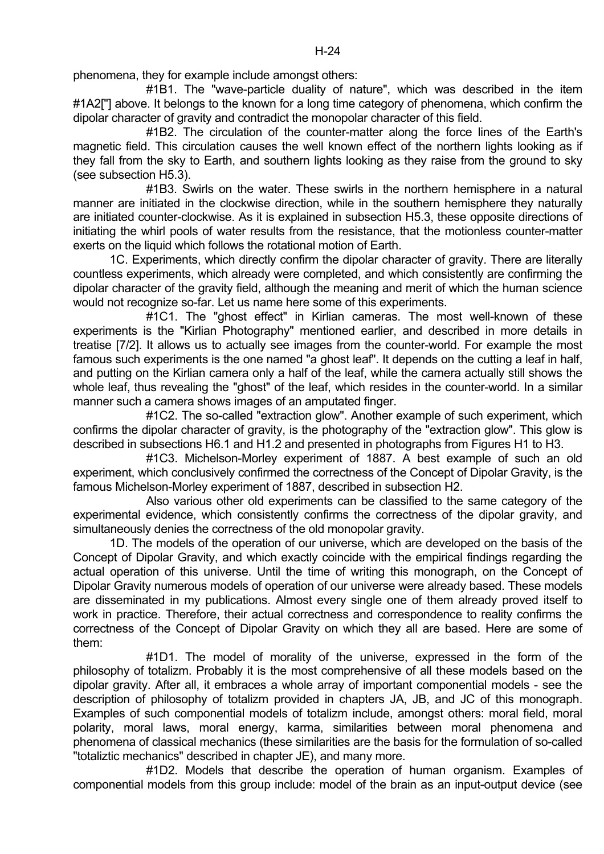phenomena, they for example include amongst others:

 #1B1. The "wave-particle duality of nature", which was described in the item #1A2["] above. It belongs to the known for a long time category of phenomena, which confirm the dipolar character of gravity and contradict the monopolar character of this field.

 #1B2. The circulation of the counter-matter along the force lines of the Earth's magnetic field. This circulation causes the well known effect of the northern lights looking as if they fall from the sky to Earth, and southern lights looking as they raise from the ground to sky (see subsection H5.3).

 #1B3. Swirls on the water. These swirls in the northern hemisphere in a natural manner are initiated in the clockwise direction, while in the southern hemisphere they naturally are initiated counter-clockwise. As it is explained in subsection H5.3, these opposite directions of initiating the whirl pools of water results from the resistance, that the motionless counter-matter exerts on the liquid which follows the rotational motion of Earth.

 1C. Experiments, which directly confirm the dipolar character of gravity. There are literally countless experiments, which already were completed, and which consistently are confirming the dipolar character of the gravity field, although the meaning and merit of which the human science would not recognize so-far. Let us name here some of this experiments.

 #1C1. The "ghost effect" in Kirlian cameras. The most well-known of these experiments is the "Kirlian Photography" mentioned earlier, and described in more details in treatise [7/2]. It allows us to actually see images from the counter-world. For example the most famous such experiments is the one named "a ghost leaf". It depends on the cutting a leaf in half, and putting on the Kirlian camera only a half of the leaf, while the camera actually still shows the whole leaf, thus revealing the "ghost" of the leaf, which resides in the counter-world. In a similar manner such a camera shows images of an amputated finger.

 #1C2. The so-called "extraction glow". Another example of such experiment, which confirms the dipolar character of gravity, is the photography of the "extraction glow". This glow is described in subsections H6.1 and H1.2 and presented in photographs from Figures H1 to H3.

 #1C3. Michelson-Morley experiment of 1887. A best example of such an old experiment, which conclusively confirmed the correctness of the Concept of Dipolar Gravity, is the famous Michelson-Morley experiment of 1887, described in subsection H2.

 Also various other old experiments can be classified to the same category of the experimental evidence, which consistently confirms the correctness of the dipolar gravity, and simultaneously denies the correctness of the old monopolar gravity.

 1D. The models of the operation of our universe, which are developed on the basis of the Concept of Dipolar Gravity, and which exactly coincide with the empirical findings regarding the actual operation of this universe. Until the time of writing this monograph, on the Concept of Dipolar Gravity numerous models of operation of our universe were already based. These models are disseminated in my publications. Almost every single one of them already proved itself to work in practice. Therefore, their actual correctness and correspondence to reality confirms the correctness of the Concept of Dipolar Gravity on which they all are based. Here are some of them:

 #1D1. The model of morality of the universe, expressed in the form of the philosophy of totalizm. Probably it is the most comprehensive of all these models based on the dipolar gravity. After all, it embraces a whole array of important componential models - see the description of philosophy of totalizm provided in chapters JA, JB, and JC of this monograph. Examples of such componential models of totalizm include, amongst others: moral field, moral polarity, moral laws, moral energy, karma, similarities between moral phenomena and phenomena of classical mechanics (these similarities are the basis for the formulation of so-called "totaliztic mechanics" described in chapter JE), and many more.

 #1D2. Models that describe the operation of human organism. Examples of componential models from this group include: model of the brain as an input-output device (see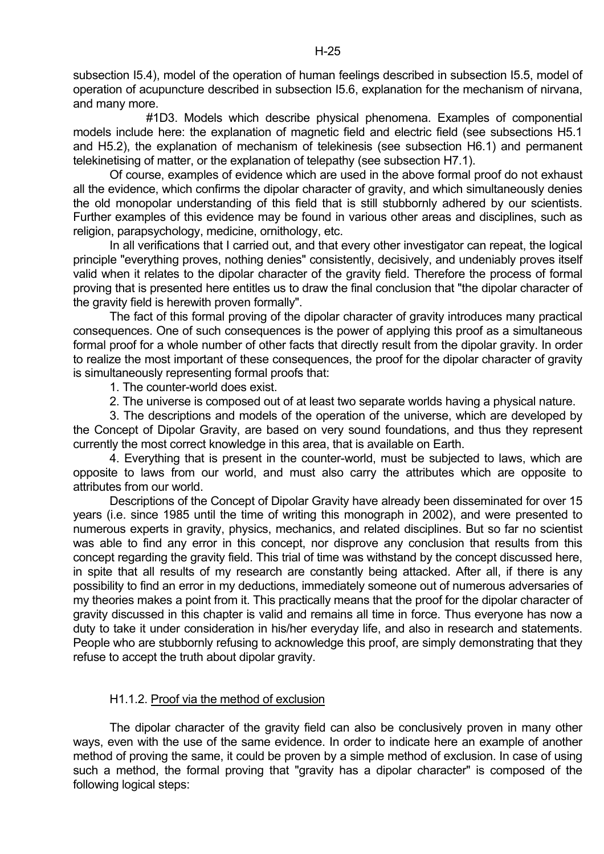subsection I5.4), model of the operation of human feelings described in subsection I5.5, model of operation of acupuncture described in subsection I5.6, explanation for the mechanism of nirvana, and many more.

 #1D3. Models which describe physical phenomena. Examples of componential models include here: the explanation of magnetic field and electric field (see subsections H5.1 and H5.2), the explanation of mechanism of telekinesis (see subsection H6.1) and permanent telekinetising of matter, or the explanation of telepathy (see subsection H7.1).

 Of course, examples of evidence which are used in the above formal proof do not exhaust all the evidence, which confirms the dipolar character of gravity, and which simultaneously denies the old monopolar understanding of this field that is still stubbornly adhered by our scientists. Further examples of this evidence may be found in various other areas and disciplines, such as religion, parapsychology, medicine, ornithology, etc.

 In all verifications that I carried out, and that every other investigator can repeat, the logical principle "everything proves, nothing denies" consistently, decisively, and undeniably proves itself valid when it relates to the dipolar character of the gravity field. Therefore the process of formal proving that is presented here entitles us to draw the final conclusion that "the dipolar character of the gravity field is herewith proven formally".

 The fact of this formal proving of the dipolar character of gravity introduces many practical consequences. One of such consequences is the power of applying this proof as a simultaneous formal proof for a whole number of other facts that directly result from the dipolar gravity. In order to realize the most important of these consequences, the proof for the dipolar character of gravity is simultaneously representing formal proofs that:

1. The counter-world does exist.

2. The universe is composed out of at least two separate worlds having a physical nature.

 3. The descriptions and models of the operation of the universe, which are developed by the Concept of Dipolar Gravity, are based on very sound foundations, and thus they represent currently the most correct knowledge in this area, that is available on Earth.

 4. Everything that is present in the counter-world, must be subjected to laws, which are opposite to laws from our world, and must also carry the attributes which are opposite to attributes from our world.

 Descriptions of the Concept of Dipolar Gravity have already been disseminated for over 15 years (i.e. since 1985 until the time of writing this monograph in 2002), and were presented to numerous experts in gravity, physics, mechanics, and related disciplines. But so far no scientist was able to find any error in this concept, nor disprove any conclusion that results from this concept regarding the gravity field. This trial of time was withstand by the concept discussed here, in spite that all results of my research are constantly being attacked. After all, if there is any possibility to find an error in my deductions, immediately someone out of numerous adversaries of my theories makes a point from it. This practically means that the proof for the dipolar character of gravity discussed in this chapter is valid and remains all time in force. Thus everyone has now a duty to take it under consideration in his/her everyday life, and also in research and statements. People who are stubbornly refusing to acknowledge this proof, are simply demonstrating that they refuse to accept the truth about dipolar gravity.

## H1.1.2. Proof via the method of exclusion

 The dipolar character of the gravity field can also be conclusively proven in many other ways, even with the use of the same evidence. In order to indicate here an example of another method of proving the same, it could be proven by a simple method of exclusion. In case of using such a method, the formal proving that "gravity has a dipolar character" is composed of the following logical steps: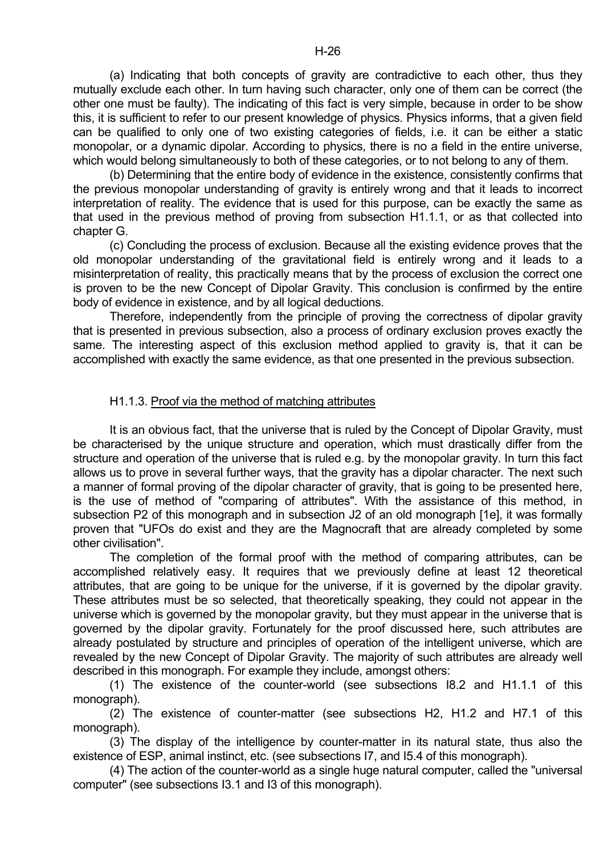(a) Indicating that both concepts of gravity are contradictive to each other, thus they mutually exclude each other. In turn having such character, only one of them can be correct (the other one must be faulty). The indicating of this fact is very simple, because in order to be show this, it is sufficient to refer to our present knowledge of physics. Physics informs, that a given field can be qualified to only one of two existing categories of fields, i.e. it can be either a static monopolar, or a dynamic dipolar. According to physics, there is no a field in the entire universe, which would belong simultaneously to both of these categories, or to not belong to any of them.

 (b) Determining that the entire body of evidence in the existence, consistently confirms that the previous monopolar understanding of gravity is entirely wrong and that it leads to incorrect interpretation of reality. The evidence that is used for this purpose, can be exactly the same as that used in the previous method of proving from subsection H1.1.1, or as that collected into chapter G.

 (c) Concluding the process of exclusion. Because all the existing evidence proves that the old monopolar understanding of the gravitational field is entirely wrong and it leads to a misinterpretation of reality, this practically means that by the process of exclusion the correct one is proven to be the new Concept of Dipolar Gravity. This conclusion is confirmed by the entire body of evidence in existence, and by all logical deductions.

 Therefore, independently from the principle of proving the correctness of dipolar gravity that is presented in previous subsection, also a process of ordinary exclusion proves exactly the same. The interesting aspect of this exclusion method applied to gravity is, that it can be accomplished with exactly the same evidence, as that one presented in the previous subsection.

## H1.1.3. Proof via the method of matching attributes

 It is an obvious fact, that the universe that is ruled by the Concept of Dipolar Gravity, must be characterised by the unique structure and operation, which must drastically differ from the structure and operation of the universe that is ruled e.g. by the monopolar gravity. In turn this fact allows us to prove in several further ways, that the gravity has a dipolar character. The next such a manner of formal proving of the dipolar character of gravity, that is going to be presented here, is the use of method of "comparing of attributes". With the assistance of this method, in subsection P2 of this monograph and in subsection J2 of an old monograph [1e], it was formally proven that "UFOs do exist and they are the Magnocraft that are already completed by some other civilisation".

 The completion of the formal proof with the method of comparing attributes, can be accomplished relatively easy. It requires that we previously define at least 12 theoretical attributes, that are going to be unique for the universe, if it is governed by the dipolar gravity. These attributes must be so selected, that theoretically speaking, they could not appear in the universe which is governed by the monopolar gravity, but they must appear in the universe that is governed by the dipolar gravity. Fortunately for the proof discussed here, such attributes are already postulated by structure and principles of operation of the intelligent universe, which are revealed by the new Concept of Dipolar Gravity. The majority of such attributes are already well described in this monograph. For example they include, amongst others:

 (1) The existence of the counter-world (see subsections I8.2 and H1.1.1 of this monograph).

 (2) The existence of counter-matter (see subsections H2, H1.2 and H7.1 of this monograph).

 (3) The display of the intelligence by counter-matter in its natural state, thus also the existence of ESP, animal instinct, etc. (see subsections I7, and I5.4 of this monograph).

 (4) The action of the counter-world as a single huge natural computer, called the "universal computer" (see subsections I3.1 and I3 of this monograph).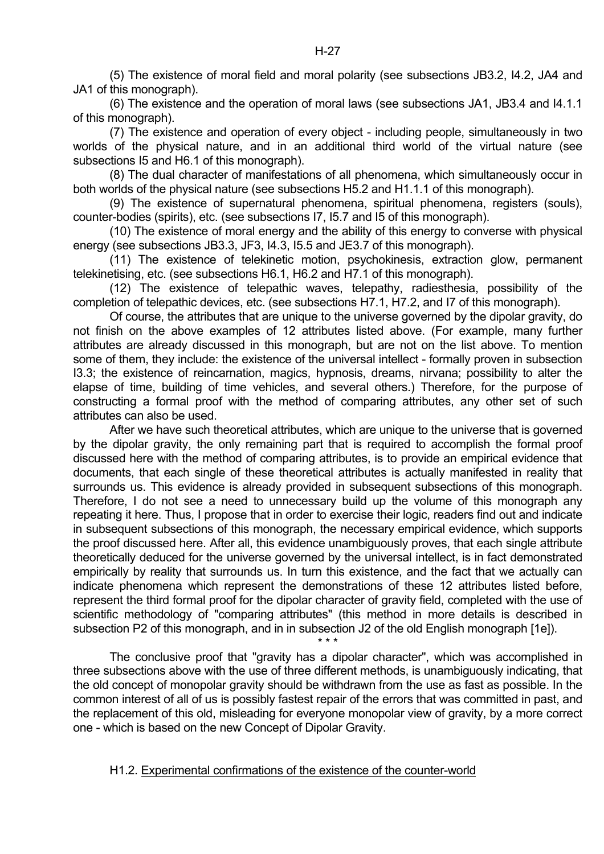(5) The existence of moral field and moral polarity (see subsections JB3.2, I4.2, JA4 and JA1 of this monograph).

 (6) The existence and the operation of moral laws (see subsections JA1, JB3.4 and I4.1.1 of this monograph).

 (7) The existence and operation of every object - including people, simultaneously in two worlds of the physical nature, and in an additional third world of the virtual nature (see subsections I5 and H6.1 of this monograph).

 (8) The dual character of manifestations of all phenomena, which simultaneously occur in both worlds of the physical nature (see subsections H5.2 and H1.1.1 of this monograph).

 (9) The existence of supernatural phenomena, spiritual phenomena, registers (souls), counter-bodies (spirits), etc. (see subsections I7, I5.7 and I5 of this monograph).

 (10) The existence of moral energy and the ability of this energy to converse with physical energy (see subsections JB3.3, JF3, I4.3, I5.5 and JE3.7 of this monograph).

 (11) The existence of telekinetic motion, psychokinesis, extraction glow, permanent telekinetising, etc. (see subsections H6.1, H6.2 and H7.1 of this monograph).

 (12) The existence of telepathic waves, telepathy, radiesthesia, possibility of the completion of telepathic devices, etc. (see subsections H7.1, H7.2, and I7 of this monograph).

 Of course, the attributes that are unique to the universe governed by the dipolar gravity, do not finish on the above examples of 12 attributes listed above. (For example, many further attributes are already discussed in this monograph, but are not on the list above. To mention some of them, they include: the existence of the universal intellect - formally proven in subsection I3.3; the existence of reincarnation, magics, hypnosis, dreams, nirvana; possibility to alter the elapse of time, building of time vehicles, and several others.) Therefore, for the purpose of constructing a formal proof with the method of comparing attributes, any other set of such attributes can also be used.

 After we have such theoretical attributes, which are unique to the universe that is governed by the dipolar gravity, the only remaining part that is required to accomplish the formal proof discussed here with the method of comparing attributes, is to provide an empirical evidence that documents, that each single of these theoretical attributes is actually manifested in reality that surrounds us. This evidence is already provided in subsequent subsections of this monograph. Therefore, I do not see a need to unnecessary build up the volume of this monograph any repeating it here. Thus, I propose that in order to exercise their logic, readers find out and indicate in subsequent subsections of this monograph, the necessary empirical evidence, which supports the proof discussed here. After all, this evidence unambiguously proves, that each single attribute theoretically deduced for the universe governed by the universal intellect, is in fact demonstrated empirically by reality that surrounds us. In turn this existence, and the fact that we actually can indicate phenomena which represent the demonstrations of these 12 attributes listed before, represent the third formal proof for the dipolar character of gravity field, completed with the use of scientific methodology of "comparing attributes" (this method in more details is described in subsection P2 of this monograph, and in in subsection J2 of the old English monograph [1e]).

 The conclusive proof that "gravity has a dipolar character", which was accomplished in three subsections above with the use of three different methods, is unambiguously indicating, that the old concept of monopolar gravity should be withdrawn from the use as fast as possible. In the common interest of all of us is possibly fastest repair of the errors that was committed in past, and the replacement of this old, misleading for everyone monopolar view of gravity, by a more correct one - which is based on the new Concept of Dipolar Gravity.

#### H1.2. Experimental confirmations of the existence of the counter-world

 $\star \star \star$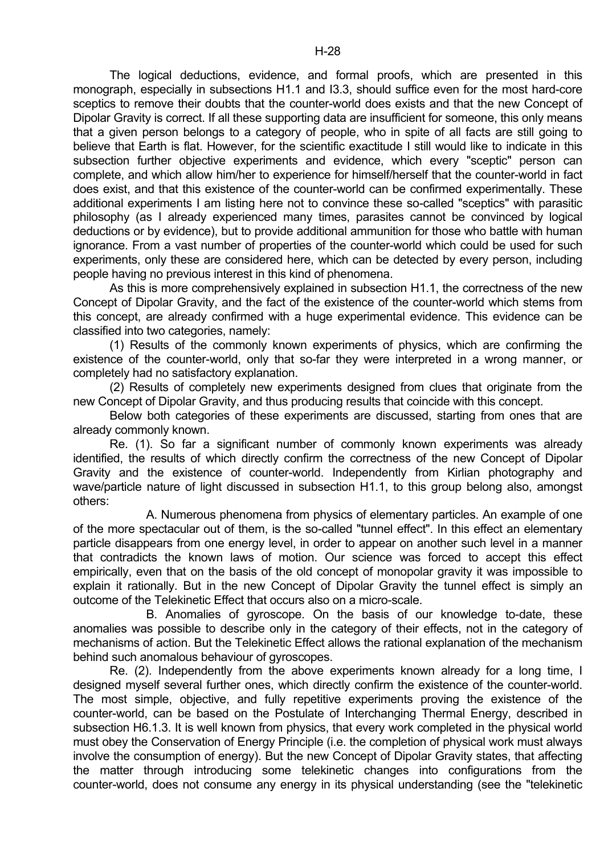The logical deductions, evidence, and formal proofs, which are presented in this monograph, especially in subsections H1.1 and I3.3, should suffice even for the most hard-core sceptics to remove their doubts that the counter-world does exists and that the new Concept of Dipolar Gravity is correct. If all these supporting data are insufficient for someone, this only means that a given person belongs to a category of people, who in spite of all facts are still going to believe that Earth is flat. However, for the scientific exactitude I still would like to indicate in this subsection further objective experiments and evidence, which every "sceptic" person can complete, and which allow him/her to experience for himself/herself that the counter-world in fact does exist, and that this existence of the counter-world can be confirmed experimentally. These additional experiments I am listing here not to convince these so-called "sceptics" with parasitic philosophy (as I already experienced many times, parasites cannot be convinced by logical deductions or by evidence), but to provide additional ammunition for those who battle with human ignorance. From a vast number of properties of the counter-world which could be used for such experiments, only these are considered here, which can be detected by every person, including people having no previous interest in this kind of phenomena.

 As this is more comprehensively explained in subsection H1.1, the correctness of the new Concept of Dipolar Gravity, and the fact of the existence of the counter-world which stems from this concept, are already confirmed with a huge experimental evidence. This evidence can be classified into two categories, namely:

 (1) Results of the commonly known experiments of physics, which are confirming the existence of the counter-world, only that so-far they were interpreted in a wrong manner, or completely had no satisfactory explanation.

 (2) Results of completely new experiments designed from clues that originate from the new Concept of Dipolar Gravity, and thus producing results that coincide with this concept.

 Below both categories of these experiments are discussed, starting from ones that are already commonly known.

 Re. (1). So far a significant number of commonly known experiments was already identified, the results of which directly confirm the correctness of the new Concept of Dipolar Gravity and the existence of counter-world. Independently from Kirlian photography and wave/particle nature of light discussed in subsection H1.1, to this group belong also, amongst others:

 A. Numerous phenomena from physics of elementary particles. An example of one of the more spectacular out of them, is the so-called "tunnel effect". In this effect an elementary particle disappears from one energy level, in order to appear on another such level in a manner that contradicts the known laws of motion. Our science was forced to accept this effect empirically, even that on the basis of the old concept of monopolar gravity it was impossible to explain it rationally. But in the new Concept of Dipolar Gravity the tunnel effect is simply an outcome of the Telekinetic Effect that occurs also on a micro-scale.

 B. Anomalies of gyroscope. On the basis of our knowledge to-date, these anomalies was possible to describe only in the category of their effects, not in the category of mechanisms of action. But the Telekinetic Effect allows the rational explanation of the mechanism behind such anomalous behaviour of gyroscopes.

 Re. (2). Independently from the above experiments known already for a long time, I designed myself several further ones, which directly confirm the existence of the counter-world. The most simple, objective, and fully repetitive experiments proving the existence of the counter-world, can be based on the Postulate of Interchanging Thermal Energy, described in subsection H6.1.3. It is well known from physics, that every work completed in the physical world must obey the Conservation of Energy Principle (i.e. the completion of physical work must always involve the consumption of energy). But the new Concept of Dipolar Gravity states, that affecting the matter through introducing some telekinetic changes into configurations from the counter-world, does not consume any energy in its physical understanding (see the "telekinetic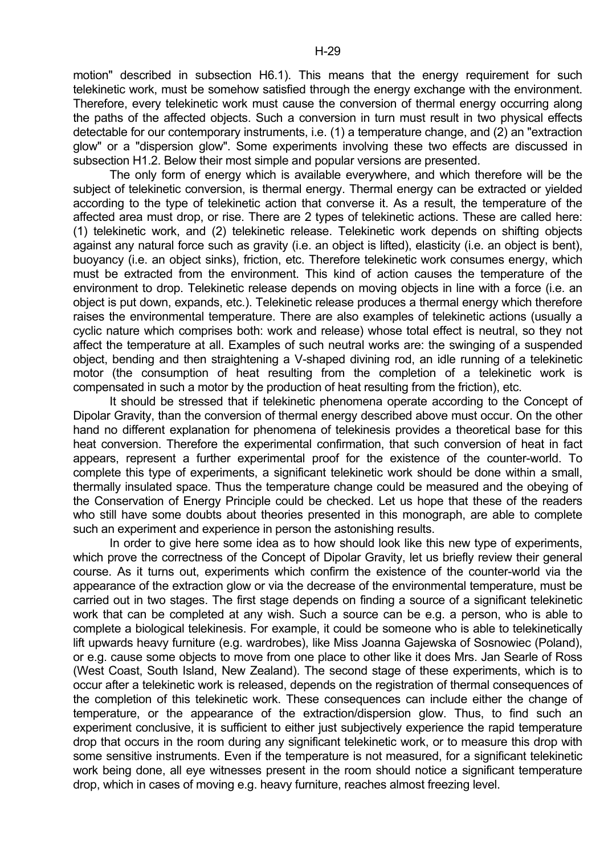motion" described in subsection H6.1). This means that the energy requirement for such telekinetic work, must be somehow satisfied through the energy exchange with the environment. Therefore, every telekinetic work must cause the conversion of thermal energy occurring along the paths of the affected objects. Such a conversion in turn must result in two physical effects detectable for our contemporary instruments, i.e. (1) a temperature change, and (2) an "extraction glow" or a "dispersion glow". Some experiments involving these two effects are discussed in subsection H1.2. Below their most simple and popular versions are presented.

 The only form of energy which is available everywhere, and which therefore will be the subject of telekinetic conversion, is thermal energy. Thermal energy can be extracted or yielded according to the type of telekinetic action that converse it. As a result, the temperature of the affected area must drop, or rise. There are 2 types of telekinetic actions. These are called here: (1) telekinetic work, and (2) telekinetic release. Telekinetic work depends on shifting objects against any natural force such as gravity (i.e. an object is lifted), elasticity (i.e. an object is bent), buoyancy (i.e. an object sinks), friction, etc. Therefore telekinetic work consumes energy, which must be extracted from the environment. This kind of action causes the temperature of the environment to drop. Telekinetic release depends on moving objects in line with a force (i.e. an object is put down, expands, etc.). Telekinetic release produces a thermal energy which therefore raises the environmental temperature. There are also examples of telekinetic actions (usually a cyclic nature which comprises both: work and release) whose total effect is neutral, so they not affect the temperature at all. Examples of such neutral works are: the swinging of a suspended object, bending and then straightening a V-shaped divining rod, an idle running of a telekinetic motor (the consumption of heat resulting from the completion of a telekinetic work is compensated in such a motor by the production of heat resulting from the friction), etc.

 It should be stressed that if telekinetic phenomena operate according to the Concept of Dipolar Gravity, than the conversion of thermal energy described above must occur. On the other hand no different explanation for phenomena of telekinesis provides a theoretical base for this heat conversion. Therefore the experimental confirmation, that such conversion of heat in fact appears, represent a further experimental proof for the existence of the counter-world. To complete this type of experiments, a significant telekinetic work should be done within a small, thermally insulated space. Thus the temperature change could be measured and the obeying of the Conservation of Energy Principle could be checked. Let us hope that these of the readers who still have some doubts about theories presented in this monograph, are able to complete such an experiment and experience in person the astonishing results.

In order to give here some idea as to how should look like this new type of experiments, which prove the correctness of the Concept of Dipolar Gravity, let us briefly review their general course. As it turns out, experiments which confirm the existence of the counter-world via the appearance of the extraction glow or via the decrease of the environmental temperature, must be carried out in two stages. The first stage depends on finding a source of a significant telekinetic work that can be completed at any wish. Such a source can be e.g. a person, who is able to complete a biological telekinesis. For example, it could be someone who is able to telekinetically lift upwards heavy furniture (e.g. wardrobes), like Miss Joanna Gajewska of Sosnowiec (Poland), or e.g. cause some objects to move from one place to other like it does Mrs. Jan Searle of Ross (West Coast, South Island, New Zealand). The second stage of these experiments, which is to occur after a telekinetic work is released, depends on the registration of thermal consequences of the completion of this telekinetic work. These consequences can include either the change of temperature, or the appearance of the extraction/dispersion glow. Thus, to find such an experiment conclusive, it is sufficient to either just subjectively experience the rapid temperature drop that occurs in the room during any significant telekinetic work, or to measure this drop with some sensitive instruments. Even if the temperature is not measured, for a significant telekinetic work being done, all eye witnesses present in the room should notice a significant temperature drop, which in cases of moving e.g. heavy furniture, reaches almost freezing level.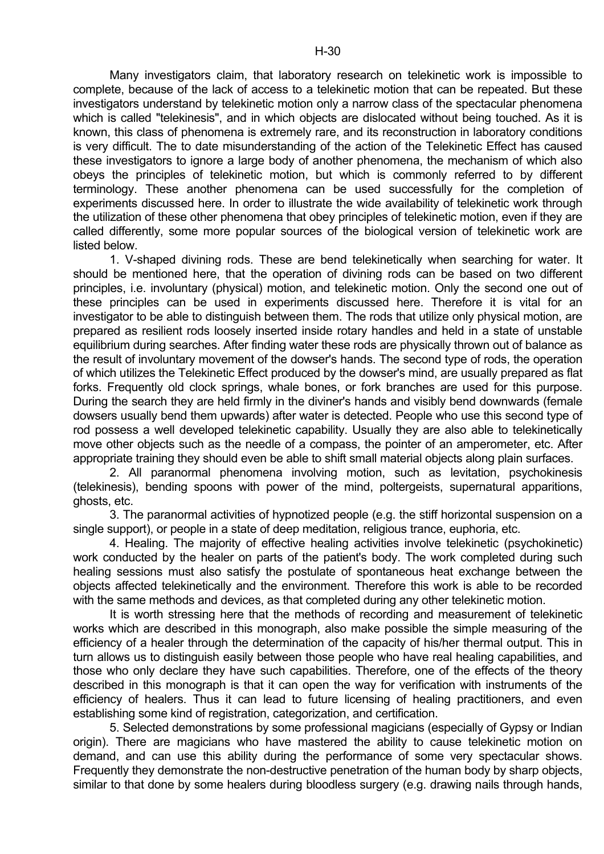Many investigators claim, that laboratory research on telekinetic work is impossible to complete, because of the lack of access to a telekinetic motion that can be repeated. But these investigators understand by telekinetic motion only a narrow class of the spectacular phenomena which is called "telekinesis", and in which objects are dislocated without being touched. As it is known, this class of phenomena is extremely rare, and its reconstruction in laboratory conditions is very difficult. The to date misunderstanding of the action of the Telekinetic Effect has caused these investigators to ignore a large body of another phenomena, the mechanism of which also obeys the principles of telekinetic motion, but which is commonly referred to by different terminology. These another phenomena can be used successfully for the completion of experiments discussed here. In order to illustrate the wide availability of telekinetic work through the utilization of these other phenomena that obey principles of telekinetic motion, even if they are called differently, some more popular sources of the biological version of telekinetic work are listed below.

 1. V-shaped divining rods. These are bend telekinetically when searching for water. It should be mentioned here, that the operation of divining rods can be based on two different principles, i.e. involuntary (physical) motion, and telekinetic motion. Only the second one out of these principles can be used in experiments discussed here. Therefore it is vital for an investigator to be able to distinguish between them. The rods that utilize only physical motion, are prepared as resilient rods loosely inserted inside rotary handles and held in a state of unstable equilibrium during searches. After finding water these rods are physically thrown out of balance as the result of involuntary movement of the dowser's hands. The second type of rods, the operation of which utilizes the Telekinetic Effect produced by the dowser's mind, are usually prepared as flat forks. Frequently old clock springs, whale bones, or fork branches are used for this purpose. During the search they are held firmly in the diviner's hands and visibly bend downwards (female dowsers usually bend them upwards) after water is detected. People who use this second type of rod possess a well developed telekinetic capability. Usually they are also able to telekinetically move other objects such as the needle of a compass, the pointer of an amperometer, etc. After appropriate training they should even be able to shift small material objects along plain surfaces.

 2. All paranormal phenomena involving motion, such as levitation, psychokinesis (telekinesis), bending spoons with power of the mind, poltergeists, supernatural apparitions, ghosts, etc.

 3. The paranormal activities of hypnotized people (e.g. the stiff horizontal suspension on a single support), or people in a state of deep meditation, religious trance, euphoria, etc.

 4. Healing. The majority of effective healing activities involve telekinetic (psychokinetic) work conducted by the healer on parts of the patient's body. The work completed during such healing sessions must also satisfy the postulate of spontaneous heat exchange between the objects affected telekinetically and the environment. Therefore this work is able to be recorded with the same methods and devices, as that completed during any other telekinetic motion.

 It is worth stressing here that the methods of recording and measurement of telekinetic works which are described in this monograph, also make possible the simple measuring of the efficiency of a healer through the determination of the capacity of his/her thermal output. This in turn allows us to distinguish easily between those people who have real healing capabilities, and those who only declare they have such capabilities. Therefore, one of the effects of the theory described in this monograph is that it can open the way for verification with instruments of the efficiency of healers. Thus it can lead to future licensing of healing practitioners, and even establishing some kind of registration, categorization, and certification.

 5. Selected demonstrations by some professional magicians (especially of Gypsy or Indian origin). There are magicians who have mastered the ability to cause telekinetic motion on demand, and can use this ability during the performance of some very spectacular shows. Frequently they demonstrate the non-destructive penetration of the human body by sharp objects, similar to that done by some healers during bloodless surgery (e.g. drawing nails through hands,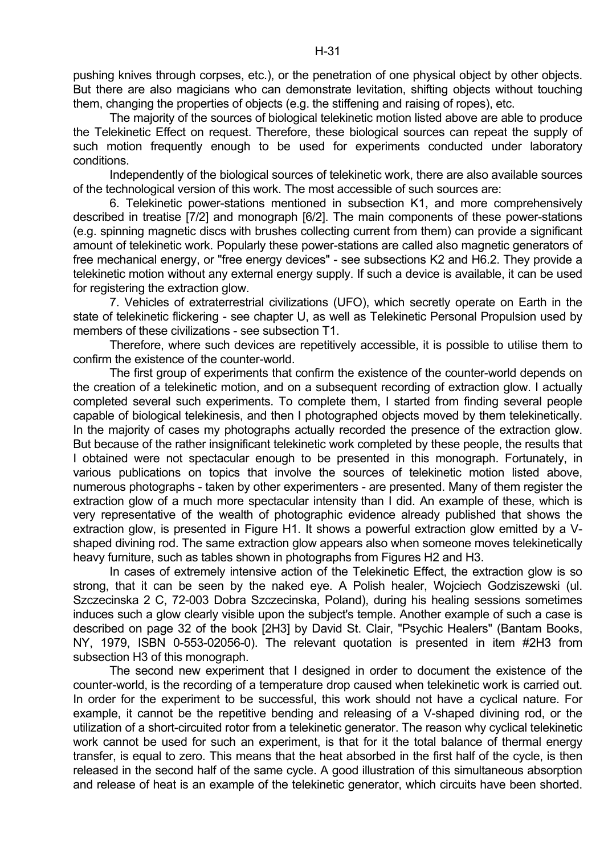pushing knives through corpses, etc.), or the penetration of one physical object by other objects. But there are also magicians who can demonstrate levitation, shifting objects without touching them, changing the properties of objects (e.g. the stiffening and raising of ropes), etc.

 The majority of the sources of biological telekinetic motion listed above are able to produce the Telekinetic Effect on request. Therefore, these biological sources can repeat the supply of such motion frequently enough to be used for experiments conducted under laboratory conditions.

 Independently of the biological sources of telekinetic work, there are also available sources of the technological version of this work. The most accessible of such sources are:

 6. Telekinetic power-stations mentioned in subsection K1, and more comprehensively described in treatise [7/2] and monograph [6/2]. The main components of these power-stations (e.g. spinning magnetic discs with brushes collecting current from them) can provide a significant amount of telekinetic work. Popularly these power-stations are called also magnetic generators of free mechanical energy, or "free energy devices" - see subsections K2 and H6.2. They provide a telekinetic motion without any external energy supply. If such a device is available, it can be used for registering the extraction glow.

 7. Vehicles of extraterrestrial civilizations (UFO), which secretly operate on Earth in the state of telekinetic flickering - see chapter U, as well as Telekinetic Personal Propulsion used by members of these civilizations - see subsection T1.

 Therefore, where such devices are repetitively accessible, it is possible to utilise them to confirm the existence of the counter-world.

 The first group of experiments that confirm the existence of the counter-world depends on the creation of a telekinetic motion, and on a subsequent recording of extraction glow. I actually completed several such experiments. To complete them, I started from finding several people capable of biological telekinesis, and then I photographed objects moved by them telekinetically. In the majority of cases my photographs actually recorded the presence of the extraction glow. But because of the rather insignificant telekinetic work completed by these people, the results that I obtained were not spectacular enough to be presented in this monograph. Fortunately, in various publications on topics that involve the sources of telekinetic motion listed above, numerous photographs - taken by other experimenters - are presented. Many of them register the extraction glow of a much more spectacular intensity than I did. An example of these, which is very representative of the wealth of photographic evidence already published that shows the extraction glow, is presented in Figure H1. It shows a powerful extraction glow emitted by a Vshaped divining rod. The same extraction glow appears also when someone moves telekinetically heavy furniture, such as tables shown in photographs from Figures H2 and H3.

In cases of extremely intensive action of the Telekinetic Effect, the extraction glow is so strong, that it can be seen by the naked eye. A Polish healer, Wojciech Godziszewski (ul. Szczecinska 2 C, 72-003 Dobra Szczecinska, Poland), during his healing sessions sometimes induces such a glow clearly visible upon the subject's temple. Another example of such a case is described on page 32 of the book [2H3] by David St. Clair, "Psychic Healers" (Bantam Books, NY, 1979, ISBN 0-553-02056-0). The relevant quotation is presented in item #2H3 from subsection H3 of this monograph.

 The second new experiment that I designed in order to document the existence of the counter-world, is the recording of a temperature drop caused when telekinetic work is carried out. In order for the experiment to be successful, this work should not have a cyclical nature. For example, it cannot be the repetitive bending and releasing of a V-shaped divining rod, or the utilization of a short-circuited rotor from a telekinetic generator. The reason why cyclical telekinetic work cannot be used for such an experiment, is that for it the total balance of thermal energy transfer, is equal to zero. This means that the heat absorbed in the first half of the cycle, is then released in the second half of the same cycle. A good illustration of this simultaneous absorption and release of heat is an example of the telekinetic generator, which circuits have been shorted.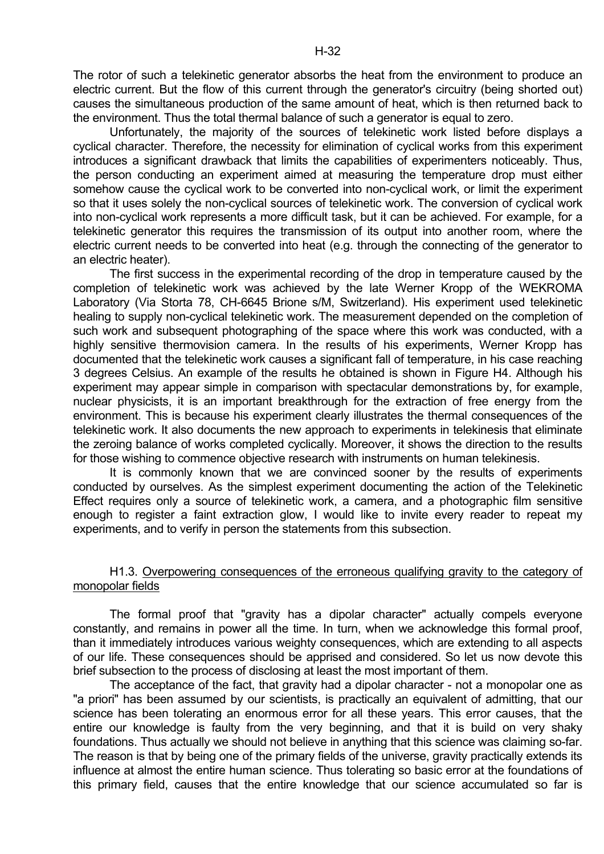The rotor of such a telekinetic generator absorbs the heat from the environment to produce an electric current. But the flow of this current through the generator's circuitry (being shorted out) causes the simultaneous production of the same amount of heat, which is then returned back to the environment. Thus the total thermal balance of such a generator is equal to zero.

 Unfortunately, the majority of the sources of telekinetic work listed before displays a cyclical character. Therefore, the necessity for elimination of cyclical works from this experiment introduces a significant drawback that limits the capabilities of experimenters noticeably. Thus, the person conducting an experiment aimed at measuring the temperature drop must either somehow cause the cyclical work to be converted into non-cyclical work, or limit the experiment so that it uses solely the non-cyclical sources of telekinetic work. The conversion of cyclical work into non-cyclical work represents a more difficult task, but it can be achieved. For example, for a telekinetic generator this requires the transmission of its output into another room, where the electric current needs to be converted into heat (e.g. through the connecting of the generator to an electric heater).

 The first success in the experimental recording of the drop in temperature caused by the completion of telekinetic work was achieved by the late Werner Kropp of the WEKROMA Laboratory (Via Storta 78, CH-6645 Brione s/M, Switzerland). His experiment used telekinetic healing to supply non-cyclical telekinetic work. The measurement depended on the completion of such work and subsequent photographing of the space where this work was conducted, with a highly sensitive thermovision camera. In the results of his experiments, Werner Kropp has documented that the telekinetic work causes a significant fall of temperature, in his case reaching 3 degrees Celsius. An example of the results he obtained is shown in Figure H4. Although his experiment may appear simple in comparison with spectacular demonstrations by, for example, nuclear physicists, it is an important breakthrough for the extraction of free energy from the environment. This is because his experiment clearly illustrates the thermal consequences of the telekinetic work. It also documents the new approach to experiments in telekinesis that eliminate the zeroing balance of works completed cyclically. Moreover, it shows the direction to the results for those wishing to commence objective research with instruments on human telekinesis.

It is commonly known that we are convinced sooner by the results of experiments conducted by ourselves. As the simplest experiment documenting the action of the Telekinetic Effect requires only a source of telekinetic work, a camera, and a photographic film sensitive enough to register a faint extraction glow, I would like to invite every reader to repeat my experiments, and to verify in person the statements from this subsection.

## H1.3. Overpowering consequences of the erroneous qualifying gravity to the category of monopolar fields

 The formal proof that "gravity has a dipolar character" actually compels everyone constantly, and remains in power all the time. In turn, when we acknowledge this formal proof, than it immediately introduces various weighty consequences, which are extending to all aspects of our life. These consequences should be apprised and considered. So let us now devote this brief subsection to the process of disclosing at least the most important of them.

 The acceptance of the fact, that gravity had a dipolar character - not a monopolar one as "a priori" has been assumed by our scientists, is practically an equivalent of admitting, that our science has been tolerating an enormous error for all these years. This error causes, that the entire our knowledge is faulty from the very beginning, and that it is build on very shaky foundations. Thus actually we should not believe in anything that this science was claiming so-far. The reason is that by being one of the primary fields of the universe, gravity practically extends its influence at almost the entire human science. Thus tolerating so basic error at the foundations of this primary field, causes that the entire knowledge that our science accumulated so far is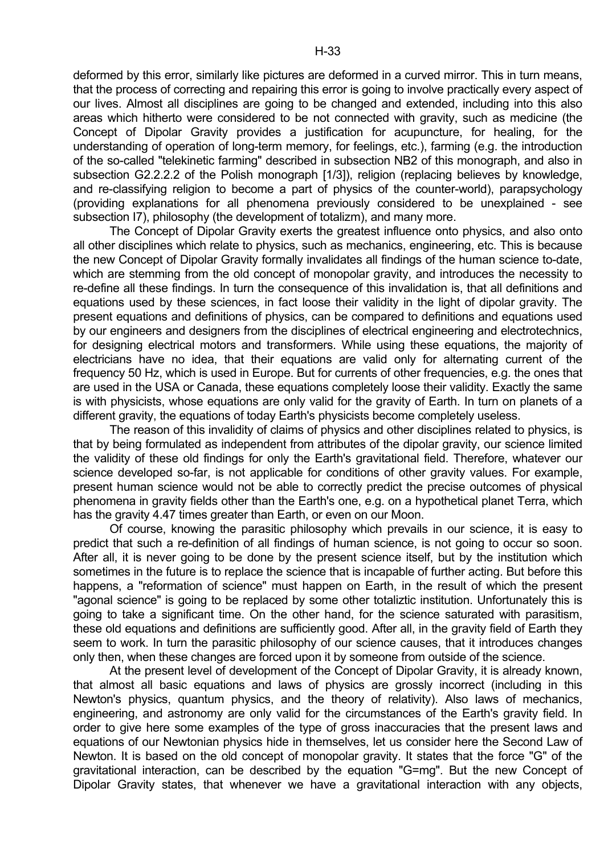deformed by this error, similarly like pictures are deformed in a curved mirror. This in turn means, that the process of correcting and repairing this error is going to involve practically every aspect of our lives. Almost all disciplines are going to be changed and extended, including into this also areas which hitherto were considered to be not connected with gravity, such as medicine (the Concept of Dipolar Gravity provides a justification for acupuncture, for healing, for the understanding of operation of long-term memory, for feelings, etc.), farming (e.g. the introduction of the so-called "telekinetic farming" described in subsection NB2 of this monograph, and also in subsection G2.2.2.2 of the Polish monograph [1/3]), religion (replacing believes by knowledge, and re-classifying religion to become a part of physics of the counter-world), parapsychology (providing explanations for all phenomena previously considered to be unexplained - see subsection I7), philosophy (the development of totalizm), and many more.

 The Concept of Dipolar Gravity exerts the greatest influence onto physics, and also onto all other disciplines which relate to physics, such as mechanics, engineering, etc. This is because the new Concept of Dipolar Gravity formally invalidates all findings of the human science to-date, which are stemming from the old concept of monopolar gravity, and introduces the necessity to re-define all these findings. In turn the consequence of this invalidation is, that all definitions and equations used by these sciences, in fact loose their validity in the light of dipolar gravity. The present equations and definitions of physics, can be compared to definitions and equations used by our engineers and designers from the disciplines of electrical engineering and electrotechnics, for designing electrical motors and transformers. While using these equations, the majority of electricians have no idea, that their equations are valid only for alternating current of the frequency 50 Hz, which is used in Europe. But for currents of other frequencies, e.g. the ones that are used in the USA or Canada, these equations completely loose their validity. Exactly the same is with physicists, whose equations are only valid for the gravity of Earth. In turn on planets of a different gravity, the equations of today Earth's physicists become completely useless.

 The reason of this invalidity of claims of physics and other disciplines related to physics, is that by being formulated as independent from attributes of the dipolar gravity, our science limited the validity of these old findings for only the Earth's gravitational field. Therefore, whatever our science developed so-far, is not applicable for conditions of other gravity values. For example, present human science would not be able to correctly predict the precise outcomes of physical phenomena in gravity fields other than the Earth's one, e.g. on a hypothetical planet Terra, which has the gravity 4.47 times greater than Earth, or even on our Moon.

 Of course, knowing the parasitic philosophy which prevails in our science, it is easy to predict that such a re-definition of all findings of human science, is not going to occur so soon. After all, it is never going to be done by the present science itself, but by the institution which sometimes in the future is to replace the science that is incapable of further acting. But before this happens, a "reformation of science" must happen on Earth, in the result of which the present "agonal science" is going to be replaced by some other totaliztic institution. Unfortunately this is going to take a significant time. On the other hand, for the science saturated with parasitism, these old equations and definitions are sufficiently good. After all, in the gravity field of Earth they seem to work. In turn the parasitic philosophy of our science causes, that it introduces changes only then, when these changes are forced upon it by someone from outside of the science.

 At the present level of development of the Concept of Dipolar Gravity, it is already known, that almost all basic equations and laws of physics are grossly incorrect (including in this Newton's physics, quantum physics, and the theory of relativity). Also laws of mechanics, engineering, and astronomy are only valid for the circumstances of the Earth's gravity field. In order to give here some examples of the type of gross inaccuracies that the present laws and equations of our Newtonian physics hide in themselves, let us consider here the Second Law of Newton. It is based on the old concept of monopolar gravity. It states that the force "G" of the gravitational interaction, can be described by the equation "G=mg". But the new Concept of Dipolar Gravity states, that whenever we have a gravitational interaction with any objects,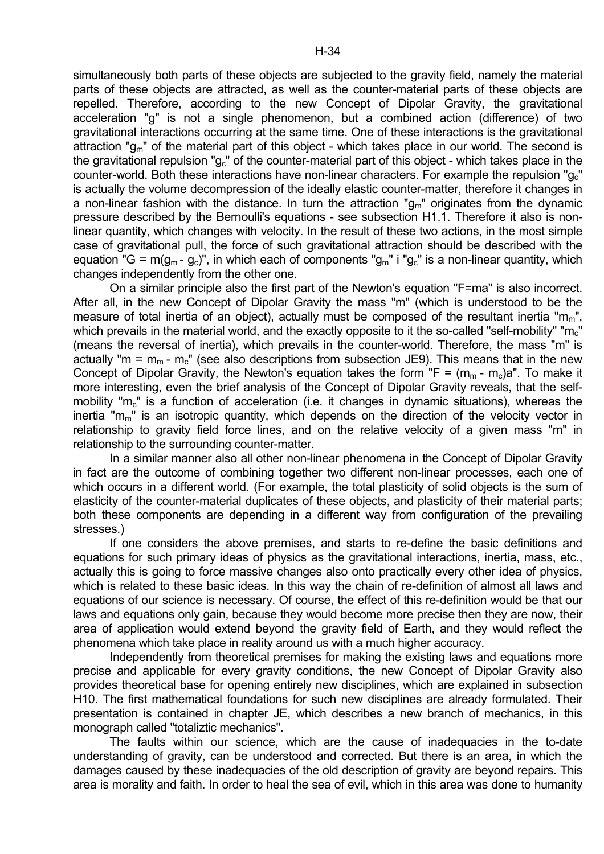simultaneously both parts of these objects are subjected to the gravity field, namely the material parts of these objects are attracted, as well as the counter-material parts of these objects are repelled. Therefore, according to the new Concept of Dipolar Gravity, the gravitational acceleration "g" is not a single phenomenon, but a combined action (difference) of two gravitational interactions occurring at the same time. One of these interactions is the gravitational attraction " $g<sub>m</sub>$ " of the material part of this object - which takes place in our world. The second is the gravitational repulsion " $g_c$ " of the counter-material part of this object - which takes place in the counter-world. Both these interactions have non-linear characters. For example the repulsion "g<sub>c</sub>" is actually the volume decompression of the ideally elastic counter-matter, therefore it changes in a non-linear fashion with the distance. In turn the attraction " $g<sub>m</sub>$ " originates from the dynamic pressure described by the Bernoulli's equations - see subsection H1.1. Therefore it also is nonlinear quantity, which changes with velocity. In the result of these two actions, in the most simple case of gravitational pull, the force of such gravitational attraction should be described with the equation "G = m(g<sub>m</sub> - g<sub>c</sub>)", in which each of components "g<sub>m</sub>" i "g<sub>c</sub>" is a non-linear quantity, which changes independently from the other one.

 On a similar principle also the first part of the Newton's equation "F=ma" is also incorrect. After all, in the new Concept of Dipolar Gravity the mass "m" (which is understood to be the measure of total inertia of an object), actually must be composed of the resultant inertia "m<sub>m</sub>", which prevails in the material world, and the exactly opposite to it the so-called "self-mobility" "m<sub>c</sub>" (means the reversal of inertia), which prevails in the counter-world. Therefore, the mass "m" is actually "m =  $m_m$  -  $m_c$ " (see also descriptions from subsection JE9). This means that in the new Concept of Dipolar Gravity, the Newton's equation takes the form "F =  $(m_m - m_c)a$ ". To make it more interesting, even the brief analysis of the Concept of Dipolar Gravity reveals, that the selfmobility " $m_c$ " is a function of acceleration (i.e. it changes in dynamic situations), whereas the inertia " $m<sub>m</sub>$ " is an isotropic quantity, which depends on the direction of the velocity vector in relationship to gravity field force lines, and on the relative velocity of a given mass "m" in relationship to the surrounding counter-matter.

 In a similar manner also all other non-linear phenomena in the Concept of Dipolar Gravity in fact are the outcome of combining together two different non-linear processes, each one of which occurs in a different world. (For example, the total plasticity of solid objects is the sum of elasticity of the counter-material duplicates of these objects, and plasticity of their material parts; both these components are depending in a different way from configuration of the prevailing stresses.)

 If one considers the above premises, and starts to re-define the basic definitions and equations for such primary ideas of physics as the gravitational interactions, inertia, mass, etc., actually this is going to force massive changes also onto practically every other idea of physics, which is related to these basic ideas. In this way the chain of re-definition of almost all laws and equations of our science is necessary. Of course, the effect of this re-definition would be that our laws and equations only gain, because they would become more precise then they are now, their area of application would extend beyond the gravity field of Earth, and they would reflect the phenomena which take place in reality around us with a much higher accuracy.

 Independently from theoretical premises for making the existing laws and equations more precise and applicable for every gravity conditions, the new Concept of Dipolar Gravity also provides theoretical base for opening entirely new disciplines, which are explained in subsection H10. The first mathematical foundations for such new disciplines are already formulated. Their presentation is contained in chapter JE, which describes a new branch of mechanics, in this monograph called "totaliztic mechanics".

 The faults within our science, which are the cause of inadequacies in the to-date understanding of gravity, can be understood and corrected. But there is an area, in which the damages caused by these inadequacies of the old description of gravity are beyond repairs. This area is morality and faith. In order to heal the sea of evil, which in this area was done to humanity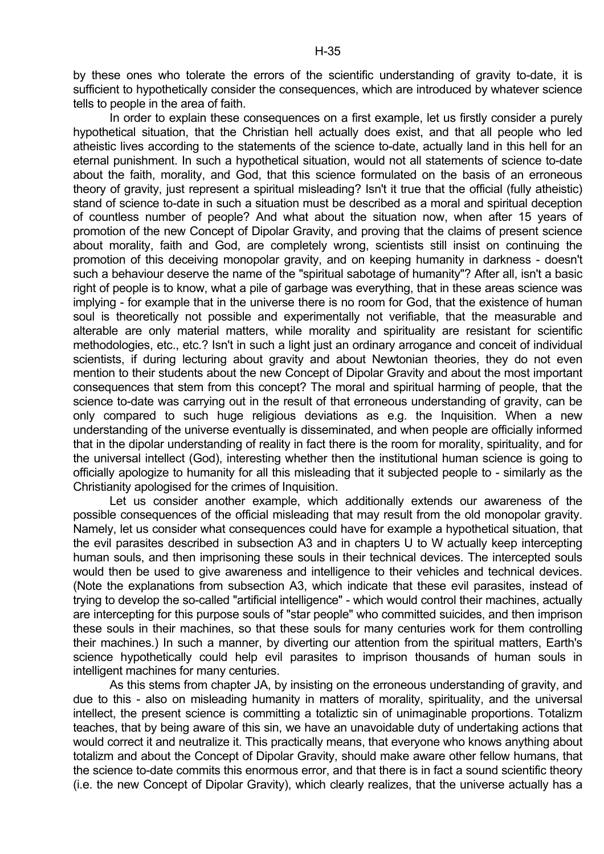by these ones who tolerate the errors of the scientific understanding of gravity to-date, it is sufficient to hypothetically consider the consequences, which are introduced by whatever science tells to people in the area of faith.

 In order to explain these consequences on a first example, let us firstly consider a purely hypothetical situation, that the Christian hell actually does exist, and that all people who led atheistic lives according to the statements of the science to-date, actually land in this hell for an eternal punishment. In such a hypothetical situation, would not all statements of science to-date about the faith, morality, and God, that this science formulated on the basis of an erroneous theory of gravity, just represent a spiritual misleading? Isn't it true that the official (fully atheistic) stand of science to-date in such a situation must be described as a moral and spiritual deception of countless number of people? And what about the situation now, when after 15 years of promotion of the new Concept of Dipolar Gravity, and proving that the claims of present science about morality, faith and God, are completely wrong, scientists still insist on continuing the promotion of this deceiving monopolar gravity, and on keeping humanity in darkness - doesn't such a behaviour deserve the name of the "spiritual sabotage of humanity"? After all, isn't a basic right of people is to know, what a pile of garbage was everything, that in these areas science was implying - for example that in the universe there is no room for God, that the existence of human soul is theoretically not possible and experimentally not verifiable, that the measurable and alterable are only material matters, while morality and spirituality are resistant for scientific methodologies, etc., etc.? Isn't in such a light just an ordinary arrogance and conceit of individual scientists, if during lecturing about gravity and about Newtonian theories, they do not even mention to their students about the new Concept of Dipolar Gravity and about the most important consequences that stem from this concept? The moral and spiritual harming of people, that the science to-date was carrying out in the result of that erroneous understanding of gravity, can be only compared to such huge religious deviations as e.g. the Inquisition. When a new understanding of the universe eventually is disseminated, and when people are officially informed that in the dipolar understanding of reality in fact there is the room for morality, spirituality, and for the universal intellect (God), interesting whether then the institutional human science is going to officially apologize to humanity for all this misleading that it subjected people to - similarly as the Christianity apologised for the crimes of Inquisition.

 Let us consider another example, which additionally extends our awareness of the possible consequences of the official misleading that may result from the old monopolar gravity. Namely, let us consider what consequences could have for example a hypothetical situation, that the evil parasites described in subsection A3 and in chapters U to W actually keep intercepting human souls, and then imprisoning these souls in their technical devices. The intercepted souls would then be used to give awareness and intelligence to their vehicles and technical devices. (Note the explanations from subsection A3, which indicate that these evil parasites, instead of trying to develop the so-called "artificial intelligence" - which would control their machines, actually are intercepting for this purpose souls of "star people" who committed suicides, and then imprison these souls in their machines, so that these souls for many centuries work for them controlling their machines.) In such a manner, by diverting our attention from the spiritual matters, Earth's science hypothetically could help evil parasites to imprison thousands of human souls in intelligent machines for many centuries.

 As this stems from chapter JA, by insisting on the erroneous understanding of gravity, and due to this - also on misleading humanity in matters of morality, spirituality, and the universal intellect, the present science is committing a totaliztic sin of unimaginable proportions. Totalizm teaches, that by being aware of this sin, we have an unavoidable duty of undertaking actions that would correct it and neutralize it. This practically means, that everyone who knows anything about totalizm and about the Concept of Dipolar Gravity, should make aware other fellow humans, that the science to-date commits this enormous error, and that there is in fact a sound scientific theory (i.e. the new Concept of Dipolar Gravity), which clearly realizes, that the universe actually has a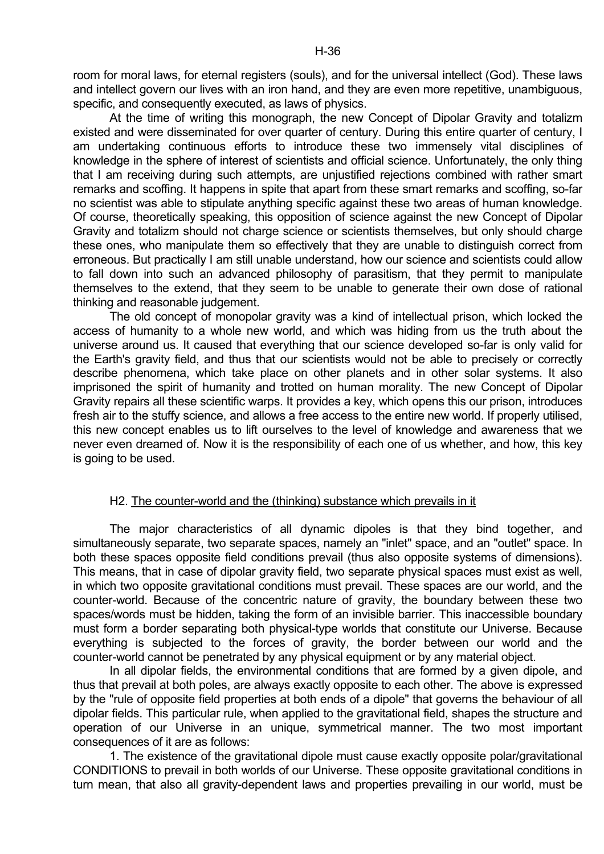room for moral laws, for eternal registers (souls), and for the universal intellect (God). These laws and intellect govern our lives with an iron hand, and they are even more repetitive, unambiguous, specific, and consequently executed, as laws of physics.

 At the time of writing this monograph, the new Concept of Dipolar Gravity and totalizm existed and were disseminated for over quarter of century. During this entire quarter of century, I am undertaking continuous efforts to introduce these two immensely vital disciplines of knowledge in the sphere of interest of scientists and official science. Unfortunately, the only thing that I am receiving during such attempts, are unjustified rejections combined with rather smart remarks and scoffing. It happens in spite that apart from these smart remarks and scoffing, so-far no scientist was able to stipulate anything specific against these two areas of human knowledge. Of course, theoretically speaking, this opposition of science against the new Concept of Dipolar Gravity and totalizm should not charge science or scientists themselves, but only should charge these ones, who manipulate them so effectively that they are unable to distinguish correct from erroneous. But practically I am still unable understand, how our science and scientists could allow to fall down into such an advanced philosophy of parasitism, that they permit to manipulate themselves to the extend, that they seem to be unable to generate their own dose of rational thinking and reasonable judgement.

 The old concept of monopolar gravity was a kind of intellectual prison, which locked the access of humanity to a whole new world, and which was hiding from us the truth about the universe around us. It caused that everything that our science developed so-far is only valid for the Earth's gravity field, and thus that our scientists would not be able to precisely or correctly describe phenomena, which take place on other planets and in other solar systems. It also imprisoned the spirit of humanity and trotted on human morality. The new Concept of Dipolar Gravity repairs all these scientific warps. It provides a key, which opens this our prison, introduces fresh air to the stuffy science, and allows a free access to the entire new world. If properly utilised, this new concept enables us to lift ourselves to the level of knowledge and awareness that we never even dreamed of. Now it is the responsibility of each one of us whether, and how, this key is going to be used.

### H2. The counter-world and the (thinking) substance which prevails in it

 The major characteristics of all dynamic dipoles is that they bind together, and simultaneously separate, two separate spaces, namely an "inlet" space, and an "outlet" space. In both these spaces opposite field conditions prevail (thus also opposite systems of dimensions). This means, that in case of dipolar gravity field, two separate physical spaces must exist as well. in which two opposite gravitational conditions must prevail. These spaces are our world, and the counter-world. Because of the concentric nature of gravity, the boundary between these two spaces/words must be hidden, taking the form of an invisible barrier. This inaccessible boundary must form a border separating both physical-type worlds that constitute our Universe. Because everything is subjected to the forces of gravity, the border between our world and the counter-world cannot be penetrated by any physical equipment or by any material object.

 In all dipolar fields, the environmental conditions that are formed by a given dipole, and thus that prevail at both poles, are always exactly opposite to each other. The above is expressed by the "rule of opposite field properties at both ends of a dipole" that governs the behaviour of all dipolar fields. This particular rule, when applied to the gravitational field, shapes the structure and operation of our Universe in an unique, symmetrical manner. The two most important consequences of it are as follows:

 1. The existence of the gravitational dipole must cause exactly opposite polar/gravitational CONDITIONS to prevail in both worlds of our Universe. These opposite gravitational conditions in turn mean, that also all gravity-dependent laws and properties prevailing in our world, must be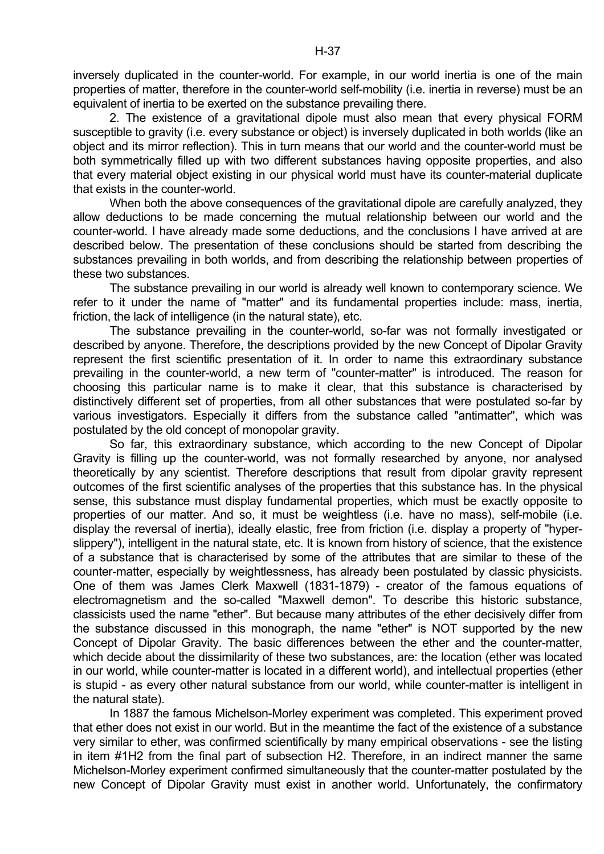inversely duplicated in the counter-world. For example, in our world inertia is one of the main properties of matter, therefore in the counter-world self-mobility (i.e. inertia in reverse) must be an equivalent of inertia to be exerted on the substance prevailing there.

 2. The existence of a gravitational dipole must also mean that every physical FORM susceptible to gravity (i.e. every substance or object) is inversely duplicated in both worlds (like an object and its mirror reflection). This in turn means that our world and the counter-world must be both symmetrically filled up with two different substances having opposite properties, and also that every material object existing in our physical world must have its counter-material duplicate that exists in the counter-world.

 When both the above consequences of the gravitational dipole are carefully analyzed, they allow deductions to be made concerning the mutual relationship between our world and the counter-world. I have already made some deductions, and the conclusions I have arrived at are described below. The presentation of these conclusions should be started from describing the substances prevailing in both worlds, and from describing the relationship between properties of these two substances.

 The substance prevailing in our world is already well known to contemporary science. We refer to it under the name of "matter" and its fundamental properties include: mass, inertia, friction, the lack of intelligence (in the natural state), etc.

 The substance prevailing in the counter-world, so-far was not formally investigated or described by anyone. Therefore, the descriptions provided by the new Concept of Dipolar Gravity represent the first scientific presentation of it. In order to name this extraordinary substance prevailing in the counter-world, a new term of "counter-matter" is introduced. The reason for choosing this particular name is to make it clear, that this substance is characterised by distinctively different set of properties, from all other substances that were postulated so-far by various investigators. Especially it differs from the substance called "antimatter", which was postulated by the old concept of monopolar gravity.

 So far, this extraordinary substance, which according to the new Concept of Dipolar Gravity is filling up the counter-world, was not formally researched by anyone, nor analysed theoretically by any scientist. Therefore descriptions that result from dipolar gravity represent outcomes of the first scientific analyses of the properties that this substance has. In the physical sense, this substance must display fundamental properties, which must be exactly opposite to properties of our matter. And so, it must be weightless (i.e. have no mass), self-mobile (i.e. display the reversal of inertia), ideally elastic, free from friction (i.e. display a property of "hyperslippery"), intelligent in the natural state, etc. It is known from history of science, that the existence of a substance that is characterised by some of the attributes that are similar to these of the counter-matter, especially by weightlessness, has already been postulated by classic physicists. One of them was James Clerk Maxwell (1831-1879) - creator of the famous equations of electromagnetism and the so-called "Maxwell demon". To describe this historic substance, classicists used the name "ether". But because many attributes of the ether decisively differ from the substance discussed in this monograph, the name "ether" is NOT supported by the new Concept of Dipolar Gravity. The basic differences between the ether and the counter-matter, which decide about the dissimilarity of these two substances, are: the location (ether was located in our world, while counter-matter is located in a different world), and intellectual properties (ether is stupid - as every other natural substance from our world, while counter-matter is intelligent in the natural state).

 In 1887 the famous Michelson-Morley experiment was completed. This experiment proved that ether does not exist in our world. But in the meantime the fact of the existence of a substance very similar to ether, was confirmed scientifically by many empirical observations - see the listing in item #1H2 from the final part of subsection H2. Therefore, in an indirect manner the same Michelson-Morley experiment confirmed simultaneously that the counter-matter postulated by the new Concept of Dipolar Gravity must exist in another world. Unfortunately, the confirmatory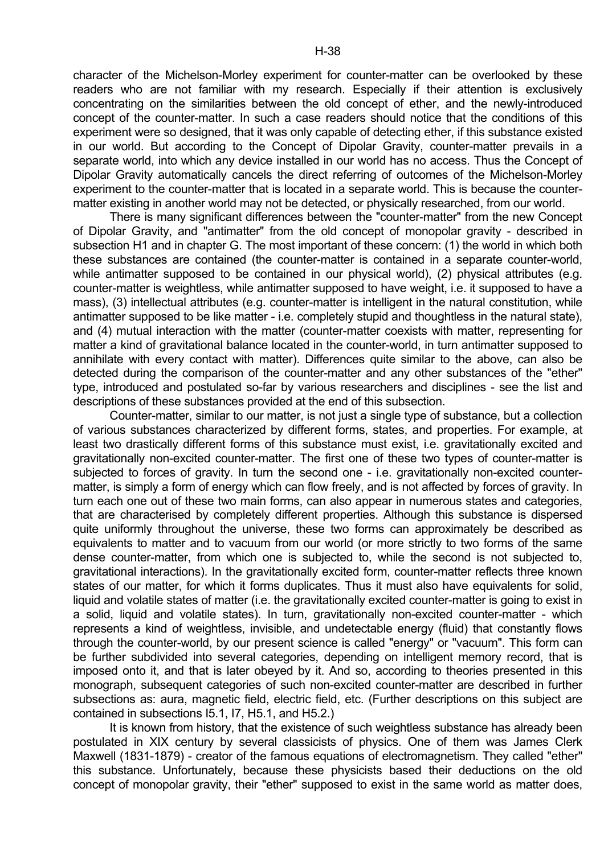character of the Michelson-Morley experiment for counter-matter can be overlooked by these readers who are not familiar with my research. Especially if their attention is exclusively concentrating on the similarities between the old concept of ether, and the newly-introduced concept of the counter-matter. In such a case readers should notice that the conditions of this experiment were so designed, that it was only capable of detecting ether, if this substance existed in our world. But according to the Concept of Dipolar Gravity, counter-matter prevails in a separate world, into which any device installed in our world has no access. Thus the Concept of Dipolar Gravity automatically cancels the direct referring of outcomes of the Michelson-Morley experiment to the counter-matter that is located in a separate world. This is because the countermatter existing in another world may not be detected, or physically researched, from our world.

 There is many significant differences between the "counter-matter" from the new Concept of Dipolar Gravity, and "antimatter" from the old concept of monopolar gravity - described in subsection H1 and in chapter G. The most important of these concern: (1) the world in which both these substances are contained (the counter-matter is contained in a separate counter-world, while antimatter supposed to be contained in our physical world), (2) physical attributes (e.g. counter-matter is weightless, while antimatter supposed to have weight, i.e. it supposed to have a mass), (3) intellectual attributes (e.g. counter-matter is intelligent in the natural constitution, while antimatter supposed to be like matter - i.e. completely stupid and thoughtless in the natural state), and (4) mutual interaction with the matter (counter-matter coexists with matter, representing for matter a kind of gravitational balance located in the counter-world, in turn antimatter supposed to annihilate with every contact with matter). Differences quite similar to the above, can also be detected during the comparison of the counter-matter and any other substances of the "ether" type, introduced and postulated so-far by various researchers and disciplines - see the list and descriptions of these substances provided at the end of this subsection.

 Counter-matter, similar to our matter, is not just a single type of substance, but a collection of various substances characterized by different forms, states, and properties. For example, at least two drastically different forms of this substance must exist, i.e. gravitationally excited and gravitationally non-excited counter-matter. The first one of these two types of counter-matter is subjected to forces of gravity. In turn the second one - i.e. gravitationally non-excited countermatter, is simply a form of energy which can flow freely, and is not affected by forces of gravity. In turn each one out of these two main forms, can also appear in numerous states and categories, that are characterised by completely different properties. Although this substance is dispersed quite uniformly throughout the universe, these two forms can approximately be described as equivalents to matter and to vacuum from our world (or more strictly to two forms of the same dense counter-matter, from which one is subjected to, while the second is not subjected to, gravitational interactions). In the gravitationally excited form, counter-matter reflects three known states of our matter, for which it forms duplicates. Thus it must also have equivalents for solid, liquid and volatile states of matter (i.e. the gravitationally excited counter-matter is going to exist in a solid, liquid and volatile states). In turn, gravitationally non-excited counter-matter - which represents a kind of weightless, invisible, and undetectable energy (fluid) that constantly flows through the counter-world, by our present science is called "energy" or "vacuum". This form can be further subdivided into several categories, depending on intelligent memory record, that is imposed onto it, and that is later obeyed by it. And so, according to theories presented in this monograph, subsequent categories of such non-excited counter-matter are described in further subsections as: aura, magnetic field, electric field, etc. (Further descriptions on this subject are contained in subsections I5.1, I7, H5.1, and H5.2.)

 It is known from history, that the existence of such weightless substance has already been postulated in XIX century by several classicists of physics. One of them was James Clerk Maxwell (1831-1879) - creator of the famous equations of electromagnetism. They called "ether" this substance. Unfortunately, because these physicists based their deductions on the old concept of monopolar gravity, their "ether" supposed to exist in the same world as matter does,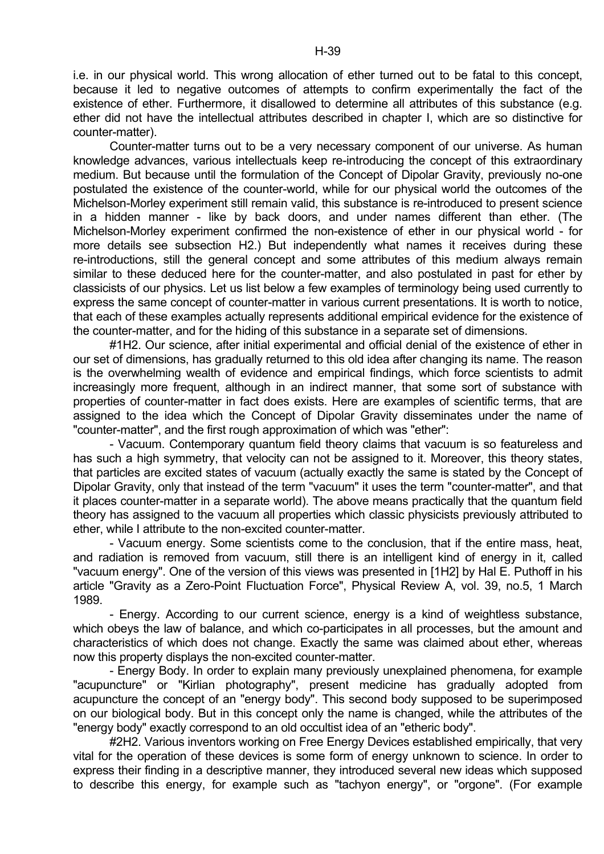i.e. in our physical world. This wrong allocation of ether turned out to be fatal to this concept, because it led to negative outcomes of attempts to confirm experimentally the fact of the existence of ether. Furthermore, it disallowed to determine all attributes of this substance (e.g. ether did not have the intellectual attributes described in chapter I, which are so distinctive for counter-matter).

 Counter-matter turns out to be a very necessary component of our universe. As human knowledge advances, various intellectuals keep re-introducing the concept of this extraordinary medium. But because until the formulation of the Concept of Dipolar Gravity, previously no-one postulated the existence of the counter-world, while for our physical world the outcomes of the Michelson-Morley experiment still remain valid, this substance is re-introduced to present science in a hidden manner - like by back doors, and under names different than ether. (The Michelson-Morley experiment confirmed the non-existence of ether in our physical world - for more details see subsection H2.) But independently what names it receives during these re-introductions, still the general concept and some attributes of this medium always remain similar to these deduced here for the counter-matter, and also postulated in past for ether by classicists of our physics. Let us list below a few examples of terminology being used currently to express the same concept of counter-matter in various current presentations. It is worth to notice, that each of these examples actually represents additional empirical evidence for the existence of the counter-matter, and for the hiding of this substance in a separate set of dimensions.

 #1H2. Our science, after initial experimental and official denial of the existence of ether in our set of dimensions, has gradually returned to this old idea after changing its name. The reason is the overwhelming wealth of evidence and empirical findings, which force scientists to admit increasingly more frequent, although in an indirect manner, that some sort of substance with properties of counter-matter in fact does exists. Here are examples of scientific terms, that are assigned to the idea which the Concept of Dipolar Gravity disseminates under the name of "counter-matter", and the first rough approximation of which was "ether":

 - Vacuum. Contemporary quantum field theory claims that vacuum is so featureless and has such a high symmetry, that velocity can not be assigned to it. Moreover, this theory states, that particles are excited states of vacuum (actually exactly the same is stated by the Concept of Dipolar Gravity, only that instead of the term "vacuum" it uses the term "counter-matter", and that it places counter-matter in a separate world). The above means practically that the quantum field theory has assigned to the vacuum all properties which classic physicists previously attributed to ether, while I attribute to the non-excited counter-matter.

 - Vacuum energy. Some scientists come to the conclusion, that if the entire mass, heat, and radiation is removed from vacuum, still there is an intelligent kind of energy in it, called "vacuum energy". One of the version of this views was presented in [1H2] by Hal E. Puthoff in his article "Gravity as a Zero-Point Fluctuation Force", Physical Review A, vol. 39, no.5, 1 March 1989.

 - Energy. According to our current science, energy is a kind of weightless substance, which obeys the law of balance, and which co-participates in all processes, but the amount and characteristics of which does not change. Exactly the same was claimed about ether, whereas now this property displays the non-excited counter-matter.

 - Energy Body. In order to explain many previously unexplained phenomena, for example "acupuncture" or "Kirlian photography", present medicine has gradually adopted from acupuncture the concept of an "energy body". This second body supposed to be superimposed on our biological body. But in this concept only the name is changed, while the attributes of the "energy body" exactly correspond to an old occultist idea of an "etheric body".

 #2H2. Various inventors working on Free Energy Devices established empirically, that very vital for the operation of these devices is some form of energy unknown to science. In order to express their finding in a descriptive manner, they introduced several new ideas which supposed to describe this energy, for example such as "tachyon energy", or "orgone". (For example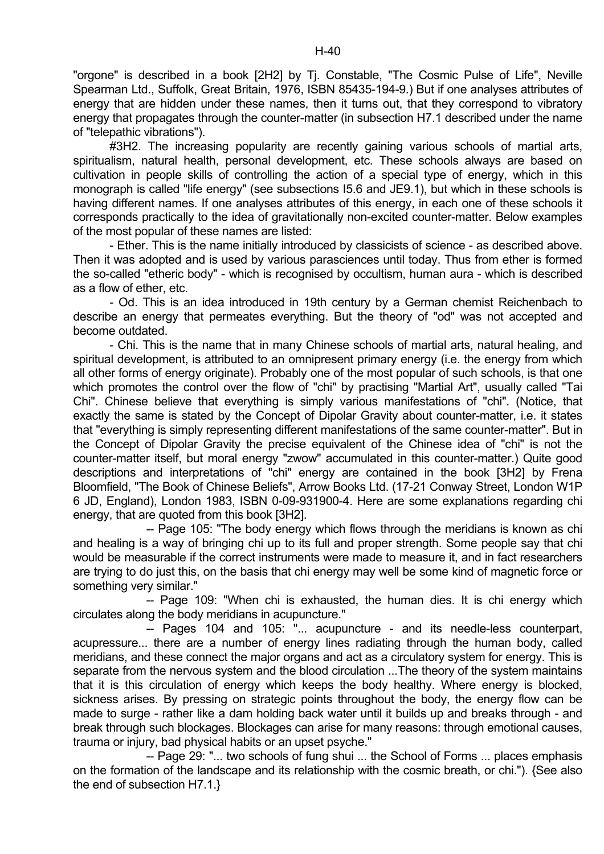"orgone" is described in a book [2H2] by Tj. Constable, "The Cosmic Pulse of Life", Neville Spearman Ltd., Suffolk, Great Britain, 1976, ISBN 85435-194-9.) But if one analyses attributes of energy that are hidden under these names, then it turns out, that they correspond to vibratory energy that propagates through the counter-matter (in subsection H7.1 described under the name of "telepathic vibrations").

 #3H2. The increasing popularity are recently gaining various schools of martial arts, spiritualism, natural health, personal development, etc. These schools always are based on cultivation in people skills of controlling the action of a special type of energy, which in this monograph is called "life energy" (see subsections I5.6 and JE9.1), but which in these schools is having different names. If one analyses attributes of this energy, in each one of these schools it corresponds practically to the idea of gravitationally non-excited counter-matter. Below examples of the most popular of these names are listed:

 - Ether. This is the name initially introduced by classicists of science - as described above. Then it was adopted and is used by various parasciences until today. Thus from ether is formed the so-called "etheric body" - which is recognised by occultism, human aura - which is described as a flow of ether, etc.

 - Od. This is an idea introduced in 19th century by a German chemist Reichenbach to describe an energy that permeates everything. But the theory of "od" was not accepted and become outdated.

 - Chi. This is the name that in many Chinese schools of martial arts, natural healing, and spiritual development, is attributed to an omnipresent primary energy (i.e. the energy from which all other forms of energy originate). Probably one of the most popular of such schools, is that one which promotes the control over the flow of "chi" by practising "Martial Art", usually called "Tai Chi". Chinese believe that everything is simply various manifestations of "chi". (Notice, that exactly the same is stated by the Concept of Dipolar Gravity about counter-matter, i.e. it states that "everything is simply representing different manifestations of the same counter-matter". But in the Concept of Dipolar Gravity the precise equivalent of the Chinese idea of "chi" is not the counter-matter itself, but moral energy "zwow" accumulated in this counter-matter.) Quite good descriptions and interpretations of "chi" energy are contained in the book [3H2] by Frena Bloomfield, "The Book of Chinese Beliefs", Arrow Books Ltd. (17-21 Conway Street, London W1P 6 JD, England), London 1983, ISBN 0-09-931900-4. Here are some explanations regarding chi energy, that are quoted from this book [3H2].

 -- Page 105: "The body energy which flows through the meridians is known as chi and healing is a way of bringing chi up to its full and proper strength. Some people say that chi would be measurable if the correct instruments were made to measure it, and in fact researchers are trying to do just this, on the basis that chi energy may well be some kind of magnetic force or something very similar."

 -- Page 109: "When chi is exhausted, the human dies. It is chi energy which circulates along the body meridians in acupuncture."

 -- Pages 104 and 105: "... acupuncture - and its needle-less counterpart, acupressure... there are a number of energy lines radiating through the human body, called meridians, and these connect the major organs and act as a circulatory system for energy. This is separate from the nervous system and the blood circulation ...The theory of the system maintains that it is this circulation of energy which keeps the body healthy. Where energy is blocked, sickness arises. By pressing on strategic points throughout the body, the energy flow can be made to surge - rather like a dam holding back water until it builds up and breaks through - and break through such blockages. Blockages can arise for many reasons: through emotional causes, trauma or injury, bad physical habits or an upset psyche."

 -- Page 29: "... two schools of fung shui ... the School of Forms ... places emphasis on the formation of the landscape and its relationship with the cosmic breath, or chi."). {See also the end of subsection H7.1.}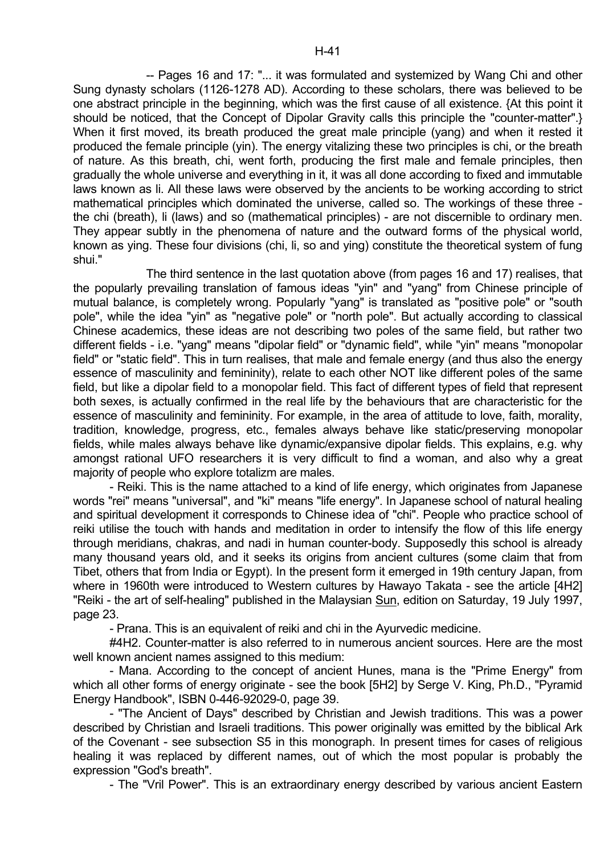-- Pages 16 and 17: "... it was formulated and systemized by Wang Chi and other Sung dynasty scholars (1126-1278 AD). According to these scholars, there was believed to be one abstract principle in the beginning, which was the first cause of all existence. {At this point it should be noticed, that the Concept of Dipolar Gravity calls this principle the "counter-matter".} When it first moved, its breath produced the great male principle (yang) and when it rested it produced the female principle (yin). The energy vitalizing these two principles is chi, or the breath of nature. As this breath, chi, went forth, producing the first male and female principles, then gradually the whole universe and everything in it, it was all done according to fixed and immutable laws known as li. All these laws were observed by the ancients to be working according to strict mathematical principles which dominated the universe, called so. The workings of these three the chi (breath), li (laws) and so (mathematical principles) - are not discernible to ordinary men. They appear subtly in the phenomena of nature and the outward forms of the physical world, known as ying. These four divisions (chi, li, so and ying) constitute the theoretical system of fung shui."

 The third sentence in the last quotation above (from pages 16 and 17) realises, that the popularly prevailing translation of famous ideas "yin" and "yang" from Chinese principle of mutual balance, is completely wrong. Popularly "yang" is translated as "positive pole" or "south pole", while the idea "yin" as "negative pole" or "north pole". But actually according to classical Chinese academics, these ideas are not describing two poles of the same field, but rather two different fields - i.e. "yang" means "dipolar field" or "dynamic field", while "yin" means "monopolar field" or "static field". This in turn realises, that male and female energy (and thus also the energy essence of masculinity and femininity), relate to each other NOT like different poles of the same field, but like a dipolar field to a monopolar field. This fact of different types of field that represent both sexes, is actually confirmed in the real life by the behaviours that are characteristic for the essence of masculinity and femininity. For example, in the area of attitude to love, faith, morality, tradition, knowledge, progress, etc., females always behave like static/preserving monopolar fields, while males always behave like dynamic/expansive dipolar fields. This explains, e.g. why amongst rational UFO researchers it is very difficult to find a woman, and also why a great majority of people who explore totalizm are males.

 - Reiki. This is the name attached to a kind of life energy, which originates from Japanese words "rei" means "universal", and "ki" means "life energy". In Japanese school of natural healing and spiritual development it corresponds to Chinese idea of "chi". People who practice school of reiki utilise the touch with hands and meditation in order to intensify the flow of this life energy through meridians, chakras, and nadi in human counter-body. Supposedly this school is already many thousand years old, and it seeks its origins from ancient cultures (some claim that from Tibet, others that from India or Egypt). In the present form it emerged in 19th century Japan, from where in 1960th were introduced to Western cultures by Hawayo Takata - see the article [4H2] "Reiki - the art of self-healing" published in the Malaysian Sun, edition on Saturday, 19 July 1997, page 23.

- Prana. This is an equivalent of reiki and chi in the Ayurvedic medicine.

 #4H2. Counter-matter is also referred to in numerous ancient sources. Here are the most well known ancient names assigned to this medium:

 - Mana. According to the concept of ancient Hunes, mana is the "Prime Energy" from which all other forms of energy originate - see the book [5H2] by Serge V. King, Ph.D., "Pyramid Energy Handbook", ISBN 0-446-92029-0, page 39.

 - "The Ancient of Days" described by Christian and Jewish traditions. This was a power described by Christian and Israeli traditions. This power originally was emitted by the biblical Ark of the Covenant - see subsection S5 in this monograph. In present times for cases of religious healing it was replaced by different names, out of which the most popular is probably the expression "God's breath".

- The "Vril Power". This is an extraordinary energy described by various ancient Eastern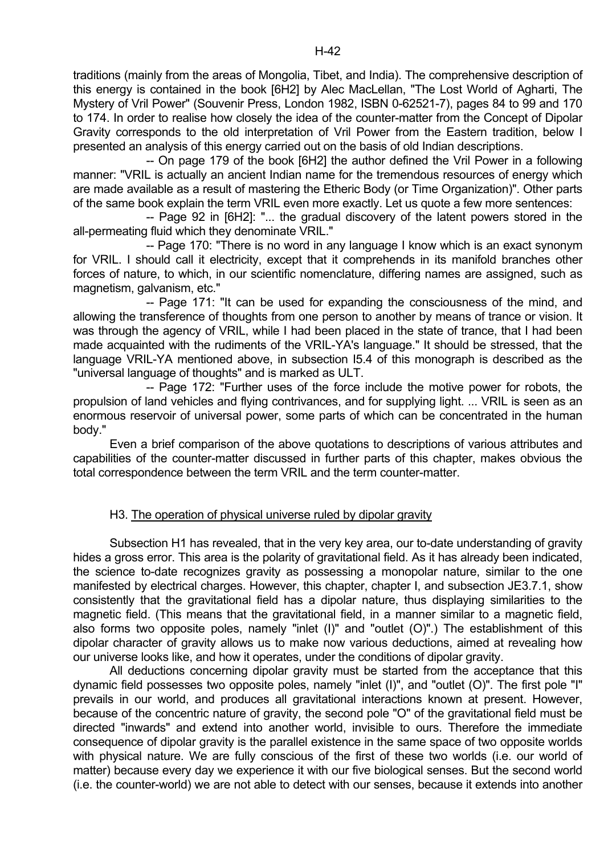traditions (mainly from the areas of Mongolia, Tibet, and India). The comprehensive description of this energy is contained in the book [6H2] by Alec MacLellan, "The Lost World of Agharti, The Mystery of Vril Power" (Souvenir Press, London 1982, ISBN 0-62521-7), pages 84 to 99 and 170 to 174. In order to realise how closely the idea of the counter-matter from the Concept of Dipolar Gravity corresponds to the old interpretation of Vril Power from the Eastern tradition, below I presented an analysis of this energy carried out on the basis of old Indian descriptions.

 -- On page 179 of the book [6H2] the author defined the Vril Power in a following manner: "VRIL is actually an ancient Indian name for the tremendous resources of energy which are made available as a result of mastering the Etheric Body (or Time Organization)". Other parts of the same book explain the term VRIL even more exactly. Let us quote a few more sentences:

 -- Page 92 in [6H2]: "... the gradual discovery of the latent powers stored in the all-permeating fluid which they denominate VRIL."

 -- Page 170: "There is no word in any language I know which is an exact synonym for VRIL. I should call it electricity, except that it comprehends in its manifold branches other forces of nature, to which, in our scientific nomenclature, differing names are assigned, such as magnetism, galvanism, etc."

 -- Page 171: "It can be used for expanding the consciousness of the mind, and allowing the transference of thoughts from one person to another by means of trance or vision. It was through the agency of VRIL, while I had been placed in the state of trance, that I had been made acquainted with the rudiments of the VRIL-YA's language." It should be stressed, that the language VRIL-YA mentioned above, in subsection I5.4 of this monograph is described as the "universal language of thoughts" and is marked as ULT.

 -- Page 172: "Further uses of the force include the motive power for robots, the propulsion of land vehicles and flying contrivances, and for supplying light. ... VRIL is seen as an enormous reservoir of universal power, some parts of which can be concentrated in the human body."

 Even a brief comparison of the above quotations to descriptions of various attributes and capabilities of the counter-matter discussed in further parts of this chapter, makes obvious the total correspondence between the term VRIL and the term counter-matter.

# H3. The operation of physical universe ruled by dipolar gravity

 Subsection H1 has revealed, that in the very key area, our to-date understanding of gravity hides a gross error. This area is the polarity of gravitational field. As it has already been indicated, the science to-date recognizes gravity as possessing a monopolar nature, similar to the one manifested by electrical charges. However, this chapter, chapter I, and subsection JE3.7.1, show consistently that the gravitational field has a dipolar nature, thus displaying similarities to the magnetic field. (This means that the gravitational field, in a manner similar to a magnetic field, also forms two opposite poles, namely "inlet (I)" and "outlet (O)".) The establishment of this dipolar character of gravity allows us to make now various deductions, aimed at revealing how our universe looks like, and how it operates, under the conditions of dipolar gravity.

 All deductions concerning dipolar gravity must be started from the acceptance that this dynamic field possesses two opposite poles, namely "inlet (I)", and "outlet (O)". The first pole "I" prevails in our world, and produces all gravitational interactions known at present. However, because of the concentric nature of gravity, the second pole "O" of the gravitational field must be directed "inwards" and extend into another world, invisible to ours. Therefore the immediate consequence of dipolar gravity is the parallel existence in the same space of two opposite worlds with physical nature. We are fully conscious of the first of these two worlds (i.e. our world of matter) because every day we experience it with our five biological senses. But the second world (i.e. the counter-world) we are not able to detect with our senses, because it extends into another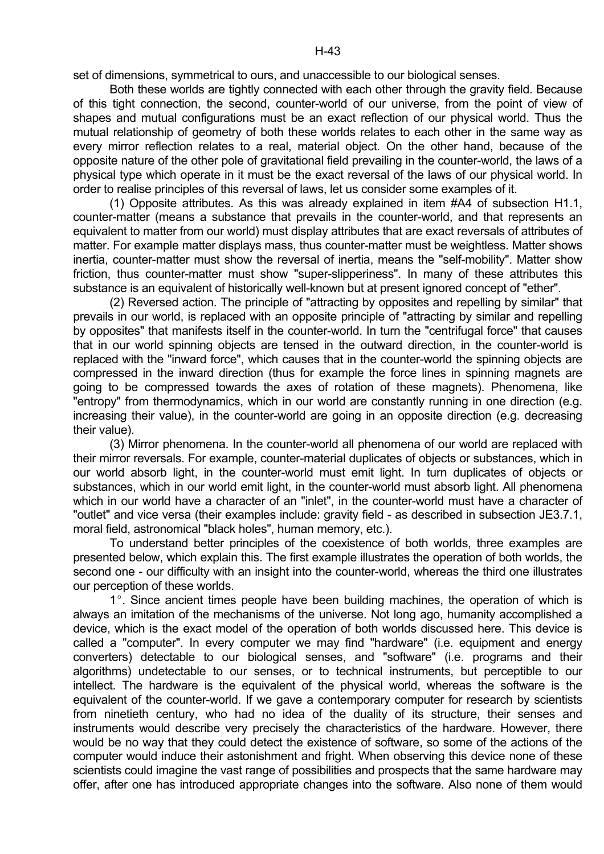set of dimensions, symmetrical to ours, and unaccessible to our biological senses.

 Both these worlds are tightly connected with each other through the gravity field. Because of this tight connection, the second, counter-world of our universe, from the point of view of shapes and mutual configurations must be an exact reflection of our physical world. Thus the mutual relationship of geometry of both these worlds relates to each other in the same way as every mirror reflection relates to a real, material object. On the other hand, because of the opposite nature of the other pole of gravitational field prevailing in the counter-world, the laws of a physical type which operate in it must be the exact reversal of the laws of our physical world. In order to realise principles of this reversal of laws, let us consider some examples of it.

 (1) Opposite attributes. As this was already explained in item #A4 of subsection H1.1, counter-matter (means a substance that prevails in the counter-world, and that represents an equivalent to matter from our world) must display attributes that are exact reversals of attributes of matter. For example matter displays mass, thus counter-matter must be weightless. Matter shows inertia, counter-matter must show the reversal of inertia, means the "self-mobility". Matter show friction, thus counter-matter must show "super-slipperiness". In many of these attributes this substance is an equivalent of historically well-known but at present ignored concept of "ether".

 (2) Reversed action. The principle of "attracting by opposites and repelling by similar" that prevails in our world, is replaced with an opposite principle of "attracting by similar and repelling by opposites" that manifests itself in the counter-world. In turn the "centrifugal force" that causes that in our world spinning objects are tensed in the outward direction, in the counter-world is replaced with the "inward force", which causes that in the counter-world the spinning objects are compressed in the inward direction (thus for example the force lines in spinning magnets are going to be compressed towards the axes of rotation of these magnets). Phenomena, like "entropy" from thermodynamics, which in our world are constantly running in one direction (e.g. increasing their value), in the counter-world are going in an opposite direction (e.g. decreasing their value).

 (3) Mirror phenomena. In the counter-world all phenomena of our world are replaced with their mirror reversals. For example, counter-material duplicates of objects or substances, which in our world absorb light, in the counter-world must emit light. In turn duplicates of objects or substances, which in our world emit light, in the counter-world must absorb light. All phenomena which in our world have a character of an "inlet", in the counter-world must have a character of "outlet" and vice versa (their examples include: gravity field - as described in subsection JE3.7.1, moral field, astronomical "black holes", human memory, etc.).

 To understand better principles of the coexistence of both worlds, three examples are presented below, which explain this. The first example illustrates the operation of both worlds, the second one - our difficulty with an insight into the counter-world, whereas the third one illustrates our perception of these worlds.

 $1^\circ$ . Since ancient times people have been building machines, the operation of which is always an imitation of the mechanisms of the universe. Not long ago, humanity accomplished a device, which is the exact model of the operation of both worlds discussed here. This device is called a "computer". In every computer we may find "hardware" (i.e. equipment and energy converters) detectable to our biological senses, and "software" (i.e. programs and their algorithms) undetectable to our senses, or to technical instruments, but perceptible to our intellect. The hardware is the equivalent of the physical world, whereas the software is the equivalent of the counter-world. If we gave a contemporary computer for research by scientists from ninetieth century, who had no idea of the duality of its structure, their senses and instruments would describe very precisely the characteristics of the hardware. However, there would be no way that they could detect the existence of software, so some of the actions of the computer would induce their astonishment and fright. When observing this device none of these scientists could imagine the vast range of possibilities and prospects that the same hardware may offer, after one has introduced appropriate changes into the software. Also none of them would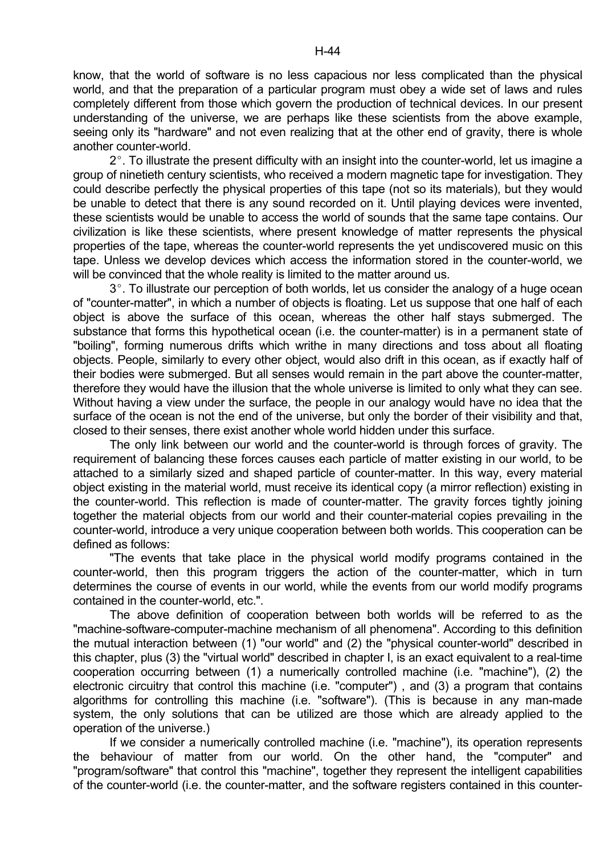know, that the world of software is no less capacious nor less complicated than the physical world, and that the preparation of a particular program must obey a wide set of laws and rules completely different from those which govern the production of technical devices. In our present understanding of the universe, we are perhaps like these scientists from the above example, seeing only its "hardware" and not even realizing that at the other end of gravity, there is whole another counter-world.

 $2^{\circ}$ . To illustrate the present difficulty with an insight into the counter-world, let us imagine a group of ninetieth century scientists, who received a modern magnetic tape for investigation. They could describe perfectly the physical properties of this tape (not so its materials), but they would be unable to detect that there is any sound recorded on it. Until playing devices were invented, these scientists would be unable to access the world of sounds that the same tape contains. Our civilization is like these scientists, where present knowledge of matter represents the physical properties of the tape, whereas the counter-world represents the yet undiscovered music on this tape. Unless we develop devices which access the information stored in the counter-world, we will be convinced that the whole reality is limited to the matter around us.

 $3^\circ$ . To illustrate our perception of both worlds, let us consider the analogy of a huge ocean of "counter-matter", in which a number of objects is floating. Let us suppose that one half of each object is above the surface of this ocean, whereas the other half stays submerged. The substance that forms this hypothetical ocean (i.e. the counter-matter) is in a permanent state of "boiling", forming numerous drifts which writhe in many directions and toss about all floating objects. People, similarly to every other object, would also drift in this ocean, as if exactly half of their bodies were submerged. But all senses would remain in the part above the counter-matter, therefore they would have the illusion that the whole universe is limited to only what they can see. Without having a view under the surface, the people in our analogy would have no idea that the surface of the ocean is not the end of the universe, but only the border of their visibility and that, closed to their senses, there exist another whole world hidden under this surface.

 The only link between our world and the counter-world is through forces of gravity. The requirement of balancing these forces causes each particle of matter existing in our world, to be attached to a similarly sized and shaped particle of counter-matter. In this way, every material object existing in the material world, must receive its identical copy (a mirror reflection) existing in the counter-world. This reflection is made of counter-matter. The gravity forces tightly joining together the material objects from our world and their counter-material copies prevailing in the counter-world, introduce a very unique cooperation between both worlds. This cooperation can be defined as follows:

 "The events that take place in the physical world modify programs contained in the counter-world, then this program triggers the action of the counter-matter, which in turn determines the course of events in our world, while the events from our world modify programs contained in the counter-world, etc.".

 The above definition of cooperation between both worlds will be referred to as the "machine-software-computer-machine mechanism of all phenomena". According to this definition the mutual interaction between (1) "our world" and (2) the "physical counter-world" described in this chapter, plus (3) the "virtual world" described in chapter I, is an exact equivalent to a real-time cooperation occurring between (1) a numerically controlled machine (i.e. "machine"), (2) the electronic circuitry that control this machine (i.e. "computer") , and (3) a program that contains algorithms for controlling this machine (i.e. "software"). (This is because in any man-made system, the only solutions that can be utilized are those which are already applied to the operation of the universe.)

 If we consider a numerically controlled machine (i.e. "machine"), its operation represents the behaviour of matter from our world. On the other hand, the "computer" and "program/software" that control this "machine", together they represent the intelligent capabilities of the counter-world (i.e. the counter-matter, and the software registers contained in this counter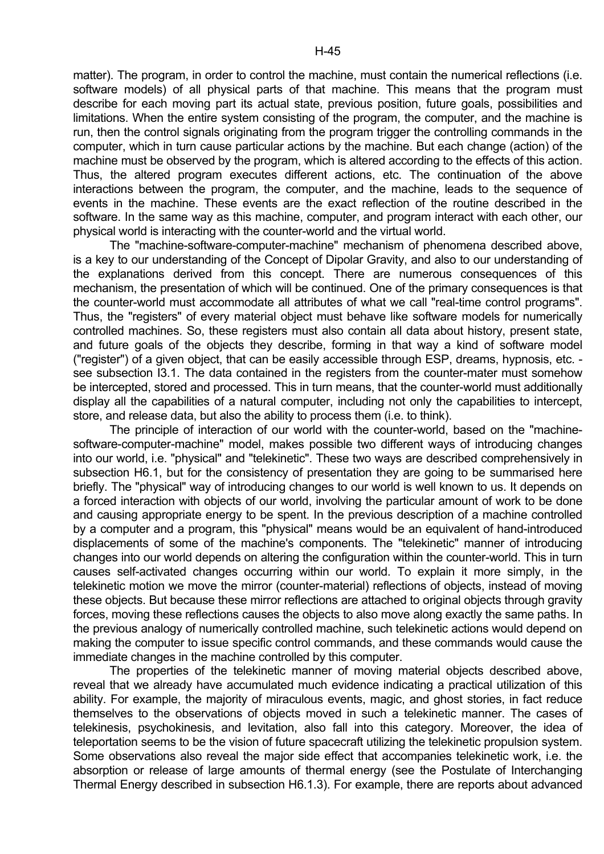matter). The program, in order to control the machine, must contain the numerical reflections (i.e. software models) of all physical parts of that machine. This means that the program must describe for each moving part its actual state, previous position, future goals, possibilities and limitations. When the entire system consisting of the program, the computer, and the machine is run, then the control signals originating from the program trigger the controlling commands in the computer, which in turn cause particular actions by the machine. But each change (action) of the machine must be observed by the program, which is altered according to the effects of this action. Thus, the altered program executes different actions, etc. The continuation of the above interactions between the program, the computer, and the machine, leads to the sequence of events in the machine. These events are the exact reflection of the routine described in the software. In the same way as this machine, computer, and program interact with each other, our physical world is interacting with the counter-world and the virtual world.

 The "machine-software-computer-machine" mechanism of phenomena described above, is a key to our understanding of the Concept of Dipolar Gravity, and also to our understanding of the explanations derived from this concept. There are numerous consequences of this mechanism, the presentation of which will be continued. One of the primary consequences is that the counter-world must accommodate all attributes of what we call "real-time control programs". Thus, the "registers" of every material object must behave like software models for numerically controlled machines. So, these registers must also contain all data about history, present state, and future goals of the objects they describe, forming in that way a kind of software model ("register") of a given object, that can be easily accessible through ESP, dreams, hypnosis, etc. see subsection 13.1. The data contained in the registers from the counter-mater must somehow be intercepted, stored and processed. This in turn means, that the counter-world must additionally display all the capabilities of a natural computer, including not only the capabilities to intercept, store, and release data, but also the ability to process them (i.e. to think).

 The principle of interaction of our world with the counter-world, based on the "machinesoftware-computer-machine" model, makes possible two different ways of introducing changes into our world, i.e. "physical" and "telekinetic". These two ways are described comprehensively in subsection H6.1, but for the consistency of presentation they are going to be summarised here briefly. The "physical" way of introducing changes to our world is well known to us. It depends on a forced interaction with objects of our world, involving the particular amount of work to be done and causing appropriate energy to be spent. In the previous description of a machine controlled by a computer and a program, this "physical" means would be an equivalent of hand-introduced displacements of some of the machine's components. The "telekinetic" manner of introducing changes into our world depends on altering the configuration within the counter-world. This in turn causes self-activated changes occurring within our world. To explain it more simply, in the telekinetic motion we move the mirror (counter-material) reflections of objects, instead of moving these objects. But because these mirror reflections are attached to original objects through gravity forces, moving these reflections causes the objects to also move along exactly the same paths. In the previous analogy of numerically controlled machine, such telekinetic actions would depend on making the computer to issue specific control commands, and these commands would cause the immediate changes in the machine controlled by this computer.

 The properties of the telekinetic manner of moving material objects described above, reveal that we already have accumulated much evidence indicating a practical utilization of this ability. For example, the majority of miraculous events, magic, and ghost stories, in fact reduce themselves to the observations of objects moved in such a telekinetic manner. The cases of telekinesis, psychokinesis, and levitation, also fall into this category. Moreover, the idea of teleportation seems to be the vision of future spacecraft utilizing the telekinetic propulsion system. Some observations also reveal the major side effect that accompanies telekinetic work, i.e. the absorption or release of large amounts of thermal energy (see the Postulate of Interchanging Thermal Energy described in subsection H6.1.3). For example, there are reports about advanced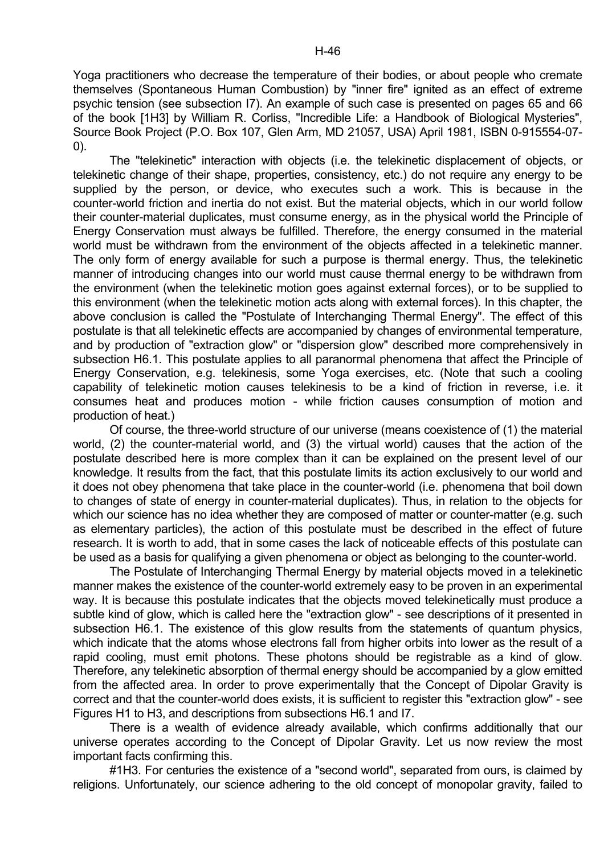Yoga practitioners who decrease the temperature of their bodies, or about people who cremate themselves (Spontaneous Human Combustion) by "inner fire" ignited as an effect of extreme psychic tension (see subsection I7). An example of such case is presented on pages 65 and 66 of the book [1H3] by William R. Corliss, "Incredible Life: a Handbook of Biological Mysteries", Source Book Project (P.O. Box 107, Glen Arm, MD 21057, USA) April 1981, ISBN 0-915554-07- 0).

 The "telekinetic" interaction with objects (i.e. the telekinetic displacement of objects, or telekinetic change of their shape, properties, consistency, etc.) do not require any energy to be supplied by the person, or device, who executes such a work. This is because in the counter-world friction and inertia do not exist. But the material objects, which in our world follow their counter-material duplicates, must consume energy, as in the physical world the Principle of Energy Conservation must always be fulfilled. Therefore, the energy consumed in the material world must be withdrawn from the environment of the objects affected in a telekinetic manner. The only form of energy available for such a purpose is thermal energy. Thus, the telekinetic manner of introducing changes into our world must cause thermal energy to be withdrawn from the environment (when the telekinetic motion goes against external forces), or to be supplied to this environment (when the telekinetic motion acts along with external forces). In this chapter, the above conclusion is called the "Postulate of Interchanging Thermal Energy". The effect of this postulate is that all telekinetic effects are accompanied by changes of environmental temperature, and by production of "extraction glow" or "dispersion glow" described more comprehensively in subsection H6.1. This postulate applies to all paranormal phenomena that affect the Principle of Energy Conservation, e.g. telekinesis, some Yoga exercises, etc. (Note that such a cooling capability of telekinetic motion causes telekinesis to be a kind of friction in reverse, i.e. it consumes heat and produces motion - while friction causes consumption of motion and production of heat.)

 Of course, the three-world structure of our universe (means coexistence of (1) the material world, (2) the counter-material world, and (3) the virtual world) causes that the action of the postulate described here is more complex than it can be explained on the present level of our knowledge. It results from the fact, that this postulate limits its action exclusively to our world and it does not obey phenomena that take place in the counter-world (i.e. phenomena that boil down to changes of state of energy in counter-material duplicates). Thus, in relation to the objects for which our science has no idea whether they are composed of matter or counter-matter (e.g. such as elementary particles), the action of this postulate must be described in the effect of future research. It is worth to add, that in some cases the lack of noticeable effects of this postulate can be used as a basis for qualifying a given phenomena or object as belonging to the counter-world.

 The Postulate of Interchanging Thermal Energy by material objects moved in a telekinetic manner makes the existence of the counter-world extremely easy to be proven in an experimental way. It is because this postulate indicates that the objects moved telekinetically must produce a subtle kind of glow, which is called here the "extraction glow" - see descriptions of it presented in subsection H6.1. The existence of this glow results from the statements of quantum physics, which indicate that the atoms whose electrons fall from higher orbits into lower as the result of a rapid cooling, must emit photons. These photons should be registrable as a kind of glow. Therefore, any telekinetic absorption of thermal energy should be accompanied by a glow emitted from the affected area. In order to prove experimentally that the Concept of Dipolar Gravity is correct and that the counter-world does exists, it is sufficient to register this "extraction glow" - see Figures H1 to H3, and descriptions from subsections H6.1 and I7.

 There is a wealth of evidence already available, which confirms additionally that our universe operates according to the Concept of Dipolar Gravity. Let us now review the most important facts confirming this.

 #1H3. For centuries the existence of a "second world", separated from ours, is claimed by religions. Unfortunately, our science adhering to the old concept of monopolar gravity, failed to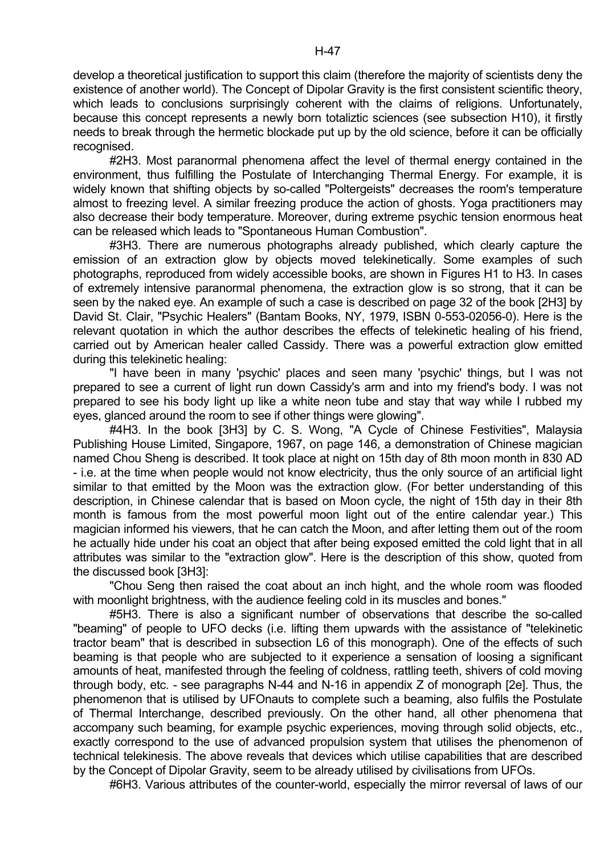develop a theoretical justification to support this claim (therefore the majority of scientists deny the existence of another world). The Concept of Dipolar Gravity is the first consistent scientific theory, which leads to conclusions surprisingly coherent with the claims of religions. Unfortunately, because this concept represents a newly born totaliztic sciences (see subsection H10), it firstly needs to break through the hermetic blockade put up by the old science, before it can be officially recognised.

 #2H3. Most paranormal phenomena affect the level of thermal energy contained in the environment, thus fulfilling the Postulate of Interchanging Thermal Energy. For example, it is widely known that shifting objects by so-called "Poltergeists" decreases the room's temperature almost to freezing level. A similar freezing produce the action of ghosts. Yoga practitioners may also decrease their body temperature. Moreover, during extreme psychic tension enormous heat can be released which leads to "Spontaneous Human Combustion".

 #3H3. There are numerous photographs already published, which clearly capture the emission of an extraction glow by objects moved telekinetically. Some examples of such photographs, reproduced from widely accessible books, are shown in Figures H1 to H3. In cases of extremely intensive paranormal phenomena, the extraction glow is so strong, that it can be seen by the naked eye. An example of such a case is described on page 32 of the book [2H3] by David St. Clair, "Psychic Healers" (Bantam Books, NY, 1979, ISBN 0-553-02056-0). Here is the relevant quotation in which the author describes the effects of telekinetic healing of his friend, carried out by American healer called Cassidy. There was a powerful extraction glow emitted during this telekinetic healing:

 "I have been in many 'psychic' places and seen many 'psychic' things, but I was not prepared to see a current of light run down Cassidy's arm and into my friend's body. I was not prepared to see his body light up like a white neon tube and stay that way while I rubbed my eyes, glanced around the room to see if other things were glowing".

 #4H3. In the book [3H3] by C. S. Wong, "A Cycle of Chinese Festivities", Malaysia Publishing House Limited, Singapore, 1967, on page 146, a demonstration of Chinese magician named Chou Sheng is described. It took place at night on 15th day of 8th moon month in 830 AD - i.e. at the time when people would not know electricity, thus the only source of an artificial light similar to that emitted by the Moon was the extraction glow. (For better understanding of this description, in Chinese calendar that is based on Moon cycle, the night of 15th day in their 8th month is famous from the most powerful moon light out of the entire calendar year.) This magician informed his viewers, that he can catch the Moon, and after letting them out of the room he actually hide under his coat an object that after being exposed emitted the cold light that in all attributes was similar to the "extraction glow". Here is the description of this show, quoted from the discussed book [3H3]:

 "Chou Seng then raised the coat about an inch hight, and the whole room was flooded with moonlight brightness, with the audience feeling cold in its muscles and bones."

 #5H3. There is also a significant number of observations that describe the so-called "beaming" of people to UFO decks (i.e. lifting them upwards with the assistance of "telekinetic tractor beam" that is described in subsection L6 of this monograph). One of the effects of such beaming is that people who are subjected to it experience a sensation of loosing a significant amounts of heat, manifested through the feeling of coldness, rattling teeth, shivers of cold moving through body, etc. - see paragraphs N-44 and N-16 in appendix Z of monograph [2e]. Thus, the phenomenon that is utilised by UFOnauts to complete such a beaming, also fulfils the Postulate of Thermal Interchange, described previously. On the other hand, all other phenomena that accompany such beaming, for example psychic experiences, moving through solid objects, etc., exactly correspond to the use of advanced propulsion system that utilises the phenomenon of technical telekinesis. The above reveals that devices which utilise capabilities that are described by the Concept of Dipolar Gravity, seem to be already utilised by civilisations from UFOs.

#6H3. Various attributes of the counter-world, especially the mirror reversal of laws of our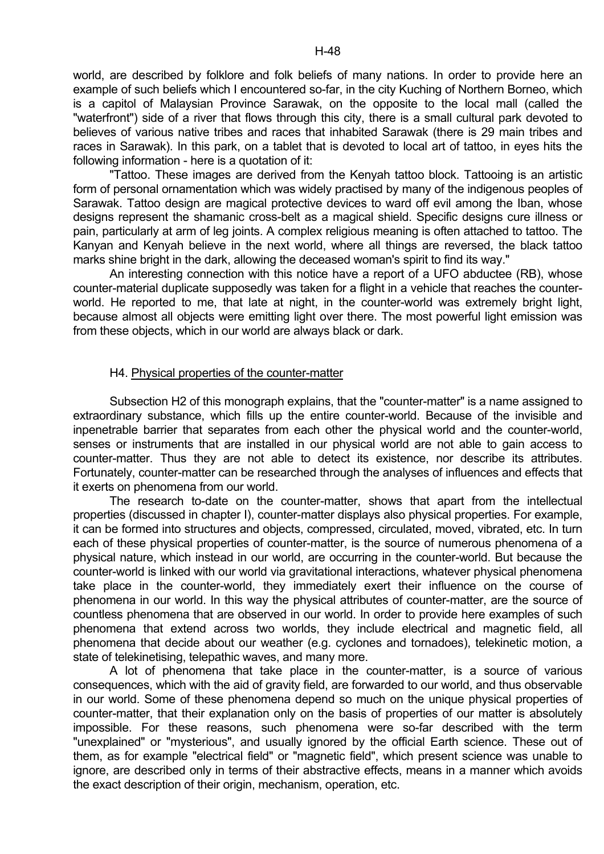world, are described by folklore and folk beliefs of many nations. In order to provide here an example of such beliefs which I encountered so-far, in the city Kuching of Northern Borneo, which is a capitol of Malaysian Province Sarawak, on the opposite to the local mall (called the "waterfront") side of a river that flows through this city, there is a small cultural park devoted to believes of various native tribes and races that inhabited Sarawak (there is 29 main tribes and races in Sarawak). In this park, on a tablet that is devoted to local art of tattoo, in eyes hits the following information - here is a quotation of it:

 "Tattoo. These images are derived from the Kenyah tattoo block. Tattooing is an artistic form of personal ornamentation which was widely practised by many of the indigenous peoples of Sarawak. Tattoo design are magical protective devices to ward off evil among the Iban, whose designs represent the shamanic cross-belt as a magical shield. Specific designs cure illness or pain, particularly at arm of leg joints. A complex religious meaning is often attached to tattoo. The Kanyan and Kenyah believe in the next world, where all things are reversed, the black tattoo marks shine bright in the dark, allowing the deceased woman's spirit to find its way."

 An interesting connection with this notice have a report of a UFO abductee (RB), whose counter-material duplicate supposedly was taken for a flight in a vehicle that reaches the counterworld. He reported to me, that late at night, in the counter-world was extremely bright light, because almost all objects were emitting light over there. The most powerful light emission was from these objects, which in our world are always black or dark.

### H4. Physical properties of the counter-matter

 Subsection H2 of this monograph explains, that the "counter-matter" is a name assigned to extraordinary substance, which fills up the entire counter-world. Because of the invisible and inpenetrable barrier that separates from each other the physical world and the counter-world, senses or instruments that are installed in our physical world are not able to gain access to counter-matter. Thus they are not able to detect its existence, nor describe its attributes. Fortunately, counter-matter can be researched through the analyses of influences and effects that it exerts on phenomena from our world.

 The research to-date on the counter-matter, shows that apart from the intellectual properties (discussed in chapter I), counter-matter displays also physical properties. For example, it can be formed into structures and objects, compressed, circulated, moved, vibrated, etc. In turn each of these physical properties of counter-matter, is the source of numerous phenomena of a physical nature, which instead in our world, are occurring in the counter-world. But because the counter-world is linked with our world via gravitational interactions, whatever physical phenomena take place in the counter-world, they immediately exert their influence on the course of phenomena in our world. In this way the physical attributes of counter-matter, are the source of countless phenomena that are observed in our world. In order to provide here examples of such phenomena that extend across two worlds, they include electrical and magnetic field, all phenomena that decide about our weather (e.g. cyclones and tornadoes), telekinetic motion, a state of telekinetising, telepathic waves, and many more.

 A lot of phenomena that take place in the counter-matter, is a source of various consequences, which with the aid of gravity field, are forwarded to our world, and thus observable in our world. Some of these phenomena depend so much on the unique physical properties of counter-matter, that their explanation only on the basis of properties of our matter is absolutely impossible. For these reasons, such phenomena were so-far described with the term "unexplained" or "mysterious", and usually ignored by the official Earth science. These out of them, as for example "electrical field" or "magnetic field", which present science was unable to ignore, are described only in terms of their abstractive effects, means in a manner which avoids the exact description of their origin, mechanism, operation, etc.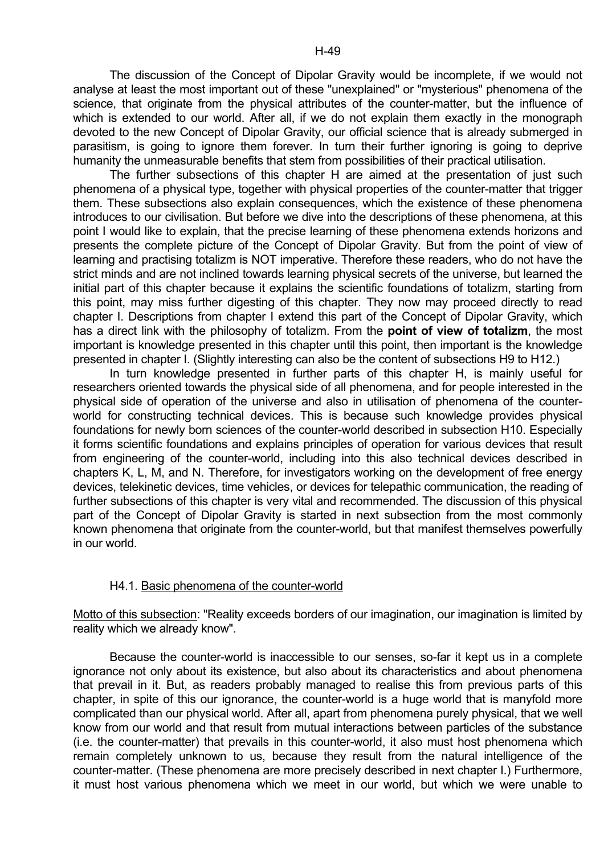The discussion of the Concept of Dipolar Gravity would be incomplete, if we would not analyse at least the most important out of these "unexplained" or "mysterious" phenomena of the science, that originate from the physical attributes of the counter-matter, but the influence of which is extended to our world. After all, if we do not explain them exactly in the monograph devoted to the new Concept of Dipolar Gravity, our official science that is already submerged in parasitism, is going to ignore them forever. In turn their further ignoring is going to deprive humanity the unmeasurable benefits that stem from possibilities of their practical utilisation.

 The further subsections of this chapter H are aimed at the presentation of just such phenomena of a physical type, together with physical properties of the counter-matter that trigger them. These subsections also explain consequences, which the existence of these phenomena introduces to our civilisation. But before we dive into the descriptions of these phenomena, at this point I would like to explain, that the precise learning of these phenomena extends horizons and presents the complete picture of the Concept of Dipolar Gravity. But from the point of view of learning and practising totalizm is NOT imperative. Therefore these readers, who do not have the strict minds and are not inclined towards learning physical secrets of the universe, but learned the initial part of this chapter because it explains the scientific foundations of totalizm, starting from this point, may miss further digesting of this chapter. They now may proceed directly to read chapter I. Descriptions from chapter I extend this part of the Concept of Dipolar Gravity, which has a direct link with the philosophy of totalizm. From the **point of view of totalizm**, the most important is knowledge presented in this chapter until this point, then important is the knowledge presented in chapter I. (Slightly interesting can also be the content of subsections H9 to H12.)

 In turn knowledge presented in further parts of this chapter H, is mainly useful for researchers oriented towards the physical side of all phenomena, and for people interested in the physical side of operation of the universe and also in utilisation of phenomena of the counterworld for constructing technical devices. This is because such knowledge provides physical foundations for newly born sciences of the counter-world described in subsection H10. Especially it forms scientific foundations and explains principles of operation for various devices that result from engineering of the counter-world, including into this also technical devices described in chapters K, L, M, and N. Therefore, for investigators working on the development of free energy devices, telekinetic devices, time vehicles, or devices for telepathic communication, the reading of further subsections of this chapter is very vital and recommended. The discussion of this physical part of the Concept of Dipolar Gravity is started in next subsection from the most commonly known phenomena that originate from the counter-world, but that manifest themselves powerfully in our world.

### H4.1. Basic phenomena of the counter-world

Motto of this subsection: "Reality exceeds borders of our imagination, our imagination is limited by reality which we already know".

 Because the counter-world is inaccessible to our senses, so-far it kept us in a complete ignorance not only about its existence, but also about its characteristics and about phenomena that prevail in it. But, as readers probably managed to realise this from previous parts of this chapter, in spite of this our ignorance, the counter-world is a huge world that is manyfold more complicated than our physical world. After all, apart from phenomena purely physical, that we well know from our world and that result from mutual interactions between particles of the substance (i.e. the counter-matter) that prevails in this counter-world, it also must host phenomena which remain completely unknown to us, because they result from the natural intelligence of the counter-matter. (These phenomena are more precisely described in next chapter I.) Furthermore, it must host various phenomena which we meet in our world, but which we were unable to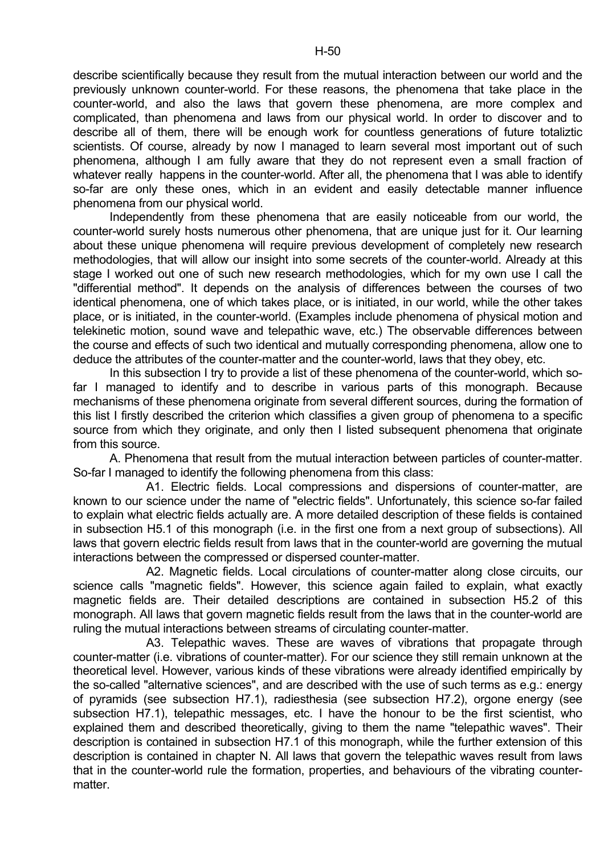describe scientifically because they result from the mutual interaction between our world and the previously unknown counter-world. For these reasons, the phenomena that take place in the counter-world, and also the laws that govern these phenomena, are more complex and complicated, than phenomena and laws from our physical world. In order to discover and to describe all of them, there will be enough work for countless generations of future totaliztic scientists. Of course, already by now I managed to learn several most important out of such phenomena, although I am fully aware that they do not represent even a small fraction of whatever really happens in the counter-world. After all, the phenomena that I was able to identify so-far are only these ones, which in an evident and easily detectable manner influence phenomena from our physical world.

 Independently from these phenomena that are easily noticeable from our world, the counter-world surely hosts numerous other phenomena, that are unique just for it. Our learning about these unique phenomena will require previous development of completely new research methodologies, that will allow our insight into some secrets of the counter-world. Already at this stage I worked out one of such new research methodologies, which for my own use I call the "differential method". It depends on the analysis of differences between the courses of two identical phenomena, one of which takes place, or is initiated, in our world, while the other takes place, or is initiated, in the counter-world. (Examples include phenomena of physical motion and telekinetic motion, sound wave and telepathic wave, etc.) The observable differences between the course and effects of such two identical and mutually corresponding phenomena, allow one to deduce the attributes of the counter-matter and the counter-world, laws that they obey, etc.

 In this subsection I try to provide a list of these phenomena of the counter-world, which sofar I managed to identify and to describe in various parts of this monograph. Because mechanisms of these phenomena originate from several different sources, during the formation of this list I firstly described the criterion which classifies a given group of phenomena to a specific source from which they originate, and only then I listed subsequent phenomena that originate from this source.

 A. Phenomena that result from the mutual interaction between particles of counter-matter. So-far I managed to identify the following phenomena from this class:

 A1. Electric fields. Local compressions and dispersions of counter-matter, are known to our science under the name of "electric fields". Unfortunately, this science so-far failed to explain what electric fields actually are. A more detailed description of these fields is contained in subsection H5.1 of this monograph (i.e. in the first one from a next group of subsections). All laws that govern electric fields result from laws that in the counter-world are governing the mutual interactions between the compressed or dispersed counter-matter.

 A2. Magnetic fields. Local circulations of counter-matter along close circuits, our science calls "magnetic fields". However, this science again failed to explain, what exactly magnetic fields are. Their detailed descriptions are contained in subsection H5.2 of this monograph. All laws that govern magnetic fields result from the laws that in the counter-world are ruling the mutual interactions between streams of circulating counter-matter.

 A3. Telepathic waves. These are waves of vibrations that propagate through counter-matter (i.e. vibrations of counter-matter). For our science they still remain unknown at the theoretical level. However, various kinds of these vibrations were already identified empirically by the so-called "alternative sciences", and are described with the use of such terms as e.g.: energy of pyramids (see subsection H7.1), radiesthesia (see subsection H7.2), orgone energy (see subsection H7.1), telepathic messages, etc. I have the honour to be the first scientist, who explained them and described theoretically, giving to them the name "telepathic waves". Their description is contained in subsection H7.1 of this monograph, while the further extension of this description is contained in chapter N. All laws that govern the telepathic waves result from laws that in the counter-world rule the formation, properties, and behaviours of the vibrating countermatter.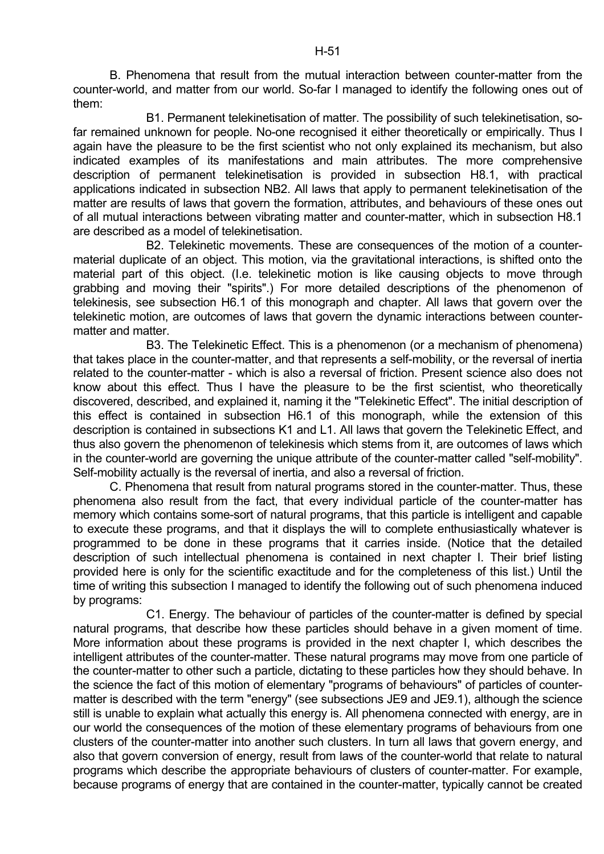B. Phenomena that result from the mutual interaction between counter-matter from the counter-world, and matter from our world. So-far I managed to identify the following ones out of them:

 B1. Permanent telekinetisation of matter. The possibility of such telekinetisation, sofar remained unknown for people. No-one recognised it either theoretically or empirically. Thus I again have the pleasure to be the first scientist who not only explained its mechanism, but also indicated examples of its manifestations and main attributes. The more comprehensive description of permanent telekinetisation is provided in subsection H8.1, with practical applications indicated in subsection NB2. All laws that apply to permanent telekinetisation of the matter are results of laws that govern the formation, attributes, and behaviours of these ones out of all mutual interactions between vibrating matter and counter-matter, which in subsection H8.1 are described as a model of telekinetisation.

 B2. Telekinetic movements. These are consequences of the motion of a countermaterial duplicate of an object. This motion, via the gravitational interactions, is shifted onto the material part of this object. (I.e. telekinetic motion is like causing objects to move through grabbing and moving their "spirits".) For more detailed descriptions of the phenomenon of telekinesis, see subsection H6.1 of this monograph and chapter. All laws that govern over the telekinetic motion, are outcomes of laws that govern the dynamic interactions between countermatter and matter.

 B3. The Telekinetic Effect. This is a phenomenon (or a mechanism of phenomena) that takes place in the counter-matter, and that represents a self-mobility, or the reversal of inertia related to the counter-matter - which is also a reversal of friction. Present science also does not know about this effect. Thus I have the pleasure to be the first scientist, who theoretically discovered, described, and explained it, naming it the "Telekinetic Effect". The initial description of this effect is contained in subsection H6.1 of this monograph, while the extension of this description is contained in subsections K1 and L1. All laws that govern the Telekinetic Effect, and thus also govern the phenomenon of telekinesis which stems from it, are outcomes of laws which in the counter-world are governing the unique attribute of the counter-matter called "self-mobility". Self-mobility actually is the reversal of inertia, and also a reversal of friction.

 C. Phenomena that result from natural programs stored in the counter-matter. Thus, these phenomena also result from the fact, that every individual particle of the counter-matter has memory which contains some-sort of natural programs, that this particle is intelligent and capable to execute these programs, and that it displays the will to complete enthusiastically whatever is programmed to be done in these programs that it carries inside. (Notice that the detailed description of such intellectual phenomena is contained in next chapter I. Their brief listing provided here is only for the scientific exactitude and for the completeness of this list.) Until the time of writing this subsection I managed to identify the following out of such phenomena induced by programs:

 C1. Energy. The behaviour of particles of the counter-matter is defined by special natural programs, that describe how these particles should behave in a given moment of time. More information about these programs is provided in the next chapter I, which describes the intelligent attributes of the counter-matter. These natural programs may move from one particle of the counter-matter to other such a particle, dictating to these particles how they should behave. In the science the fact of this motion of elementary "programs of behaviours" of particles of countermatter is described with the term "energy" (see subsections JE9 and JE9.1), although the science still is unable to explain what actually this energy is. All phenomena connected with energy, are in our world the consequences of the motion of these elementary programs of behaviours from one clusters of the counter-matter into another such clusters. In turn all laws that govern energy, and also that govern conversion of energy, result from laws of the counter-world that relate to natural programs which describe the appropriate behaviours of clusters of counter-matter. For example, because programs of energy that are contained in the counter-matter, typically cannot be created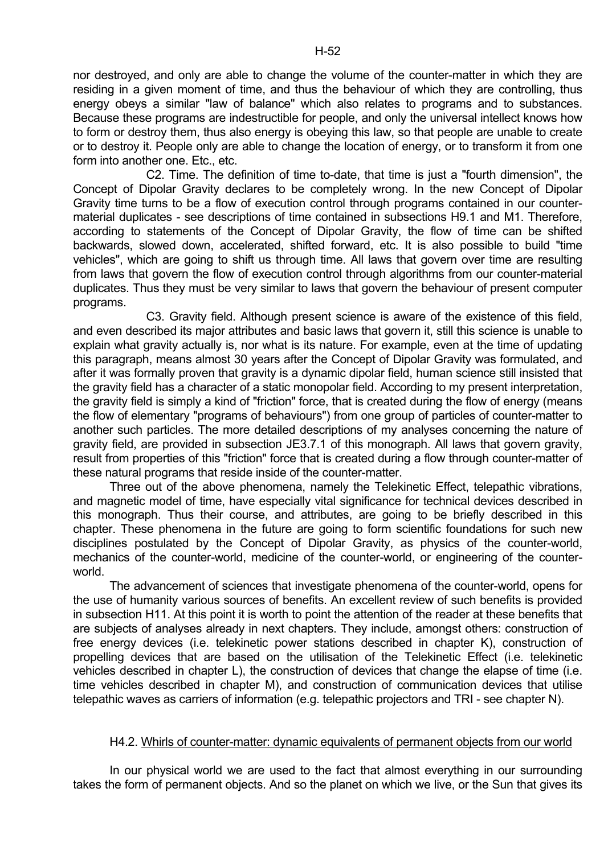nor destroyed, and only are able to change the volume of the counter-matter in which they are residing in a given moment of time, and thus the behaviour of which they are controlling, thus energy obeys a similar "law of balance" which also relates to programs and to substances. Because these programs are indestructible for people, and only the universal intellect knows how to form or destroy them, thus also energy is obeying this law, so that people are unable to create or to destroy it. People only are able to change the location of energy, or to transform it from one form into another one. Etc., etc.

 C2. Time. The definition of time to-date, that time is just a "fourth dimension", the Concept of Dipolar Gravity declares to be completely wrong. In the new Concept of Dipolar Gravity time turns to be a flow of execution control through programs contained in our countermaterial duplicates - see descriptions of time contained in subsections H9.1 and M1. Therefore, according to statements of the Concept of Dipolar Gravity, the flow of time can be shifted backwards, slowed down, accelerated, shifted forward, etc. It is also possible to build "time vehicles", which are going to shift us through time. All laws that govern over time are resulting from laws that govern the flow of execution control through algorithms from our counter-material duplicates. Thus they must be very similar to laws that govern the behaviour of present computer programs.

 C3. Gravity field. Although present science is aware of the existence of this field, and even described its major attributes and basic laws that govern it, still this science is unable to explain what gravity actually is, nor what is its nature. For example, even at the time of updating this paragraph, means almost 30 years after the Concept of Dipolar Gravity was formulated, and after it was formally proven that gravity is a dynamic dipolar field, human science still insisted that the gravity field has a character of a static monopolar field. According to my present interpretation, the gravity field is simply a kind of "friction" force, that is created during the flow of energy (means the flow of elementary "programs of behaviours") from one group of particles of counter-matter to another such particles. The more detailed descriptions of my analyses concerning the nature of gravity field, are provided in subsection JE3.7.1 of this monograph. All laws that govern gravity, result from properties of this "friction" force that is created during a flow through counter-matter of these natural programs that reside inside of the counter-matter.

 Three out of the above phenomena, namely the Telekinetic Effect, telepathic vibrations, and magnetic model of time, have especially vital significance for technical devices described in this monograph. Thus their course, and attributes, are going to be briefly described in this chapter. These phenomena in the future are going to form scientific foundations for such new disciplines postulated by the Concept of Dipolar Gravity, as physics of the counter-world, mechanics of the counter-world, medicine of the counter-world, or engineering of the counterworld.

 The advancement of sciences that investigate phenomena of the counter-world, opens for the use of humanity various sources of benefits. An excellent review of such benefits is provided in subsection H11. At this point it is worth to point the attention of the reader at these benefits that are subjects of analyses already in next chapters. They include, amongst others: construction of free energy devices (i.e. telekinetic power stations described in chapter K), construction of propelling devices that are based on the utilisation of the Telekinetic Effect (i.e. telekinetic vehicles described in chapter L), the construction of devices that change the elapse of time (i.e. time vehicles described in chapter M), and construction of communication devices that utilise telepathic waves as carriers of information (e.g. telepathic projectors and TRI - see chapter N).

### H4.2. Whirls of counter-matter: dynamic equivalents of permanent objects from our world

In our physical world we are used to the fact that almost everything in our surrounding takes the form of permanent objects. And so the planet on which we live, or the Sun that gives its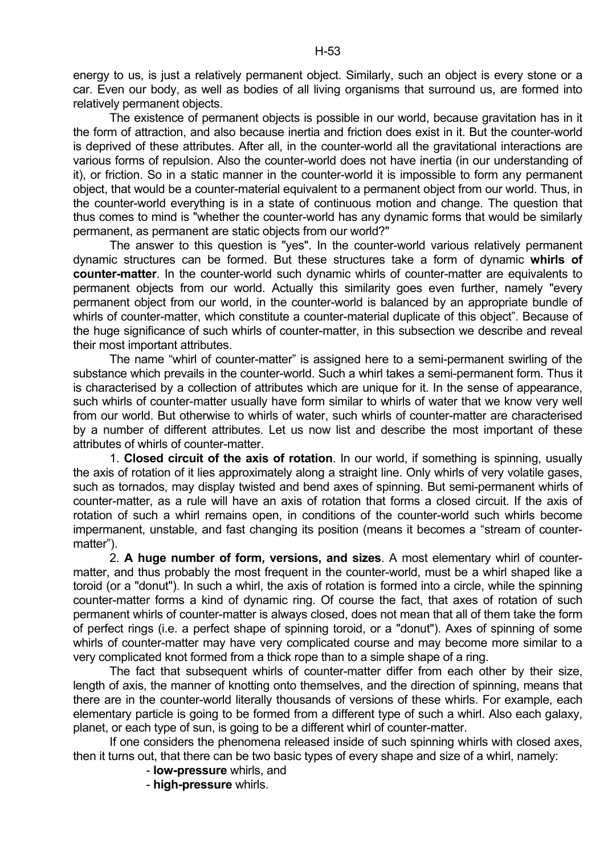energy to us, is just a relatively permanent object. Similarly, such an object is every stone or a car. Even our body, as well as bodies of all living organisms that surround us, are formed into relatively permanent objects.

 The existence of permanent objects is possible in our world, because gravitation has in it the form of attraction, and also because inertia and friction does exist in it. But the counter-world is deprived of these attributes. After all, in the counter-world all the gravitational interactions are various forms of repulsion. Also the counter-world does not have inertia (in our understanding of it), or friction. So in a static manner in the counter-world it is impossible to form any permanent object, that would be a counter-material equivalent to a permanent object from our world. Thus, in the counter-world everything is in a state of continuous motion and change. The question that thus comes to mind is "whether the counter-world has any dynamic forms that would be similarly permanent, as permanent are static objects from our world?"

 The answer to this question is "yes". In the counter-world various relatively permanent dynamic structures can be formed. But these structures take a form of dynamic **whirls of counter-matter**. In the counter-world such dynamic whirls of counter-matter are equivalents to permanent objects from our world. Actually this similarity goes even further, namely "every permanent object from our world, in the counter-world is balanced by an appropriate bundle of whirls of counter-matter, which constitute a counter-material duplicate of this object". Because of the huge significance of such whirls of counter-matter, in this subsection we describe and reveal their most important attributes.

 The name "whirl of counter-matter" is assigned here to a semi-permanent swirling of the substance which prevails in the counter-world. Such a whirl takes a semi-permanent form. Thus it is characterised by a collection of attributes which are unique for it. In the sense of appearance, such whirls of counter-matter usually have form similar to whirls of water that we know very well from our world. But otherwise to whirls of water, such whirls of counter-matter are characterised by a number of different attributes. Let us now list and describe the most important of these attributes of whirls of counter-matter.

 1. **Closed circuit of the axis of rotation**. In our world, if something is spinning, usually the axis of rotation of it lies approximately along a straight line. Only whirls of very volatile gases, such as tornados, may display twisted and bend axes of spinning. But semi-permanent whirls of counter-matter, as a rule will have an axis of rotation that forms a closed circuit. If the axis of rotation of such a whirl remains open, in conditions of the counter-world such whirls become impermanent, unstable, and fast changing its position (means it becomes a "stream of countermatter").

 2. **A huge number of form, versions, and sizes**. A most elementary whirl of countermatter, and thus probably the most frequent in the counter-world, must be a whirl shaped like a toroid (or a "donut"). In such a whirl, the axis of rotation is formed into a circle, while the spinning counter-matter forms a kind of dynamic ring. Of course the fact, that axes of rotation of such permanent whirls of counter-matter is always closed, does not mean that all of them take the form of perfect rings (i.e. a perfect shape of spinning toroid, or a "donut"). Axes of spinning of some whirls of counter-matter may have very complicated course and may become more similar to a very complicated knot formed from a thick rope than to a simple shape of a ring.

 The fact that subsequent whirls of counter-matter differ from each other by their size, length of axis, the manner of knotting onto themselves, and the direction of spinning, means that there are in the counter-world literally thousands of versions of these whirls. For example, each elementary particle is going to be formed from a different type of such a whirl. Also each galaxy, planet, or each type of sun, is going to be a different whirl of counter-matter.

 If one considers the phenomena released inside of such spinning whirls with closed axes, then it turns out, that there can be two basic types of every shape and size of a whirl, namely:

- **low-pressure** whirls, and

- **high-pressure** whirls.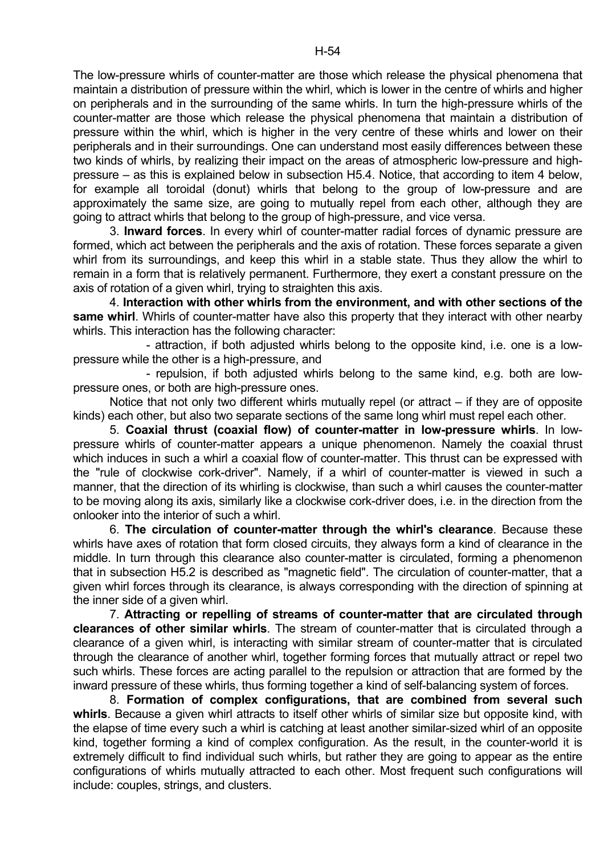The low-pressure whirls of counter-matter are those which release the physical phenomena that maintain a distribution of pressure within the whirl, which is lower in the centre of whirls and higher on peripherals and in the surrounding of the same whirls. In turn the high-pressure whirls of the counter-matter are those which release the physical phenomena that maintain a distribution of pressure within the whirl, which is higher in the very centre of these whirls and lower on their peripherals and in their surroundings. One can understand most easily differences between these two kinds of whirls, by realizing their impact on the areas of atmospheric low-pressure and highpressure – as this is explained below in subsection H5.4. Notice, that according to item 4 below, for example all toroidal (donut) whirls that belong to the group of low-pressure and are approximately the same size, are going to mutually repel from each other, although they are going to attract whirls that belong to the group of high-pressure, and vice versa.

 3. **Inward forces**. In every whirl of counter-matter radial forces of dynamic pressure are formed, which act between the peripherals and the axis of rotation. These forces separate a given whirl from its surroundings, and keep this whirl in a stable state. Thus they allow the whirl to remain in a form that is relatively permanent. Furthermore, they exert a constant pressure on the axis of rotation of a given whirl, trying to straighten this axis.

 4. **Interaction with other whirls from the environment, and with other sections of the same whirl**. Whirls of counter-matter have also this property that they interact with other nearby whirls. This interaction has the following character:

 - attraction, if both adjusted whirls belong to the opposite kind, i.e. one is a lowpressure while the other is a high-pressure, and

 - repulsion, if both adjusted whirls belong to the same kind, e.g. both are lowpressure ones, or both are high-pressure ones.

 Notice that not only two different whirls mutually repel (or attract – if they are of opposite kinds) each other, but also two separate sections of the same long whirl must repel each other.

 5. **Coaxial thrust (coaxial flow) of counter-matter in low-pressure whirls**. In lowpressure whirls of counter-matter appears a unique phenomenon. Namely the coaxial thrust which induces in such a whirl a coaxial flow of counter-matter. This thrust can be expressed with the "rule of clockwise cork-driver". Namely, if a whirl of counter-matter is viewed in such a manner, that the direction of its whirling is clockwise, than such a whirl causes the counter-matter to be moving along its axis, similarly like a clockwise cork-driver does, i.e. in the direction from the onlooker into the interior of such a whirl.

 6. **The circulation of counter-matter through the whirl's clearance**. Because these whirls have axes of rotation that form closed circuits, they always form a kind of clearance in the middle. In turn through this clearance also counter-matter is circulated, forming a phenomenon that in subsection H5.2 is described as "magnetic field". The circulation of counter-matter, that a given whirl forces through its clearance, is always corresponding with the direction of spinning at the inner side of a given whirl.

 7. **Attracting or repelling of streams of counter-matter that are circulated through clearances of other similar whirls**. The stream of counter-matter that is circulated through a clearance of a given whirl, is interacting with similar stream of counter-matter that is circulated through the clearance of another whirl, together forming forces that mutually attract or repel two such whirls. These forces are acting parallel to the repulsion or attraction that are formed by the inward pressure of these whirls, thus forming together a kind of self-balancing system of forces.

 8. **Formation of complex configurations, that are combined from several such whirls**. Because a given whirl attracts to itself other whirls of similar size but opposite kind, with the elapse of time every such a whirl is catching at least another similar-sized whirl of an opposite kind, together forming a kind of complex configuration. As the result, in the counter-world it is extremely difficult to find individual such whirls, but rather they are going to appear as the entire configurations of whirls mutually attracted to each other. Most frequent such configurations will include: couples, strings, and clusters.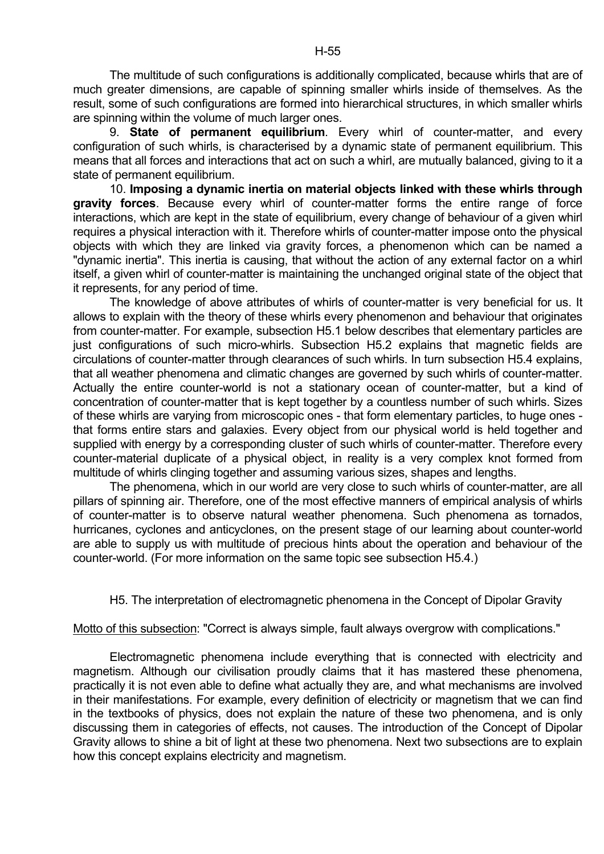The multitude of such configurations is additionally complicated, because whirls that are of much greater dimensions, are capable of spinning smaller whirls inside of themselves. As the result, some of such configurations are formed into hierarchical structures, in which smaller whirls are spinning within the volume of much larger ones.

 9. **State of permanent equilibrium**. Every whirl of counter-matter, and every configuration of such whirls, is characterised by a dynamic state of permanent equilibrium. This means that all forces and interactions that act on such a whirl, are mutually balanced, giving to it a state of permanent equilibrium.

 10. **Imposing a dynamic inertia on material objects linked with these whirls through gravity forces**. Because every whirl of counter-matter forms the entire range of force interactions, which are kept in the state of equilibrium, every change of behaviour of a given whirl requires a physical interaction with it. Therefore whirls of counter-matter impose onto the physical objects with which they are linked via gravity forces, a phenomenon which can be named a "dynamic inertia". This inertia is causing, that without the action of any external factor on a whirl itself, a given whirl of counter-matter is maintaining the unchanged original state of the object that it represents, for any period of time.

 The knowledge of above attributes of whirls of counter-matter is very beneficial for us. It allows to explain with the theory of these whirls every phenomenon and behaviour that originates from counter-matter. For example, subsection H5.1 below describes that elementary particles are just configurations of such micro-whirls. Subsection H5.2 explains that magnetic fields are circulations of counter-matter through clearances of such whirls. In turn subsection H5.4 explains, that all weather phenomena and climatic changes are governed by such whirls of counter-matter. Actually the entire counter-world is not a stationary ocean of counter-matter, but a kind of concentration of counter-matter that is kept together by a countless number of such whirls. Sizes of these whirls are varying from microscopic ones - that form elementary particles, to huge ones that forms entire stars and galaxies. Every object from our physical world is held together and supplied with energy by a corresponding cluster of such whirls of counter-matter. Therefore every counter-material duplicate of a physical object, in reality is a very complex knot formed from multitude of whirls clinging together and assuming various sizes, shapes and lengths.

 The phenomena, which in our world are very close to such whirls of counter-matter, are all pillars of spinning air. Therefore, one of the most effective manners of empirical analysis of whirls of counter-matter is to observe natural weather phenomena. Such phenomena as tornados, hurricanes, cyclones and anticyclones, on the present stage of our learning about counter-world are able to supply us with multitude of precious hints about the operation and behaviour of the counter-world. (For more information on the same topic see subsection H5.4.)

H5. The interpretation of electromagnetic phenomena in the Concept of Dipolar Gravity

Motto of this subsection: "Correct is always simple, fault always overgrow with complications."

 Electromagnetic phenomena include everything that is connected with electricity and magnetism. Although our civilisation proudly claims that it has mastered these phenomena, practically it is not even able to define what actually they are, and what mechanisms are involved in their manifestations. For example, every definition of electricity or magnetism that we can find in the textbooks of physics, does not explain the nature of these two phenomena, and is only discussing them in categories of effects, not causes. The introduction of the Concept of Dipolar Gravity allows to shine a bit of light at these two phenomena. Next two subsections are to explain how this concept explains electricity and magnetism.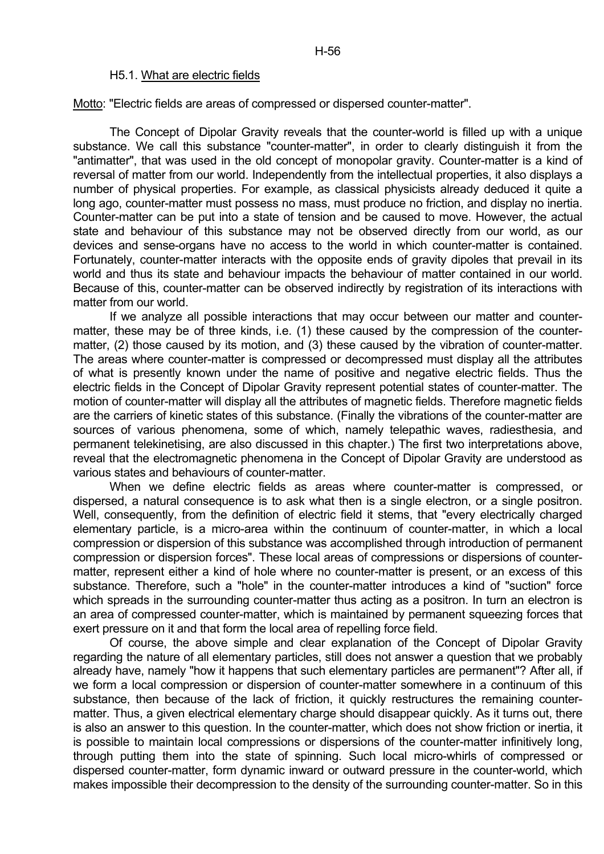### H5.1. What are electric fields

Motto: "Electric fields are areas of compressed or dispersed counter-matter".

 The Concept of Dipolar Gravity reveals that the counter-world is filled up with a unique substance. We call this substance "counter-matter", in order to clearly distinguish it from the "antimatter", that was used in the old concept of monopolar gravity. Counter-matter is a kind of reversal of matter from our world. Independently from the intellectual properties, it also displays a number of physical properties. For example, as classical physicists already deduced it quite a long ago, counter-matter must possess no mass, must produce no friction, and display no inertia. Counter-matter can be put into a state of tension and be caused to move. However, the actual state and behaviour of this substance may not be observed directly from our world, as our devices and sense-organs have no access to the world in which counter-matter is contained. Fortunately, counter-matter interacts with the opposite ends of gravity dipoles that prevail in its world and thus its state and behaviour impacts the behaviour of matter contained in our world. Because of this, counter-matter can be observed indirectly by registration of its interactions with matter from our world.

 If we analyze all possible interactions that may occur between our matter and countermatter, these may be of three kinds, i.e. (1) these caused by the compression of the countermatter, (2) those caused by its motion, and (3) these caused by the vibration of counter-matter. The areas where counter-matter is compressed or decompressed must display all the attributes of what is presently known under the name of positive and negative electric fields. Thus the electric fields in the Concept of Dipolar Gravity represent potential states of counter-matter. The motion of counter-matter will display all the attributes of magnetic fields. Therefore magnetic fields are the carriers of kinetic states of this substance. (Finally the vibrations of the counter-matter are sources of various phenomena, some of which, namely telepathic waves, radiesthesia, and permanent telekinetising, are also discussed in this chapter.) The first two interpretations above, reveal that the electromagnetic phenomena in the Concept of Dipolar Gravity are understood as various states and behaviours of counter-matter.

 When we define electric fields as areas where counter-matter is compressed, or dispersed, a natural consequence is to ask what then is a single electron, or a single positron. Well, consequently, from the definition of electric field it stems, that "every electrically charged elementary particle, is a micro-area within the continuum of counter-matter, in which a local compression or dispersion of this substance was accomplished through introduction of permanent compression or dispersion forces". These local areas of compressions or dispersions of countermatter, represent either a kind of hole where no counter-matter is present, or an excess of this substance. Therefore, such a "hole" in the counter-matter introduces a kind of "suction" force which spreads in the surrounding counter-matter thus acting as a positron. In turn an electron is an area of compressed counter-matter, which is maintained by permanent squeezing forces that exert pressure on it and that form the local area of repelling force field.

 Of course, the above simple and clear explanation of the Concept of Dipolar Gravity regarding the nature of all elementary particles, still does not answer a question that we probably already have, namely "how it happens that such elementary particles are permanent"? After all, if we form a local compression or dispersion of counter-matter somewhere in a continuum of this substance, then because of the lack of friction, it quickly restructures the remaining countermatter. Thus, a given electrical elementary charge should disappear quickly. As it turns out, there is also an answer to this question. In the counter-matter, which does not show friction or inertia, it is possible to maintain local compressions or dispersions of the counter-matter infinitively long, through putting them into the state of spinning. Such local micro-whirls of compressed or dispersed counter-matter, form dynamic inward or outward pressure in the counter-world, which makes impossible their decompression to the density of the surrounding counter-matter. So in this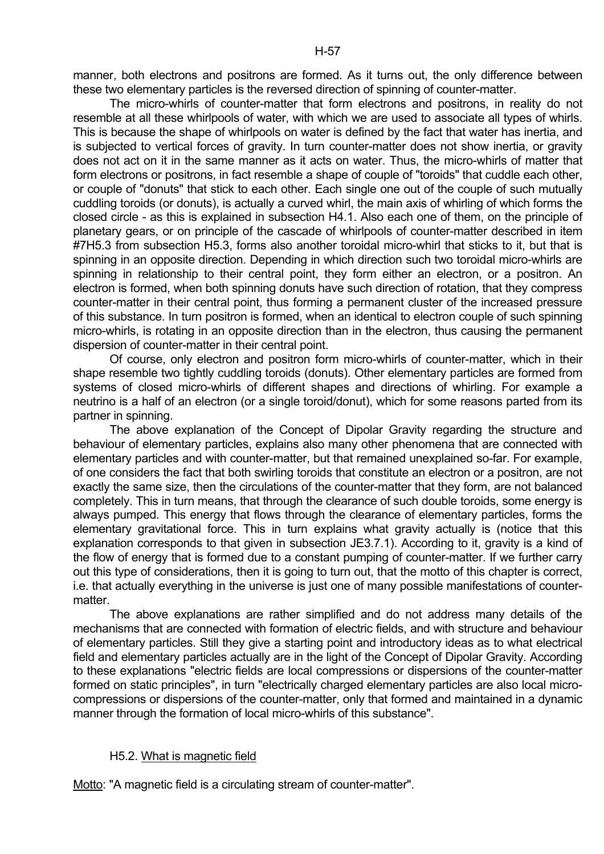manner, both electrons and positrons are formed. As it turns out, the only difference between these two elementary particles is the reversed direction of spinning of counter-matter.

 The micro-whirls of counter-matter that form electrons and positrons, in reality do not resemble at all these whirlpools of water, with which we are used to associate all types of whirls. This is because the shape of whirlpools on water is defined by the fact that water has inertia, and is subjected to vertical forces of gravity. In turn counter-matter does not show inertia, or gravity does not act on it in the same manner as it acts on water. Thus, the micro-whirls of matter that form electrons or positrons, in fact resemble a shape of couple of "toroids" that cuddle each other, or couple of "donuts" that stick to each other. Each single one out of the couple of such mutually cuddling toroids (or donuts), is actually a curved whirl, the main axis of whirling of which forms the closed circle - as this is explained in subsection H4.1. Also each one of them, on the principle of planetary gears, or on principle of the cascade of whirlpools of counter-matter described in item #7H5.3 from subsection H5.3, forms also another toroidal micro-whirl that sticks to it, but that is spinning in an opposite direction. Depending in which direction such two toroidal micro-whirls are spinning in relationship to their central point, they form either an electron, or a positron. An electron is formed, when both spinning donuts have such direction of rotation, that they compress counter-matter in their central point, thus forming a permanent cluster of the increased pressure of this substance. In turn positron is formed, when an identical to electron couple of such spinning micro-whirls, is rotating in an opposite direction than in the electron, thus causing the permanent dispersion of counter-matter in their central point.

 Of course, only electron and positron form micro-whirls of counter-matter, which in their shape resemble two tightly cuddling toroids (donuts). Other elementary particles are formed from systems of closed micro-whirls of different shapes and directions of whirling. For example a neutrino is a half of an electron (or a single toroid/donut), which for some reasons parted from its partner in spinning.

 The above explanation of the Concept of Dipolar Gravity regarding the structure and behaviour of elementary particles, explains also many other phenomena that are connected with elementary particles and with counter-matter, but that remained unexplained so-far. For example, of one considers the fact that both swirling toroids that constitute an electron or a positron, are not exactly the same size, then the circulations of the counter-matter that they form, are not balanced completely. This in turn means, that through the clearance of such double toroids, some energy is always pumped. This energy that flows through the clearance of elementary particles, forms the elementary gravitational force. This in turn explains what gravity actually is (notice that this explanation corresponds to that given in subsection JE3.7.1). According to it, gravity is a kind of the flow of energy that is formed due to a constant pumping of counter-matter. If we further carry out this type of considerations, then it is going to turn out, that the motto of this chapter is correct, i.e. that actually everything in the universe is just one of many possible manifestations of countermatter.

 The above explanations are rather simplified and do not address many details of the mechanisms that are connected with formation of electric fields, and with structure and behaviour of elementary particles. Still they give a starting point and introductory ideas as to what electrical field and elementary particles actually are in the light of the Concept of Dipolar Gravity. According to these explanations "electric fields are local compressions or dispersions of the counter-matter formed on static principles", in turn "electrically charged elementary particles are also local microcompressions or dispersions of the counter-matter, only that formed and maintained in a dynamic manner through the formation of local micro-whirls of this substance".

### H5.2. What is magnetic field

Motto: "A magnetic field is a circulating stream of counter-matter".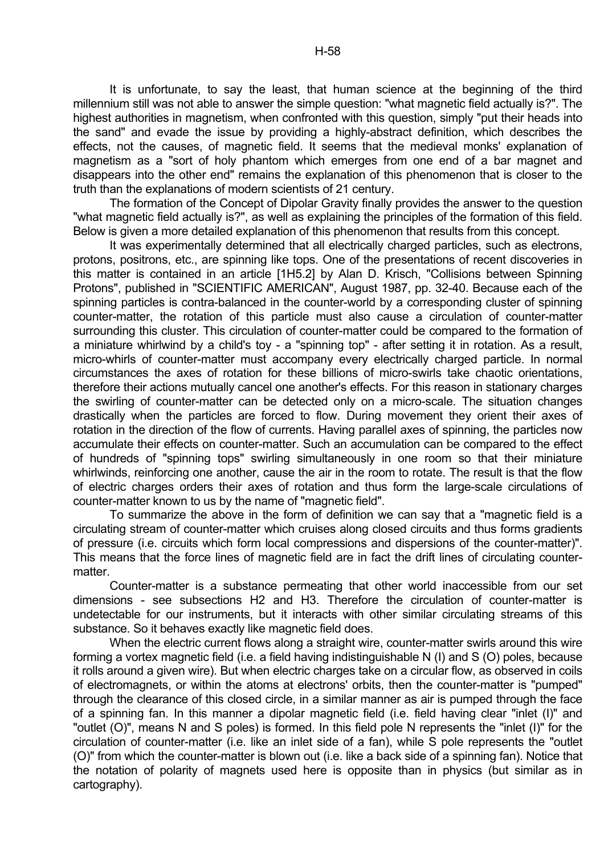It is unfortunate, to say the least, that human science at the beginning of the third millennium still was not able to answer the simple question: "what magnetic field actually is?". The highest authorities in magnetism, when confronted with this question, simply "put their heads into the sand" and evade the issue by providing a highly-abstract definition, which describes the effects, not the causes, of magnetic field. It seems that the medieval monks' explanation of magnetism as a "sort of holy phantom which emerges from one end of a bar magnet and disappears into the other end" remains the explanation of this phenomenon that is closer to the truth than the explanations of modern scientists of 21 century.

 The formation of the Concept of Dipolar Gravity finally provides the answer to the question "what magnetic field actually is?", as well as explaining the principles of the formation of this field. Below is given a more detailed explanation of this phenomenon that results from this concept.

 It was experimentally determined that all electrically charged particles, such as electrons, protons, positrons, etc., are spinning like tops. One of the presentations of recent discoveries in this matter is contained in an article [1H5.2] by Alan D. Krisch, "Collisions between Spinning Protons", published in "SCIENTIFIC AMERICAN", August 1987, pp. 32-40. Because each of the spinning particles is contra-balanced in the counter-world by a corresponding cluster of spinning counter-matter, the rotation of this particle must also cause a circulation of counter-matter surrounding this cluster. This circulation of counter-matter could be compared to the formation of a miniature whirlwind by a child's toy - a "spinning top" - after setting it in rotation. As a result, micro-whirls of counter-matter must accompany every electrically charged particle. In normal circumstances the axes of rotation for these billions of micro-swirls take chaotic orientations, therefore their actions mutually cancel one another's effects. For this reason in stationary charges the swirling of counter-matter can be detected only on a micro-scale. The situation changes drastically when the particles are forced to flow. During movement they orient their axes of rotation in the direction of the flow of currents. Having parallel axes of spinning, the particles now accumulate their effects on counter-matter. Such an accumulation can be compared to the effect of hundreds of "spinning tops" swirling simultaneously in one room so that their miniature whirlwinds, reinforcing one another, cause the air in the room to rotate. The result is that the flow of electric charges orders their axes of rotation and thus form the large-scale circulations of counter-matter known to us by the name of "magnetic field".

 To summarize the above in the form of definition we can say that a "magnetic field is a circulating stream of counter-matter which cruises along closed circuits and thus forms gradients of pressure (i.e. circuits which form local compressions and dispersions of the counter-matter)". This means that the force lines of magnetic field are in fact the drift lines of circulating countermatter.

 Counter-matter is a substance permeating that other world inaccessible from our set dimensions - see subsections H2 and H3. Therefore the circulation of counter-matter is undetectable for our instruments, but it interacts with other similar circulating streams of this substance. So it behaves exactly like magnetic field does.

 When the electric current flows along a straight wire, counter-matter swirls around this wire forming a vortex magnetic field (i.e. a field having indistinguishable N (I) and S (O) poles, because it rolls around a given wire). But when electric charges take on a circular flow, as observed in coils of electromagnets, or within the atoms at electrons' orbits, then the counter-matter is "pumped" through the clearance of this closed circle, in a similar manner as air is pumped through the face of a spinning fan. In this manner a dipolar magnetic field (i.e. field having clear "inlet (I)" and "outlet (O)", means N and S poles) is formed. In this field pole N represents the "inlet (I)" for the circulation of counter-matter (i.e. like an inlet side of a fan), while S pole represents the "outlet (O)" from which the counter-matter is blown out (i.e. like a back side of a spinning fan). Notice that the notation of polarity of magnets used here is opposite than in physics (but similar as in cartography).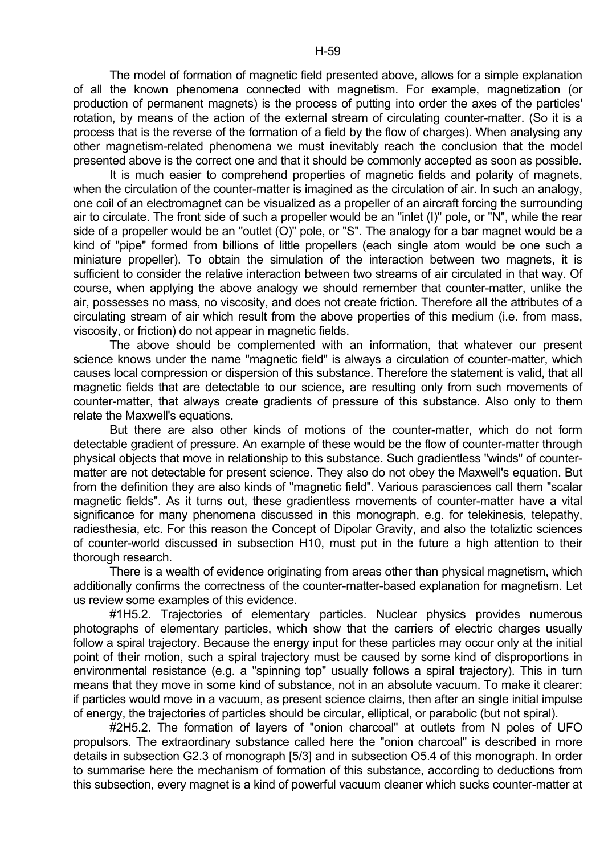The model of formation of magnetic field presented above, allows for a simple explanation of all the known phenomena connected with magnetism. For example, magnetization (or production of permanent magnets) is the process of putting into order the axes of the particles' rotation, by means of the action of the external stream of circulating counter-matter. (So it is a process that is the reverse of the formation of a field by the flow of charges). When analysing any other magnetism-related phenomena we must inevitably reach the conclusion that the model presented above is the correct one and that it should be commonly accepted as soon as possible.

 It is much easier to comprehend properties of magnetic fields and polarity of magnets, when the circulation of the counter-matter is imagined as the circulation of air. In such an analogy, one coil of an electromagnet can be visualized as a propeller of an aircraft forcing the surrounding air to circulate. The front side of such a propeller would be an "inlet (I)" pole, or "N", while the rear side of a propeller would be an "outlet (O)" pole, or "S". The analogy for a bar magnet would be a kind of "pipe" formed from billions of little propellers (each single atom would be one such a miniature propeller). To obtain the simulation of the interaction between two magnets, it is sufficient to consider the relative interaction between two streams of air circulated in that way. Of course, when applying the above analogy we should remember that counter-matter, unlike the air, possesses no mass, no viscosity, and does not create friction. Therefore all the attributes of a circulating stream of air which result from the above properties of this medium (i.e. from mass, viscosity, or friction) do not appear in magnetic fields.

 The above should be complemented with an information, that whatever our present science knows under the name "magnetic field" is always a circulation of counter-matter, which causes local compression or dispersion of this substance. Therefore the statement is valid, that all magnetic fields that are detectable to our science, are resulting only from such movements of counter-matter, that always create gradients of pressure of this substance. Also only to them relate the Maxwell's equations.

 But there are also other kinds of motions of the counter-matter, which do not form detectable gradient of pressure. An example of these would be the flow of counter-matter through physical objects that move in relationship to this substance. Such gradientless "winds" of countermatter are not detectable for present science. They also do not obey the Maxwell's equation. But from the definition they are also kinds of "magnetic field". Various parasciences call them "scalar magnetic fields". As it turns out, these gradientless movements of counter-matter have a vital significance for many phenomena discussed in this monograph, e.g. for telekinesis, telepathy, radiesthesia, etc. For this reason the Concept of Dipolar Gravity, and also the totaliztic sciences of counter-world discussed in subsection H10, must put in the future a high attention to their thorough research.

 There is a wealth of evidence originating from areas other than physical magnetism, which additionally confirms the correctness of the counter-matter-based explanation for magnetism. Let us review some examples of this evidence.

 #1H5.2. Trajectories of elementary particles. Nuclear physics provides numerous photographs of elementary particles, which show that the carriers of electric charges usually follow a spiral trajectory. Because the energy input for these particles may occur only at the initial point of their motion, such a spiral trajectory must be caused by some kind of disproportions in environmental resistance (e.g. a "spinning top" usually follows a spiral trajectory). This in turn means that they move in some kind of substance, not in an absolute vacuum. To make it clearer: if particles would move in a vacuum, as present science claims, then after an single initial impulse of energy, the trajectories of particles should be circular, elliptical, or parabolic (but not spiral).

 #2H5.2. The formation of layers of "onion charcoal" at outlets from N poles of UFO propulsors. The extraordinary substance called here the "onion charcoal" is described in more details in subsection G2.3 of monograph [5/3] and in subsection O5.4 of this monograph. In order to summarise here the mechanism of formation of this substance, according to deductions from this subsection, every magnet is a kind of powerful vacuum cleaner which sucks counter-matter at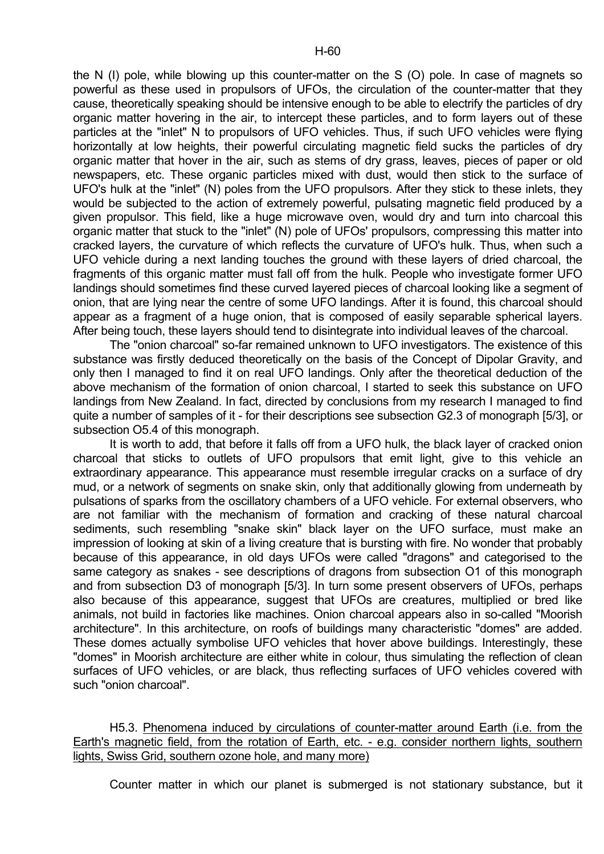the N (I) pole, while blowing up this counter-matter on the S (O) pole. In case of magnets so powerful as these used in propulsors of UFOs, the circulation of the counter-matter that they cause, theoretically speaking should be intensive enough to be able to electrify the particles of dry organic matter hovering in the air, to intercept these particles, and to form layers out of these particles at the "inlet" N to propulsors of UFO vehicles. Thus, if such UFO vehicles were flying horizontally at low heights, their powerful circulating magnetic field sucks the particles of dry organic matter that hover in the air, such as stems of dry grass, leaves, pieces of paper or old newspapers, etc. These organic particles mixed with dust, would then stick to the surface of UFO's hulk at the "inlet" (N) poles from the UFO propulsors. After they stick to these inlets, they would be subjected to the action of extremely powerful, pulsating magnetic field produced by a given propulsor. This field, like a huge microwave oven, would dry and turn into charcoal this organic matter that stuck to the "inlet" (N) pole of UFOs' propulsors, compressing this matter into cracked layers, the curvature of which reflects the curvature of UFO's hulk. Thus, when such a UFO vehicle during a next landing touches the ground with these layers of dried charcoal, the fragments of this organic matter must fall off from the hulk. People who investigate former UFO landings should sometimes find these curved layered pieces of charcoal looking like a segment of onion, that are lying near the centre of some UFO landings. After it is found, this charcoal should appear as a fragment of a huge onion, that is composed of easily separable spherical layers. After being touch, these layers should tend to disintegrate into individual leaves of the charcoal.

 The "onion charcoal" so-far remained unknown to UFO investigators. The existence of this substance was firstly deduced theoretically on the basis of the Concept of Dipolar Gravity, and only then I managed to find it on real UFO landings. Only after the theoretical deduction of the above mechanism of the formation of onion charcoal, I started to seek this substance on UFO landings from New Zealand. In fact, directed by conclusions from my research I managed to find quite a number of samples of it - for their descriptions see subsection G2.3 of monograph [5/3], or subsection O5.4 of this monograph.

 It is worth to add, that before it falls off from a UFO hulk, the black layer of cracked onion charcoal that sticks to outlets of UFO propulsors that emit light, give to this vehicle an extraordinary appearance. This appearance must resemble irregular cracks on a surface of dry mud, or a network of segments on snake skin, only that additionally glowing from underneath by pulsations of sparks from the oscillatory chambers of a UFO vehicle. For external observers, who are not familiar with the mechanism of formation and cracking of these natural charcoal sediments, such resembling "snake skin" black layer on the UFO surface, must make an impression of looking at skin of a living creature that is bursting with fire. No wonder that probably because of this appearance, in old days UFOs were called "dragons" and categorised to the same category as snakes - see descriptions of dragons from subsection O1 of this monograph and from subsection D3 of monograph [5/3]. In turn some present observers of UFOs, perhaps also because of this appearance, suggest that UFOs are creatures, multiplied or bred like animals, not build in factories like machines. Onion charcoal appears also in so-called "Moorish architecture". In this architecture, on roofs of buildings many characteristic "domes" are added. These domes actually symbolise UFO vehicles that hover above buildings. Interestingly, these "domes" in Moorish architecture are either white in colour, thus simulating the reflection of clean surfaces of UFO vehicles, or are black, thus reflecting surfaces of UFO vehicles covered with such "onion charcoal".

 H5.3. Phenomena induced by circulations of counter-matter around Earth (i.e. from the Earth's magnetic field, from the rotation of Earth, etc. - e.g. consider northern lights, southern lights, Swiss Grid, southern ozone hole, and many more)

Counter matter in which our planet is submerged is not stationary substance, but it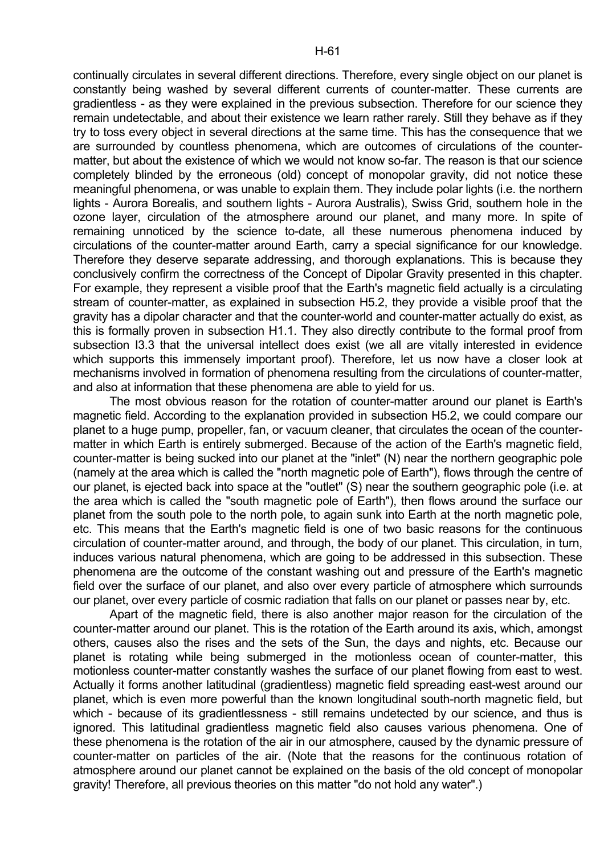continually circulates in several different directions. Therefore, every single object on our planet is constantly being washed by several different currents of counter-matter. These currents are gradientless - as they were explained in the previous subsection. Therefore for our science they remain undetectable, and about their existence we learn rather rarely. Still they behave as if they try to toss every object in several directions at the same time. This has the consequence that we are surrounded by countless phenomena, which are outcomes of circulations of the countermatter, but about the existence of which we would not know so-far. The reason is that our science completely blinded by the erroneous (old) concept of monopolar gravity, did not notice these meaningful phenomena, or was unable to explain them. They include polar lights (i.e. the northern lights - Aurora Borealis, and southern lights - Aurora Australis), Swiss Grid, southern hole in the ozone layer, circulation of the atmosphere around our planet, and many more. In spite of remaining unnoticed by the science to-date, all these numerous phenomena induced by circulations of the counter-matter around Earth, carry a special significance for our knowledge. Therefore they deserve separate addressing, and thorough explanations. This is because they conclusively confirm the correctness of the Concept of Dipolar Gravity presented in this chapter. For example, they represent a visible proof that the Earth's magnetic field actually is a circulating stream of counter-matter, as explained in subsection H5.2, they provide a visible proof that the gravity has a dipolar character and that the counter-world and counter-matter actually do exist, as this is formally proven in subsection H1.1. They also directly contribute to the formal proof from subsection I3.3 that the universal intellect does exist (we all are vitally interested in evidence which supports this immensely important proof). Therefore, let us now have a closer look at mechanisms involved in formation of phenomena resulting from the circulations of counter-matter, and also at information that these phenomena are able to yield for us.

 The most obvious reason for the rotation of counter-matter around our planet is Earth's magnetic field. According to the explanation provided in subsection H5.2, we could compare our planet to a huge pump, propeller, fan, or vacuum cleaner, that circulates the ocean of the countermatter in which Earth is entirely submerged. Because of the action of the Earth's magnetic field, counter-matter is being sucked into our planet at the "inlet" (N) near the northern geographic pole (namely at the area which is called the "north magnetic pole of Earth"), flows through the centre of our planet, is ejected back into space at the "outlet" (S) near the southern geographic pole (i.e. at the area which is called the "south magnetic pole of Earth"), then flows around the surface our planet from the south pole to the north pole, to again sunk into Earth at the north magnetic pole, etc. This means that the Earth's magnetic field is one of two basic reasons for the continuous circulation of counter-matter around, and through, the body of our planet. This circulation, in turn, induces various natural phenomena, which are going to be addressed in this subsection. These phenomena are the outcome of the constant washing out and pressure of the Earth's magnetic field over the surface of our planet, and also over every particle of atmosphere which surrounds our planet, over every particle of cosmic radiation that falls on our planet or passes near by, etc.

 Apart of the magnetic field, there is also another major reason for the circulation of the counter-matter around our planet. This is the rotation of the Earth around its axis, which, amongst others, causes also the rises and the sets of the Sun, the days and nights, etc. Because our planet is rotating while being submerged in the motionless ocean of counter-matter, this motionless counter-matter constantly washes the surface of our planet flowing from east to west. Actually it forms another latitudinal (gradientless) magnetic field spreading east-west around our planet, which is even more powerful than the known longitudinal south-north magnetic field, but which - because of its gradientlessness - still remains undetected by our science, and thus is ignored. This latitudinal gradientless magnetic field also causes various phenomena. One of these phenomena is the rotation of the air in our atmosphere, caused by the dynamic pressure of counter-matter on particles of the air. (Note that the reasons for the continuous rotation of atmosphere around our planet cannot be explained on the basis of the old concept of monopolar gravity! Therefore, all previous theories on this matter "do not hold any water".)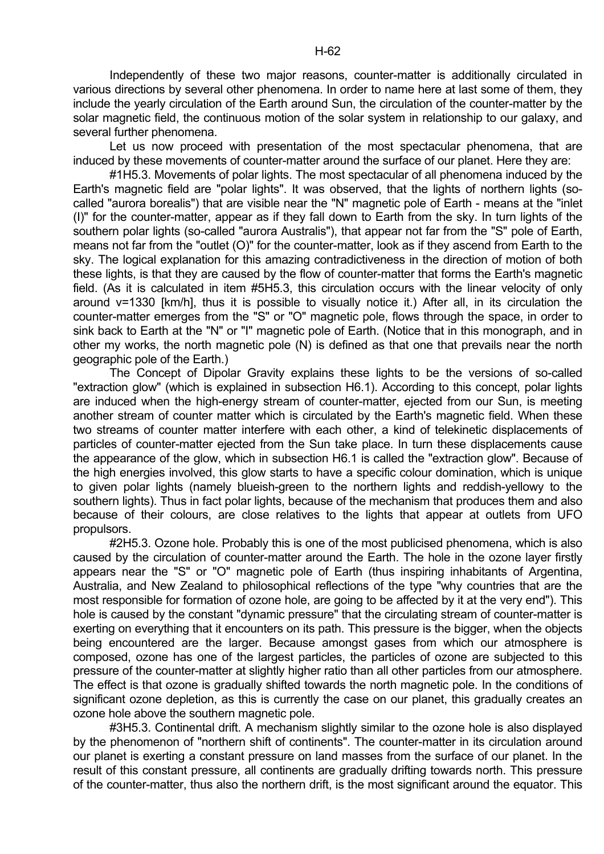Independently of these two major reasons, counter-matter is additionally circulated in various directions by several other phenomena. In order to name here at last some of them, they include the yearly circulation of the Earth around Sun, the circulation of the counter-matter by the solar magnetic field, the continuous motion of the solar system in relationship to our galaxy, and several further phenomena.

 Let us now proceed with presentation of the most spectacular phenomena, that are induced by these movements of counter-matter around the surface of our planet. Here they are:

 #1H5.3. Movements of polar lights. The most spectacular of all phenomena induced by the Earth's magnetic field are "polar lights". It was observed, that the lights of northern lights (socalled "aurora borealis") that are visible near the "N" magnetic pole of Earth - means at the "inlet (I)" for the counter-matter, appear as if they fall down to Earth from the sky. In turn lights of the southern polar lights (so-called "aurora Australis"), that appear not far from the "S" pole of Earth, means not far from the "outlet (O)" for the counter-matter, look as if they ascend from Earth to the sky. The logical explanation for this amazing contradictiveness in the direction of motion of both these lights, is that they are caused by the flow of counter-matter that forms the Earth's magnetic field. (As it is calculated in item #5H5.3, this circulation occurs with the linear velocity of only around v=1330 [km/h], thus it is possible to visually notice it.) After all, in its circulation the counter-matter emerges from the "S" or "O" magnetic pole, flows through the space, in order to sink back to Earth at the "N" or "I" magnetic pole of Earth. (Notice that in this monograph, and in other my works, the north magnetic pole (N) is defined as that one that prevails near the north geographic pole of the Earth.)

 The Concept of Dipolar Gravity explains these lights to be the versions of so-called "extraction glow" (which is explained in subsection H6.1). According to this concept, polar lights are induced when the high-energy stream of counter-matter, ejected from our Sun, is meeting another stream of counter matter which is circulated by the Earth's magnetic field. When these two streams of counter matter interfere with each other, a kind of telekinetic displacements of particles of counter-matter ejected from the Sun take place. In turn these displacements cause the appearance of the glow, which in subsection H6.1 is called the "extraction glow". Because of the high energies involved, this glow starts to have a specific colour domination, which is unique to given polar lights (namely blueish-green to the northern lights and reddish-yellowy to the southern lights). Thus in fact polar lights, because of the mechanism that produces them and also because of their colours, are close relatives to the lights that appear at outlets from UFO propulsors.

 #2H5.3. Ozone hole. Probably this is one of the most publicised phenomena, which is also caused by the circulation of counter-matter around the Earth. The hole in the ozone layer firstly appears near the "S" or "O" magnetic pole of Earth (thus inspiring inhabitants of Argentina, Australia, and New Zealand to philosophical reflections of the type "why countries that are the most responsible for formation of ozone hole, are going to be affected by it at the very end"). This hole is caused by the constant "dynamic pressure" that the circulating stream of counter-matter is exerting on everything that it encounters on its path. This pressure is the bigger, when the objects being encountered are the larger. Because amongst gases from which our atmosphere is composed, ozone has one of the largest particles, the particles of ozone are subjected to this pressure of the counter-matter at slightly higher ratio than all other particles from our atmosphere. The effect is that ozone is gradually shifted towards the north magnetic pole. In the conditions of significant ozone depletion, as this is currently the case on our planet, this gradually creates an ozone hole above the southern magnetic pole.

 #3H5.3. Continental drift. A mechanism slightly similar to the ozone hole is also displayed by the phenomenon of "northern shift of continents". The counter-matter in its circulation around our planet is exerting a constant pressure on land masses from the surface of our planet. In the result of this constant pressure, all continents are gradually drifting towards north. This pressure of the counter-matter, thus also the northern drift, is the most significant around the equator. This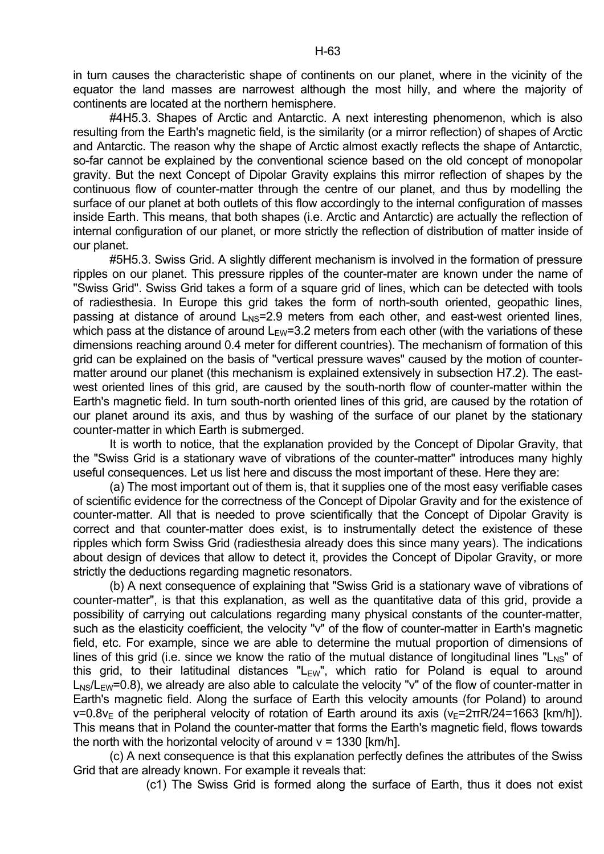in turn causes the characteristic shape of continents on our planet, where in the vicinity of the equator the land masses are narrowest although the most hilly, and where the majority of continents are located at the northern hemisphere.

 #4H5.3. Shapes of Arctic and Antarctic. A next interesting phenomenon, which is also resulting from the Earth's magnetic field, is the similarity (or a mirror reflection) of shapes of Arctic and Antarctic. The reason why the shape of Arctic almost exactly reflects the shape of Antarctic, so-far cannot be explained by the conventional science based on the old concept of monopolar gravity. But the next Concept of Dipolar Gravity explains this mirror reflection of shapes by the continuous flow of counter-matter through the centre of our planet, and thus by modelling the surface of our planet at both outlets of this flow accordingly to the internal configuration of masses inside Earth. This means, that both shapes (i.e. Arctic and Antarctic) are actually the reflection of internal configuration of our planet, or more strictly the reflection of distribution of matter inside of our planet.

 #5H5.3. Swiss Grid. A slightly different mechanism is involved in the formation of pressure ripples on our planet. This pressure ripples of the counter-mater are known under the name of "Swiss Grid". Swiss Grid takes a form of a square grid of lines, which can be detected with tools of radiesthesia. In Europe this grid takes the form of north-south oriented, geopathic lines, passing at distance of around  $L_{NS}=2.9$  meters from each other, and east-west oriented lines, which pass at the distance of around  $L_{EW}=3.2$  meters from each other (with the variations of these dimensions reaching around 0.4 meter for different countries). The mechanism of formation of this grid can be explained on the basis of "vertical pressure waves" caused by the motion of countermatter around our planet (this mechanism is explained extensively in subsection H7.2). The eastwest oriented lines of this grid, are caused by the south-north flow of counter-matter within the Earth's magnetic field. In turn south-north oriented lines of this grid, are caused by the rotation of our planet around its axis, and thus by washing of the surface of our planet by the stationary counter-matter in which Earth is submerged.

 It is worth to notice, that the explanation provided by the Concept of Dipolar Gravity, that the "Swiss Grid is a stationary wave of vibrations of the counter-matter" introduces many highly useful consequences. Let us list here and discuss the most important of these. Here they are:

 (a) The most important out of them is, that it supplies one of the most easy verifiable cases of scientific evidence for the correctness of the Concept of Dipolar Gravity and for the existence of counter-matter. All that is needed to prove scientifically that the Concept of Dipolar Gravity is correct and that counter-matter does exist, is to instrumentally detect the existence of these ripples which form Swiss Grid (radiesthesia already does this since many years). The indications about design of devices that allow to detect it, provides the Concept of Dipolar Gravity, or more strictly the deductions regarding magnetic resonators.

 (b) A next consequence of explaining that "Swiss Grid is a stationary wave of vibrations of counter-matter", is that this explanation, as well as the quantitative data of this grid, provide a possibility of carrying out calculations regarding many physical constants of the counter-matter, such as the elasticity coefficient, the velocity "v" of the flow of counter-matter in Earth's magnetic field, etc. For example, since we are able to determine the mutual proportion of dimensions of lines of this grid (i.e. since we know the ratio of the mutual distance of longitudinal lines " $L_{NS}$ " of this grid, to their latitudinal distances " $L_{EW}$ ", which ratio for Poland is equal to around  $L_{NS}/L_{EW}=0.8$ ), we already are also able to calculate the velocity "v" of the flow of counter-matter in Earth's magnetic field. Along the surface of Earth this velocity amounts (for Poland) to around  $v=0.8$ ν<sub>F</sub> of the peripheral velocity of rotation of Earth around its axis ( $v_F=2\pi R/24=1663$  [km/h]). This means that in Poland the counter-matter that forms the Earth's magnetic field, flows towards the north with the horizontal velocity of around  $v = 1330$  [km/h].

 (c) A next consequence is that this explanation perfectly defines the attributes of the Swiss Grid that are already known. For example it reveals that:

(c1) The Swiss Grid is formed along the surface of Earth, thus it does not exist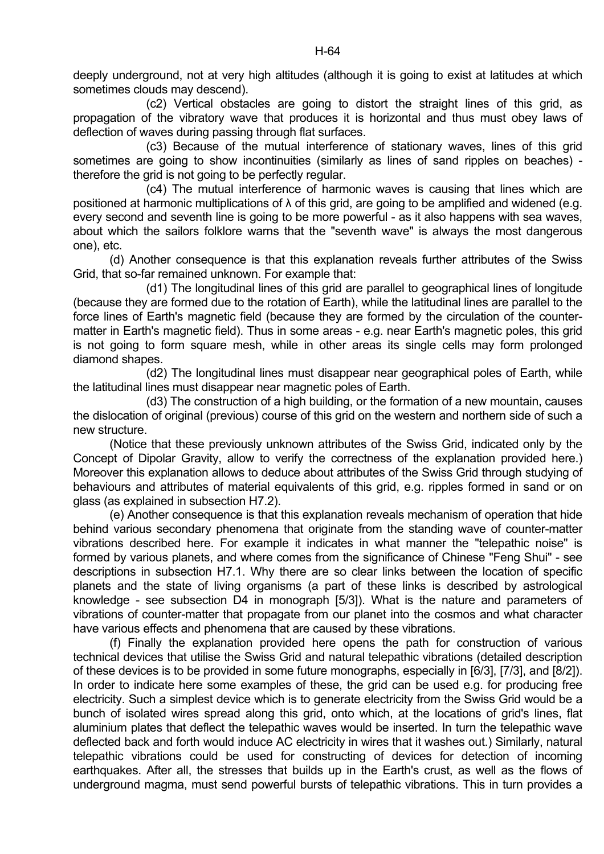deeply underground, not at very high altitudes (although it is going to exist at latitudes at which sometimes clouds may descend).

 (c2) Vertical obstacles are going to distort the straight lines of this grid, as propagation of the vibratory wave that produces it is horizontal and thus must obey laws of deflection of waves during passing through flat surfaces.

 (c3) Because of the mutual interference of stationary waves, lines of this grid sometimes are going to show incontinuities (similarly as lines of sand ripples on beaches) therefore the grid is not going to be perfectly regular.

 (c4) The mutual interference of harmonic waves is causing that lines which are positioned at harmonic multiplications of  $λ$  of this grid, are going to be amplified and widened (e.g. every second and seventh line is going to be more powerful - as it also happens with sea waves, about which the sailors folklore warns that the "seventh wave" is always the most dangerous one), etc.

 (d) Another consequence is that this explanation reveals further attributes of the Swiss Grid, that so-far remained unknown. For example that:

 (d1) The longitudinal lines of this grid are parallel to geographical lines of longitude (because they are formed due to the rotation of Earth), while the latitudinal lines are parallel to the force lines of Earth's magnetic field (because they are formed by the circulation of the countermatter in Earth's magnetic field). Thus in some areas - e.g. near Earth's magnetic poles, this grid is not going to form square mesh, while in other areas its single cells may form prolonged diamond shapes.

 (d2) The longitudinal lines must disappear near geographical poles of Earth, while the latitudinal lines must disappear near magnetic poles of Earth.

 (d3) The construction of a high building, or the formation of a new mountain, causes the dislocation of original (previous) course of this grid on the western and northern side of such a new structure.

 (Notice that these previously unknown attributes of the Swiss Grid, indicated only by the Concept of Dipolar Gravity, allow to verify the correctness of the explanation provided here.) Moreover this explanation allows to deduce about attributes of the Swiss Grid through studying of behaviours and attributes of material equivalents of this grid, e.g. ripples formed in sand or on glass (as explained in subsection H7.2).

 (e) Another consequence is that this explanation reveals mechanism of operation that hide behind various secondary phenomena that originate from the standing wave of counter-matter vibrations described here. For example it indicates in what manner the "telepathic noise" is formed by various planets, and where comes from the significance of Chinese "Feng Shui" - see descriptions in subsection H7.1. Why there are so clear links between the location of specific planets and the state of living organisms (a part of these links is described by astrological knowledge - see subsection D4 in monograph [5/3]). What is the nature and parameters of vibrations of counter-matter that propagate from our planet into the cosmos and what character have various effects and phenomena that are caused by these vibrations.

 (f) Finally the explanation provided here opens the path for construction of various technical devices that utilise the Swiss Grid and natural telepathic vibrations (detailed description of these devices is to be provided in some future monographs, especially in [6/3], [7/3], and [8/2]). In order to indicate here some examples of these, the grid can be used e.g. for producing free electricity. Such a simplest device which is to generate electricity from the Swiss Grid would be a bunch of isolated wires spread along this grid, onto which, at the locations of grid's lines, flat aluminium plates that deflect the telepathic waves would be inserted. In turn the telepathic wave deflected back and forth would induce AC electricity in wires that it washes out.) Similarly, natural telepathic vibrations could be used for constructing of devices for detection of incoming earthquakes. After all, the stresses that builds up in the Earth's crust, as well as the flows of underground magma, must send powerful bursts of telepathic vibrations. This in turn provides a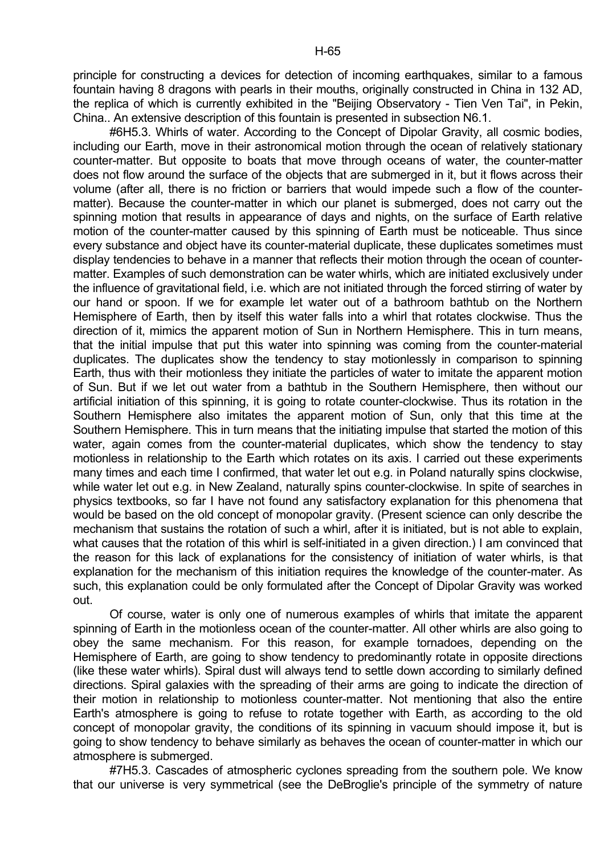principle for constructing a devices for detection of incoming earthquakes, similar to a famous fountain having 8 dragons with pearls in their mouths, originally constructed in China in 132 AD, the replica of which is currently exhibited in the "Beijing Observatory - Tien Ven Tai", in Pekin, China.. An extensive description of this fountain is presented in subsection N6.1.

 #6H5.3. Whirls of water. According to the Concept of Dipolar Gravity, all cosmic bodies, including our Earth, move in their astronomical motion through the ocean of relatively stationary counter-matter. But opposite to boats that move through oceans of water, the counter-matter does not flow around the surface of the objects that are submerged in it, but it flows across their volume (after all, there is no friction or barriers that would impede such a flow of the countermatter). Because the counter-matter in which our planet is submerged, does not carry out the spinning motion that results in appearance of days and nights, on the surface of Earth relative motion of the counter-matter caused by this spinning of Earth must be noticeable. Thus since every substance and object have its counter-material duplicate, these duplicates sometimes must display tendencies to behave in a manner that reflects their motion through the ocean of countermatter. Examples of such demonstration can be water whirls, which are initiated exclusively under the influence of gravitational field, i.e. which are not initiated through the forced stirring of water by our hand or spoon. If we for example let water out of a bathroom bathtub on the Northern Hemisphere of Earth, then by itself this water falls into a whirl that rotates clockwise. Thus the direction of it, mimics the apparent motion of Sun in Northern Hemisphere. This in turn means, that the initial impulse that put this water into spinning was coming from the counter-material duplicates. The duplicates show the tendency to stay motionlessly in comparison to spinning Earth, thus with their motionless they initiate the particles of water to imitate the apparent motion of Sun. But if we let out water from a bathtub in the Southern Hemisphere, then without our artificial initiation of this spinning, it is going to rotate counter-clockwise. Thus its rotation in the Southern Hemisphere also imitates the apparent motion of Sun, only that this time at the Southern Hemisphere. This in turn means that the initiating impulse that started the motion of this water, again comes from the counter-material duplicates, which show the tendency to stay motionless in relationship to the Earth which rotates on its axis. I carried out these experiments many times and each time I confirmed, that water let out e.g. in Poland naturally spins clockwise, while water let out e.g. in New Zealand, naturally spins counter-clockwise. In spite of searches in physics textbooks, so far I have not found any satisfactory explanation for this phenomena that would be based on the old concept of monopolar gravity. (Present science can only describe the mechanism that sustains the rotation of such a whirl, after it is initiated, but is not able to explain, what causes that the rotation of this whirl is self-initiated in a given direction.) I am convinced that the reason for this lack of explanations for the consistency of initiation of water whirls, is that explanation for the mechanism of this initiation requires the knowledge of the counter-mater. As such, this explanation could be only formulated after the Concept of Dipolar Gravity was worked out.

 Of course, water is only one of numerous examples of whirls that imitate the apparent spinning of Earth in the motionless ocean of the counter-matter. All other whirls are also going to obey the same mechanism. For this reason, for example tornadoes, depending on the Hemisphere of Earth, are going to show tendency to predominantly rotate in opposite directions (like these water whirls). Spiral dust will always tend to settle down according to similarly defined directions. Spiral galaxies with the spreading of their arms are going to indicate the direction of their motion in relationship to motionless counter-matter. Not mentioning that also the entire Earth's atmosphere is going to refuse to rotate together with Earth, as according to the old concept of monopolar gravity, the conditions of its spinning in vacuum should impose it, but is going to show tendency to behave similarly as behaves the ocean of counter-matter in which our atmosphere is submerged.

 #7H5.3. Cascades of atmospheric cyclones spreading from the southern pole. We know that our universe is very symmetrical (see the DeBroglie's principle of the symmetry of nature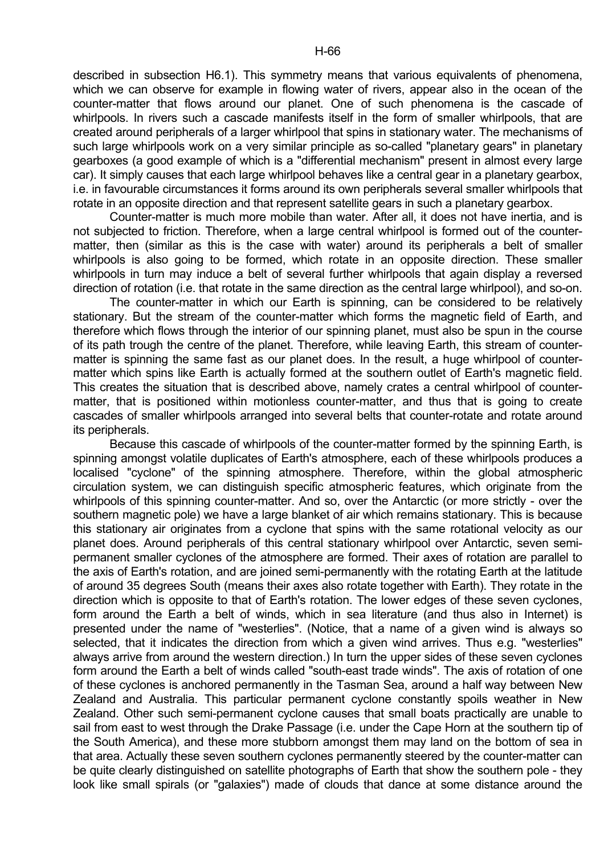described in subsection H6.1). This symmetry means that various equivalents of phenomena, which we can observe for example in flowing water of rivers, appear also in the ocean of the counter-matter that flows around our planet. One of such phenomena is the cascade of whirlpools. In rivers such a cascade manifests itself in the form of smaller whirlpools, that are created around peripherals of a larger whirlpool that spins in stationary water. The mechanisms of such large whirlpools work on a very similar principle as so-called "planetary gears" in planetary gearboxes (a good example of which is a "differential mechanism" present in almost every large car). It simply causes that each large whirlpool behaves like a central gear in a planetary gearbox, i.e. in favourable circumstances it forms around its own peripherals several smaller whirlpools that rotate in an opposite direction and that represent satellite gears in such a planetary gearbox.

 Counter-matter is much more mobile than water. After all, it does not have inertia, and is not subjected to friction. Therefore, when a large central whirlpool is formed out of the countermatter, then (similar as this is the case with water) around its peripherals a belt of smaller whirlpools is also going to be formed, which rotate in an opposite direction. These smaller whirlpools in turn may induce a belt of several further whirlpools that again display a reversed direction of rotation (i.e. that rotate in the same direction as the central large whirlpool), and so-on.

 The counter-matter in which our Earth is spinning, can be considered to be relatively stationary. But the stream of the counter-matter which forms the magnetic field of Earth, and therefore which flows through the interior of our spinning planet, must also be spun in the course of its path trough the centre of the planet. Therefore, while leaving Earth, this stream of countermatter is spinning the same fast as our planet does. In the result, a huge whirlpool of countermatter which spins like Earth is actually formed at the southern outlet of Earth's magnetic field. This creates the situation that is described above, namely crates a central whirlpool of countermatter, that is positioned within motionless counter-matter, and thus that is going to create cascades of smaller whirlpools arranged into several belts that counter-rotate and rotate around its peripherals.

 Because this cascade of whirlpools of the counter-matter formed by the spinning Earth, is spinning amongst volatile duplicates of Earth's atmosphere, each of these whirlpools produces a localised "cyclone" of the spinning atmosphere. Therefore, within the global atmospheric circulation system, we can distinguish specific atmospheric features, which originate from the whirlpools of this spinning counter-matter. And so, over the Antarctic (or more strictly - over the southern magnetic pole) we have a large blanket of air which remains stationary. This is because this stationary air originates from a cyclone that spins with the same rotational velocity as our planet does. Around peripherals of this central stationary whirlpool over Antarctic, seven semipermanent smaller cyclones of the atmosphere are formed. Their axes of rotation are parallel to the axis of Earth's rotation, and are joined semi-permanently with the rotating Earth at the latitude of around 35 degrees South (means their axes also rotate together with Earth). They rotate in the direction which is opposite to that of Earth's rotation. The lower edges of these seven cyclones, form around the Earth a belt of winds, which in sea literature (and thus also in Internet) is presented under the name of "westerlies". (Notice, that a name of a given wind is always so selected, that it indicates the direction from which a given wind arrives. Thus e.g. "westerlies" always arrive from around the western direction.) In turn the upper sides of these seven cyclones form around the Earth a belt of winds called "south-east trade winds". The axis of rotation of one of these cyclones is anchored permanently in the Tasman Sea, around a half way between New Zealand and Australia. This particular permanent cyclone constantly spoils weather in New Zealand. Other such semi-permanent cyclone causes that small boats practically are unable to sail from east to west through the Drake Passage (i.e. under the Cape Horn at the southern tip of the South America), and these more stubborn amongst them may land on the bottom of sea in that area. Actually these seven southern cyclones permanently steered by the counter-matter can be quite clearly distinguished on satellite photographs of Earth that show the southern pole - they look like small spirals (or "galaxies") made of clouds that dance at some distance around the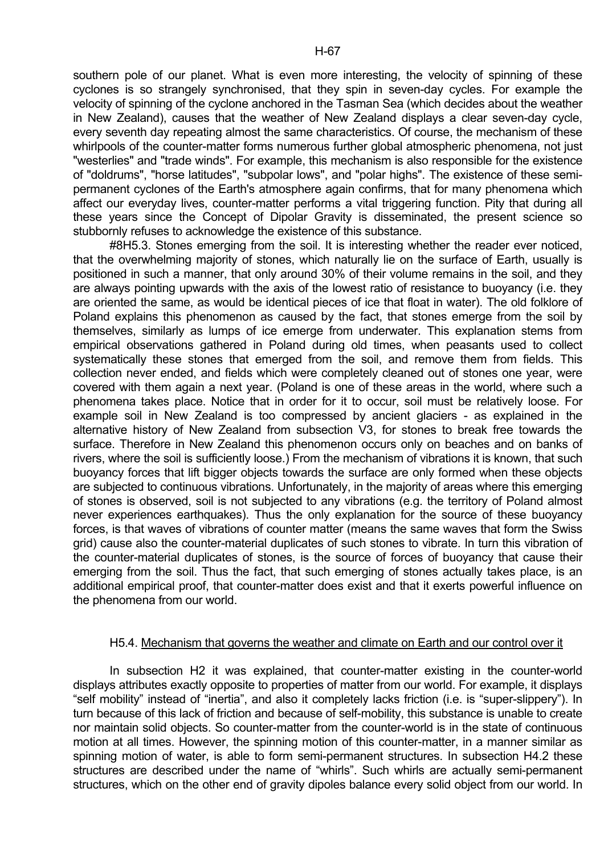southern pole of our planet. What is even more interesting, the velocity of spinning of these cyclones is so strangely synchronised, that they spin in seven-day cycles. For example the velocity of spinning of the cyclone anchored in the Tasman Sea (which decides about the weather in New Zealand), causes that the weather of New Zealand displays a clear seven-day cycle, every seventh day repeating almost the same characteristics. Of course, the mechanism of these whirlpools of the counter-matter forms numerous further global atmospheric phenomena, not just "westerlies" and "trade winds". For example, this mechanism is also responsible for the existence of "doldrums", "horse latitudes", "subpolar lows", and "polar highs". The existence of these semipermanent cyclones of the Earth's atmosphere again confirms, that for many phenomena which affect our everyday lives, counter-matter performs a vital triggering function. Pity that during all these years since the Concept of Dipolar Gravity is disseminated, the present science so stubbornly refuses to acknowledge the existence of this substance.

 #8H5.3. Stones emerging from the soil. It is interesting whether the reader ever noticed, that the overwhelming majority of stones, which naturally lie on the surface of Earth, usually is positioned in such a manner, that only around 30% of their volume remains in the soil, and they are always pointing upwards with the axis of the lowest ratio of resistance to buoyancy (i.e. they are oriented the same, as would be identical pieces of ice that float in water). The old folklore of Poland explains this phenomenon as caused by the fact, that stones emerge from the soil by themselves, similarly as lumps of ice emerge from underwater. This explanation stems from empirical observations gathered in Poland during old times, when peasants used to collect systematically these stones that emerged from the soil, and remove them from fields. This collection never ended, and fields which were completely cleaned out of stones one year, were covered with them again a next year. (Poland is one of these areas in the world, where such a phenomena takes place. Notice that in order for it to occur, soil must be relatively loose. For example soil in New Zealand is too compressed by ancient glaciers - as explained in the alternative history of New Zealand from subsection V3, for stones to break free towards the surface. Therefore in New Zealand this phenomenon occurs only on beaches and on banks of rivers, where the soil is sufficiently loose.) From the mechanism of vibrations it is known, that such buoyancy forces that lift bigger objects towards the surface are only formed when these objects are subjected to continuous vibrations. Unfortunately, in the majority of areas where this emerging of stones is observed, soil is not subjected to any vibrations (e.g. the territory of Poland almost never experiences earthquakes). Thus the only explanation for the source of these buoyancy forces, is that waves of vibrations of counter matter (means the same waves that form the Swiss grid) cause also the counter-material duplicates of such stones to vibrate. In turn this vibration of the counter-material duplicates of stones, is the source of forces of buoyancy that cause their emerging from the soil. Thus the fact, that such emerging of stones actually takes place, is an additional empirical proof, that counter-matter does exist and that it exerts powerful influence on the phenomena from our world.

### H5.4. Mechanism that governs the weather and climate on Earth and our control over it

 In subsection H2 it was explained, that counter-matter existing in the counter-world displays attributes exactly opposite to properties of matter from our world. For example, it displays "self mobility" instead of "inertia", and also it completely lacks friction (i.e. is "super-slippery"). In turn because of this lack of friction and because of self-mobility, this substance is unable to create nor maintain solid objects. So counter-matter from the counter-world is in the state of continuous motion at all times. However, the spinning motion of this counter-matter, in a manner similar as spinning motion of water, is able to form semi-permanent structures. In subsection H4.2 these structures are described under the name of "whirls". Such whirls are actually semi-permanent structures, which on the other end of gravity dipoles balance every solid object from our world. In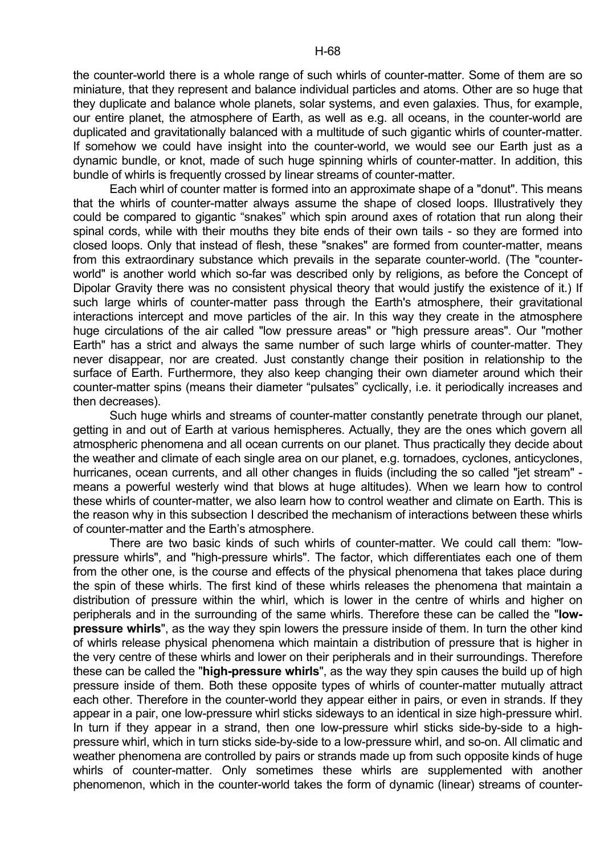the counter-world there is a whole range of such whirls of counter-matter. Some of them are so miniature, that they represent and balance individual particles and atoms. Other are so huge that they duplicate and balance whole planets, solar systems, and even galaxies. Thus, for example, our entire planet, the atmosphere of Earth, as well as e.g. all oceans, in the counter-world are duplicated and gravitationally balanced with a multitude of such gigantic whirls of counter-matter. If somehow we could have insight into the counter-world, we would see our Earth just as a dynamic bundle, or knot, made of such huge spinning whirls of counter-matter. In addition, this bundle of whirls is frequently crossed by linear streams of counter-matter.

 Each whirl of counter matter is formed into an approximate shape of a "donut". This means that the whirls of counter-matter always assume the shape of closed loops. Illustratively they could be compared to gigantic "snakes" which spin around axes of rotation that run along their spinal cords, while with their mouths they bite ends of their own tails - so they are formed into closed loops. Only that instead of flesh, these "snakes" are formed from counter-matter, means from this extraordinary substance which prevails in the separate counter-world. (The "counterworld" is another world which so-far was described only by religions, as before the Concept of Dipolar Gravity there was no consistent physical theory that would justify the existence of it.) If such large whirls of counter-matter pass through the Earth's atmosphere, their gravitational interactions intercept and move particles of the air. In this way they create in the atmosphere huge circulations of the air called "low pressure areas" or "high pressure areas". Our "mother Earth" has a strict and always the same number of such large whirls of counter-matter. They never disappear, nor are created. Just constantly change their position in relationship to the surface of Earth. Furthermore, they also keep changing their own diameter around which their counter-matter spins (means their diameter "pulsates" cyclically, i.e. it periodically increases and then decreases).

 Such huge whirls and streams of counter-matter constantly penetrate through our planet, getting in and out of Earth at various hemispheres. Actually, they are the ones which govern all atmospheric phenomena and all ocean currents on our planet. Thus practically they decide about the weather and climate of each single area on our planet, e.g. tornadoes, cyclones, anticyclones, hurricanes, ocean currents, and all other changes in fluids (including the so called "jet stream" means a powerful westerly wind that blows at huge altitudes). When we learn how to control these whirls of counter-matter, we also learn how to control weather and climate on Earth. This is the reason why in this subsection I described the mechanism of interactions between these whirls of counter-matter and the Earth's atmosphere.

 There are two basic kinds of such whirls of counter-matter. We could call them: "lowpressure whirls", and "high-pressure whirls". The factor, which differentiates each one of them from the other one, is the course and effects of the physical phenomena that takes place during the spin of these whirls. The first kind of these whirls releases the phenomena that maintain a distribution of pressure within the whirl, which is lower in the centre of whirls and higher on peripherals and in the surrounding of the same whirls. Therefore these can be called the "**lowpressure whirls**", as the way they spin lowers the pressure inside of them. In turn the other kind of whirls release physical phenomena which maintain a distribution of pressure that is higher in the very centre of these whirls and lower on their peripherals and in their surroundings. Therefore these can be called the "**high-pressure whirls**", as the way they spin causes the build up of high pressure inside of them. Both these opposite types of whirls of counter-matter mutually attract each other. Therefore in the counter-world they appear either in pairs, or even in strands. If they appear in a pair, one low-pressure whirl sticks sideways to an identical in size high-pressure whirl. In turn if they appear in a strand, then one low-pressure whirl sticks side-by-side to a highpressure whirl, which in turn sticks side-by-side to a low-pressure whirl, and so-on. All climatic and weather phenomena are controlled by pairs or strands made up from such opposite kinds of huge whirls of counter-matter. Only sometimes these whirls are supplemented with another phenomenon, which in the counter-world takes the form of dynamic (linear) streams of counter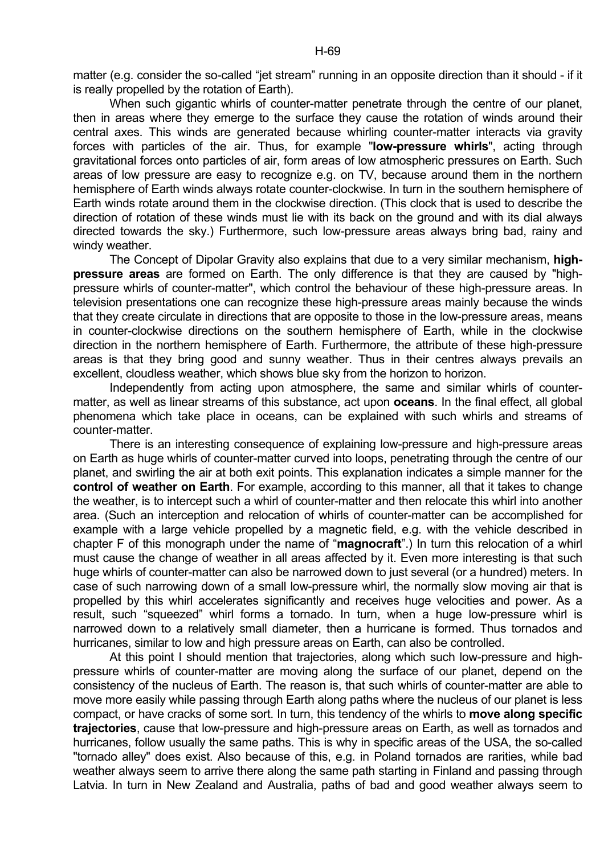matter (e.g. consider the so-called "jet stream" running in an opposite direction than it should - if it is really propelled by the rotation of Earth).

 When such gigantic whirls of counter-matter penetrate through the centre of our planet, then in areas where they emerge to the surface they cause the rotation of winds around their central axes. This winds are generated because whirling counter-matter interacts via gravity forces with particles of the air. Thus, for example "**low-pressure whirls**", acting through gravitational forces onto particles of air, form areas of low atmospheric pressures on Earth. Such areas of low pressure are easy to recognize e.g. on TV, because around them in the northern hemisphere of Earth winds always rotate counter-clockwise. In turn in the southern hemisphere of Earth winds rotate around them in the clockwise direction. (This clock that is used to describe the direction of rotation of these winds must lie with its back on the ground and with its dial always directed towards the sky.) Furthermore, such low-pressure areas always bring bad, rainy and windy weather.

 The Concept of Dipolar Gravity also explains that due to a very similar mechanism, **highpressure areas** are formed on Earth. The only difference is that they are caused by "highpressure whirls of counter-matter", which control the behaviour of these high-pressure areas. In television presentations one can recognize these high-pressure areas mainly because the winds that they create circulate in directions that are opposite to those in the low-pressure areas, means in counter-clockwise directions on the southern hemisphere of Earth, while in the clockwise direction in the northern hemisphere of Earth. Furthermore, the attribute of these high-pressure areas is that they bring good and sunny weather. Thus in their centres always prevails an excellent, cloudless weather, which shows blue sky from the horizon to horizon.

 Independently from acting upon atmosphere, the same and similar whirls of countermatter, as well as linear streams of this substance, act upon **oceans**. In the final effect, all global phenomena which take place in oceans, can be explained with such whirls and streams of counter-matter.

 There is an interesting consequence of explaining low-pressure and high-pressure areas on Earth as huge whirls of counter-matter curved into loops, penetrating through the centre of our planet, and swirling the air at both exit points. This explanation indicates a simple manner for the **control of weather on Earth**. For example, according to this manner, all that it takes to change the weather, is to intercept such a whirl of counter-matter and then relocate this whirl into another area. (Such an interception and relocation of whirls of counter-matter can be accomplished for example with a large vehicle propelled by a magnetic field, e.g. with the vehicle described in chapter F of this monograph under the name of "**magnocraft**".) In turn this relocation of a whirl must cause the change of weather in all areas affected by it. Even more interesting is that such huge whirls of counter-matter can also be narrowed down to just several (or a hundred) meters. In case of such narrowing down of a small low-pressure whirl, the normally slow moving air that is propelled by this whirl accelerates significantly and receives huge velocities and power. As a result, such "squeezed" whirl forms a tornado. In turn, when a huge low-pressure whirl is narrowed down to a relatively small diameter, then a hurricane is formed. Thus tornados and hurricanes, similar to low and high pressure areas on Earth, can also be controlled.

 At this point I should mention that trajectories, along which such low-pressure and highpressure whirls of counter-matter are moving along the surface of our planet, depend on the consistency of the nucleus of Earth. The reason is, that such whirls of counter-matter are able to move more easily while passing through Earth along paths where the nucleus of our planet is less compact, or have cracks of some sort. In turn, this tendency of the whirls to **move along specific trajectories**, cause that low-pressure and high-pressure areas on Earth, as well as tornados and hurricanes, follow usually the same paths. This is why in specific areas of the USA, the so-called "tornado alley" does exist. Also because of this, e.g. in Poland tornados are rarities, while bad weather always seem to arrive there along the same path starting in Finland and passing through Latvia. In turn in New Zealand and Australia, paths of bad and good weather always seem to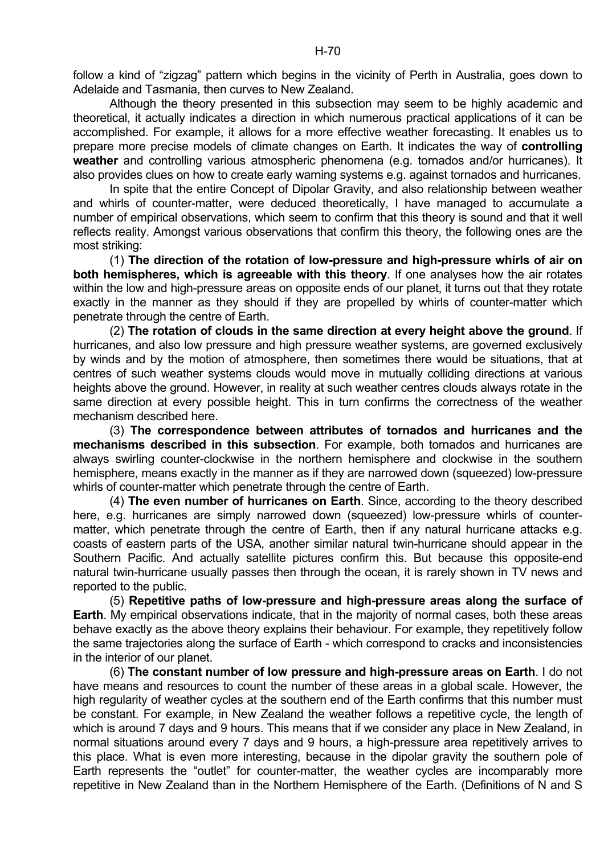follow a kind of "zigzag" pattern which begins in the vicinity of Perth in Australia, goes down to Adelaide and Tasmania, then curves to New Zealand.

 Although the theory presented in this subsection may seem to be highly academic and theoretical, it actually indicates a direction in which numerous practical applications of it can be accomplished. For example, it allows for a more effective weather forecasting. It enables us to prepare more precise models of climate changes on Earth. It indicates the way of **controlling weather** and controlling various atmospheric phenomena (e.g. tornados and/or hurricanes). It also provides clues on how to create early warning systems e.g. against tornados and hurricanes.

 In spite that the entire Concept of Dipolar Gravity, and also relationship between weather and whirls of counter-matter, were deduced theoretically, I have managed to accumulate a number of empirical observations, which seem to confirm that this theory is sound and that it well reflects reality. Amongst various observations that confirm this theory, the following ones are the most striking:

 (1) **The direction of the rotation of low-pressure and high-pressure whirls of air on both hemispheres, which is agreeable with this theory**. If one analyses how the air rotates within the low and high-pressure areas on opposite ends of our planet, it turns out that they rotate exactly in the manner as they should if they are propelled by whirls of counter-matter which penetrate through the centre of Earth.

 (2) **The rotation of clouds in the same direction at every height above the ground**. If hurricanes, and also low pressure and high pressure weather systems, are governed exclusively by winds and by the motion of atmosphere, then sometimes there would be situations, that at centres of such weather systems clouds would move in mutually colliding directions at various heights above the ground. However, in reality at such weather centres clouds always rotate in the same direction at every possible height. This in turn confirms the correctness of the weather mechanism described here.

 (3) **The correspondence between attributes of tornados and hurricanes and the mechanisms described in this subsection**. For example, both tornados and hurricanes are always swirling counter-clockwise in the northern hemisphere and clockwise in the southern hemisphere, means exactly in the manner as if they are narrowed down (squeezed) low-pressure whirls of counter-matter which penetrate through the centre of Earth.

 (4) **The even number of hurricanes on Earth**. Since, according to the theory described here, e.g. hurricanes are simply narrowed down (squeezed) low-pressure whirls of countermatter, which penetrate through the centre of Earth, then if any natural hurricane attacks e.g. coasts of eastern parts of the USA, another similar natural twin-hurricane should appear in the Southern Pacific. And actually satellite pictures confirm this. But because this opposite-end natural twin-hurricane usually passes then through the ocean, it is rarely shown in TV news and reported to the public.

 (5) **Repetitive paths of low-pressure and high-pressure areas along the surface of Earth**. My empirical observations indicate, that in the majority of normal cases, both these areas behave exactly as the above theory explains their behaviour. For example, they repetitively follow the same trajectories along the surface of Earth - which correspond to cracks and inconsistencies in the interior of our planet.

 (6) **The constant number of low pressure and high-pressure areas on Earth**. I do not have means and resources to count the number of these areas in a global scale. However, the high regularity of weather cycles at the southern end of the Earth confirms that this number must be constant. For example, in New Zealand the weather follows a repetitive cycle, the length of which is around 7 days and 9 hours. This means that if we consider any place in New Zealand, in normal situations around every 7 days and 9 hours, a high-pressure area repetitively arrives to this place. What is even more interesting, because in the dipolar gravity the southern pole of Earth represents the "outlet" for counter-matter, the weather cycles are incomparably more repetitive in New Zealand than in the Northern Hemisphere of the Earth. (Definitions of N and S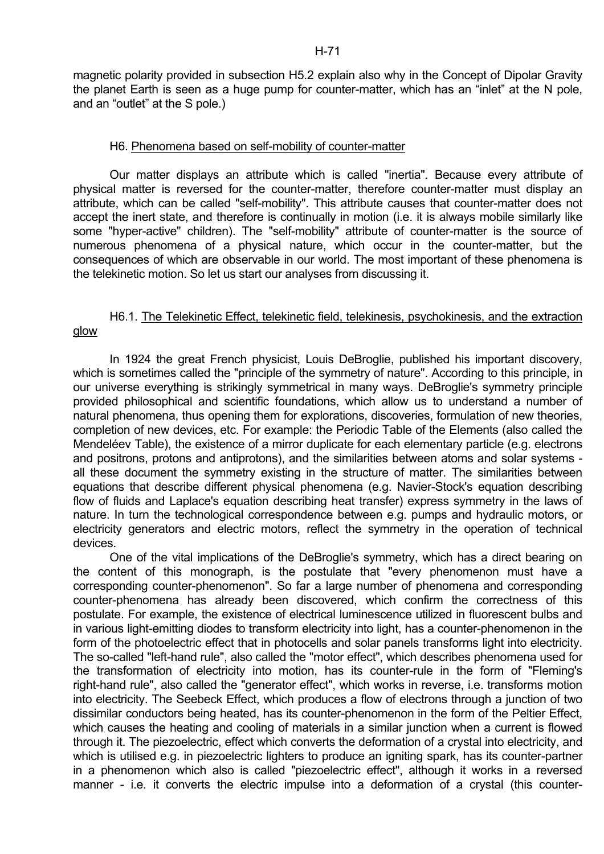magnetic polarity provided in subsection H5.2 explain also why in the Concept of Dipolar Gravity the planet Earth is seen as a huge pump for counter-matter, which has an "inlet" at the N pole, and an "outlet" at the S pole.)

#### H6. Phenomena based on self-mobility of counter-matter

 Our matter displays an attribute which is called "inertia". Because every attribute of physical matter is reversed for the counter-matter, therefore counter-matter must display an attribute, which can be called "self-mobility". This attribute causes that counter-matter does not accept the inert state, and therefore is continually in motion (i.e. it is always mobile similarly like some "hyper-active" children). The "self-mobility" attribute of counter-matter is the source of numerous phenomena of a physical nature, which occur in the counter-matter, but the consequences of which are observable in our world. The most important of these phenomena is the telekinetic motion. So let us start our analyses from discussing it.

## H6.1. The Telekinetic Effect, telekinetic field, telekinesis, psychokinesis, and the extraction glow

 In 1924 the great French physicist, Louis DeBroglie, published his important discovery, which is sometimes called the "principle of the symmetry of nature". According to this principle, in our universe everything is strikingly symmetrical in many ways. DeBroglie's symmetry principle provided philosophical and scientific foundations, which allow us to understand a number of natural phenomena, thus opening them for explorations, discoveries, formulation of new theories, completion of new devices, etc. For example: the Periodic Table of the Elements (also called the Mendeléev Table), the existence of a mirror duplicate for each elementary particle (e.g. electrons and positrons, protons and antiprotons), and the similarities between atoms and solar systems all these document the symmetry existing in the structure of matter. The similarities between equations that describe different physical phenomena (e.g. Navier-Stock's equation describing flow of fluids and Laplace's equation describing heat transfer) express symmetry in the laws of nature. In turn the technological correspondence between e.g. pumps and hydraulic motors, or electricity generators and electric motors, reflect the symmetry in the operation of technical devices.

 One of the vital implications of the DeBroglie's symmetry, which has a direct bearing on the content of this monograph, is the postulate that "every phenomenon must have a corresponding counter-phenomenon". So far a large number of phenomena and corresponding counter-phenomena has already been discovered, which confirm the correctness of this postulate. For example, the existence of electrical luminescence utilized in fluorescent bulbs and in various light-emitting diodes to transform electricity into light, has a counter-phenomenon in the form of the photoelectric effect that in photocells and solar panels transforms light into electricity. The so-called "left-hand rule", also called the "motor effect", which describes phenomena used for the transformation of electricity into motion, has its counter-rule in the form of "Fleming's right-hand rule", also called the "generator effect", which works in reverse, i.e. transforms motion into electricity. The Seebeck Effect, which produces a flow of electrons through a junction of two dissimilar conductors being heated, has its counter-phenomenon in the form of the Peltier Effect, which causes the heating and cooling of materials in a similar junction when a current is flowed through it. The piezoelectric, effect which converts the deformation of a crystal into electricity, and which is utilised e.g. in piezoelectric lighters to produce an igniting spark, has its counter-partner in a phenomenon which also is called "piezoelectric effect", although it works in a reversed manner - i.e. it converts the electric impulse into a deformation of a crystal (this counter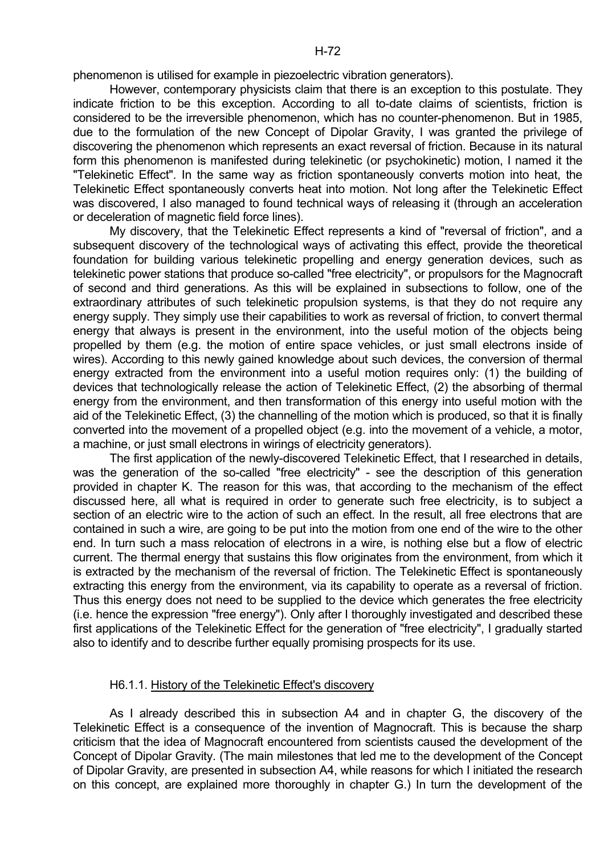phenomenon is utilised for example in piezoelectric vibration generators).

 However, contemporary physicists claim that there is an exception to this postulate. They indicate friction to be this exception. According to all to-date claims of scientists, friction is considered to be the irreversible phenomenon, which has no counter-phenomenon. But in 1985, due to the formulation of the new Concept of Dipolar Gravity, I was granted the privilege of discovering the phenomenon which represents an exact reversal of friction. Because in its natural form this phenomenon is manifested during telekinetic (or psychokinetic) motion, I named it the "Telekinetic Effect". In the same way as friction spontaneously converts motion into heat, the Telekinetic Effect spontaneously converts heat into motion. Not long after the Telekinetic Effect was discovered, I also managed to found technical ways of releasing it (through an acceleration or deceleration of magnetic field force lines).

 My discovery, that the Telekinetic Effect represents a kind of "reversal of friction", and a subsequent discovery of the technological ways of activating this effect, provide the theoretical foundation for building various telekinetic propelling and energy generation devices, such as telekinetic power stations that produce so-called "free electricity", or propulsors for the Magnocraft of second and third generations. As this will be explained in subsections to follow, one of the extraordinary attributes of such telekinetic propulsion systems, is that they do not require any energy supply. They simply use their capabilities to work as reversal of friction, to convert thermal energy that always is present in the environment, into the useful motion of the objects being propelled by them (e.g. the motion of entire space vehicles, or just small electrons inside of wires). According to this newly gained knowledge about such devices, the conversion of thermal energy extracted from the environment into a useful motion requires only: (1) the building of devices that technologically release the action of Telekinetic Effect, (2) the absorbing of thermal energy from the environment, and then transformation of this energy into useful motion with the aid of the Telekinetic Effect, (3) the channelling of the motion which is produced, so that it is finally converted into the movement of a propelled object (e.g. into the movement of a vehicle, a motor, a machine, or just small electrons in wirings of electricity generators).

 The first application of the newly-discovered Telekinetic Effect, that I researched in details, was the generation of the so-called "free electricity" - see the description of this generation provided in chapter K. The reason for this was, that according to the mechanism of the effect discussed here, all what is required in order to generate such free electricity, is to subject a section of an electric wire to the action of such an effect. In the result, all free electrons that are contained in such a wire, are going to be put into the motion from one end of the wire to the other end. In turn such a mass relocation of electrons in a wire, is nothing else but a flow of electric current. The thermal energy that sustains this flow originates from the environment, from which it is extracted by the mechanism of the reversal of friction. The Telekinetic Effect is spontaneously extracting this energy from the environment, via its capability to operate as a reversal of friction. Thus this energy does not need to be supplied to the device which generates the free electricity (i.e. hence the expression "free energy"). Only after I thoroughly investigated and described these first applications of the Telekinetic Effect for the generation of "free electricity", I gradually started also to identify and to describe further equally promising prospects for its use.

#### H6.1.1. History of the Telekinetic Effect's discovery

 As I already described this in subsection A4 and in chapter G, the discovery of the Telekinetic Effect is a consequence of the invention of Magnocraft. This is because the sharp criticism that the idea of Magnocraft encountered from scientists caused the development of the Concept of Dipolar Gravity. (The main milestones that led me to the development of the Concept of Dipolar Gravity, are presented in subsection A4, while reasons for which I initiated the research on this concept, are explained more thoroughly in chapter G.) In turn the development of the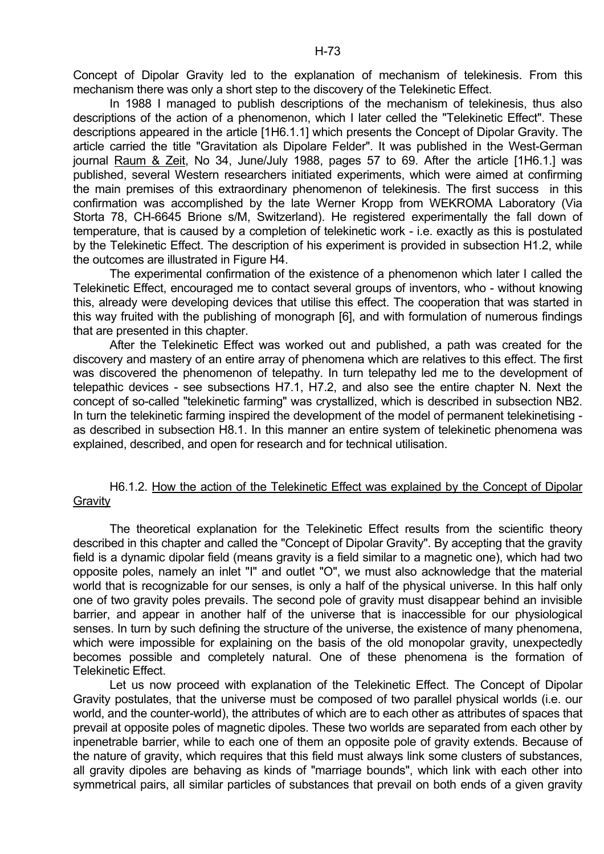Concept of Dipolar Gravity led to the explanation of mechanism of telekinesis. From this mechanism there was only a short step to the discovery of the Telekinetic Effect.

 In 1988 I managed to publish descriptions of the mechanism of telekinesis, thus also descriptions of the action of a phenomenon, which I later celled the "Telekinetic Effect". These descriptions appeared in the article [1H6.1.1] which presents the Concept of Dipolar Gravity. The article carried the title "Gravitation als Dipolare Felder". It was published in the West-German journal Raum & Zeit, No 34, June/July 1988, pages 57 to 69. After the article [1H6.1.] was published, several Western researchers initiated experiments, which were aimed at confirming the main premises of this extraordinary phenomenon of telekinesis. The first success in this confirmation was accomplished by the late Werner Kropp from WEKROMA Laboratory (Via Storta 78, CH-6645 Brione s/M, Switzerland). He registered experimentally the fall down of temperature, that is caused by a completion of telekinetic work - i.e. exactly as this is postulated by the Telekinetic Effect. The description of his experiment is provided in subsection H1.2, while the outcomes are illustrated in Figure H4.

 The experimental confirmation of the existence of a phenomenon which later I called the Telekinetic Effect, encouraged me to contact several groups of inventors, who - without knowing this, already were developing devices that utilise this effect. The cooperation that was started in this way fruited with the publishing of monograph [6], and with formulation of numerous findings that are presented in this chapter.

 After the Telekinetic Effect was worked out and published, a path was created for the discovery and mastery of an entire array of phenomena which are relatives to this effect. The first was discovered the phenomenon of telepathy. In turn telepathy led me to the development of telepathic devices - see subsections H7.1, H7.2, and also see the entire chapter N. Next the concept of so-called "telekinetic farming" was crystallized, which is described in subsection NB2. In turn the telekinetic farming inspired the development of the model of permanent telekinetising as described in subsection H8.1. In this manner an entire system of telekinetic phenomena was explained, described, and open for research and for technical utilisation.

## H6.1.2. How the action of the Telekinetic Effect was explained by the Concept of Dipolar **Gravity**

 The theoretical explanation for the Telekinetic Effect results from the scientific theory described in this chapter and called the "Concept of Dipolar Gravity". By accepting that the gravity field is a dynamic dipolar field (means gravity is a field similar to a magnetic one), which had two opposite poles, namely an inlet "I" and outlet "O", we must also acknowledge that the material world that is recognizable for our senses, is only a half of the physical universe. In this half only one of two gravity poles prevails. The second pole of gravity must disappear behind an invisible barrier, and appear in another half of the universe that is inaccessible for our physiological senses. In turn by such defining the structure of the universe, the existence of many phenomena, which were impossible for explaining on the basis of the old monopolar gravity, unexpectedly becomes possible and completely natural. One of these phenomena is the formation of Telekinetic Effect.

 Let us now proceed with explanation of the Telekinetic Effect. The Concept of Dipolar Gravity postulates, that the universe must be composed of two parallel physical worlds (i.e. our world, and the counter-world), the attributes of which are to each other as attributes of spaces that prevail at opposite poles of magnetic dipoles. These two worlds are separated from each other by inpenetrable barrier, while to each one of them an opposite pole of gravity extends. Because of the nature of gravity, which requires that this field must always link some clusters of substances, all gravity dipoles are behaving as kinds of "marriage bounds", which link with each other into symmetrical pairs, all similar particles of substances that prevail on both ends of a given gravity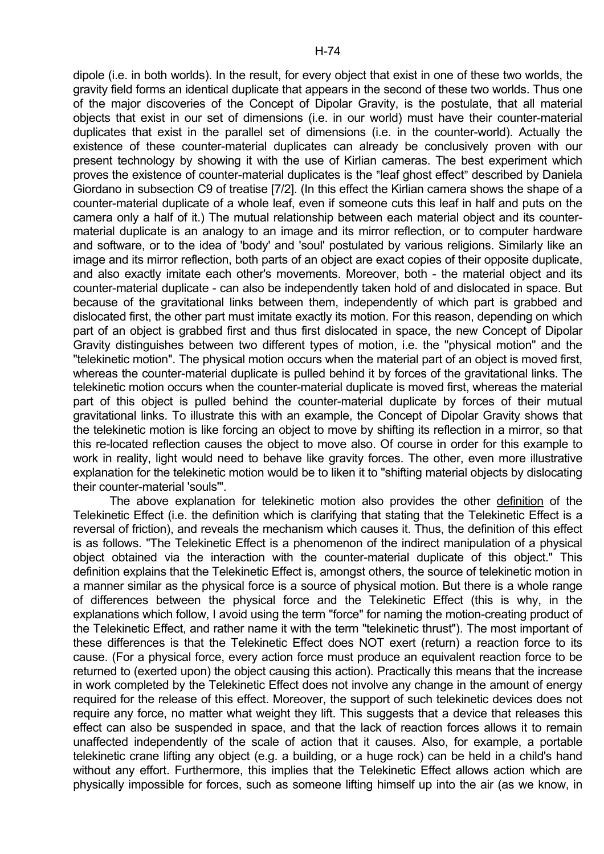dipole (i.e. in both worlds). In the result, for every object that exist in one of these two worlds, the gravity field forms an identical duplicate that appears in the second of these two worlds. Thus one of the major discoveries of the Concept of Dipolar Gravity, is the postulate, that all material objects that exist in our set of dimensions (i.e. in our world) must have their counter-material duplicates that exist in the parallel set of dimensions (i.e. in the counter-world). Actually the existence of these counter-material duplicates can already be conclusively proven with our present technology by showing it with the use of Kirlian cameras. The best experiment which proves the existence of counter-material duplicates is the "leaf ghost effect" described by Daniela Giordano in subsection C9 of treatise [7/2]. (In this effect the Kirlian camera shows the shape of a counter-material duplicate of a whole leaf, even if someone cuts this leaf in half and puts on the camera only a half of it.) The mutual relationship between each material object and its countermaterial duplicate is an analogy to an image and its mirror reflection, or to computer hardware and software, or to the idea of 'body' and 'soul' postulated by various religions. Similarly like an image and its mirror reflection, both parts of an object are exact copies of their opposite duplicate, and also exactly imitate each other's movements. Moreover, both - the material object and its counter-material duplicate - can also be independently taken hold of and dislocated in space. But because of the gravitational links between them, independently of which part is grabbed and dislocated first, the other part must imitate exactly its motion. For this reason, depending on which part of an object is grabbed first and thus first dislocated in space, the new Concept of Dipolar Gravity distinguishes between two different types of motion, i.e. the "physical motion" and the "telekinetic motion". The physical motion occurs when the material part of an object is moved first, whereas the counter-material duplicate is pulled behind it by forces of the gravitational links. The telekinetic motion occurs when the counter-material duplicate is moved first, whereas the material part of this object is pulled behind the counter-material duplicate by forces of their mutual gravitational links. To illustrate this with an example, the Concept of Dipolar Gravity shows that the telekinetic motion is like forcing an object to move by shifting its reflection in a mirror, so that this re-located reflection causes the object to move also. Of course in order for this example to work in reality, light would need to behave like gravity forces. The other, even more illustrative explanation for the telekinetic motion would be to liken it to "shifting material objects by dislocating their counter-material 'souls'".

 The above explanation for telekinetic motion also provides the other definition of the Telekinetic Effect (i.e. the definition which is clarifying that stating that the Telekinetic Effect is a reversal of friction), and reveals the mechanism which causes it. Thus, the definition of this effect is as follows. "The Telekinetic Effect is a phenomenon of the indirect manipulation of a physical object obtained via the interaction with the counter-material duplicate of this object." This definition explains that the Telekinetic Effect is, amongst others, the source of telekinetic motion in a manner similar as the physical force is a source of physical motion. But there is a whole range of differences between the physical force and the Telekinetic Effect (this is why, in the explanations which follow, I avoid using the term "force" for naming the motion-creating product of the Telekinetic Effect, and rather name it with the term "telekinetic thrust"). The most important of these differences is that the Telekinetic Effect does NOT exert (return) a reaction force to its cause. (For a physical force, every action force must produce an equivalent reaction force to be returned to (exerted upon) the object causing this action). Practically this means that the increase in work completed by the Telekinetic Effect does not involve any change in the amount of energy required for the release of this effect. Moreover, the support of such telekinetic devices does not require any force, no matter what weight they lift. This suggests that a device that releases this effect can also be suspended in space, and that the lack of reaction forces allows it to remain unaffected independently of the scale of action that it causes. Also, for example, a portable telekinetic crane lifting any object (e.g. a building, or a huge rock) can be held in a child's hand without any effort. Furthermore, this implies that the Telekinetic Effect allows action which are physically impossible for forces, such as someone lifting himself up into the air (as we know, in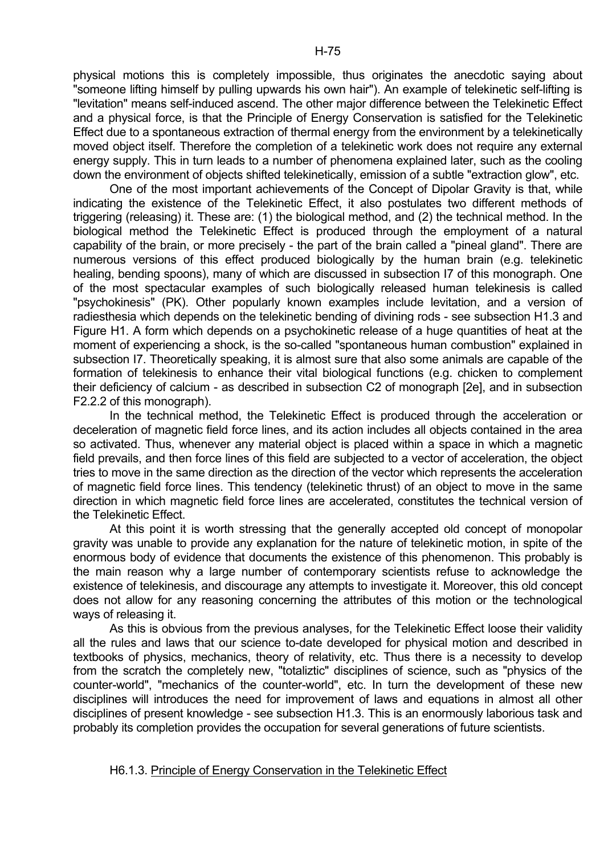physical motions this is completely impossible, thus originates the anecdotic saying about "someone lifting himself by pulling upwards his own hair"). An example of telekinetic self-lifting is "levitation" means self-induced ascend. The other major difference between the Telekinetic Effect and a physical force, is that the Principle of Energy Conservation is satisfied for the Telekinetic Effect due to a spontaneous extraction of thermal energy from the environment by a telekinetically moved object itself. Therefore the completion of a telekinetic work does not require any external energy supply. This in turn leads to a number of phenomena explained later, such as the cooling down the environment of objects shifted telekinetically, emission of a subtle "extraction glow", etc.

 One of the most important achievements of the Concept of Dipolar Gravity is that, while indicating the existence of the Telekinetic Effect, it also postulates two different methods of triggering (releasing) it. These are: (1) the biological method, and (2) the technical method. In the biological method the Telekinetic Effect is produced through the employment of a natural capability of the brain, or more precisely - the part of the brain called a "pineal gland". There are numerous versions of this effect produced biologically by the human brain (e.g. telekinetic healing, bending spoons), many of which are discussed in subsection I7 of this monograph. One of the most spectacular examples of such biologically released human telekinesis is called "psychokinesis" (PK). Other popularly known examples include levitation, and a version of radiesthesia which depends on the telekinetic bending of divining rods - see subsection H1.3 and Figure H1. A form which depends on a psychokinetic release of a huge quantities of heat at the moment of experiencing a shock, is the so-called "spontaneous human combustion" explained in subsection I7. Theoretically speaking, it is almost sure that also some animals are capable of the formation of telekinesis to enhance their vital biological functions (e.g. chicken to complement their deficiency of calcium - as described in subsection C2 of monograph [2e], and in subsection F2.2.2 of this monograph).

In the technical method, the Telekinetic Effect is produced through the acceleration or deceleration of magnetic field force lines, and its action includes all objects contained in the area so activated. Thus, whenever any material object is placed within a space in which a magnetic field prevails, and then force lines of this field are subjected to a vector of acceleration, the object tries to move in the same direction as the direction of the vector which represents the acceleration of magnetic field force lines. This tendency (telekinetic thrust) of an object to move in the same direction in which magnetic field force lines are accelerated, constitutes the technical version of the Telekinetic Effect.

 At this point it is worth stressing that the generally accepted old concept of monopolar gravity was unable to provide any explanation for the nature of telekinetic motion, in spite of the enormous body of evidence that documents the existence of this phenomenon. This probably is the main reason why a large number of contemporary scientists refuse to acknowledge the existence of telekinesis, and discourage any attempts to investigate it. Moreover, this old concept does not allow for any reasoning concerning the attributes of this motion or the technological ways of releasing it.

 As this is obvious from the previous analyses, for the Telekinetic Effect loose their validity all the rules and laws that our science to-date developed for physical motion and described in textbooks of physics, mechanics, theory of relativity, etc. Thus there is a necessity to develop from the scratch the completely new, "totaliztic" disciplines of science, such as "physics of the counter-world", "mechanics of the counter-world", etc. In turn the development of these new disciplines will introduces the need for improvement of laws and equations in almost all other disciplines of present knowledge - see subsection H1.3. This is an enormously laborious task and probably its completion provides the occupation for several generations of future scientists.

### H6.1.3. Principle of Energy Conservation in the Telekinetic Effect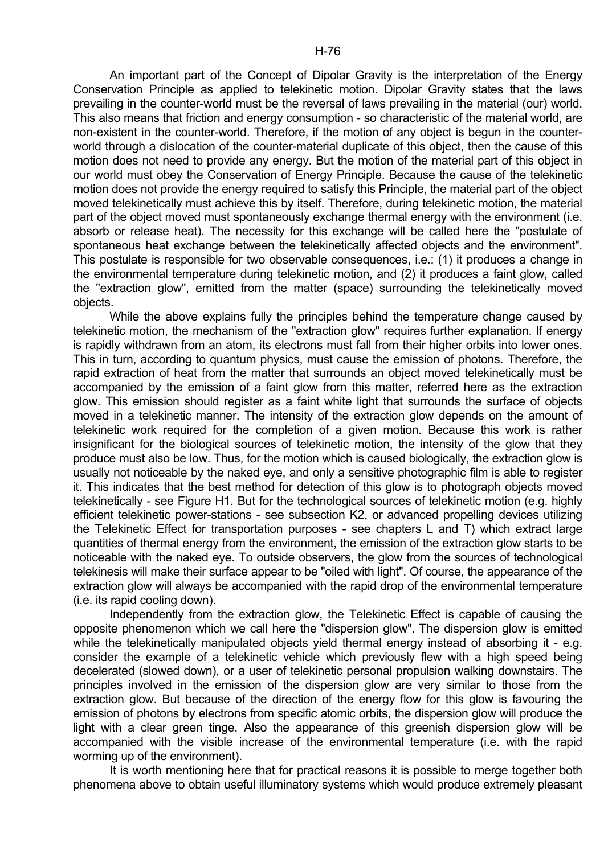An important part of the Concept of Dipolar Gravity is the interpretation of the Energy Conservation Principle as applied to telekinetic motion. Dipolar Gravity states that the laws prevailing in the counter-world must be the reversal of laws prevailing in the material (our) world. This also means that friction and energy consumption - so characteristic of the material world, are non-existent in the counter-world. Therefore, if the motion of any object is begun in the counterworld through a dislocation of the counter-material duplicate of this object, then the cause of this motion does not need to provide any energy. But the motion of the material part of this object in our world must obey the Conservation of Energy Principle. Because the cause of the telekinetic motion does not provide the energy required to satisfy this Principle, the material part of the object moved telekinetically must achieve this by itself. Therefore, during telekinetic motion, the material part of the object moved must spontaneously exchange thermal energy with the environment (i.e. absorb or release heat). The necessity for this exchange will be called here the "postulate of spontaneous heat exchange between the telekinetically affected objects and the environment". This postulate is responsible for two observable consequences, i.e.: (1) it produces a change in the environmental temperature during telekinetic motion, and (2) it produces a faint glow, called the "extraction glow", emitted from the matter (space) surrounding the telekinetically moved objects.

 While the above explains fully the principles behind the temperature change caused by telekinetic motion, the mechanism of the "extraction glow" requires further explanation. If energy is rapidly withdrawn from an atom, its electrons must fall from their higher orbits into lower ones. This in turn, according to quantum physics, must cause the emission of photons. Therefore, the rapid extraction of heat from the matter that surrounds an object moved telekinetically must be accompanied by the emission of a faint glow from this matter, referred here as the extraction glow. This emission should register as a faint white light that surrounds the surface of objects moved in a telekinetic manner. The intensity of the extraction glow depends on the amount of telekinetic work required for the completion of a given motion. Because this work is rather insignificant for the biological sources of telekinetic motion, the intensity of the glow that they produce must also be low. Thus, for the motion which is caused biologically, the extraction glow is usually not noticeable by the naked eye, and only a sensitive photographic film is able to register it. This indicates that the best method for detection of this glow is to photograph objects moved telekinetically - see Figure H1. But for the technological sources of telekinetic motion (e.g. highly efficient telekinetic power-stations - see subsection K2, or advanced propelling devices utilizing the Telekinetic Effect for transportation purposes - see chapters L and T) which extract large quantities of thermal energy from the environment, the emission of the extraction glow starts to be noticeable with the naked eye. To outside observers, the glow from the sources of technological telekinesis will make their surface appear to be "oiled with light". Of course, the appearance of the extraction glow will always be accompanied with the rapid drop of the environmental temperature (i.e. its rapid cooling down).

 Independently from the extraction glow, the Telekinetic Effect is capable of causing the opposite phenomenon which we call here the "dispersion glow". The dispersion glow is emitted while the telekinetically manipulated objects yield thermal energy instead of absorbing it - e.g. consider the example of a telekinetic vehicle which previously flew with a high speed being decelerated (slowed down), or a user of telekinetic personal propulsion walking downstairs. The principles involved in the emission of the dispersion glow are very similar to those from the extraction glow. But because of the direction of the energy flow for this glow is favouring the emission of photons by electrons from specific atomic orbits, the dispersion glow will produce the light with a clear green tinge. Also the appearance of this greenish dispersion glow will be accompanied with the visible increase of the environmental temperature (i.e. with the rapid worming up of the environment).

 It is worth mentioning here that for practical reasons it is possible to merge together both phenomena above to obtain useful illuminatory systems which would produce extremely pleasant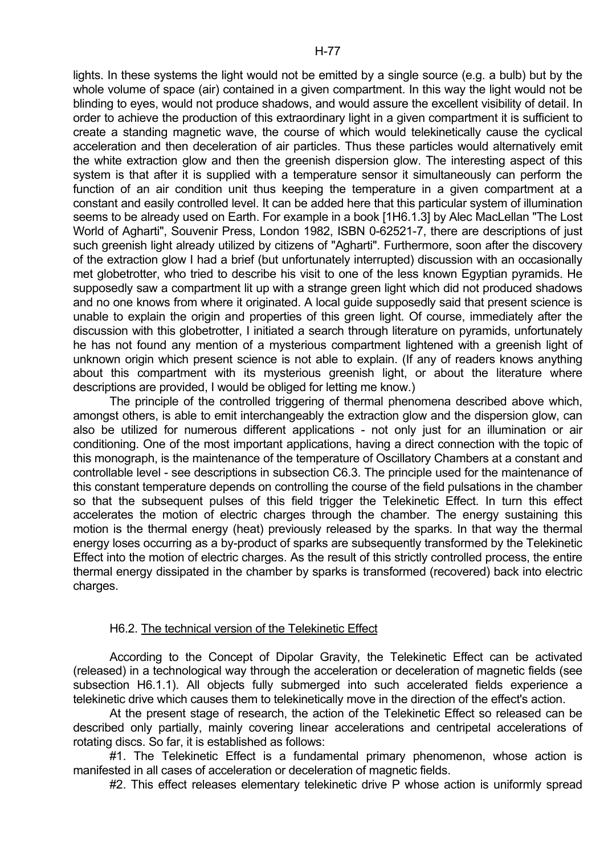lights. In these systems the light would not be emitted by a single source (e.g. a bulb) but by the whole volume of space (air) contained in a given compartment. In this way the light would not be blinding to eyes, would not produce shadows, and would assure the excellent visibility of detail. In order to achieve the production of this extraordinary light in a given compartment it is sufficient to create a standing magnetic wave, the course of which would telekinetically cause the cyclical acceleration and then deceleration of air particles. Thus these particles would alternatively emit the white extraction glow and then the greenish dispersion glow. The interesting aspect of this system is that after it is supplied with a temperature sensor it simultaneously can perform the function of an air condition unit thus keeping the temperature in a given compartment at a constant and easily controlled level. It can be added here that this particular system of illumination seems to be already used on Earth. For example in a book [1H6.1.3] by Alec MacLellan "The Lost World of Agharti", Souvenir Press, London 1982, ISBN 0-62521-7, there are descriptions of just such greenish light already utilized by citizens of "Agharti". Furthermore, soon after the discovery of the extraction glow I had a brief (but unfortunately interrupted) discussion with an occasionally met globetrotter, who tried to describe his visit to one of the less known Egyptian pyramids. He supposedly saw a compartment lit up with a strange green light which did not produced shadows and no one knows from where it originated. A local guide supposedly said that present science is unable to explain the origin and properties of this green light. Of course, immediately after the discussion with this globetrotter, I initiated a search through literature on pyramids, unfortunately he has not found any mention of a mysterious compartment lightened with a greenish light of unknown origin which present science is not able to explain. (If any of readers knows anything about this compartment with its mysterious greenish light, or about the literature where descriptions are provided, I would be obliged for letting me know.)

 The principle of the controlled triggering of thermal phenomena described above which, amongst others, is able to emit interchangeably the extraction glow and the dispersion glow, can also be utilized for numerous different applications - not only just for an illumination or air conditioning. One of the most important applications, having a direct connection with the topic of this monograph, is the maintenance of the temperature of Oscillatory Chambers at a constant and controllable level - see descriptions in subsection C6.3. The principle used for the maintenance of this constant temperature depends on controlling the course of the field pulsations in the chamber so that the subsequent pulses of this field trigger the Telekinetic Effect. In turn this effect accelerates the motion of electric charges through the chamber. The energy sustaining this motion is the thermal energy (heat) previously released by the sparks. In that way the thermal energy loses occurring as a by-product of sparks are subsequently transformed by the Telekinetic Effect into the motion of electric charges. As the result of this strictly controlled process, the entire thermal energy dissipated in the chamber by sparks is transformed (recovered) back into electric charges.

# H6.2. The technical version of the Telekinetic Effect

 According to the Concept of Dipolar Gravity, the Telekinetic Effect can be activated (released) in a technological way through the acceleration or deceleration of magnetic fields (see subsection H6.1.1). All objects fully submerged into such accelerated fields experience a telekinetic drive which causes them to telekinetically move in the direction of the effect's action.

 At the present stage of research, the action of the Telekinetic Effect so released can be described only partially, mainly covering linear accelerations and centripetal accelerations of rotating discs. So far, it is established as follows:

 #1. The Telekinetic Effect is a fundamental primary phenomenon, whose action is manifested in all cases of acceleration or deceleration of magnetic fields.

#2. This effect releases elementary telekinetic drive P whose action is uniformly spread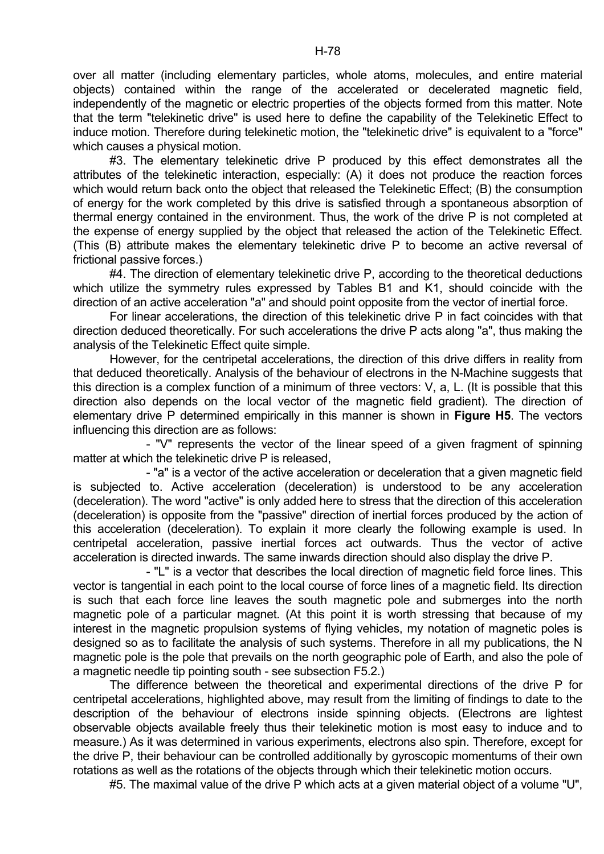over all matter (including elementary particles, whole atoms, molecules, and entire material objects) contained within the range of the accelerated or decelerated magnetic field, independently of the magnetic or electric properties of the objects formed from this matter. Note that the term "telekinetic drive" is used here to define the capability of the Telekinetic Effect to induce motion. Therefore during telekinetic motion, the "telekinetic drive" is equivalent to a "force" which causes a physical motion.

 #3. The elementary telekinetic drive P produced by this effect demonstrates all the attributes of the telekinetic interaction, especially: (A) it does not produce the reaction forces which would return back onto the object that released the Telekinetic Effect; (B) the consumption of energy for the work completed by this drive is satisfied through a spontaneous absorption of thermal energy contained in the environment. Thus, the work of the drive P is not completed at the expense of energy supplied by the object that released the action of the Telekinetic Effect. (This (B) attribute makes the elementary telekinetic drive P to become an active reversal of frictional passive forces.)

 #4. The direction of elementary telekinetic drive P, according to the theoretical deductions which utilize the symmetry rules expressed by Tables B1 and K1, should coincide with the direction of an active acceleration "a" and should point opposite from the vector of inertial force.

 For linear accelerations, the direction of this telekinetic drive P in fact coincides with that direction deduced theoretically. For such accelerations the drive P acts along "a", thus making the analysis of the Telekinetic Effect quite simple.

 However, for the centripetal accelerations, the direction of this drive differs in reality from that deduced theoretically. Analysis of the behaviour of electrons in the N-Machine suggests that this direction is a complex function of a minimum of three vectors: V, a, L. (It is possible that this direction also depends on the local vector of the magnetic field gradient). The direction of elementary drive P determined empirically in this manner is shown in **Figure H5**. The vectors influencing this direction are as follows:

 - "V" represents the vector of the linear speed of a given fragment of spinning matter at which the telekinetic drive P is released,

 - "a" is a vector of the active acceleration or deceleration that a given magnetic field is subjected to. Active acceleration (deceleration) is understood to be any acceleration (deceleration). The word "active" is only added here to stress that the direction of this acceleration (deceleration) is opposite from the "passive" direction of inertial forces produced by the action of this acceleration (deceleration). To explain it more clearly the following example is used. In centripetal acceleration, passive inertial forces act outwards. Thus the vector of active acceleration is directed inwards. The same inwards direction should also display the drive P.

 - "L" is a vector that describes the local direction of magnetic field force lines. This vector is tangential in each point to the local course of force lines of a magnetic field. Its direction is such that each force line leaves the south magnetic pole and submerges into the north magnetic pole of a particular magnet. (At this point it is worth stressing that because of my interest in the magnetic propulsion systems of flying vehicles, my notation of magnetic poles is designed so as to facilitate the analysis of such systems. Therefore in all my publications, the N magnetic pole is the pole that prevails on the north geographic pole of Earth, and also the pole of a magnetic needle tip pointing south - see subsection F5.2.)

 The difference between the theoretical and experimental directions of the drive P for centripetal accelerations, highlighted above, may result from the limiting of findings to date to the description of the behaviour of electrons inside spinning objects. (Electrons are lightest observable objects available freely thus their telekinetic motion is most easy to induce and to measure.) As it was determined in various experiments, electrons also spin. Therefore, except for the drive P, their behaviour can be controlled additionally by gyroscopic momentums of their own rotations as well as the rotations of the objects through which their telekinetic motion occurs.

#5. The maximal value of the drive P which acts at a given material object of a volume "U",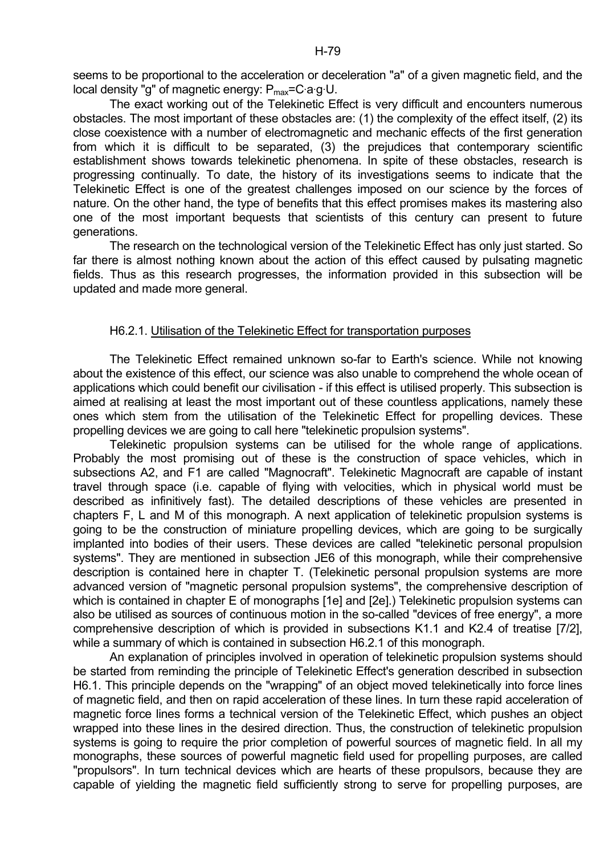seems to be proportional to the acceleration or deceleration "a" of a given magnetic field, and the local density "g" of magnetic energy:  $P_{max} = C \cdot a \cdot g \cdot U$ .

 The exact working out of the Telekinetic Effect is very difficult and encounters numerous obstacles. The most important of these obstacles are: (1) the complexity of the effect itself, (2) its close coexistence with a number of electromagnetic and mechanic effects of the first generation from which it is difficult to be separated, (3) the prejudices that contemporary scientific establishment shows towards telekinetic phenomena. In spite of these obstacles, research is progressing continually. To date, the history of its investigations seems to indicate that the Telekinetic Effect is one of the greatest challenges imposed on our science by the forces of nature. On the other hand, the type of benefits that this effect promises makes its mastering also one of the most important bequests that scientists of this century can present to future generations.

 The research on the technological version of the Telekinetic Effect has only just started. So far there is almost nothing known about the action of this effect caused by pulsating magnetic fields. Thus as this research progresses, the information provided in this subsection will be updated and made more general.

#### H6.2.1. Utilisation of the Telekinetic Effect for transportation purposes

 The Telekinetic Effect remained unknown so-far to Earth's science. While not knowing about the existence of this effect, our science was also unable to comprehend the whole ocean of applications which could benefit our civilisation - if this effect is utilised properly. This subsection is aimed at realising at least the most important out of these countless applications, namely these ones which stem from the utilisation of the Telekinetic Effect for propelling devices. These propelling devices we are going to call here "telekinetic propulsion systems".

 Telekinetic propulsion systems can be utilised for the whole range of applications. Probably the most promising out of these is the construction of space vehicles, which in subsections A2, and F1 are called "Magnocraft". Telekinetic Magnocraft are capable of instant travel through space (i.e. capable of flying with velocities, which in physical world must be described as infinitively fast). The detailed descriptions of these vehicles are presented in chapters F, L and M of this monograph. A next application of telekinetic propulsion systems is going to be the construction of miniature propelling devices, which are going to be surgically implanted into bodies of their users. These devices are called "telekinetic personal propulsion systems". They are mentioned in subsection JE6 of this monograph, while their comprehensive description is contained here in chapter T. (Telekinetic personal propulsion systems are more advanced version of "magnetic personal propulsion systems", the comprehensive description of which is contained in chapter E of monographs [1e] and [2e].) Telekinetic propulsion systems can also be utilised as sources of continuous motion in the so-called "devices of free energy", a more comprehensive description of which is provided in subsections K1.1 and K2.4 of treatise [7/2], while a summary of which is contained in subsection H6.2.1 of this monograph.

 An explanation of principles involved in operation of telekinetic propulsion systems should be started from reminding the principle of Telekinetic Effect's generation described in subsection H6.1. This principle depends on the "wrapping" of an object moved telekinetically into force lines of magnetic field, and then on rapid acceleration of these lines. In turn these rapid acceleration of magnetic force lines forms a technical version of the Telekinetic Effect, which pushes an object wrapped into these lines in the desired direction. Thus, the construction of telekinetic propulsion systems is going to require the prior completion of powerful sources of magnetic field. In all my monographs, these sources of powerful magnetic field used for propelling purposes, are called "propulsors". In turn technical devices which are hearts of these propulsors, because they are capable of yielding the magnetic field sufficiently strong to serve for propelling purposes, are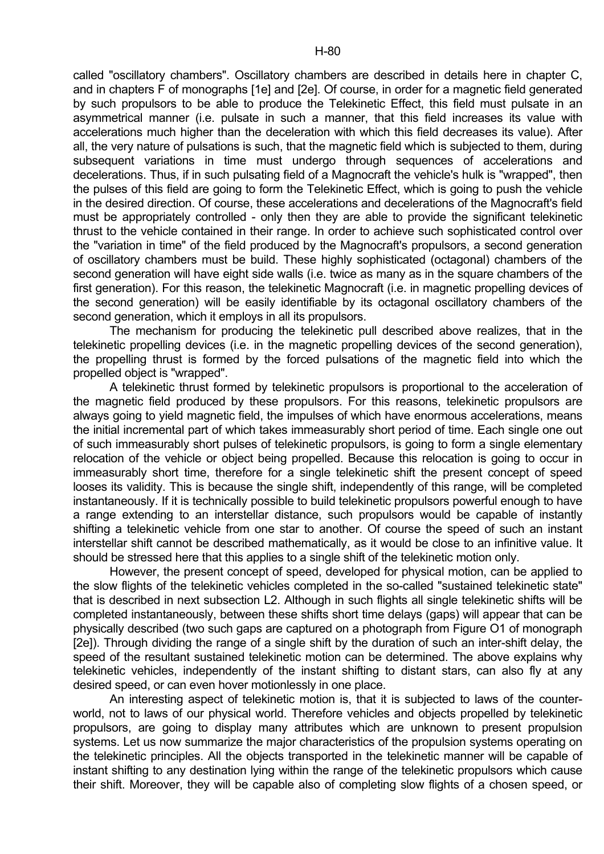called "oscillatory chambers". Oscillatory chambers are described in details here in chapter C, and in chapters F of monographs [1e] and [2e]. Of course, in order for a magnetic field generated by such propulsors to be able to produce the Telekinetic Effect, this field must pulsate in an asymmetrical manner (i.e. pulsate in such a manner, that this field increases its value with accelerations much higher than the deceleration with which this field decreases its value). After all, the very nature of pulsations is such, that the magnetic field which is subjected to them, during subsequent variations in time must undergo through sequences of accelerations and decelerations. Thus, if in such pulsating field of a Magnocraft the vehicle's hulk is "wrapped", then the pulses of this field are going to form the Telekinetic Effect, which is going to push the vehicle in the desired direction. Of course, these accelerations and decelerations of the Magnocraft's field must be appropriately controlled - only then they are able to provide the significant telekinetic thrust to the vehicle contained in their range. In order to achieve such sophisticated control over the "variation in time" of the field produced by the Magnocraft's propulsors, a second generation of oscillatory chambers must be build. These highly sophisticated (octagonal) chambers of the second generation will have eight side walls (i.e. twice as many as in the square chambers of the first generation). For this reason, the telekinetic Magnocraft (i.e. in magnetic propelling devices of the second generation) will be easily identifiable by its octagonal oscillatory chambers of the second generation, which it employs in all its propulsors.

 The mechanism for producing the telekinetic pull described above realizes, that in the telekinetic propelling devices (i.e. in the magnetic propelling devices of the second generation), the propelling thrust is formed by the forced pulsations of the magnetic field into which the propelled object is "wrapped".

 A telekinetic thrust formed by telekinetic propulsors is proportional to the acceleration of the magnetic field produced by these propulsors. For this reasons, telekinetic propulsors are always going to yield magnetic field, the impulses of which have enormous accelerations, means the initial incremental part of which takes immeasurably short period of time. Each single one out of such immeasurably short pulses of telekinetic propulsors, is going to form a single elementary relocation of the vehicle or object being propelled. Because this relocation is going to occur in immeasurably short time, therefore for a single telekinetic shift the present concept of speed looses its validity. This is because the single shift, independently of this range, will be completed instantaneously. If it is technically possible to build telekinetic propulsors powerful enough to have a range extending to an interstellar distance, such propulsors would be capable of instantly shifting a telekinetic vehicle from one star to another. Of course the speed of such an instant interstellar shift cannot be described mathematically, as it would be close to an infinitive value. It should be stressed here that this applies to a single shift of the telekinetic motion only.

 However, the present concept of speed, developed for physical motion, can be applied to the slow flights of the telekinetic vehicles completed in the so-called "sustained telekinetic state" that is described in next subsection L2. Although in such flights all single telekinetic shifts will be completed instantaneously, between these shifts short time delays (gaps) will appear that can be physically described (two such gaps are captured on a photograph from Figure O1 of monograph [2e]). Through dividing the range of a single shift by the duration of such an inter-shift delay, the speed of the resultant sustained telekinetic motion can be determined. The above explains why telekinetic vehicles, independently of the instant shifting to distant stars, can also fly at any desired speed, or can even hover motionlessly in one place.

 An interesting aspect of telekinetic motion is, that it is subjected to laws of the counterworld, not to laws of our physical world. Therefore vehicles and objects propelled by telekinetic propulsors, are going to display many attributes which are unknown to present propulsion systems. Let us now summarize the major characteristics of the propulsion systems operating on the telekinetic principles. All the objects transported in the telekinetic manner will be capable of instant shifting to any destination lying within the range of the telekinetic propulsors which cause their shift. Moreover, they will be capable also of completing slow flights of a chosen speed, or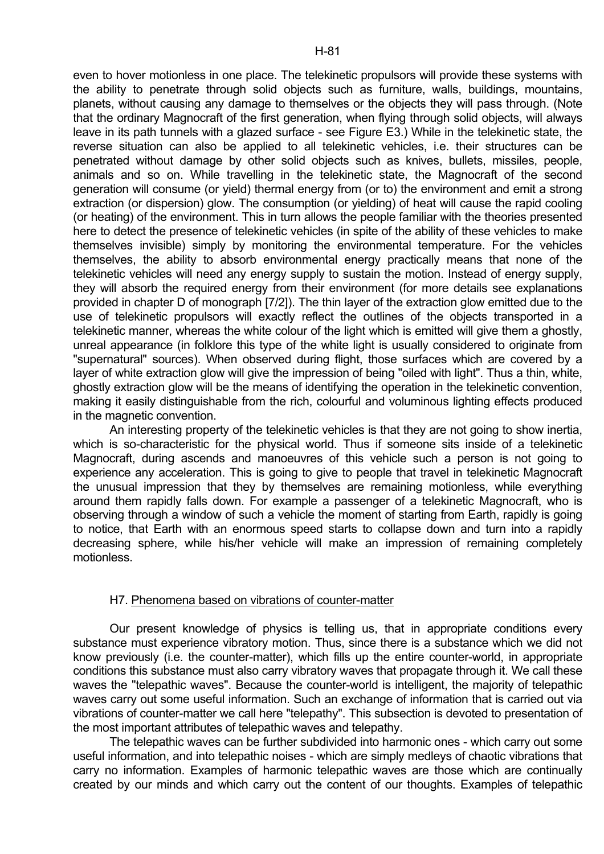even to hover motionless in one place. The telekinetic propulsors will provide these systems with the ability to penetrate through solid objects such as furniture, walls, buildings, mountains, planets, without causing any damage to themselves or the objects they will pass through. (Note that the ordinary Magnocraft of the first generation, when flying through solid objects, will always leave in its path tunnels with a glazed surface - see Figure E3.) While in the telekinetic state, the reverse situation can also be applied to all telekinetic vehicles, i.e. their structures can be penetrated without damage by other solid objects such as knives, bullets, missiles, people, animals and so on. While travelling in the telekinetic state, the Magnocraft of the second generation will consume (or yield) thermal energy from (or to) the environment and emit a strong extraction (or dispersion) glow. The consumption (or yielding) of heat will cause the rapid cooling (or heating) of the environment. This in turn allows the people familiar with the theories presented here to detect the presence of telekinetic vehicles (in spite of the ability of these vehicles to make themselves invisible) simply by monitoring the environmental temperature. For the vehicles themselves, the ability to absorb environmental energy practically means that none of the telekinetic vehicles will need any energy supply to sustain the motion. Instead of energy supply, they will absorb the required energy from their environment (for more details see explanations provided in chapter D of monograph [7/2]). The thin layer of the extraction glow emitted due to the use of telekinetic propulsors will exactly reflect the outlines of the objects transported in a telekinetic manner, whereas the white colour of the light which is emitted will give them a ghostly, unreal appearance (in folklore this type of the white light is usually considered to originate from "supernatural" sources). When observed during flight, those surfaces which are covered by a layer of white extraction glow will give the impression of being "oiled with light". Thus a thin, white, ghostly extraction glow will be the means of identifying the operation in the telekinetic convention, making it easily distinguishable from the rich, colourful and voluminous lighting effects produced in the magnetic convention.

 An interesting property of the telekinetic vehicles is that they are not going to show inertia, which is so-characteristic for the physical world. Thus if someone sits inside of a telekinetic Magnocraft, during ascends and manoeuvres of this vehicle such a person is not going to experience any acceleration. This is going to give to people that travel in telekinetic Magnocraft the unusual impression that they by themselves are remaining motionless, while everything around them rapidly falls down. For example a passenger of a telekinetic Magnocraft, who is observing through a window of such a vehicle the moment of starting from Earth, rapidly is going to notice, that Earth with an enormous speed starts to collapse down and turn into a rapidly decreasing sphere, while his/her vehicle will make an impression of remaining completely motionless.

# H7. Phenomena based on vibrations of counter-matter

 Our present knowledge of physics is telling us, that in appropriate conditions every substance must experience vibratory motion. Thus, since there is a substance which we did not know previously (i.e. the counter-matter), which fills up the entire counter-world, in appropriate conditions this substance must also carry vibratory waves that propagate through it. We call these waves the "telepathic waves". Because the counter-world is intelligent, the majority of telepathic waves carry out some useful information. Such an exchange of information that is carried out via vibrations of counter-matter we call here "telepathy". This subsection is devoted to presentation of the most important attributes of telepathic waves and telepathy.

 The telepathic waves can be further subdivided into harmonic ones - which carry out some useful information, and into telepathic noises - which are simply medleys of chaotic vibrations that carry no information. Examples of harmonic telepathic waves are those which are continually created by our minds and which carry out the content of our thoughts. Examples of telepathic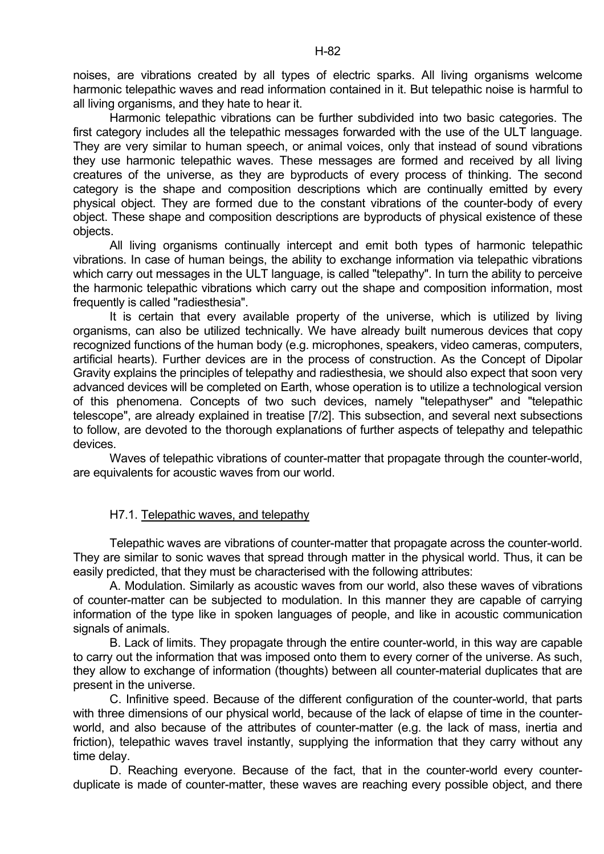noises, are vibrations created by all types of electric sparks. All living organisms welcome harmonic telepathic waves and read information contained in it. But telepathic noise is harmful to all living organisms, and they hate to hear it.

 Harmonic telepathic vibrations can be further subdivided into two basic categories. The first category includes all the telepathic messages forwarded with the use of the ULT language. They are very similar to human speech, or animal voices, only that instead of sound vibrations they use harmonic telepathic waves. These messages are formed and received by all living creatures of the universe, as they are byproducts of every process of thinking. The second category is the shape and composition descriptions which are continually emitted by every physical object. They are formed due to the constant vibrations of the counter-body of every object. These shape and composition descriptions are byproducts of physical existence of these objects.

 All living organisms continually intercept and emit both types of harmonic telepathic vibrations. In case of human beings, the ability to exchange information via telepathic vibrations which carry out messages in the ULT language, is called "telepathy". In turn the ability to perceive the harmonic telepathic vibrations which carry out the shape and composition information, most frequently is called "radiesthesia".

 It is certain that every available property of the universe, which is utilized by living organisms, can also be utilized technically. We have already built numerous devices that copy recognized functions of the human body (e.g. microphones, speakers, video cameras, computers, artificial hearts). Further devices are in the process of construction. As the Concept of Dipolar Gravity explains the principles of telepathy and radiesthesia, we should also expect that soon very advanced devices will be completed on Earth, whose operation is to utilize a technological version of this phenomena. Concepts of two such devices, namely "telepathyser" and "telepathic telescope", are already explained in treatise [7/2]. This subsection, and several next subsections to follow, are devoted to the thorough explanations of further aspects of telepathy and telepathic devices.

 Waves of telepathic vibrations of counter-matter that propagate through the counter-world, are equivalents for acoustic waves from our world.

### H7.1. Telepathic waves, and telepathy

 Telepathic waves are vibrations of counter-matter that propagate across the counter-world. They are similar to sonic waves that spread through matter in the physical world. Thus, it can be easily predicted, that they must be characterised with the following attributes:

 A. Modulation. Similarly as acoustic waves from our world, also these waves of vibrations of counter-matter can be subjected to modulation. In this manner they are capable of carrying information of the type like in spoken languages of people, and like in acoustic communication signals of animals.

 B. Lack of limits. They propagate through the entire counter-world, in this way are capable to carry out the information that was imposed onto them to every corner of the universe. As such, they allow to exchange of information (thoughts) between all counter-material duplicates that are present in the universe.

 C. Infinitive speed. Because of the different configuration of the counter-world, that parts with three dimensions of our physical world, because of the lack of elapse of time in the counterworld, and also because of the attributes of counter-matter (e.g. the lack of mass, inertia and friction), telepathic waves travel instantly, supplying the information that they carry without any time delay.

 D. Reaching everyone. Because of the fact, that in the counter-world every counterduplicate is made of counter-matter, these waves are reaching every possible object, and there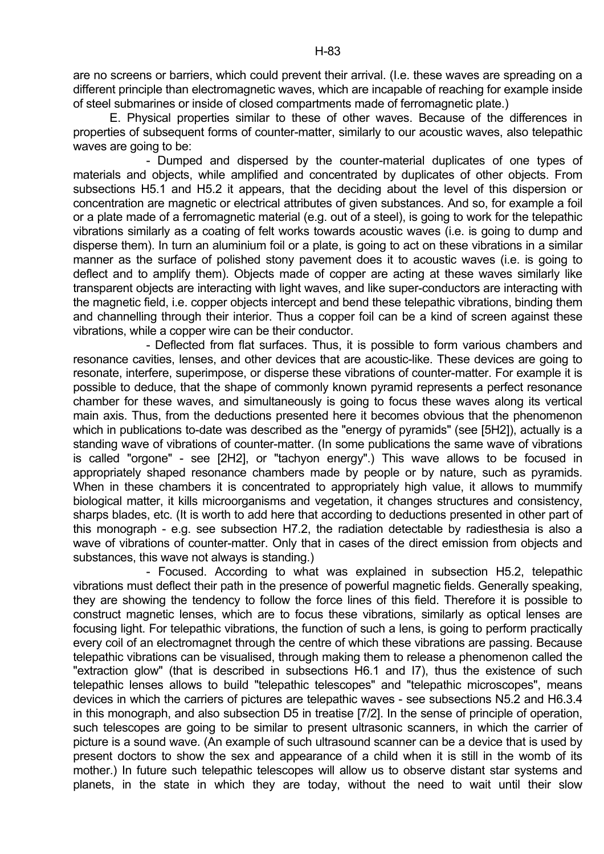are no screens or barriers, which could prevent their arrival. (I.e. these waves are spreading on a different principle than electromagnetic waves, which are incapable of reaching for example inside of steel submarines or inside of closed compartments made of ferromagnetic plate.)

 E. Physical properties similar to these of other waves. Because of the differences in properties of subsequent forms of counter-matter, similarly to our acoustic waves, also telepathic waves are going to be:

 - Dumped and dispersed by the counter-material duplicates of one types of materials and objects, while amplified and concentrated by duplicates of other objects. From subsections H5.1 and H5.2 it appears, that the deciding about the level of this dispersion or concentration are magnetic or electrical attributes of given substances. And so, for example a foil or a plate made of a ferromagnetic material (e.g. out of a steel), is going to work for the telepathic vibrations similarly as a coating of felt works towards acoustic waves (i.e. is going to dump and disperse them). In turn an aluminium foil or a plate, is going to act on these vibrations in a similar manner as the surface of polished stony pavement does it to acoustic waves (i.e. is going to deflect and to amplify them). Objects made of copper are acting at these waves similarly like transparent objects are interacting with light waves, and like super-conductors are interacting with the magnetic field, i.e. copper objects intercept and bend these telepathic vibrations, binding them and channelling through their interior. Thus a copper foil can be a kind of screen against these vibrations, while a copper wire can be their conductor.

 - Deflected from flat surfaces. Thus, it is possible to form various chambers and resonance cavities, lenses, and other devices that are acoustic-like. These devices are going to resonate, interfere, superimpose, or disperse these vibrations of counter-matter. For example it is possible to deduce, that the shape of commonly known pyramid represents a perfect resonance chamber for these waves, and simultaneously is going to focus these waves along its vertical main axis. Thus, from the deductions presented here it becomes obvious that the phenomenon which in publications to-date was described as the "energy of pyramids" (see [5H2]), actually is a standing wave of vibrations of counter-matter. (In some publications the same wave of vibrations is called "orgone" - see [2H2], or "tachyon energy".) This wave allows to be focused in appropriately shaped resonance chambers made by people or by nature, such as pyramids. When in these chambers it is concentrated to appropriately high value, it allows to mummify biological matter, it kills microorganisms and vegetation, it changes structures and consistency, sharps blades, etc. (It is worth to add here that according to deductions presented in other part of this monograph - e.g. see subsection H7.2, the radiation detectable by radiesthesia is also a wave of vibrations of counter-matter. Only that in cases of the direct emission from objects and substances, this wave not always is standing.)

 - Focused. According to what was explained in subsection H5.2, telepathic vibrations must deflect their path in the presence of powerful magnetic fields. Generally speaking, they are showing the tendency to follow the force lines of this field. Therefore it is possible to construct magnetic lenses, which are to focus these vibrations, similarly as optical lenses are focusing light. For telepathic vibrations, the function of such a lens, is going to perform practically every coil of an electromagnet through the centre of which these vibrations are passing. Because telepathic vibrations can be visualised, through making them to release a phenomenon called the "extraction glow" (that is described in subsections H6.1 and I7), thus the existence of such telepathic lenses allows to build "telepathic telescopes" and "telepathic microscopes", means devices in which the carriers of pictures are telepathic waves - see subsections N5.2 and H6.3.4 in this monograph, and also subsection D5 in treatise [7/2]. In the sense of principle of operation, such telescopes are going to be similar to present ultrasonic scanners, in which the carrier of picture is a sound wave. (An example of such ultrasound scanner can be a device that is used by present doctors to show the sex and appearance of a child when it is still in the womb of its mother.) In future such telepathic telescopes will allow us to observe distant star systems and planets, in the state in which they are today, without the need to wait until their slow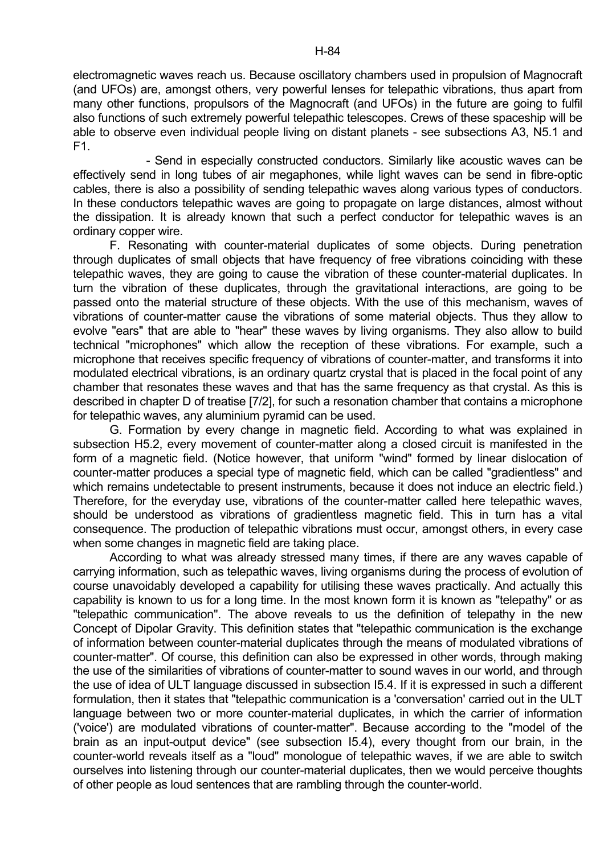electromagnetic waves reach us. Because oscillatory chambers used in propulsion of Magnocraft (and UFOs) are, amongst others, very powerful lenses for telepathic vibrations, thus apart from many other functions, propulsors of the Magnocraft (and UFOs) in the future are going to fulfil also functions of such extremely powerful telepathic telescopes. Crews of these spaceship will be able to observe even individual people living on distant planets - see subsections A3, N5.1 and F1.

 - Send in especially constructed conductors. Similarly like acoustic waves can be effectively send in long tubes of air megaphones, while light waves can be send in fibre-optic cables, there is also a possibility of sending telepathic waves along various types of conductors. In these conductors telepathic waves are going to propagate on large distances, almost without the dissipation. It is already known that such a perfect conductor for telepathic waves is an ordinary copper wire.

 F. Resonating with counter-material duplicates of some objects. During penetration through duplicates of small objects that have frequency of free vibrations coinciding with these telepathic waves, they are going to cause the vibration of these counter-material duplicates. In turn the vibration of these duplicates, through the gravitational interactions, are going to be passed onto the material structure of these objects. With the use of this mechanism, waves of vibrations of counter-matter cause the vibrations of some material objects. Thus they allow to evolve "ears" that are able to "hear" these waves by living organisms. They also allow to build technical "microphones" which allow the reception of these vibrations. For example, such a microphone that receives specific frequency of vibrations of counter-matter, and transforms it into modulated electrical vibrations, is an ordinary quartz crystal that is placed in the focal point of any chamber that resonates these waves and that has the same frequency as that crystal. As this is described in chapter D of treatise [7/2], for such a resonation chamber that contains a microphone for telepathic waves, any aluminium pyramid can be used.

 G. Formation by every change in magnetic field. According to what was explained in subsection H5.2, every movement of counter-matter along a closed circuit is manifested in the form of a magnetic field. (Notice however, that uniform "wind" formed by linear dislocation of counter-matter produces a special type of magnetic field, which can be called "gradientless" and which remains undetectable to present instruments, because it does not induce an electric field.) Therefore, for the everyday use, vibrations of the counter-matter called here telepathic waves, should be understood as vibrations of gradientless magnetic field. This in turn has a vital consequence. The production of telepathic vibrations must occur, amongst others, in every case when some changes in magnetic field are taking place.

 According to what was already stressed many times, if there are any waves capable of carrying information, such as telepathic waves, living organisms during the process of evolution of course unavoidably developed a capability for utilising these waves practically. And actually this capability is known to us for a long time. In the most known form it is known as "telepathy" or as "telepathic communication". The above reveals to us the definition of telepathy in the new Concept of Dipolar Gravity. This definition states that "telepathic communication is the exchange of information between counter-material duplicates through the means of modulated vibrations of counter-matter". Of course, this definition can also be expressed in other words, through making the use of the similarities of vibrations of counter-matter to sound waves in our world, and through the use of idea of ULT language discussed in subsection I5.4. If it is expressed in such a different formulation, then it states that "telepathic communication is a 'conversation' carried out in the ULT language between two or more counter-material duplicates, in which the carrier of information ('voice') are modulated vibrations of counter-matter". Because according to the "model of the brain as an input-output device" (see subsection I5.4), every thought from our brain, in the counter-world reveals itself as a "loud" monologue of telepathic waves, if we are able to switch ourselves into listening through our counter-material duplicates, then we would perceive thoughts of other people as loud sentences that are rambling through the counter-world.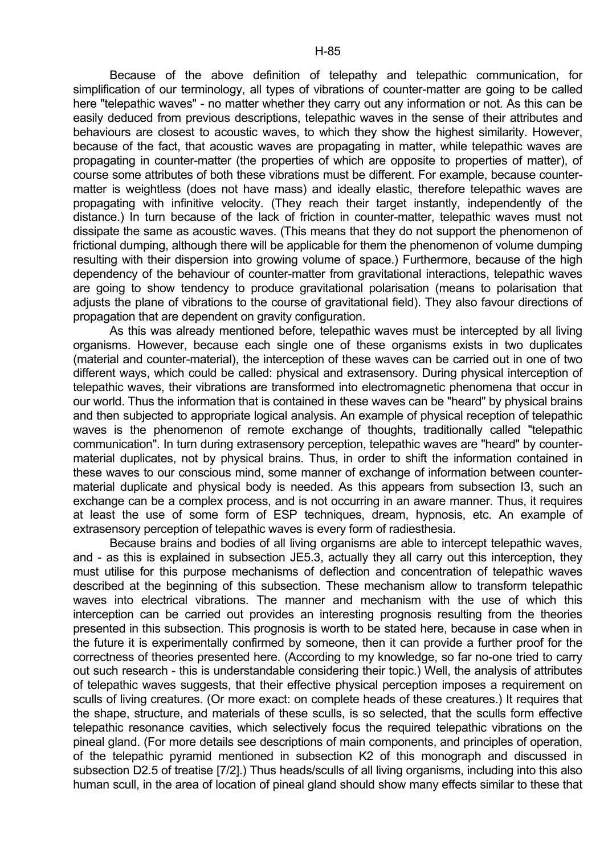Because of the above definition of telepathy and telepathic communication, for simplification of our terminology, all types of vibrations of counter-matter are going to be called here "telepathic waves" - no matter whether they carry out any information or not. As this can be easily deduced from previous descriptions, telepathic waves in the sense of their attributes and behaviours are closest to acoustic waves, to which they show the highest similarity. However, because of the fact, that acoustic waves are propagating in matter, while telepathic waves are propagating in counter-matter (the properties of which are opposite to properties of matter), of course some attributes of both these vibrations must be different. For example, because countermatter is weightless (does not have mass) and ideally elastic, therefore telepathic waves are propagating with infinitive velocity. (They reach their target instantly, independently of the distance.) In turn because of the lack of friction in counter-matter, telepathic waves must not dissipate the same as acoustic waves. (This means that they do not support the phenomenon of frictional dumping, although there will be applicable for them the phenomenon of volume dumping resulting with their dispersion into growing volume of space.) Furthermore, because of the high dependency of the behaviour of counter-matter from gravitational interactions, telepathic waves are going to show tendency to produce gravitational polarisation (means to polarisation that adjusts the plane of vibrations to the course of gravitational field). They also favour directions of propagation that are dependent on gravity configuration.

 As this was already mentioned before, telepathic waves must be intercepted by all living organisms. However, because each single one of these organisms exists in two duplicates (material and counter-material), the interception of these waves can be carried out in one of two different ways, which could be called: physical and extrasensory. During physical interception of telepathic waves, their vibrations are transformed into electromagnetic phenomena that occur in our world. Thus the information that is contained in these waves can be "heard" by physical brains and then subjected to appropriate logical analysis. An example of physical reception of telepathic waves is the phenomenon of remote exchange of thoughts, traditionally called "telepathic communication". In turn during extrasensory perception, telepathic waves are "heard" by countermaterial duplicates, not by physical brains. Thus, in order to shift the information contained in these waves to our conscious mind, some manner of exchange of information between countermaterial duplicate and physical body is needed. As this appears from subsection I3, such an exchange can be a complex process, and is not occurring in an aware manner. Thus, it requires at least the use of some form of ESP techniques, dream, hypnosis, etc. An example of extrasensory perception of telepathic waves is every form of radiesthesia.

 Because brains and bodies of all living organisms are able to intercept telepathic waves, and - as this is explained in subsection JE5.3, actually they all carry out this interception, they must utilise for this purpose mechanisms of deflection and concentration of telepathic waves described at the beginning of this subsection. These mechanism allow to transform telepathic waves into electrical vibrations. The manner and mechanism with the use of which this interception can be carried out provides an interesting prognosis resulting from the theories presented in this subsection. This prognosis is worth to be stated here, because in case when in the future it is experimentally confirmed by someone, then it can provide a further proof for the correctness of theories presented here. (According to my knowledge, so far no-one tried to carry out such research - this is understandable considering their topic.) Well, the analysis of attributes of telepathic waves suggests, that their effective physical perception imposes a requirement on sculls of living creatures. (Or more exact: on complete heads of these creatures.) It requires that the shape, structure, and materials of these sculls, is so selected, that the sculls form effective telepathic resonance cavities, which selectively focus the required telepathic vibrations on the pineal gland. (For more details see descriptions of main components, and principles of operation, of the telepathic pyramid mentioned in subsection K2 of this monograph and discussed in subsection D2.5 of treatise [7/2].) Thus heads/sculls of all living organisms, including into this also human scull, in the area of location of pineal gland should show many effects similar to these that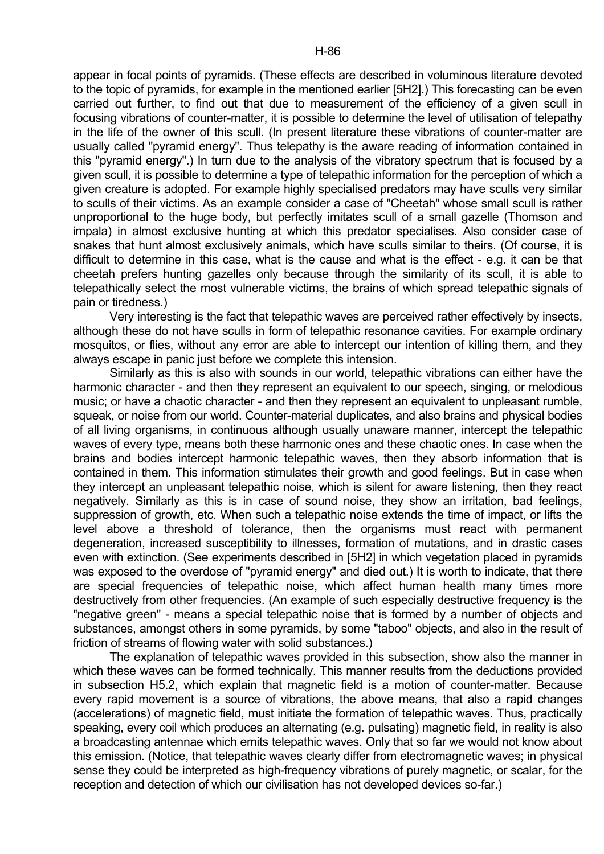appear in focal points of pyramids. (These effects are described in voluminous literature devoted to the topic of pyramids, for example in the mentioned earlier [5H2].) This forecasting can be even carried out further, to find out that due to measurement of the efficiency of a given scull in focusing vibrations of counter-matter, it is possible to determine the level of utilisation of telepathy in the life of the owner of this scull. (In present literature these vibrations of counter-matter are usually called "pyramid energy". Thus telepathy is the aware reading of information contained in this "pyramid energy".) In turn due to the analysis of the vibratory spectrum that is focused by a given scull, it is possible to determine a type of telepathic information for the perception of which a given creature is adopted. For example highly specialised predators may have sculls very similar to sculls of their victims. As an example consider a case of "Cheetah" whose small scull is rather unproportional to the huge body, but perfectly imitates scull of a small gazelle (Thomson and impala) in almost exclusive hunting at which this predator specialises. Also consider case of snakes that hunt almost exclusively animals, which have sculls similar to theirs. (Of course, it is difficult to determine in this case, what is the cause and what is the effect - e.g. it can be that cheetah prefers hunting gazelles only because through the similarity of its scull, it is able to telepathically select the most vulnerable victims, the brains of which spread telepathic signals of pain or tiredness.)

 Very interesting is the fact that telepathic waves are perceived rather effectively by insects, although these do not have sculls in form of telepathic resonance cavities. For example ordinary mosquitos, or flies, without any error are able to intercept our intention of killing them, and they always escape in panic just before we complete this intension.

 Similarly as this is also with sounds in our world, telepathic vibrations can either have the harmonic character - and then they represent an equivalent to our speech, singing, or melodious music; or have a chaotic character - and then they represent an equivalent to unpleasant rumble, squeak, or noise from our world. Counter-material duplicates, and also brains and physical bodies of all living organisms, in continuous although usually unaware manner, intercept the telepathic waves of every type, means both these harmonic ones and these chaotic ones. In case when the brains and bodies intercept harmonic telepathic waves, then they absorb information that is contained in them. This information stimulates their growth and good feelings. But in case when they intercept an unpleasant telepathic noise, which is silent for aware listening, then they react negatively. Similarly as this is in case of sound noise, they show an irritation, bad feelings, suppression of growth, etc. When such a telepathic noise extends the time of impact, or lifts the level above a threshold of tolerance, then the organisms must react with permanent degeneration, increased susceptibility to illnesses, formation of mutations, and in drastic cases even with extinction. (See experiments described in [5H2] in which vegetation placed in pyramids was exposed to the overdose of "pyramid energy" and died out.) It is worth to indicate, that there are special frequencies of telepathic noise, which affect human health many times more destructively from other frequencies. (An example of such especially destructive frequency is the "negative green" - means a special telepathic noise that is formed by a number of objects and substances, amongst others in some pyramids, by some "taboo" objects, and also in the result of friction of streams of flowing water with solid substances.)

 The explanation of telepathic waves provided in this subsection, show also the manner in which these waves can be formed technically. This manner results from the deductions provided in subsection H5.2, which explain that magnetic field is a motion of counter-matter. Because every rapid movement is a source of vibrations, the above means, that also a rapid changes (accelerations) of magnetic field, must initiate the formation of telepathic waves. Thus, practically speaking, every coil which produces an alternating (e.g. pulsating) magnetic field, in reality is also a broadcasting antennae which emits telepathic waves. Only that so far we would not know about this emission. (Notice, that telepathic waves clearly differ from electromagnetic waves; in physical sense they could be interpreted as high-frequency vibrations of purely magnetic, or scalar, for the reception and detection of which our civilisation has not developed devices so-far.)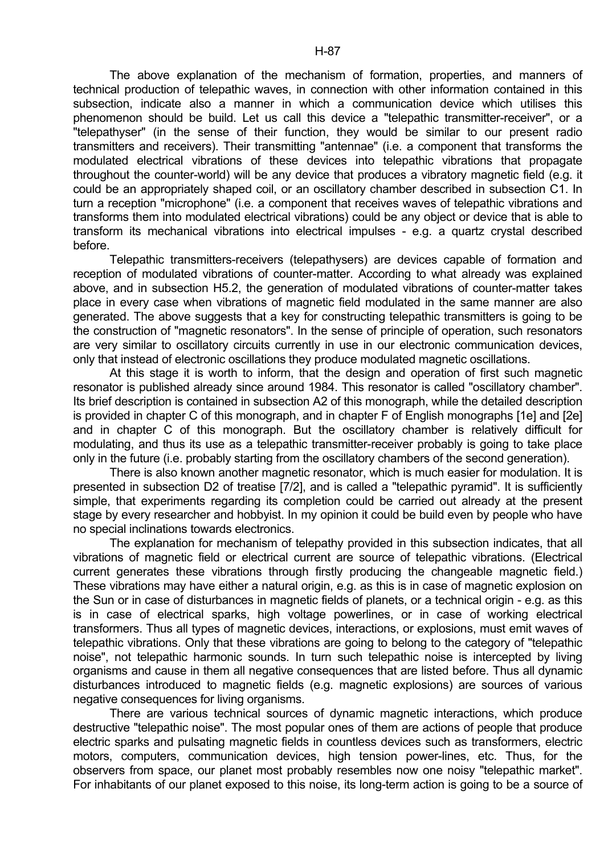The above explanation of the mechanism of formation, properties, and manners of technical production of telepathic waves, in connection with other information contained in this subsection, indicate also a manner in which a communication device which utilises this phenomenon should be build. Let us call this device a "telepathic transmitter-receiver", or a "telepathyser" (in the sense of their function, they would be similar to our present radio transmitters and receivers). Their transmitting "antennae" (i.e. a component that transforms the modulated electrical vibrations of these devices into telepathic vibrations that propagate throughout the counter-world) will be any device that produces a vibratory magnetic field (e.g. it could be an appropriately shaped coil, or an oscillatory chamber described in subsection C1. In turn a reception "microphone" (i.e. a component that receives waves of telepathic vibrations and transforms them into modulated electrical vibrations) could be any object or device that is able to transform its mechanical vibrations into electrical impulses - e.g. a quartz crystal described before.

 Telepathic transmitters-receivers (telepathysers) are devices capable of formation and reception of modulated vibrations of counter-matter. According to what already was explained above, and in subsection H5.2, the generation of modulated vibrations of counter-matter takes place in every case when vibrations of magnetic field modulated in the same manner are also generated. The above suggests that a key for constructing telepathic transmitters is going to be the construction of "magnetic resonators". In the sense of principle of operation, such resonators are very similar to oscillatory circuits currently in use in our electronic communication devices, only that instead of electronic oscillations they produce modulated magnetic oscillations.

At this stage it is worth to inform, that the design and operation of first such magnetic resonator is published already since around 1984. This resonator is called "oscillatory chamber". Its brief description is contained in subsection A2 of this monograph, while the detailed description is provided in chapter C of this monograph, and in chapter F of English monographs [1e] and [2e] and in chapter C of this monograph. But the oscillatory chamber is relatively difficult for modulating, and thus its use as a telepathic transmitter-receiver probably is going to take place only in the future (i.e. probably starting from the oscillatory chambers of the second generation).

 There is also known another magnetic resonator, which is much easier for modulation. It is presented in subsection D2 of treatise [7/2], and is called a "telepathic pyramid". It is sufficiently simple, that experiments regarding its completion could be carried out already at the present stage by every researcher and hobbyist. In my opinion it could be build even by people who have no special inclinations towards electronics.

 The explanation for mechanism of telepathy provided in this subsection indicates, that all vibrations of magnetic field or electrical current are source of telepathic vibrations. (Electrical current generates these vibrations through firstly producing the changeable magnetic field.) These vibrations may have either a natural origin, e.g. as this is in case of magnetic explosion on the Sun or in case of disturbances in magnetic fields of planets, or a technical origin - e.g. as this is in case of electrical sparks, high voltage powerlines, or in case of working electrical transformers. Thus all types of magnetic devices, interactions, or explosions, must emit waves of telepathic vibrations. Only that these vibrations are going to belong to the category of "telepathic noise", not telepathic harmonic sounds. In turn such telepathic noise is intercepted by living organisms and cause in them all negative consequences that are listed before. Thus all dynamic disturbances introduced to magnetic fields (e.g. magnetic explosions) are sources of various negative consequences for living organisms.

 There are various technical sources of dynamic magnetic interactions, which produce destructive "telepathic noise". The most popular ones of them are actions of people that produce electric sparks and pulsating magnetic fields in countless devices such as transformers, electric motors, computers, communication devices, high tension power-lines, etc. Thus, for the observers from space, our planet most probably resembles now one noisy "telepathic market". For inhabitants of our planet exposed to this noise, its long-term action is going to be a source of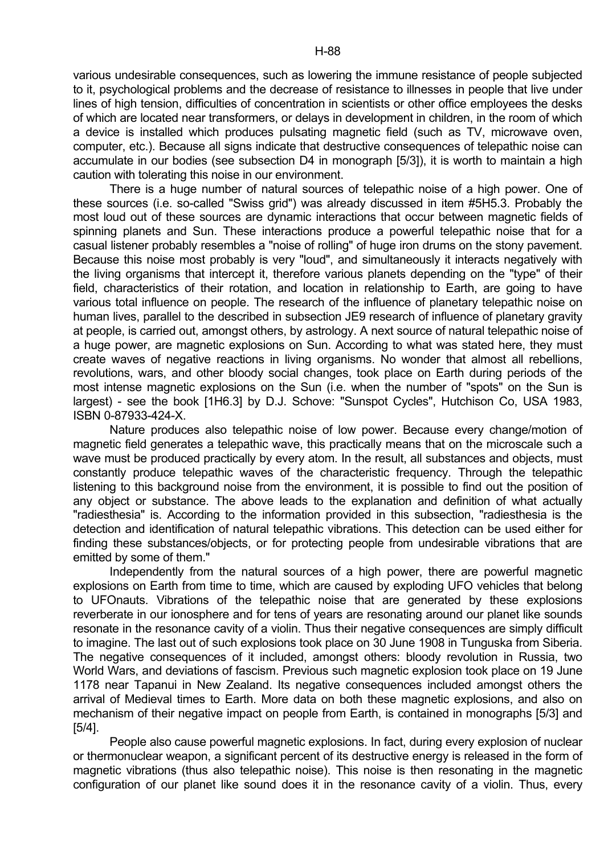various undesirable consequences, such as lowering the immune resistance of people subjected to it, psychological problems and the decrease of resistance to illnesses in people that live under lines of high tension, difficulties of concentration in scientists or other office employees the desks of which are located near transformers, or delays in development in children, in the room of which a device is installed which produces pulsating magnetic field (such as TV, microwave oven, computer, etc.). Because all signs indicate that destructive consequences of telepathic noise can accumulate in our bodies (see subsection D4 in monograph [5/3]), it is worth to maintain a high caution with tolerating this noise in our environment.

 There is a huge number of natural sources of telepathic noise of a high power. One of these sources (i.e. so-called "Swiss grid") was already discussed in item #5H5.3. Probably the most loud out of these sources are dynamic interactions that occur between magnetic fields of spinning planets and Sun. These interactions produce a powerful telepathic noise that for a casual listener probably resembles a "noise of rolling" of huge iron drums on the stony pavement. Because this noise most probably is very "loud", and simultaneously it interacts negatively with the living organisms that intercept it, therefore various planets depending on the "type" of their field, characteristics of their rotation, and location in relationship to Earth, are going to have various total influence on people. The research of the influence of planetary telepathic noise on human lives, parallel to the described in subsection JE9 research of influence of planetary gravity at people, is carried out, amongst others, by astrology. A next source of natural telepathic noise of a huge power, are magnetic explosions on Sun. According to what was stated here, they must create waves of negative reactions in living organisms. No wonder that almost all rebellions, revolutions, wars, and other bloody social changes, took place on Earth during periods of the most intense magnetic explosions on the Sun (i.e. when the number of "spots" on the Sun is largest) - see the book [1H6.3] by D.J. Schove: "Sunspot Cycles", Hutchison Co, USA 1983, ISBN 0-87933-424-X.

 Nature produces also telepathic noise of low power. Because every change/motion of magnetic field generates a telepathic wave, this practically means that on the microscale such a wave must be produced practically by every atom. In the result, all substances and objects, must constantly produce telepathic waves of the characteristic frequency. Through the telepathic listening to this background noise from the environment, it is possible to find out the position of any object or substance. The above leads to the explanation and definition of what actually "radiesthesia" is. According to the information provided in this subsection, "radiesthesia is the detection and identification of natural telepathic vibrations. This detection can be used either for finding these substances/objects, or for protecting people from undesirable vibrations that are emitted by some of them."

 Independently from the natural sources of a high power, there are powerful magnetic explosions on Earth from time to time, which are caused by exploding UFO vehicles that belong to UFOnauts. Vibrations of the telepathic noise that are generated by these explosions reverberate in our ionosphere and for tens of years are resonating around our planet like sounds resonate in the resonance cavity of a violin. Thus their negative consequences are simply difficult to imagine. The last out of such explosions took place on 30 June 1908 in Tunguska from Siberia. The negative consequences of it included, amongst others: bloody revolution in Russia, two World Wars, and deviations of fascism. Previous such magnetic explosion took place on 19 June 1178 near Tapanui in New Zealand. Its negative consequences included amongst others the arrival of Medieval times to Earth. More data on both these magnetic explosions, and also on mechanism of their negative impact on people from Earth, is contained in monographs [5/3] and [5/4].

 People also cause powerful magnetic explosions. In fact, during every explosion of nuclear or thermonuclear weapon, a significant percent of its destructive energy is released in the form of magnetic vibrations (thus also telepathic noise). This noise is then resonating in the magnetic configuration of our planet like sound does it in the resonance cavity of a violin. Thus, every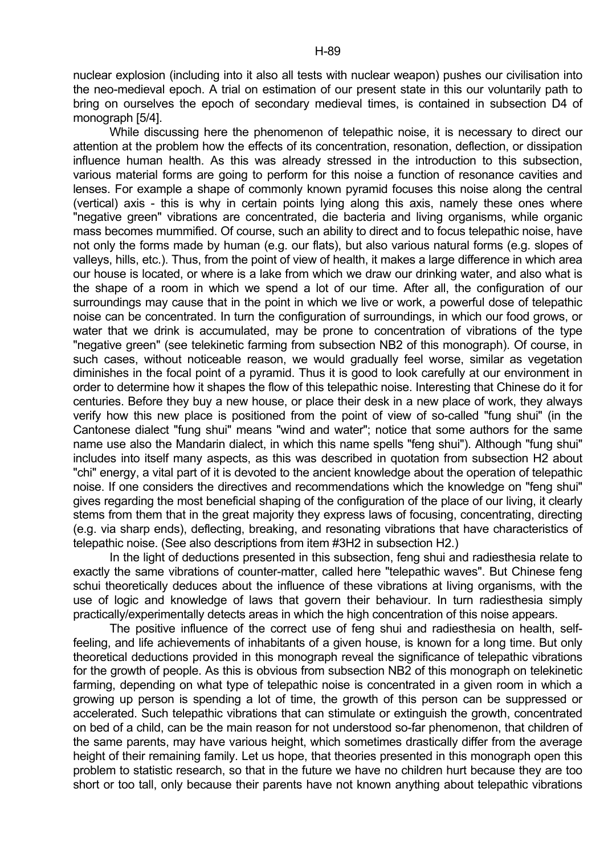nuclear explosion (including into it also all tests with nuclear weapon) pushes our civilisation into the neo-medieval epoch. A trial on estimation of our present state in this our voluntarily path to bring on ourselves the epoch of secondary medieval times, is contained in subsection D4 of monograph [5/4].

 While discussing here the phenomenon of telepathic noise, it is necessary to direct our attention at the problem how the effects of its concentration, resonation, deflection, or dissipation influence human health. As this was already stressed in the introduction to this subsection, various material forms are going to perform for this noise a function of resonance cavities and lenses. For example a shape of commonly known pyramid focuses this noise along the central (vertical) axis - this is why in certain points lying along this axis, namely these ones where "negative green" vibrations are concentrated, die bacteria and living organisms, while organic mass becomes mummified. Of course, such an ability to direct and to focus telepathic noise, have not only the forms made by human (e.g. our flats), but also various natural forms (e.g. slopes of valleys, hills, etc.). Thus, from the point of view of health, it makes a large difference in which area our house is located, or where is a lake from which we draw our drinking water, and also what is the shape of a room in which we spend a lot of our time. After all, the configuration of our surroundings may cause that in the point in which we live or work, a powerful dose of telepathic noise can be concentrated. In turn the configuration of surroundings, in which our food grows, or water that we drink is accumulated, may be prone to concentration of vibrations of the type "negative green" (see telekinetic farming from subsection NB2 of this monograph). Of course, in such cases, without noticeable reason, we would gradually feel worse, similar as vegetation diminishes in the focal point of a pyramid. Thus it is good to look carefully at our environment in order to determine how it shapes the flow of this telepathic noise. Interesting that Chinese do it for centuries. Before they buy a new house, or place their desk in a new place of work, they always verify how this new place is positioned from the point of view of so-called "fung shui" (in the Cantonese dialect "fung shui" means "wind and water"; notice that some authors for the same name use also the Mandarin dialect, in which this name spells "feng shui"). Although "fung shui" includes into itself many aspects, as this was described in quotation from subsection H2 about "chi" energy, a vital part of it is devoted to the ancient knowledge about the operation of telepathic noise. If one considers the directives and recommendations which the knowledge on "feng shui" gives regarding the most beneficial shaping of the configuration of the place of our living, it clearly stems from them that in the great majority they express laws of focusing, concentrating, directing (e.g. via sharp ends), deflecting, breaking, and resonating vibrations that have characteristics of telepathic noise. (See also descriptions from item #3H2 in subsection H2.)

 In the light of deductions presented in this subsection, feng shui and radiesthesia relate to exactly the same vibrations of counter-matter, called here "telepathic waves". But Chinese feng schui theoretically deduces about the influence of these vibrations at living organisms, with the use of logic and knowledge of laws that govern their behaviour. In turn radiesthesia simply practically/experimentally detects areas in which the high concentration of this noise appears.

 The positive influence of the correct use of feng shui and radiesthesia on health, selffeeling, and life achievements of inhabitants of a given house, is known for a long time. But only theoretical deductions provided in this monograph reveal the significance of telepathic vibrations for the growth of people. As this is obvious from subsection NB2 of this monograph on telekinetic farming, depending on what type of telepathic noise is concentrated in a given room in which a growing up person is spending a lot of time, the growth of this person can be suppressed or accelerated. Such telepathic vibrations that can stimulate or extinguish the growth, concentrated on bed of a child, can be the main reason for not understood so-far phenomenon, that children of the same parents, may have various height, which sometimes drastically differ from the average height of their remaining family. Let us hope, that theories presented in this monograph open this problem to statistic research, so that in the future we have no children hurt because they are too short or too tall, only because their parents have not known anything about telepathic vibrations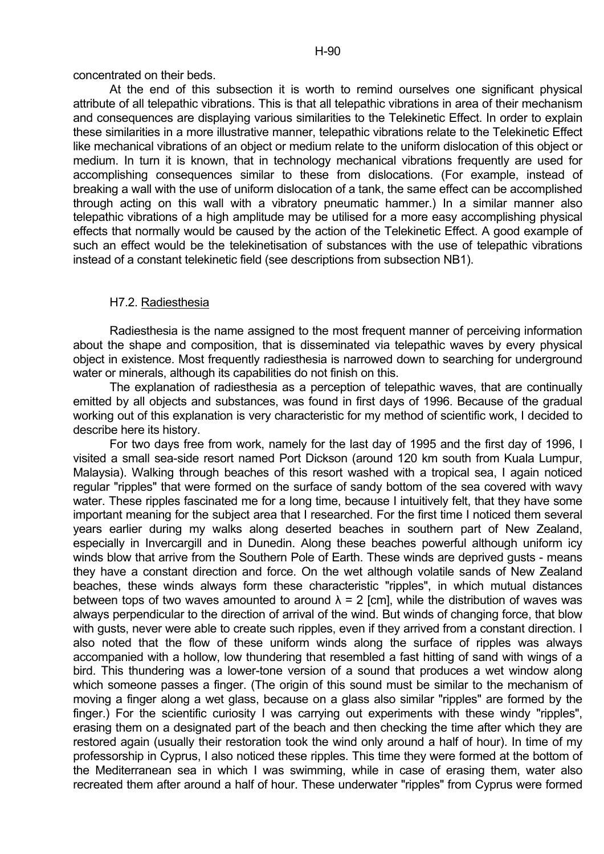concentrated on their beds.

 At the end of this subsection it is worth to remind ourselves one significant physical attribute of all telepathic vibrations. This is that all telepathic vibrations in area of their mechanism and consequences are displaying various similarities to the Telekinetic Effect. In order to explain these similarities in a more illustrative manner, telepathic vibrations relate to the Telekinetic Effect like mechanical vibrations of an object or medium relate to the uniform dislocation of this object or medium. In turn it is known, that in technology mechanical vibrations frequently are used for accomplishing consequences similar to these from dislocations. (For example, instead of breaking a wall with the use of uniform dislocation of a tank, the same effect can be accomplished through acting on this wall with a vibratory pneumatic hammer.) In a similar manner also telepathic vibrations of a high amplitude may be utilised for a more easy accomplishing physical effects that normally would be caused by the action of the Telekinetic Effect. A good example of such an effect would be the telekinetisation of substances with the use of telepathic vibrations instead of a constant telekinetic field (see descriptions from subsection NB1).

## H7.2. Radiesthesia

 Radiesthesia is the name assigned to the most frequent manner of perceiving information about the shape and composition, that is disseminated via telepathic waves by every physical object in existence. Most frequently radiesthesia is narrowed down to searching for underground water or minerals, although its capabilities do not finish on this.

 The explanation of radiesthesia as a perception of telepathic waves, that are continually emitted by all objects and substances, was found in first days of 1996. Because of the gradual working out of this explanation is very characteristic for my method of scientific work, I decided to describe here its history.

 For two days free from work, namely for the last day of 1995 and the first day of 1996, I visited a small sea-side resort named Port Dickson (around 120 km south from Kuala Lumpur, Malaysia). Walking through beaches of this resort washed with a tropical sea, I again noticed regular "ripples" that were formed on the surface of sandy bottom of the sea covered with wavy water. These ripples fascinated me for a long time, because I intuitively felt, that they have some important meaning for the subject area that I researched. For the first time I noticed them several years earlier during my walks along deserted beaches in southern part of New Zealand, especially in Invercargill and in Dunedin. Along these beaches powerful although uniform icy winds blow that arrive from the Southern Pole of Earth. These winds are deprived gusts - means they have a constant direction and force. On the wet although volatile sands of New Zealand beaches, these winds always form these characteristic "ripples", in which mutual distances between tops of two waves amounted to around  $\lambda = 2$  [cm], while the distribution of waves was always perpendicular to the direction of arrival of the wind. But winds of changing force, that blow with gusts, never were able to create such ripples, even if they arrived from a constant direction. I also noted that the flow of these uniform winds along the surface of ripples was always accompanied with a hollow, low thundering that resembled a fast hitting of sand with wings of a bird. This thundering was a lower-tone version of a sound that produces a wet window along which someone passes a finger. (The origin of this sound must be similar to the mechanism of moving a finger along a wet glass, because on a glass also similar "ripples" are formed by the finger.) For the scientific curiosity I was carrying out experiments with these windy "ripples", erasing them on a designated part of the beach and then checking the time after which they are restored again (usually their restoration took the wind only around a half of hour). In time of my professorship in Cyprus, I also noticed these ripples. This time they were formed at the bottom of the Mediterranean sea in which I was swimming, while in case of erasing them, water also recreated them after around a half of hour. These underwater "ripples" from Cyprus were formed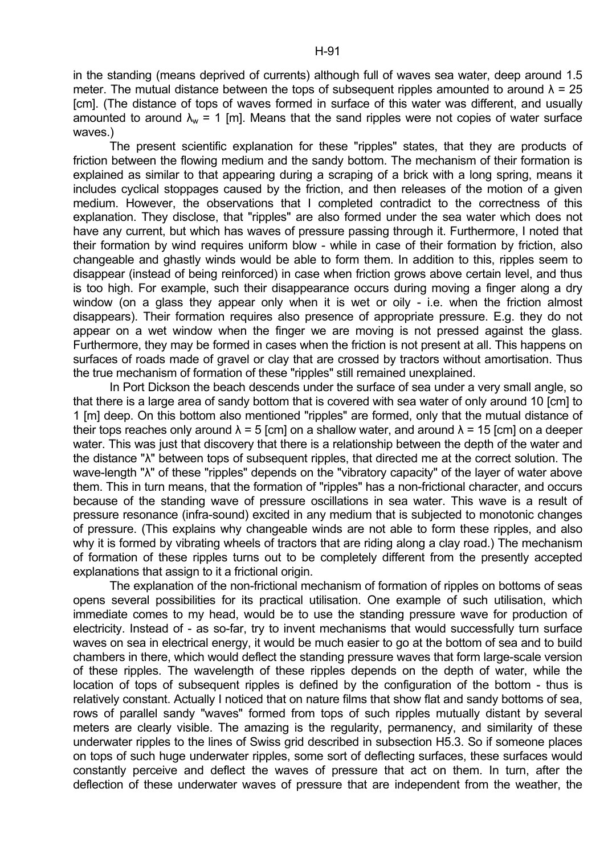in the standing (means deprived of currents) although full of waves sea water, deep around 1.5 meter. The mutual distance between the tops of subsequent ripples amounted to around  $\lambda = 25$ [cm]. (The distance of tops of waves formed in surface of this water was different, and usually amounted to around  $\lambda_w = 1$  [m]. Means that the sand ripples were not copies of water surface waves.)

 The present scientific explanation for these "ripples" states, that they are products of friction between the flowing medium and the sandy bottom. The mechanism of their formation is explained as similar to that appearing during a scraping of a brick with a long spring, means it includes cyclical stoppages caused by the friction, and then releases of the motion of a given medium. However, the observations that I completed contradict to the correctness of this explanation. They disclose, that "ripples" are also formed under the sea water which does not have any current, but which has waves of pressure passing through it. Furthermore, I noted that their formation by wind requires uniform blow - while in case of their formation by friction, also changeable and ghastly winds would be able to form them. In addition to this, ripples seem to disappear (instead of being reinforced) in case when friction grows above certain level, and thus is too high. For example, such their disappearance occurs during moving a finger along a dry window (on a glass they appear only when it is wet or oily - i.e. when the friction almost disappears). Their formation requires also presence of appropriate pressure. E.g. they do not appear on a wet window when the finger we are moving is not pressed against the glass. Furthermore, they may be formed in cases when the friction is not present at all. This happens on surfaces of roads made of gravel or clay that are crossed by tractors without amortisation. Thus the true mechanism of formation of these "ripples" still remained unexplained.

 In Port Dickson the beach descends under the surface of sea under a very small angle, so that there is a large area of sandy bottom that is covered with sea water of only around 10 [cm] to 1 [m] deep. On this bottom also mentioned "ripples" are formed, only that the mutual distance of their tops reaches only around  $\lambda = 5$  [cm] on a shallow water, and around  $\lambda = 15$  [cm] on a deeper water. This was just that discovery that there is a relationship between the depth of the water and the distance "λ" between tops of subsequent ripples, that directed me at the correct solution. The wave-length "λ" of these "ripples" depends on the "vibratory capacity" of the layer of water above them. This in turn means, that the formation of "ripples" has a non-frictional character, and occurs because of the standing wave of pressure oscillations in sea water. This wave is a result of pressure resonance (infra-sound) excited in any medium that is subjected to monotonic changes of pressure. (This explains why changeable winds are not able to form these ripples, and also why it is formed by vibrating wheels of tractors that are riding along a clay road.) The mechanism of formation of these ripples turns out to be completely different from the presently accepted explanations that assign to it a frictional origin.

 The explanation of the non-frictional mechanism of formation of ripples on bottoms of seas opens several possibilities for its practical utilisation. One example of such utilisation, which immediate comes to my head, would be to use the standing pressure wave for production of electricity. Instead of - as so-far, try to invent mechanisms that would successfully turn surface waves on sea in electrical energy, it would be much easier to go at the bottom of sea and to build chambers in there, which would deflect the standing pressure waves that form large-scale version of these ripples. The wavelength of these ripples depends on the depth of water, while the location of tops of subsequent ripples is defined by the configuration of the bottom - thus is relatively constant. Actually I noticed that on nature films that show flat and sandy bottoms of sea, rows of parallel sandy "waves" formed from tops of such ripples mutually distant by several meters are clearly visible. The amazing is the regularity, permanency, and similarity of these underwater ripples to the lines of Swiss grid described in subsection H5.3. So if someone places on tops of such huge underwater ripples, some sort of deflecting surfaces, these surfaces would constantly perceive and deflect the waves of pressure that act on them. In turn, after the deflection of these underwater waves of pressure that are independent from the weather, the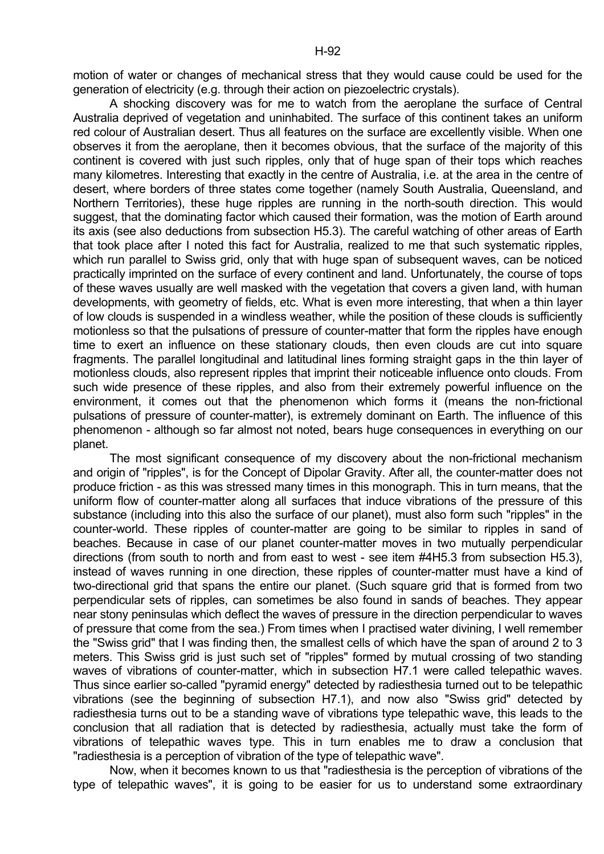motion of water or changes of mechanical stress that they would cause could be used for the generation of electricity (e.g. through their action on piezoelectric crystals).

 A shocking discovery was for me to watch from the aeroplane the surface of Central Australia deprived of vegetation and uninhabited. The surface of this continent takes an uniform red colour of Australian desert. Thus all features on the surface are excellently visible. When one observes it from the aeroplane, then it becomes obvious, that the surface of the majority of this continent is covered with just such ripples, only that of huge span of their tops which reaches many kilometres. Interesting that exactly in the centre of Australia, i.e. at the area in the centre of desert, where borders of three states come together (namely South Australia, Queensland, and Northern Territories), these huge ripples are running in the north-south direction. This would suggest, that the dominating factor which caused their formation, was the motion of Earth around its axis (see also deductions from subsection H5.3). The careful watching of other areas of Earth that took place after I noted this fact for Australia, realized to me that such systematic ripples, which run parallel to Swiss grid, only that with huge span of subsequent waves, can be noticed practically imprinted on the surface of every continent and land. Unfortunately, the course of tops of these waves usually are well masked with the vegetation that covers a given land, with human developments, with geometry of fields, etc. What is even more interesting, that when a thin layer of low clouds is suspended in a windless weather, while the position of these clouds is sufficiently motionless so that the pulsations of pressure of counter-matter that form the ripples have enough time to exert an influence on these stationary clouds, then even clouds are cut into square fragments. The parallel longitudinal and latitudinal lines forming straight gaps in the thin layer of motionless clouds, also represent ripples that imprint their noticeable influence onto clouds. From such wide presence of these ripples, and also from their extremely powerful influence on the environment, it comes out that the phenomenon which forms it (means the non-frictional pulsations of pressure of counter-matter), is extremely dominant on Earth. The influence of this phenomenon - although so far almost not noted, bears huge consequences in everything on our planet.

 The most significant consequence of my discovery about the non-frictional mechanism and origin of "ripples", is for the Concept of Dipolar Gravity. After all, the counter-matter does not produce friction - as this was stressed many times in this monograph. This in turn means, that the uniform flow of counter-matter along all surfaces that induce vibrations of the pressure of this substance (including into this also the surface of our planet), must also form such "ripples" in the counter-world. These ripples of counter-matter are going to be similar to ripples in sand of beaches. Because in case of our planet counter-matter moves in two mutually perpendicular directions (from south to north and from east to west - see item #4H5.3 from subsection H5.3), instead of waves running in one direction, these ripples of counter-matter must have a kind of two-directional grid that spans the entire our planet. (Such square grid that is formed from two perpendicular sets of ripples, can sometimes be also found in sands of beaches. They appear near stony peninsulas which deflect the waves of pressure in the direction perpendicular to waves of pressure that come from the sea.) From times when I practised water divining, I well remember the "Swiss grid" that I was finding then, the smallest cells of which have the span of around 2 to 3 meters. This Swiss grid is just such set of "ripples" formed by mutual crossing of two standing waves of vibrations of counter-matter, which in subsection H7.1 were called telepathic waves. Thus since earlier so-called "pyramid energy" detected by radiesthesia turned out to be telepathic vibrations (see the beginning of subsection H7.1), and now also "Swiss grid" detected by radiesthesia turns out to be a standing wave of vibrations type telepathic wave, this leads to the conclusion that all radiation that is detected by radiesthesia, actually must take the form of vibrations of telepathic waves type. This in turn enables me to draw a conclusion that "radiesthesia is a perception of vibration of the type of telepathic wave".

 Now, when it becomes known to us that "radiesthesia is the perception of vibrations of the type of telepathic waves", it is going to be easier for us to understand some extraordinary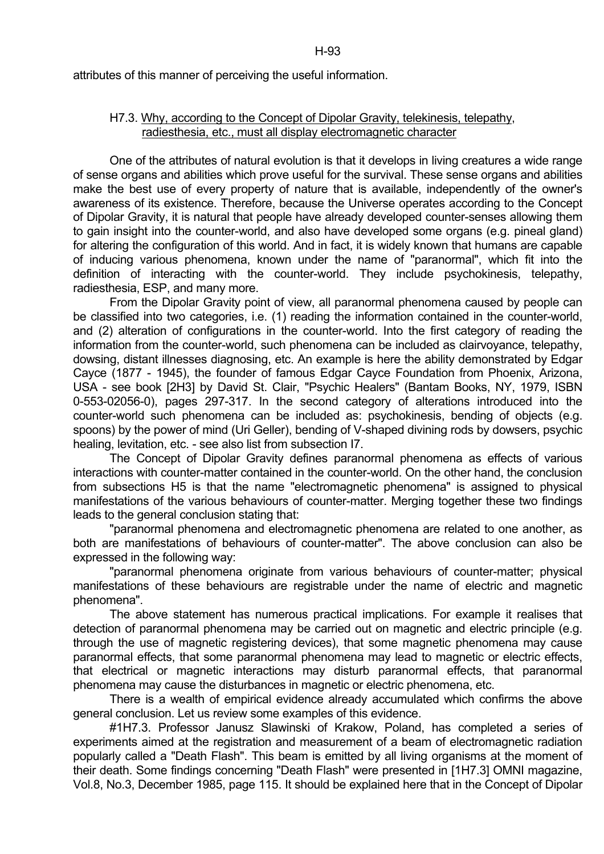attributes of this manner of perceiving the useful information.

# H7.3. Why, according to the Concept of Dipolar Gravity, telekinesis, telepathy, radiesthesia, etc., must all display electromagnetic character

 One of the attributes of natural evolution is that it develops in living creatures a wide range of sense organs and abilities which prove useful for the survival. These sense organs and abilities make the best use of every property of nature that is available, independently of the owner's awareness of its existence. Therefore, because the Universe operates according to the Concept of Dipolar Gravity, it is natural that people have already developed counter-senses allowing them to gain insight into the counter-world, and also have developed some organs (e.g. pineal gland) for altering the configuration of this world. And in fact, it is widely known that humans are capable of inducing various phenomena, known under the name of "paranormal", which fit into the definition of interacting with the counter-world. They include psychokinesis, telepathy, radiesthesia, ESP, and many more.

 From the Dipolar Gravity point of view, all paranormal phenomena caused by people can be classified into two categories, i.e. (1) reading the information contained in the counter-world, and (2) alteration of configurations in the counter-world. Into the first category of reading the information from the counter-world, such phenomena can be included as clairvoyance, telepathy, dowsing, distant illnesses diagnosing, etc. An example is here the ability demonstrated by Edgar Cayce (1877 - 1945), the founder of famous Edgar Cayce Foundation from Phoenix, Arizona, USA - see book [2H3] by David St. Clair, "Psychic Healers" (Bantam Books, NY, 1979, ISBN 0-553-02056-0), pages 297-317. In the second category of alterations introduced into the counter-world such phenomena can be included as: psychokinesis, bending of objects (e.g. spoons) by the power of mind (Uri Geller), bending of V-shaped divining rods by dowsers, psychic healing, levitation, etc. - see also list from subsection I7.

 The Concept of Dipolar Gravity defines paranormal phenomena as effects of various interactions with counter-matter contained in the counter-world. On the other hand, the conclusion from subsections H5 is that the name "electromagnetic phenomena" is assigned to physical manifestations of the various behaviours of counter-matter. Merging together these two findings leads to the general conclusion stating that:

 "paranormal phenomena and electromagnetic phenomena are related to one another, as both are manifestations of behaviours of counter-matter". The above conclusion can also be expressed in the following way:

 "paranormal phenomena originate from various behaviours of counter-matter; physical manifestations of these behaviours are registrable under the name of electric and magnetic phenomena".

 The above statement has numerous practical implications. For example it realises that detection of paranormal phenomena may be carried out on magnetic and electric principle (e.g. through the use of magnetic registering devices), that some magnetic phenomena may cause paranormal effects, that some paranormal phenomena may lead to magnetic or electric effects, that electrical or magnetic interactions may disturb paranormal effects, that paranormal phenomena may cause the disturbances in magnetic or electric phenomena, etc.

 There is a wealth of empirical evidence already accumulated which confirms the above general conclusion. Let us review some examples of this evidence.

 #1H7.3. Professor Janusz Slawinski of Krakow, Poland, has completed a series of experiments aimed at the registration and measurement of a beam of electromagnetic radiation popularly called a "Death Flash". This beam is emitted by all living organisms at the moment of their death. Some findings concerning "Death Flash" were presented in [1H7.3] OMNI magazine, Vol.8, No.3, December 1985, page 115. It should be explained here that in the Concept of Dipolar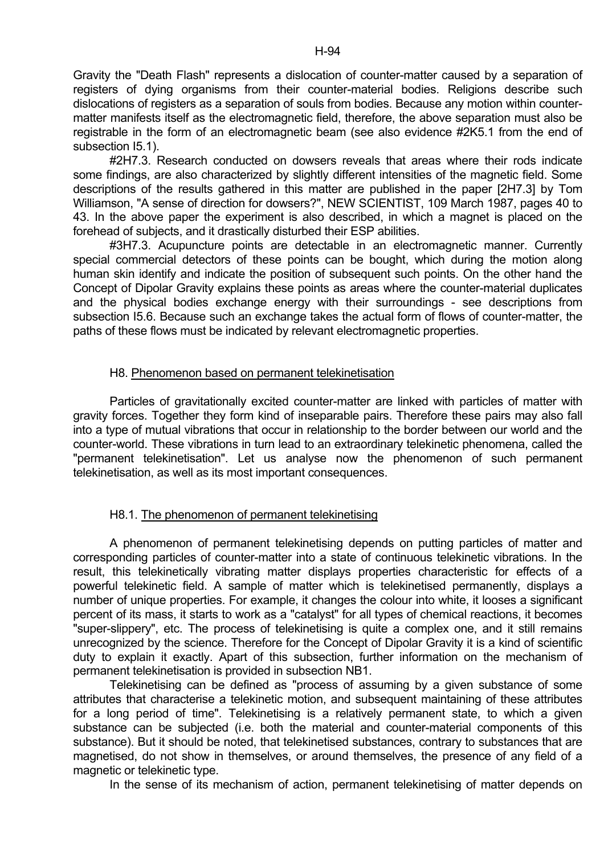Gravity the "Death Flash" represents a dislocation of counter-matter caused by a separation of registers of dying organisms from their counter-material bodies. Religions describe such dislocations of registers as a separation of souls from bodies. Because any motion within countermatter manifests itself as the electromagnetic field, therefore, the above separation must also be registrable in the form of an electromagnetic beam (see also evidence #2K5.1 from the end of subsection I5.1).

 #2H7.3. Research conducted on dowsers reveals that areas where their rods indicate some findings, are also characterized by slightly different intensities of the magnetic field. Some descriptions of the results gathered in this matter are published in the paper [2H7.3] by Tom Williamson, "A sense of direction for dowsers?", NEW SCIENTIST, 109 March 1987, pages 40 to 43. In the above paper the experiment is also described, in which a magnet is placed on the forehead of subjects, and it drastically disturbed their ESP abilities.

 #3H7.3. Acupuncture points are detectable in an electromagnetic manner. Currently special commercial detectors of these points can be bought, which during the motion along human skin identify and indicate the position of subsequent such points. On the other hand the Concept of Dipolar Gravity explains these points as areas where the counter-material duplicates and the physical bodies exchange energy with their surroundings - see descriptions from subsection I5.6. Because such an exchange takes the actual form of flows of counter-matter, the paths of these flows must be indicated by relevant electromagnetic properties.

## H8. Phenomenon based on permanent telekinetisation

 Particles of gravitationally excited counter-matter are linked with particles of matter with gravity forces. Together they form kind of inseparable pairs. Therefore these pairs may also fall into a type of mutual vibrations that occur in relationship to the border between our world and the counter-world. These vibrations in turn lead to an extraordinary telekinetic phenomena, called the "permanent telekinetisation". Let us analyse now the phenomenon of such permanent telekinetisation, as well as its most important consequences.

# H8.1. The phenomenon of permanent telekinetising

 A phenomenon of permanent telekinetising depends on putting particles of matter and corresponding particles of counter-matter into a state of continuous telekinetic vibrations. In the result, this telekinetically vibrating matter displays properties characteristic for effects of a powerful telekinetic field. A sample of matter which is telekinetised permanently, displays a number of unique properties. For example, it changes the colour into white, it looses a significant percent of its mass, it starts to work as a "catalyst" for all types of chemical reactions, it becomes "super-slippery", etc. The process of telekinetising is quite a complex one, and it still remains unrecognized by the science. Therefore for the Concept of Dipolar Gravity it is a kind of scientific duty to explain it exactly. Apart of this subsection, further information on the mechanism of permanent telekinetisation is provided in subsection NB1.

 Telekinetising can be defined as "process of assuming by a given substance of some attributes that characterise a telekinetic motion, and subsequent maintaining of these attributes for a long period of time". Telekinetising is a relatively permanent state, to which a given substance can be subjected (i.e. both the material and counter-material components of this substance). But it should be noted, that telekinetised substances, contrary to substances that are magnetised, do not show in themselves, or around themselves, the presence of any field of a magnetic or telekinetic type.

In the sense of its mechanism of action, permanent telekinetising of matter depends on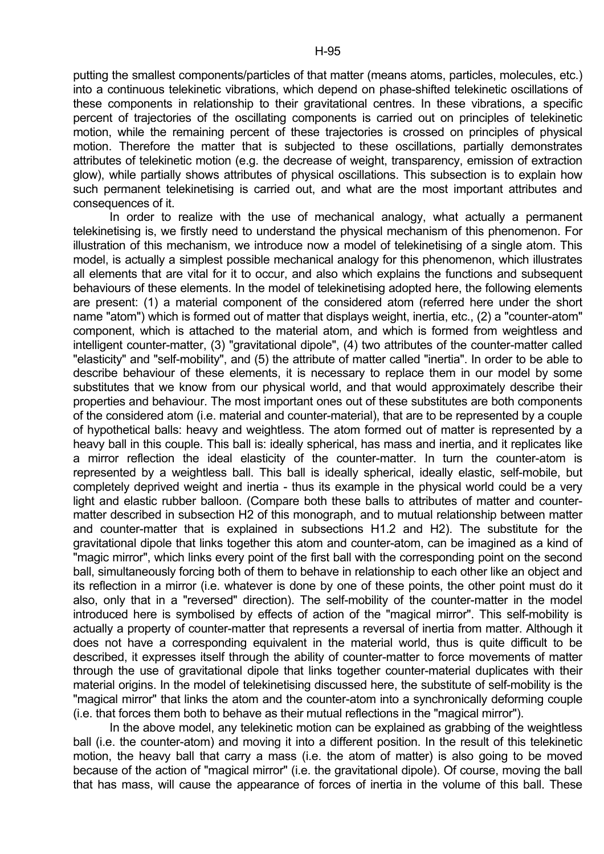putting the smallest components/particles of that matter (means atoms, particles, molecules, etc.) into a continuous telekinetic vibrations, which depend on phase-shifted telekinetic oscillations of these components in relationship to their gravitational centres. In these vibrations, a specific percent of trajectories of the oscillating components is carried out on principles of telekinetic motion, while the remaining percent of these trajectories is crossed on principles of physical motion. Therefore the matter that is subjected to these oscillations, partially demonstrates attributes of telekinetic motion (e.g. the decrease of weight, transparency, emission of extraction glow), while partially shows attributes of physical oscillations. This subsection is to explain how such permanent telekinetising is carried out, and what are the most important attributes and consequences of it.

 In order to realize with the use of mechanical analogy, what actually a permanent telekinetising is, we firstly need to understand the physical mechanism of this phenomenon. For illustration of this mechanism, we introduce now a model of telekinetising of a single atom. This model, is actually a simplest possible mechanical analogy for this phenomenon, which illustrates all elements that are vital for it to occur, and also which explains the functions and subsequent behaviours of these elements. In the model of telekinetising adopted here, the following elements are present: (1) a material component of the considered atom (referred here under the short name "atom") which is formed out of matter that displays weight, inertia, etc., (2) a "counter-atom" component, which is attached to the material atom, and which is formed from weightless and intelligent counter-matter, (3) "gravitational dipole", (4) two attributes of the counter-matter called "elasticity" and "self-mobility", and (5) the attribute of matter called "inertia". In order to be able to describe behaviour of these elements, it is necessary to replace them in our model by some substitutes that we know from our physical world, and that would approximately describe their properties and behaviour. The most important ones out of these substitutes are both components of the considered atom (i.e. material and counter-material), that are to be represented by a couple of hypothetical balls: heavy and weightless. The atom formed out of matter is represented by a heavy ball in this couple. This ball is: ideally spherical, has mass and inertia, and it replicates like a mirror reflection the ideal elasticity of the counter-matter. In turn the counter-atom is represented by a weightless ball. This ball is ideally spherical, ideally elastic, self-mobile, but completely deprived weight and inertia - thus its example in the physical world could be a very light and elastic rubber balloon. (Compare both these balls to attributes of matter and countermatter described in subsection H2 of this monograph, and to mutual relationship between matter and counter-matter that is explained in subsections H1.2 and H2). The substitute for the gravitational dipole that links together this atom and counter-atom, can be imagined as a kind of "magic mirror", which links every point of the first ball with the corresponding point on the second ball, simultaneously forcing both of them to behave in relationship to each other like an object and its reflection in a mirror (i.e. whatever is done by one of these points, the other point must do it also, only that in a "reversed" direction). The self-mobility of the counter-matter in the model introduced here is symbolised by effects of action of the "magical mirror". This self-mobility is actually a property of counter-matter that represents a reversal of inertia from matter. Although it does not have a corresponding equivalent in the material world, thus is quite difficult to be described, it expresses itself through the ability of counter-matter to force movements of matter through the use of gravitational dipole that links together counter-material duplicates with their material origins. In the model of telekinetising discussed here, the substitute of self-mobility is the "magical mirror" that links the atom and the counter-atom into a synchronically deforming couple (i.e. that forces them both to behave as their mutual reflections in the "magical mirror").

 In the above model, any telekinetic motion can be explained as grabbing of the weightless ball (i.e. the counter-atom) and moving it into a different position. In the result of this telekinetic motion, the heavy ball that carry a mass (i.e. the atom of matter) is also going to be moved because of the action of "magical mirror" (i.e. the gravitational dipole). Of course, moving the ball that has mass, will cause the appearance of forces of inertia in the volume of this ball. These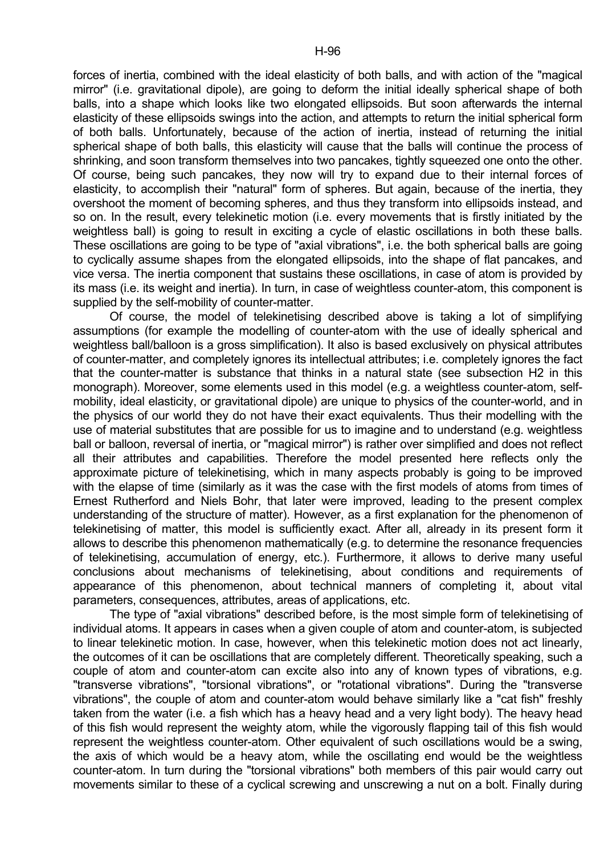forces of inertia, combined with the ideal elasticity of both balls, and with action of the "magical mirror" (i.e. gravitational dipole), are going to deform the initial ideally spherical shape of both balls, into a shape which looks like two elongated ellipsoids. But soon afterwards the internal elasticity of these ellipsoids swings into the action, and attempts to return the initial spherical form of both balls. Unfortunately, because of the action of inertia, instead of returning the initial spherical shape of both balls, this elasticity will cause that the balls will continue the process of shrinking, and soon transform themselves into two pancakes, tightly squeezed one onto the other. Of course, being such pancakes, they now will try to expand due to their internal forces of elasticity, to accomplish their "natural" form of spheres. But again, because of the inertia, they overshoot the moment of becoming spheres, and thus they transform into ellipsoids instead, and so on. In the result, every telekinetic motion (i.e. every movements that is firstly initiated by the weightless ball) is going to result in exciting a cycle of elastic oscillations in both these balls. These oscillations are going to be type of "axial vibrations", i.e. the both spherical balls are going to cyclically assume shapes from the elongated ellipsoids, into the shape of flat pancakes, and vice versa. The inertia component that sustains these oscillations, in case of atom is provided by its mass (i.e. its weight and inertia). In turn, in case of weightless counter-atom, this component is supplied by the self-mobility of counter-matter.

 Of course, the model of telekinetising described above is taking a lot of simplifying assumptions (for example the modelling of counter-atom with the use of ideally spherical and weightless ball/balloon is a gross simplification). It also is based exclusively on physical attributes of counter-matter, and completely ignores its intellectual attributes; i.e. completely ignores the fact that the counter-matter is substance that thinks in a natural state (see subsection H2 in this monograph). Moreover, some elements used in this model (e.g. a weightless counter-atom, selfmobility, ideal elasticity, or gravitational dipole) are unique to physics of the counter-world, and in the physics of our world they do not have their exact equivalents. Thus their modelling with the use of material substitutes that are possible for us to imagine and to understand (e.g. weightless ball or balloon, reversal of inertia, or "magical mirror") is rather over simplified and does not reflect all their attributes and capabilities. Therefore the model presented here reflects only the approximate picture of telekinetising, which in many aspects probably is going to be improved with the elapse of time (similarly as it was the case with the first models of atoms from times of Ernest Rutherford and Niels Bohr, that later were improved, leading to the present complex understanding of the structure of matter). However, as a first explanation for the phenomenon of telekinetising of matter, this model is sufficiently exact. After all, already in its present form it allows to describe this phenomenon mathematically (e.g. to determine the resonance frequencies of telekinetising, accumulation of energy, etc.). Furthermore, it allows to derive many useful conclusions about mechanisms of telekinetising, about conditions and requirements of appearance of this phenomenon, about technical manners of completing it, about vital parameters, consequences, attributes, areas of applications, etc.

 The type of "axial vibrations" described before, is the most simple form of telekinetising of individual atoms. It appears in cases when a given couple of atom and counter-atom, is subjected to linear telekinetic motion. In case, however, when this telekinetic motion does not act linearly, the outcomes of it can be oscillations that are completely different. Theoretically speaking, such a couple of atom and counter-atom can excite also into any of known types of vibrations, e.g. "transverse vibrations", "torsional vibrations", or "rotational vibrations". During the "transverse vibrations", the couple of atom and counter-atom would behave similarly like a "cat fish" freshly taken from the water (i.e. a fish which has a heavy head and a very light body). The heavy head of this fish would represent the weighty atom, while the vigorously flapping tail of this fish would represent the weightless counter-atom. Other equivalent of such oscillations would be a swing, the axis of which would be a heavy atom, while the oscillating end would be the weightless counter-atom. In turn during the "torsional vibrations" both members of this pair would carry out movements similar to these of a cyclical screwing and unscrewing a nut on a bolt. Finally during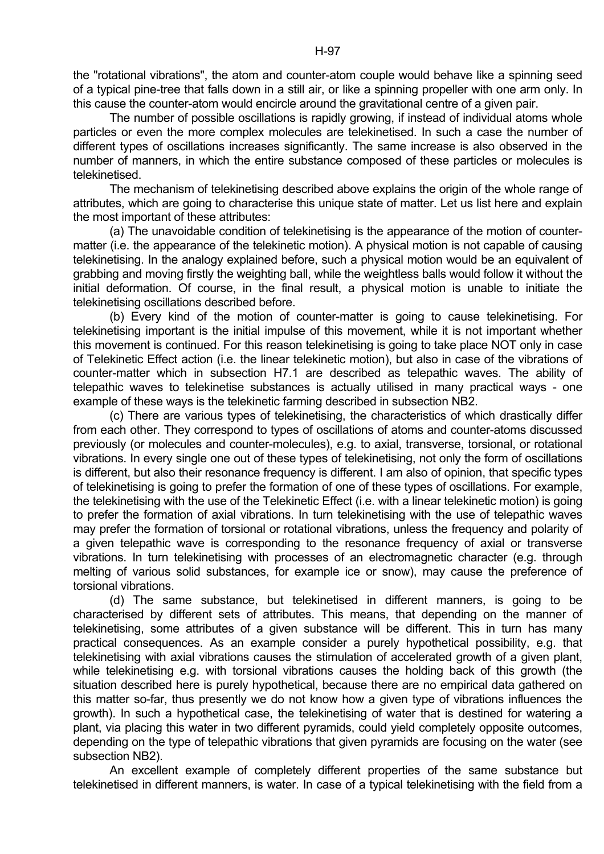the "rotational vibrations", the atom and counter-atom couple would behave like a spinning seed of a typical pine-tree that falls down in a still air, or like a spinning propeller with one arm only. In this cause the counter-atom would encircle around the gravitational centre of a given pair.

 The number of possible oscillations is rapidly growing, if instead of individual atoms whole particles or even the more complex molecules are telekinetised. In such a case the number of different types of oscillations increases significantly. The same increase is also observed in the number of manners, in which the entire substance composed of these particles or molecules is telekinetised.

 The mechanism of telekinetising described above explains the origin of the whole range of attributes, which are going to characterise this unique state of matter. Let us list here and explain the most important of these attributes:

 (a) The unavoidable condition of telekinetising is the appearance of the motion of countermatter (i.e. the appearance of the telekinetic motion). A physical motion is not capable of causing telekinetising. In the analogy explained before, such a physical motion would be an equivalent of grabbing and moving firstly the weighting ball, while the weightless balls would follow it without the initial deformation. Of course, in the final result, a physical motion is unable to initiate the telekinetising oscillations described before.

 (b) Every kind of the motion of counter-matter is going to cause telekinetising. For telekinetising important is the initial impulse of this movement, while it is not important whether this movement is continued. For this reason telekinetising is going to take place NOT only in case of Telekinetic Effect action (i.e. the linear telekinetic motion), but also in case of the vibrations of counter-matter which in subsection H7.1 are described as telepathic waves. The ability of telepathic waves to telekinetise substances is actually utilised in many practical ways - one example of these ways is the telekinetic farming described in subsection NB2.

 (c) There are various types of telekinetising, the characteristics of which drastically differ from each other. They correspond to types of oscillations of atoms and counter-atoms discussed previously (or molecules and counter-molecules), e.g. to axial, transverse, torsional, or rotational vibrations. In every single one out of these types of telekinetising, not only the form of oscillations is different, but also their resonance frequency is different. I am also of opinion, that specific types of telekinetising is going to prefer the formation of one of these types of oscillations. For example, the telekinetising with the use of the Telekinetic Effect (i.e. with a linear telekinetic motion) is going to prefer the formation of axial vibrations. In turn telekinetising with the use of telepathic waves may prefer the formation of torsional or rotational vibrations, unless the frequency and polarity of a given telepathic wave is corresponding to the resonance frequency of axial or transverse vibrations. In turn telekinetising with processes of an electromagnetic character (e.g. through melting of various solid substances, for example ice or snow), may cause the preference of torsional vibrations.

 (d) The same substance, but telekinetised in different manners, is going to be characterised by different sets of attributes. This means, that depending on the manner of telekinetising, some attributes of a given substance will be different. This in turn has many practical consequences. As an example consider a purely hypothetical possibility, e.g. that telekinetising with axial vibrations causes the stimulation of accelerated growth of a given plant, while telekinetising e.g. with torsional vibrations causes the holding back of this growth (the situation described here is purely hypothetical, because there are no empirical data gathered on this matter so-far, thus presently we do not know how a given type of vibrations influences the growth). In such a hypothetical case, the telekinetising of water that is destined for watering a plant, via placing this water in two different pyramids, could yield completely opposite outcomes, depending on the type of telepathic vibrations that given pyramids are focusing on the water (see subsection NB2).

 An excellent example of completely different properties of the same substance but telekinetised in different manners, is water. In case of a typical telekinetising with the field from a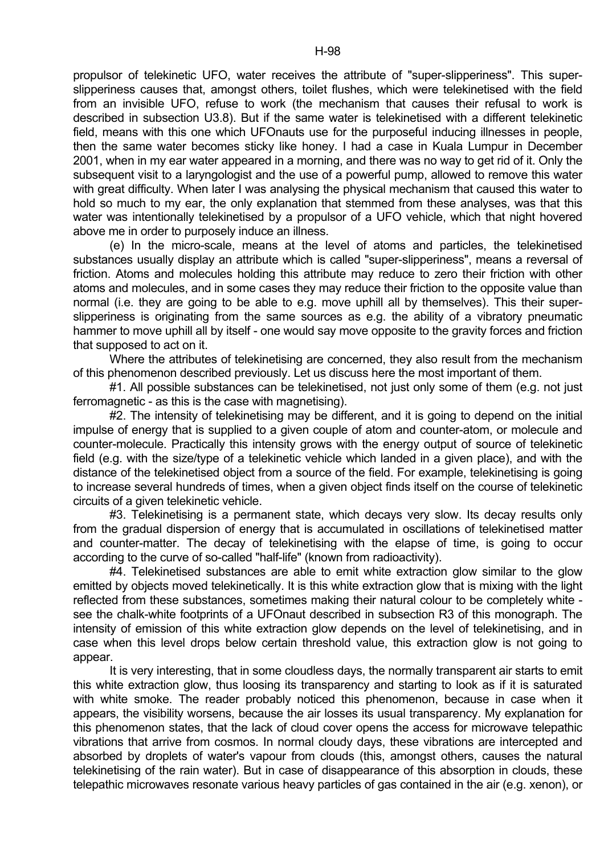propulsor of telekinetic UFO, water receives the attribute of "super-slipperiness". This superslipperiness causes that, amongst others, toilet flushes, which were telekinetised with the field from an invisible UFO, refuse to work (the mechanism that causes their refusal to work is described in subsection U3.8). But if the same water is telekinetised with a different telekinetic field, means with this one which UFOnauts use for the purposeful inducing illnesses in people, then the same water becomes sticky like honey. I had a case in Kuala Lumpur in December 2001, when in my ear water appeared in a morning, and there was no way to get rid of it. Only the subsequent visit to a laryngologist and the use of a powerful pump, allowed to remove this water with great difficulty. When later I was analysing the physical mechanism that caused this water to hold so much to my ear, the only explanation that stemmed from these analyses, was that this water was intentionally telekinetised by a propulsor of a UFO vehicle, which that night hovered above me in order to purposely induce an illness.

 (e) In the micro-scale, means at the level of atoms and particles, the telekinetised substances usually display an attribute which is called "super-slipperiness", means a reversal of friction. Atoms and molecules holding this attribute may reduce to zero their friction with other atoms and molecules, and in some cases they may reduce their friction to the opposite value than normal (i.e. they are going to be able to e.g. move uphill all by themselves). This their superslipperiness is originating from the same sources as e.g. the ability of a vibratory pneumatic hammer to move uphill all by itself - one would say move opposite to the gravity forces and friction that supposed to act on it.

 Where the attributes of telekinetising are concerned, they also result from the mechanism of this phenomenon described previously. Let us discuss here the most important of them.

 #1. All possible substances can be telekinetised, not just only some of them (e.g. not just ferromagnetic - as this is the case with magnetising).

#2. The intensity of telekinetising may be different, and it is going to depend on the initial impulse of energy that is supplied to a given couple of atom and counter-atom, or molecule and counter-molecule. Practically this intensity grows with the energy output of source of telekinetic field (e.g. with the size/type of a telekinetic vehicle which landed in a given place), and with the distance of the telekinetised object from a source of the field. For example, telekinetising is going to increase several hundreds of times, when a given object finds itself on the course of telekinetic circuits of a given telekinetic vehicle.

#3. Telekinetising is a permanent state, which decays very slow. Its decay results only from the gradual dispersion of energy that is accumulated in oscillations of telekinetised matter and counter-matter. The decay of telekinetising with the elapse of time, is going to occur according to the curve of so-called "half-life" (known from radioactivity).

#4. Telekinetised substances are able to emit white extraction glow similar to the glow emitted by objects moved telekinetically. It is this white extraction glow that is mixing with the light reflected from these substances, sometimes making their natural colour to be completely white see the chalk-white footprints of a UFOnaut described in subsection R3 of this monograph. The intensity of emission of this white extraction glow depends on the level of telekinetising, and in case when this level drops below certain threshold value, this extraction glow is not going to appear.

 It is very interesting, that in some cloudless days, the normally transparent air starts to emit this white extraction glow, thus loosing its transparency and starting to look as if it is saturated with white smoke. The reader probably noticed this phenomenon, because in case when it appears, the visibility worsens, because the air losses its usual transparency. My explanation for this phenomenon states, that the lack of cloud cover opens the access for microwave telepathic vibrations that arrive from cosmos. In normal cloudy days, these vibrations are intercepted and absorbed by droplets of water's vapour from clouds (this, amongst others, causes the natural telekinetising of the rain water). But in case of disappearance of this absorption in clouds, these telepathic microwaves resonate various heavy particles of gas contained in the air (e.g. xenon), or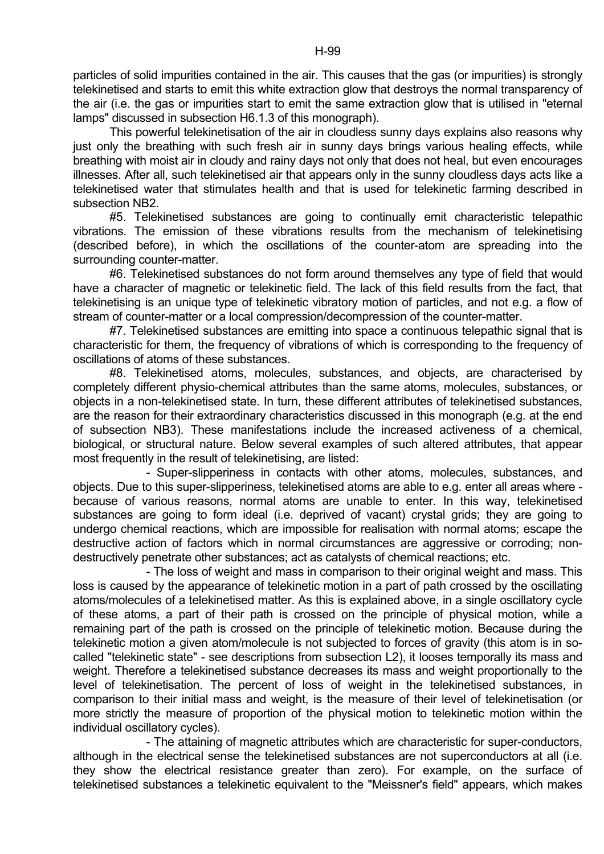particles of solid impurities contained in the air. This causes that the gas (or impurities) is strongly telekinetised and starts to emit this white extraction glow that destroys the normal transparency of the air (i.e. the gas or impurities start to emit the same extraction glow that is utilised in "eternal lamps" discussed in subsection H6.1.3 of this monograph).

 This powerful telekinetisation of the air in cloudless sunny days explains also reasons why just only the breathing with such fresh air in sunny days brings various healing effects, while breathing with moist air in cloudy and rainy days not only that does not heal, but even encourages illnesses. After all, such telekinetised air that appears only in the sunny cloudless days acts like a telekinetised water that stimulates health and that is used for telekinetic farming described in subsection NB2.

 #5. Telekinetised substances are going to continually emit characteristic telepathic vibrations. The emission of these vibrations results from the mechanism of telekinetising (described before), in which the oscillations of the counter-atom are spreading into the surrounding counter-matter.

 #6. Telekinetised substances do not form around themselves any type of field that would have a character of magnetic or telekinetic field. The lack of this field results from the fact, that telekinetising is an unique type of telekinetic vibratory motion of particles, and not e.g. a flow of stream of counter-matter or a local compression/decompression of the counter-matter.

#7. Telekinetised substances are emitting into space a continuous telepathic signal that is characteristic for them, the frequency of vibrations of which is corresponding to the frequency of oscillations of atoms of these substances.

 #8. Telekinetised atoms, molecules, substances, and objects, are characterised by completely different physio-chemical attributes than the same atoms, molecules, substances, or objects in a non-telekinetised state. In turn, these different attributes of telekinetised substances, are the reason for their extraordinary characteristics discussed in this monograph (e.g. at the end of subsection NB3). These manifestations include the increased activeness of a chemical, biological, or structural nature. Below several examples of such altered attributes, that appear most frequently in the result of telekinetising, are listed:

 - Super-slipperiness in contacts with other atoms, molecules, substances, and objects. Due to this super-slipperiness, telekinetised atoms are able to e.g. enter all areas where because of various reasons, normal atoms are unable to enter. In this way, telekinetised substances are going to form ideal (i.e. deprived of vacant) crystal grids; they are going to undergo chemical reactions, which are impossible for realisation with normal atoms; escape the destructive action of factors which in normal circumstances are aggressive or corroding; nondestructively penetrate other substances; act as catalysts of chemical reactions; etc.

 - The loss of weight and mass in comparison to their original weight and mass. This loss is caused by the appearance of telekinetic motion in a part of path crossed by the oscillating atoms/molecules of a telekinetised matter. As this is explained above, in a single oscillatory cycle of these atoms, a part of their path is crossed on the principle of physical motion, while a remaining part of the path is crossed on the principle of telekinetic motion. Because during the telekinetic motion a given atom/molecule is not subjected to forces of gravity (this atom is in socalled "telekinetic state" - see descriptions from subsection L2), it looses temporally its mass and weight. Therefore a telekinetised substance decreases its mass and weight proportionally to the level of telekinetisation. The percent of loss of weight in the telekinetised substances, in comparison to their initial mass and weight, is the measure of their level of telekinetisation (or more strictly the measure of proportion of the physical motion to telekinetic motion within the individual oscillatory cycles).

 - The attaining of magnetic attributes which are characteristic for super-conductors, although in the electrical sense the telekinetised substances are not superconductors at all (i.e. they show the electrical resistance greater than zero). For example, on the surface of telekinetised substances a telekinetic equivalent to the "Meissner's field" appears, which makes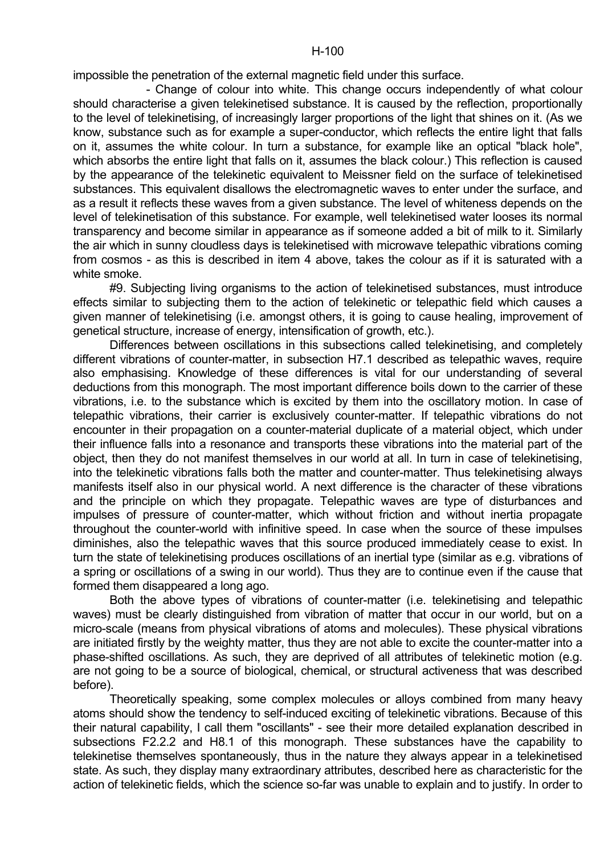impossible the penetration of the external magnetic field under this surface.

 - Change of colour into white. This change occurs independently of what colour should characterise a given telekinetised substance. It is caused by the reflection, proportionally to the level of telekinetising, of increasingly larger proportions of the light that shines on it. (As we know, substance such as for example a super-conductor, which reflects the entire light that falls on it, assumes the white colour. In turn a substance, for example like an optical "black hole", which absorbs the entire light that falls on it, assumes the black colour.) This reflection is caused by the appearance of the telekinetic equivalent to Meissner field on the surface of telekinetised substances. This equivalent disallows the electromagnetic waves to enter under the surface, and as a result it reflects these waves from a given substance. The level of whiteness depends on the level of telekinetisation of this substance. For example, well telekinetised water looses its normal transparency and become similar in appearance as if someone added a bit of milk to it. Similarly the air which in sunny cloudless days is telekinetised with microwave telepathic vibrations coming from cosmos - as this is described in item 4 above, takes the colour as if it is saturated with a white smoke.

 #9. Subjecting living organisms to the action of telekinetised substances, must introduce effects similar to subjecting them to the action of telekinetic or telepathic field which causes a given manner of telekinetising (i.e. amongst others, it is going to cause healing, improvement of genetical structure, increase of energy, intensification of growth, etc.).

 Differences between oscillations in this subsections called telekinetising, and completely different vibrations of counter-matter, in subsection H7.1 described as telepathic waves, require also emphasising. Knowledge of these differences is vital for our understanding of several deductions from this monograph. The most important difference boils down to the carrier of these vibrations, i.e. to the substance which is excited by them into the oscillatory motion. In case of telepathic vibrations, their carrier is exclusively counter-matter. If telepathic vibrations do not encounter in their propagation on a counter-material duplicate of a material object, which under their influence falls into a resonance and transports these vibrations into the material part of the object, then they do not manifest themselves in our world at all. In turn in case of telekinetising, into the telekinetic vibrations falls both the matter and counter-matter. Thus telekinetising always manifests itself also in our physical world. A next difference is the character of these vibrations and the principle on which they propagate. Telepathic waves are type of disturbances and impulses of pressure of counter-matter, which without friction and without inertia propagate throughout the counter-world with infinitive speed. In case when the source of these impulses diminishes, also the telepathic waves that this source produced immediately cease to exist. In turn the state of telekinetising produces oscillations of an inertial type (similar as e.g. vibrations of a spring or oscillations of a swing in our world). Thus they are to continue even if the cause that formed them disappeared a long ago.

 Both the above types of vibrations of counter-matter (i.e. telekinetising and telepathic waves) must be clearly distinguished from vibration of matter that occur in our world, but on a micro-scale (means from physical vibrations of atoms and molecules). These physical vibrations are initiated firstly by the weighty matter, thus they are not able to excite the counter-matter into a phase-shifted oscillations. As such, they are deprived of all attributes of telekinetic motion (e.g. are not going to be a source of biological, chemical, or structural activeness that was described before).

 Theoretically speaking, some complex molecules or alloys combined from many heavy atoms should show the tendency to self-induced exciting of telekinetic vibrations. Because of this their natural capability, I call them "oscillants" - see their more detailed explanation described in subsections F2.2.2 and H8.1 of this monograph. These substances have the capability to telekinetise themselves spontaneously, thus in the nature they always appear in a telekinetised state. As such, they display many extraordinary attributes, described here as characteristic for the action of telekinetic fields, which the science so-far was unable to explain and to justify. In order to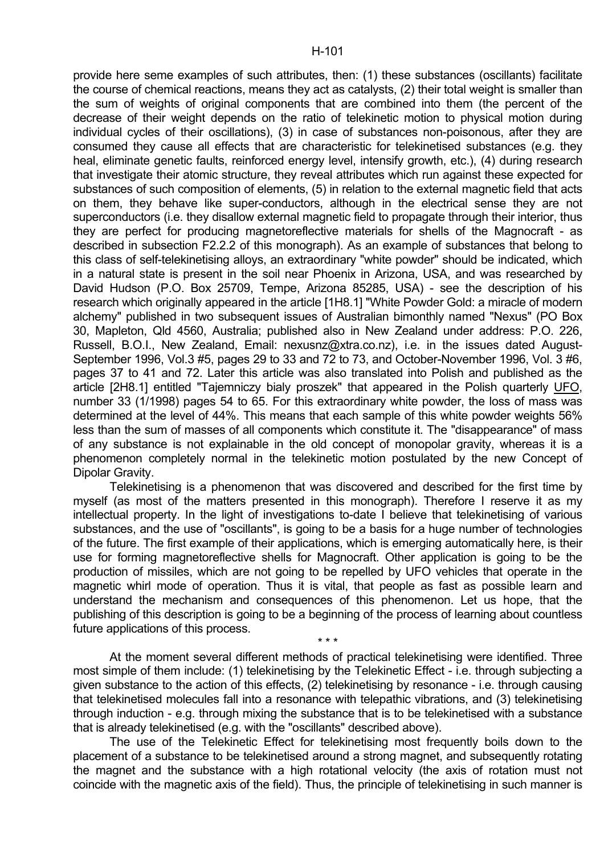provide here seme examples of such attributes, then: (1) these substances (oscillants) facilitate the course of chemical reactions, means they act as catalysts, (2) their total weight is smaller than the sum of weights of original components that are combined into them (the percent of the decrease of their weight depends on the ratio of telekinetic motion to physical motion during individual cycles of their oscillations), (3) in case of substances non-poisonous, after they are consumed they cause all effects that are characteristic for telekinetised substances (e.g. they heal, eliminate genetic faults, reinforced energy level, intensify growth, etc.), (4) during research that investigate their atomic structure, they reveal attributes which run against these expected for substances of such composition of elements, (5) in relation to the external magnetic field that acts on them, they behave like super-conductors, although in the electrical sense they are not superconductors (i.e. they disallow external magnetic field to propagate through their interior, thus they are perfect for producing magnetoreflective materials for shells of the Magnocraft - as described in subsection F2.2.2 of this monograph). As an example of substances that belong to this class of self-telekinetising alloys, an extraordinary "white powder" should be indicated, which in a natural state is present in the soil near Phoenix in Arizona, USA, and was researched by David Hudson (P.O. Box 25709, Tempe, Arizona 85285, USA) - see the description of his research which originally appeared in the article [1H8.1] "White Powder Gold: a miracle of modern alchemy" published in two subsequent issues of Australian bimonthly named "Nexus" (PO Box 30, Mapleton, Qld 4560, Australia; published also in New Zealand under address: P.O. 226, Russell, B.O.I., New Zealand, Email: nexusnz@xtra.co.nz), i.e. in the issues dated August-September 1996, Vol.3 #5, pages 29 to 33 and 72 to 73, and October-November 1996, Vol. 3 #6, pages 37 to 41 and 72. Later this article was also translated into Polish and published as the article [2H8.1] entitled "Tajemniczy bialy proszek" that appeared in the Polish quarterly UFO, number 33 (1/1998) pages 54 to 65. For this extraordinary white powder, the loss of mass was determined at the level of 44%. This means that each sample of this white powder weights 56% less than the sum of masses of all components which constitute it. The "disappearance" of mass of any substance is not explainable in the old concept of monopolar gravity, whereas it is a phenomenon completely normal in the telekinetic motion postulated by the new Concept of Dipolar Gravity.

 Telekinetising is a phenomenon that was discovered and described for the first time by myself (as most of the matters presented in this monograph). Therefore I reserve it as my intellectual property. In the light of investigations to-date I believe that telekinetising of various substances, and the use of "oscillants", is going to be a basis for a huge number of technologies of the future. The first example of their applications, which is emerging automatically here, is their use for forming magnetoreflective shells for Magnocraft. Other application is going to be the production of missiles, which are not going to be repelled by UFO vehicles that operate in the magnetic whirl mode of operation. Thus it is vital, that people as fast as possible learn and understand the mechanism and consequences of this phenomenon. Let us hope, that the publishing of this description is going to be a beginning of the process of learning about countless future applications of this process.

 At the moment several different methods of practical telekinetising were identified. Three most simple of them include: (1) telekinetising by the Telekinetic Effect - i.e. through subjecting a given substance to the action of this effects, (2) telekinetising by resonance - i.e. through causing that telekinetised molecules fall into a resonance with telepathic vibrations, and (3) telekinetising through induction - e.g. through mixing the substance that is to be telekinetised with a substance that is already telekinetised (e.g. with the "oscillants" described above).

 $\star \star \star$ 

 The use of the Telekinetic Effect for telekinetising most frequently boils down to the placement of a substance to be telekinetised around a strong magnet, and subsequently rotating the magnet and the substance with a high rotational velocity (the axis of rotation must not coincide with the magnetic axis of the field). Thus, the principle of telekinetising in such manner is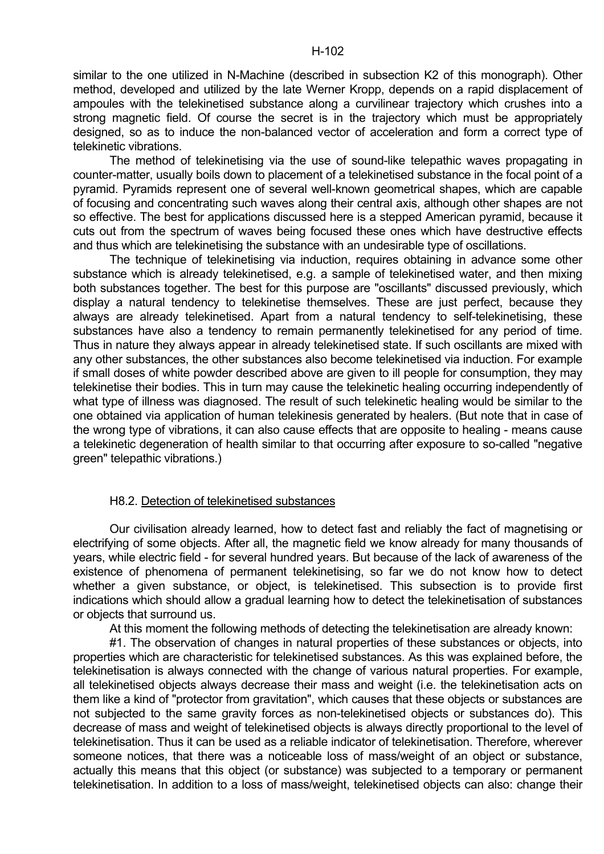similar to the one utilized in N-Machine (described in subsection K2 of this monograph). Other method, developed and utilized by the late Werner Kropp, depends on a rapid displacement of ampoules with the telekinetised substance along a curvilinear trajectory which crushes into a strong magnetic field. Of course the secret is in the trajectory which must be appropriately designed, so as to induce the non-balanced vector of acceleration and form a correct type of telekinetic vibrations.

 The method of telekinetising via the use of sound-like telepathic waves propagating in counter-matter, usually boils down to placement of a telekinetised substance in the focal point of a pyramid. Pyramids represent one of several well-known geometrical shapes, which are capable of focusing and concentrating such waves along their central axis, although other shapes are not so effective. The best for applications discussed here is a stepped American pyramid, because it cuts out from the spectrum of waves being focused these ones which have destructive effects and thus which are telekinetising the substance with an undesirable type of oscillations.

 The technique of telekinetising via induction, requires obtaining in advance some other substance which is already telekinetised, e.g. a sample of telekinetised water, and then mixing both substances together. The best for this purpose are "oscillants" discussed previously, which display a natural tendency to telekinetise themselves. These are just perfect, because they always are already telekinetised. Apart from a natural tendency to self-telekinetising, these substances have also a tendency to remain permanently telekinetised for any period of time. Thus in nature they always appear in already telekinetised state. If such oscillants are mixed with any other substances, the other substances also become telekinetised via induction. For example if small doses of white powder described above are given to ill people for consumption, they may telekinetise their bodies. This in turn may cause the telekinetic healing occurring independently of what type of illness was diagnosed. The result of such telekinetic healing would be similar to the one obtained via application of human telekinesis generated by healers. (But note that in case of the wrong type of vibrations, it can also cause effects that are opposite to healing - means cause a telekinetic degeneration of health similar to that occurring after exposure to so-called "negative green" telepathic vibrations.)

#### H8.2. Detection of telekinetised substances

 Our civilisation already learned, how to detect fast and reliably the fact of magnetising or electrifying of some objects. After all, the magnetic field we know already for many thousands of years, while electric field - for several hundred years. But because of the lack of awareness of the existence of phenomena of permanent telekinetising, so far we do not know how to detect whether a given substance, or object, is telekinetised. This subsection is to provide first indications which should allow a gradual learning how to detect the telekinetisation of substances or objects that surround us.

At this moment the following methods of detecting the telekinetisation are already known:

 #1. The observation of changes in natural properties of these substances or objects, into properties which are characteristic for telekinetised substances. As this was explained before, the telekinetisation is always connected with the change of various natural properties. For example, all telekinetised objects always decrease their mass and weight (i.e. the telekinetisation acts on them like a kind of "protector from gravitation", which causes that these objects or substances are not subjected to the same gravity forces as non-telekinetised objects or substances do). This decrease of mass and weight of telekinetised objects is always directly proportional to the level of telekinetisation. Thus it can be used as a reliable indicator of telekinetisation. Therefore, wherever someone notices, that there was a noticeable loss of mass/weight of an object or substance, actually this means that this object (or substance) was subjected to a temporary or permanent telekinetisation. In addition to a loss of mass/weight, telekinetised objects can also: change their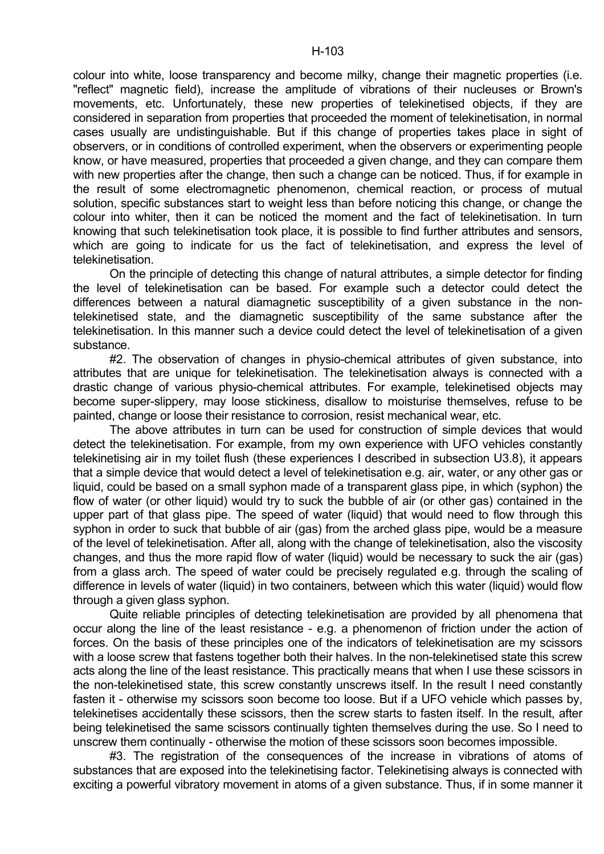colour into white, loose transparency and become milky, change their magnetic properties (i.e. "reflect" magnetic field), increase the amplitude of vibrations of their nucleuses or Brown's movements, etc. Unfortunately, these new properties of telekinetised objects, if they are considered in separation from properties that proceeded the moment of telekinetisation, in normal cases usually are undistinguishable. But if this change of properties takes place in sight of observers, or in conditions of controlled experiment, when the observers or experimenting people know, or have measured, properties that proceeded a given change, and they can compare them with new properties after the change, then such a change can be noticed. Thus, if for example in the result of some electromagnetic phenomenon, chemical reaction, or process of mutual solution, specific substances start to weight less than before noticing this change, or change the colour into whiter, then it can be noticed the moment and the fact of telekinetisation. In turn knowing that such telekinetisation took place, it is possible to find further attributes and sensors, which are going to indicate for us the fact of telekinetisation, and express the level of telekinetisation.

 On the principle of detecting this change of natural attributes, a simple detector for finding the level of telekinetisation can be based. For example such a detector could detect the differences between a natural diamagnetic susceptibility of a given substance in the nontelekinetised state, and the diamagnetic susceptibility of the same substance after the telekinetisation. In this manner such a device could detect the level of telekinetisation of a given substance.

 #2. The observation of changes in physio-chemical attributes of given substance, into attributes that are unique for telekinetisation. The telekinetisation always is connected with a drastic change of various physio-chemical attributes. For example, telekinetised objects may become super-slippery, may loose stickiness, disallow to moisturise themselves, refuse to be painted, change or loose their resistance to corrosion, resist mechanical wear, etc.

 The above attributes in turn can be used for construction of simple devices that would detect the telekinetisation. For example, from my own experience with UFO vehicles constantly telekinetising air in my toilet flush (these experiences I described in subsection U3.8), it appears that a simple device that would detect a level of telekinetisation e.g. air, water, or any other gas or liquid, could be based on a small syphon made of a transparent glass pipe, in which (syphon) the flow of water (or other liquid) would try to suck the bubble of air (or other gas) contained in the upper part of that glass pipe. The speed of water (liquid) that would need to flow through this syphon in order to suck that bubble of air (gas) from the arched glass pipe, would be a measure of the level of telekinetisation. After all, along with the change of telekinetisation, also the viscosity changes, and thus the more rapid flow of water (liquid) would be necessary to suck the air (gas) from a glass arch. The speed of water could be precisely regulated e.g. through the scaling of difference in levels of water (liquid) in two containers, between which this water (liquid) would flow through a given glass syphon.

 Quite reliable principles of detecting telekinetisation are provided by all phenomena that occur along the line of the least resistance - e.g. a phenomenon of friction under the action of forces. On the basis of these principles one of the indicators of telekinetisation are my scissors with a loose screw that fastens together both their halves. In the non-telekinetised state this screw acts along the line of the least resistance. This practically means that when I use these scissors in the non-telekinetised state, this screw constantly unscrews itself. In the result I need constantly fasten it - otherwise my scissors soon become too loose. But if a UFO vehicle which passes by, telekinetises accidentally these scissors, then the screw starts to fasten itself. In the result, after being telekinetised the same scissors continually tighten themselves during the use. So I need to unscrew them continually - otherwise the motion of these scissors soon becomes impossible.

 #3. The registration of the consequences of the increase in vibrations of atoms of substances that are exposed into the telekinetising factor. Telekinetising always is connected with exciting a powerful vibratory movement in atoms of a given substance. Thus, if in some manner it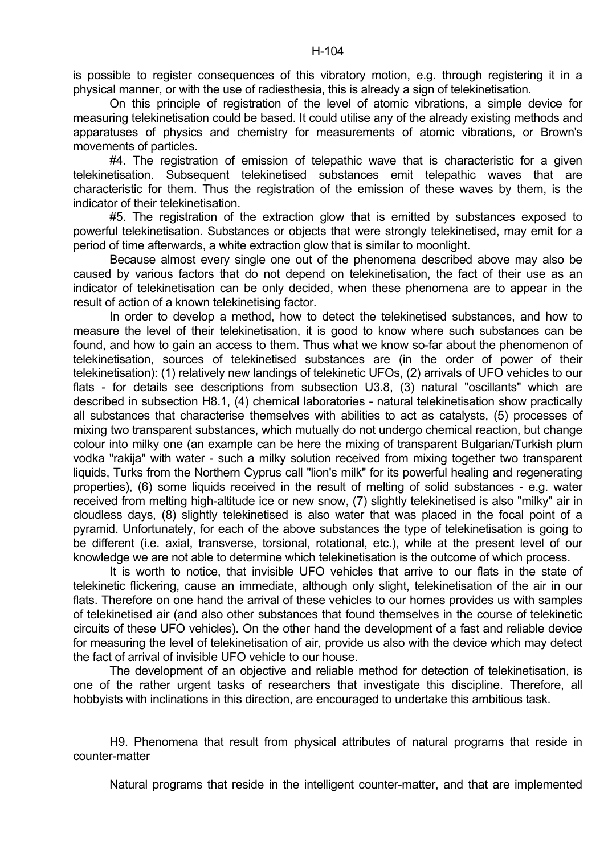is possible to register consequences of this vibratory motion, e.g. through registering it in a physical manner, or with the use of radiesthesia, this is already a sign of telekinetisation.

 On this principle of registration of the level of atomic vibrations, a simple device for measuring telekinetisation could be based. It could utilise any of the already existing methods and apparatuses of physics and chemistry for measurements of atomic vibrations, or Brown's movements of particles.

 #4. The registration of emission of telepathic wave that is characteristic for a given telekinetisation. Subsequent telekinetised substances emit telepathic waves that are characteristic for them. Thus the registration of the emission of these waves by them, is the indicator of their telekinetisation.

 #5. The registration of the extraction glow that is emitted by substances exposed to powerful telekinetisation. Substances or objects that were strongly telekinetised, may emit for a period of time afterwards, a white extraction glow that is similar to moonlight.

 Because almost every single one out of the phenomena described above may also be caused by various factors that do not depend on telekinetisation, the fact of their use as an indicator of telekinetisation can be only decided, when these phenomena are to appear in the result of action of a known telekinetising factor.

 In order to develop a method, how to detect the telekinetised substances, and how to measure the level of their telekinetisation, it is good to know where such substances can be found, and how to gain an access to them. Thus what we know so-far about the phenomenon of telekinetisation, sources of telekinetised substances are (in the order of power of their telekinetisation): (1) relatively new landings of telekinetic UFOs, (2) arrivals of UFO vehicles to our flats - for details see descriptions from subsection U3.8, (3) natural "oscillants" which are described in subsection H8.1, (4) chemical laboratories - natural telekinetisation show practically all substances that characterise themselves with abilities to act as catalysts, (5) processes of mixing two transparent substances, which mutually do not undergo chemical reaction, but change colour into milky one (an example can be here the mixing of transparent Bulgarian/Turkish plum vodka "rakija" with water - such a milky solution received from mixing together two transparent liquids, Turks from the Northern Cyprus call "lion's milk" for its powerful healing and regenerating properties), (6) some liquids received in the result of melting of solid substances - e.g. water received from melting high-altitude ice or new snow, (7) slightly telekinetised is also "milky" air in cloudless days, (8) slightly telekinetised is also water that was placed in the focal point of a pyramid. Unfortunately, for each of the above substances the type of telekinetisation is going to be different (i.e. axial, transverse, torsional, rotational, etc.), while at the present level of our knowledge we are not able to determine which telekinetisation is the outcome of which process.

 It is worth to notice, that invisible UFO vehicles that arrive to our flats in the state of telekinetic flickering, cause an immediate, although only slight, telekinetisation of the air in our flats. Therefore on one hand the arrival of these vehicles to our homes provides us with samples of telekinetised air (and also other substances that found themselves in the course of telekinetic circuits of these UFO vehicles). On the other hand the development of a fast and reliable device for measuring the level of telekinetisation of air, provide us also with the device which may detect the fact of arrival of invisible UFO vehicle to our house.

 The development of an objective and reliable method for detection of telekinetisation, is one of the rather urgent tasks of researchers that investigate this discipline. Therefore, all hobbyists with inclinations in this direction, are encouraged to undertake this ambitious task.

# H9. Phenomena that result from physical attributes of natural programs that reside in counter-matter

Natural programs that reside in the intelligent counter-matter, and that are implemented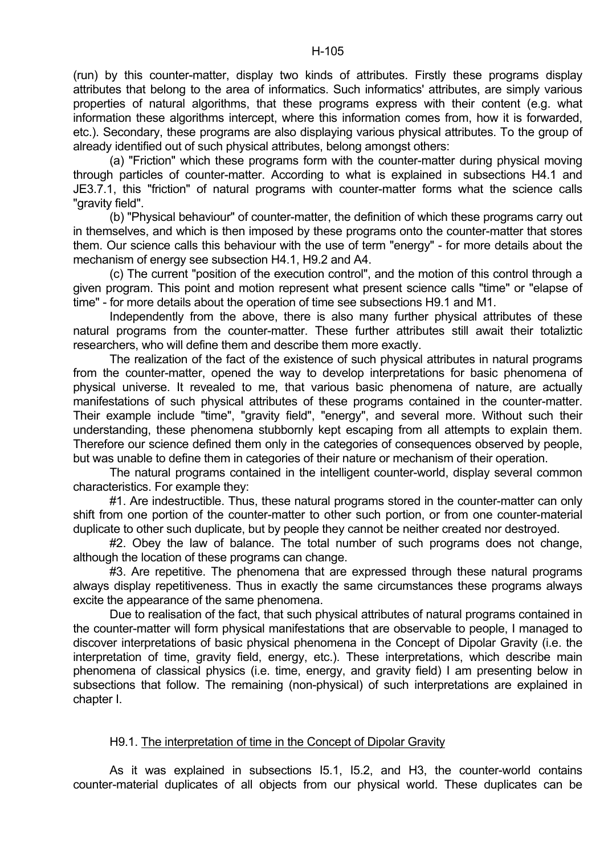(run) by this counter-matter, display two kinds of attributes. Firstly these programs display attributes that belong to the area of informatics. Such informatics' attributes, are simply various properties of natural algorithms, that these programs express with their content (e.g. what information these algorithms intercept, where this information comes from, how it is forwarded, etc.). Secondary, these programs are also displaying various physical attributes. To the group of already identified out of such physical attributes, belong amongst others:

 (a) "Friction" which these programs form with the counter-matter during physical moving through particles of counter-matter. According to what is explained in subsections H4.1 and JE3.7.1, this "friction" of natural programs with counter-matter forms what the science calls "gravity field".

 (b) "Physical behaviour" of counter-matter, the definition of which these programs carry out in themselves, and which is then imposed by these programs onto the counter-matter that stores them. Our science calls this behaviour with the use of term "energy" - for more details about the mechanism of energy see subsection H4.1, H9.2 and A4.

 (c) The current "position of the execution control", and the motion of this control through a given program. This point and motion represent what present science calls "time" or "elapse of time" - for more details about the operation of time see subsections H9.1 and M1.

 Independently from the above, there is also many further physical attributes of these natural programs from the counter-matter. These further attributes still await their totaliztic researchers, who will define them and describe them more exactly.

 The realization of the fact of the existence of such physical attributes in natural programs from the counter-matter, opened the way to develop interpretations for basic phenomena of physical universe. It revealed to me, that various basic phenomena of nature, are actually manifestations of such physical attributes of these programs contained in the counter-matter. Their example include "time", "gravity field", "energy", and several more. Without such their understanding, these phenomena stubbornly kept escaping from all attempts to explain them. Therefore our science defined them only in the categories of consequences observed by people, but was unable to define them in categories of their nature or mechanism of their operation.

 The natural programs contained in the intelligent counter-world, display several common characteristics. For example they:

#1. Are indestructible. Thus, these natural programs stored in the counter-matter can only shift from one portion of the counter-matter to other such portion, or from one counter-material duplicate to other such duplicate, but by people they cannot be neither created nor destroyed.

#2. Obey the law of balance. The total number of such programs does not change, although the location of these programs can change.

 #3. Are repetitive. The phenomena that are expressed through these natural programs always display repetitiveness. Thus in exactly the same circumstances these programs always excite the appearance of the same phenomena.

 Due to realisation of the fact, that such physical attributes of natural programs contained in the counter-matter will form physical manifestations that are observable to people, I managed to discover interpretations of basic physical phenomena in the Concept of Dipolar Gravity (i.e. the interpretation of time, gravity field, energy, etc.). These interpretations, which describe main phenomena of classical physics (i.e. time, energy, and gravity field) I am presenting below in subsections that follow. The remaining (non-physical) of such interpretations are explained in chapter I.

# H9.1. The interpretation of time in the Concept of Dipolar Gravity

 As it was explained in subsections I5.1, I5.2, and H3, the counter-world contains counter-material duplicates of all objects from our physical world. These duplicates can be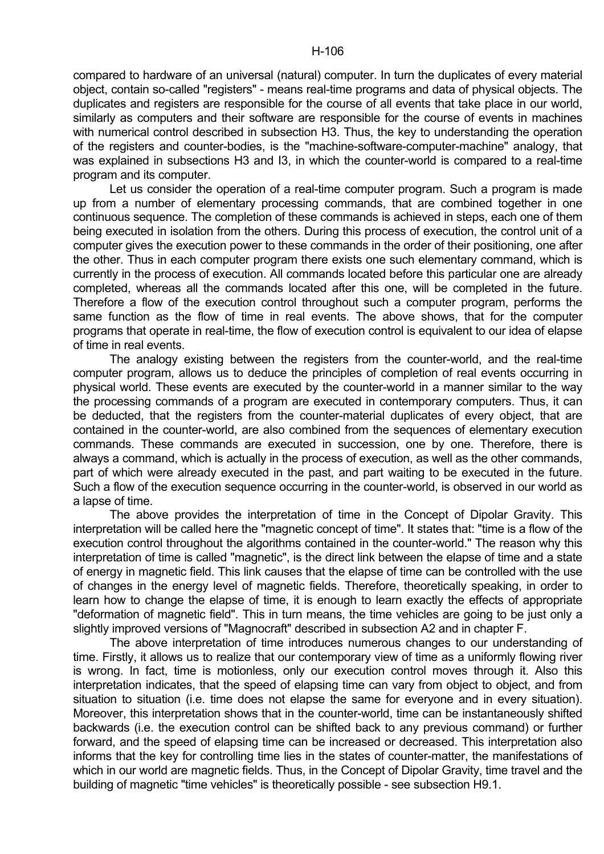compared to hardware of an universal (natural) computer. In turn the duplicates of every material object, contain so-called "registers" - means real-time programs and data of physical objects. The duplicates and registers are responsible for the course of all events that take place in our world, similarly as computers and their software are responsible for the course of events in machines with numerical control described in subsection H3. Thus, the key to understanding the operation of the registers and counter-bodies, is the "machine-software-computer-machine" analogy, that was explained in subsections H3 and I3, in which the counter-world is compared to a real-time program and its computer.

 Let us consider the operation of a real-time computer program. Such a program is made up from a number of elementary processing commands, that are combined together in one continuous sequence. The completion of these commands is achieved in steps, each one of them being executed in isolation from the others. During this process of execution, the control unit of a computer gives the execution power to these commands in the order of their positioning, one after the other. Thus in each computer program there exists one such elementary command, which is currently in the process of execution. All commands located before this particular one are already completed, whereas all the commands located after this one, will be completed in the future. Therefore a flow of the execution control throughout such a computer program, performs the same function as the flow of time in real events. The above shows, that for the computer programs that operate in real-time, the flow of execution control is equivalent to our idea of elapse of time in real events.

 The analogy existing between the registers from the counter-world, and the real-time computer program, allows us to deduce the principles of completion of real events occurring in physical world. These events are executed by the counter-world in a manner similar to the way the processing commands of a program are executed in contemporary computers. Thus, it can be deducted, that the registers from the counter-material duplicates of every object, that are contained in the counter-world, are also combined from the sequences of elementary execution commands. These commands are executed in succession, one by one. Therefore, there is always a command, which is actually in the process of execution, as well as the other commands, part of which were already executed in the past, and part waiting to be executed in the future. Such a flow of the execution sequence occurring in the counter-world, is observed in our world as a lapse of time.

 The above provides the interpretation of time in the Concept of Dipolar Gravity. This interpretation will be called here the "magnetic concept of time". It states that: "time is a flow of the execution control throughout the algorithms contained in the counter-world." The reason why this interpretation of time is called "magnetic", is the direct link between the elapse of time and a state of energy in magnetic field. This link causes that the elapse of time can be controlled with the use of changes in the energy level of magnetic fields. Therefore, theoretically speaking, in order to learn how to change the elapse of time, it is enough to learn exactly the effects of appropriate "deformation of magnetic field". This in turn means, the time vehicles are going to be just only a slightly improved versions of "Magnocraft" described in subsection A2 and in chapter F.

 The above interpretation of time introduces numerous changes to our understanding of time. Firstly, it allows us to realize that our contemporary view of time as a uniformly flowing river is wrong. In fact, time is motionless, only our execution control moves through it. Also this interpretation indicates, that the speed of elapsing time can vary from object to object, and from situation to situation (i.e. time does not elapse the same for everyone and in every situation). Moreover, this interpretation shows that in the counter-world, time can be instantaneously shifted backwards (i.e. the execution control can be shifted back to any previous command) or further forward, and the speed of elapsing time can be increased or decreased. This interpretation also informs that the key for controlling time lies in the states of counter-matter, the manifestations of which in our world are magnetic fields. Thus, in the Concept of Dipolar Gravity, time travel and the building of magnetic "time vehicles" is theoretically possible - see subsection H9.1.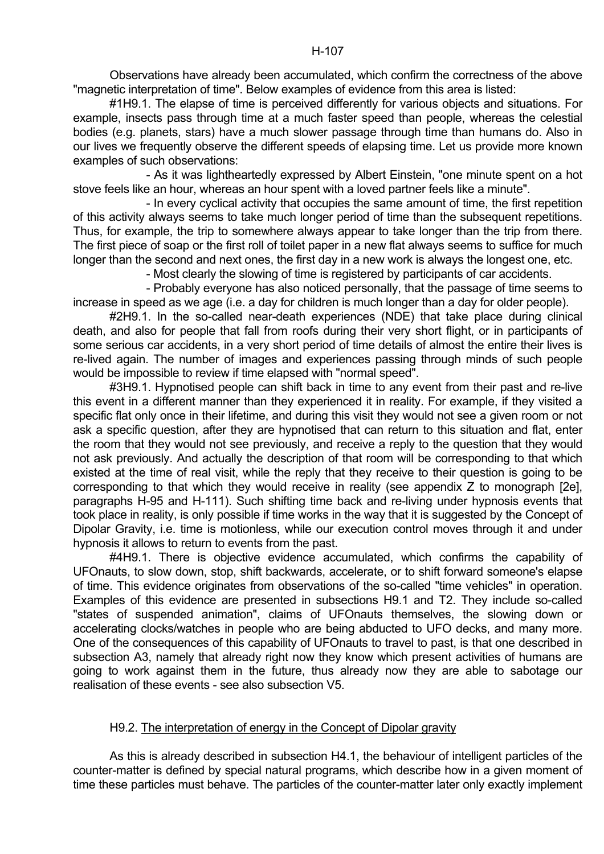Observations have already been accumulated, which confirm the correctness of the above "magnetic interpretation of time". Below examples of evidence from this area is listed:

 #1H9.1. The elapse of time is perceived differently for various objects and situations. For example, insects pass through time at a much faster speed than people, whereas the celestial bodies (e.g. planets, stars) have a much slower passage through time than humans do. Also in our lives we frequently observe the different speeds of elapsing time. Let us provide more known examples of such observations:

 - As it was lightheartedly expressed by Albert Einstein, "one minute spent on a hot stove feels like an hour, whereas an hour spent with a loved partner feels like a minute".

 - In every cyclical activity that occupies the same amount of time, the first repetition of this activity always seems to take much longer period of time than the subsequent repetitions. Thus, for example, the trip to somewhere always appear to take longer than the trip from there. The first piece of soap or the first roll of toilet paper in a new flat always seems to suffice for much longer than the second and next ones, the first day in a new work is always the longest one, etc.

- Most clearly the slowing of time is registered by participants of car accidents.

 - Probably everyone has also noticed personally, that the passage of time seems to increase in speed as we age (i.e. a day for children is much longer than a day for older people).

 #2H9.1. In the so-called near-death experiences (NDE) that take place during clinical death, and also for people that fall from roofs during their very short flight, or in participants of some serious car accidents, in a very short period of time details of almost the entire their lives is re-lived again. The number of images and experiences passing through minds of such people would be impossible to review if time elapsed with "normal speed".

 #3H9.1. Hypnotised people can shift back in time to any event from their past and re-live this event in a different manner than they experienced it in reality. For example, if they visited a specific flat only once in their lifetime, and during this visit they would not see a given room or not ask a specific question, after they are hypnotised that can return to this situation and flat, enter the room that they would not see previously, and receive a reply to the question that they would not ask previously. And actually the description of that room will be corresponding to that which existed at the time of real visit, while the reply that they receive to their question is going to be corresponding to that which they would receive in reality (see appendix Z to monograph [2e], paragraphs H-95 and H-111). Such shifting time back and re-living under hypnosis events that took place in reality, is only possible if time works in the way that it is suggested by the Concept of Dipolar Gravity, i.e. time is motionless, while our execution control moves through it and under hypnosis it allows to return to events from the past.

 #4H9.1. There is objective evidence accumulated, which confirms the capability of UFOnauts, to slow down, stop, shift backwards, accelerate, or to shift forward someone's elapse of time. This evidence originates from observations of the so-called "time vehicles" in operation. Examples of this evidence are presented in subsections H9.1 and T2. They include so-called "states of suspended animation", claims of UFOnauts themselves, the slowing down or accelerating clocks/watches in people who are being abducted to UFO decks, and many more. One of the consequences of this capability of UFOnauts to travel to past, is that one described in subsection A3, namely that already right now they know which present activities of humans are going to work against them in the future, thus already now they are able to sabotage our realisation of these events - see also subsection V5.

#### H9.2. The interpretation of energy in the Concept of Dipolar gravity

 As this is already described in subsection H4.1, the behaviour of intelligent particles of the counter-matter is defined by special natural programs, which describe how in a given moment of time these particles must behave. The particles of the counter-matter later only exactly implement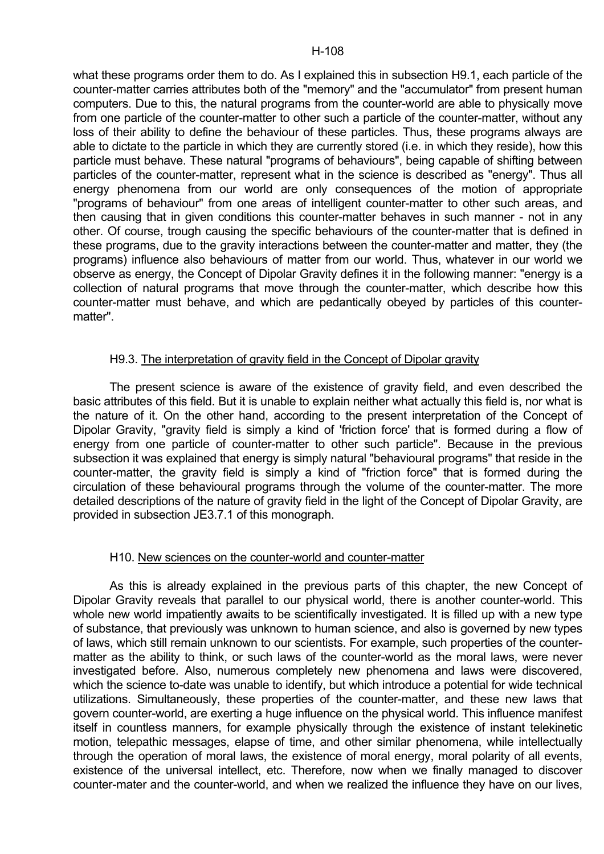what these programs order them to do. As I explained this in subsection H9.1, each particle of the counter-matter carries attributes both of the "memory" and the "accumulator" from present human computers. Due to this, the natural programs from the counter-world are able to physically move from one particle of the counter-matter to other such a particle of the counter-matter, without any loss of their ability to define the behaviour of these particles. Thus, these programs always are able to dictate to the particle in which they are currently stored (i.e. in which they reside), how this particle must behave. These natural "programs of behaviours", being capable of shifting between particles of the counter-matter, represent what in the science is described as "energy". Thus all energy phenomena from our world are only consequences of the motion of appropriate "programs of behaviour" from one areas of intelligent counter-matter to other such areas, and then causing that in given conditions this counter-matter behaves in such manner - not in any other. Of course, trough causing the specific behaviours of the counter-matter that is defined in these programs, due to the gravity interactions between the counter-matter and matter, they (the programs) influence also behaviours of matter from our world. Thus, whatever in our world we observe as energy, the Concept of Dipolar Gravity defines it in the following manner: "energy is a collection of natural programs that move through the counter-matter, which describe how this counter-matter must behave, and which are pedantically obeyed by particles of this countermatter".

# H9.3. The interpretation of gravity field in the Concept of Dipolar gravity

 The present science is aware of the existence of gravity field, and even described the basic attributes of this field. But it is unable to explain neither what actually this field is, nor what is the nature of it. On the other hand, according to the present interpretation of the Concept of Dipolar Gravity, "gravity field is simply a kind of 'friction force' that is formed during a flow of energy from one particle of counter-matter to other such particle". Because in the previous subsection it was explained that energy is simply natural "behavioural programs" that reside in the counter-matter, the gravity field is simply a kind of "friction force" that is formed during the circulation of these behavioural programs through the volume of the counter-matter. The more detailed descriptions of the nature of gravity field in the light of the Concept of Dipolar Gravity, are provided in subsection JE3.7.1 of this monograph.

#### H10. New sciences on the counter-world and counter-matter

 As this is already explained in the previous parts of this chapter, the new Concept of Dipolar Gravity reveals that parallel to our physical world, there is another counter-world. This whole new world impatiently awaits to be scientifically investigated. It is filled up with a new type of substance, that previously was unknown to human science, and also is governed by new types of laws, which still remain unknown to our scientists. For example, such properties of the countermatter as the ability to think, or such laws of the counter-world as the moral laws, were never investigated before. Also, numerous completely new phenomena and laws were discovered, which the science to-date was unable to identify, but which introduce a potential for wide technical utilizations. Simultaneously, these properties of the counter-matter, and these new laws that govern counter-world, are exerting a huge influence on the physical world. This influence manifest itself in countless manners, for example physically through the existence of instant telekinetic motion, telepathic messages, elapse of time, and other similar phenomena, while intellectually through the operation of moral laws, the existence of moral energy, moral polarity of all events, existence of the universal intellect, etc. Therefore, now when we finally managed to discover counter-mater and the counter-world, and when we realized the influence they have on our lives,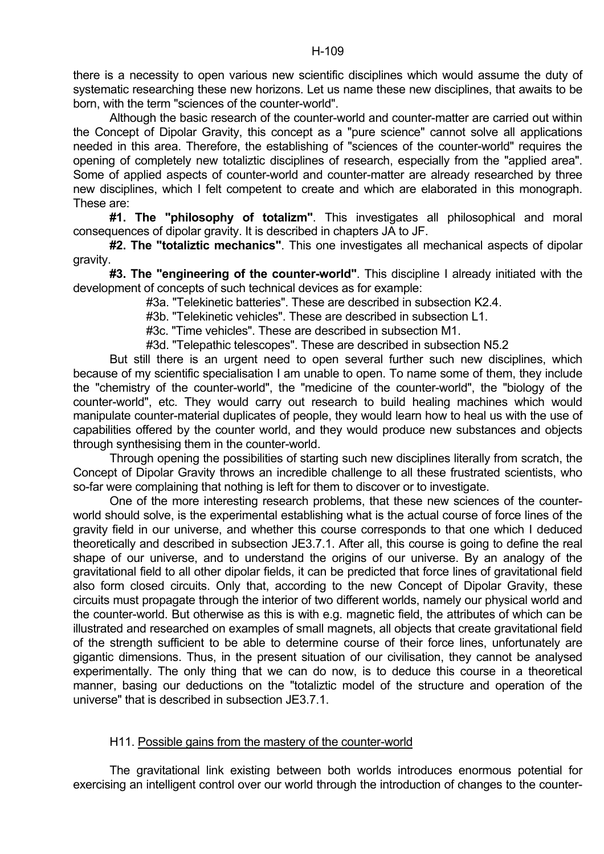there is a necessity to open various new scientific disciplines which would assume the duty of systematic researching these new horizons. Let us name these new disciplines, that awaits to be born, with the term "sciences of the counter-world".

 Although the basic research of the counter-world and counter-matter are carried out within the Concept of Dipolar Gravity, this concept as a "pure science" cannot solve all applications needed in this area. Therefore, the establishing of "sciences of the counter-world" requires the opening of completely new totaliztic disciplines of research, especially from the "applied area". Some of applied aspects of counter-world and counter-matter are already researched by three new disciplines, which I felt competent to create and which are elaborated in this monograph. These are:

**#1. The "philosophy of totalizm"**. This investigates all philosophical and moral consequences of dipolar gravity. It is described in chapters JA to JF.

**#2. The "totaliztic mechanics"**. This one investigates all mechanical aspects of dipolar gravity.

**#3. The "engineering of the counter-world"**. This discipline I already initiated with the development of concepts of such technical devices as for example:

#3a. "Telekinetic batteries". These are described in subsection K2.4.

#3b. "Telekinetic vehicles". These are described in subsection L1.

#3c. "Time vehicles". These are described in subsection M1.

#3d. "Telepathic telescopes". These are described in subsection N5.2

 But still there is an urgent need to open several further such new disciplines, which because of my scientific specialisation I am unable to open. To name some of them, they include the "chemistry of the counter-world", the "medicine of the counter-world", the "biology of the counter-world", etc. They would carry out research to build healing machines which would manipulate counter-material duplicates of people, they would learn how to heal us with the use of capabilities offered by the counter world, and they would produce new substances and objects through synthesising them in the counter-world.

 Through opening the possibilities of starting such new disciplines literally from scratch, the Concept of Dipolar Gravity throws an incredible challenge to all these frustrated scientists, who so-far were complaining that nothing is left for them to discover or to investigate.

 One of the more interesting research problems, that these new sciences of the counterworld should solve, is the experimental establishing what is the actual course of force lines of the gravity field in our universe, and whether this course corresponds to that one which I deduced theoretically and described in subsection JE3.7.1. After all, this course is going to define the real shape of our universe, and to understand the origins of our universe. By an analogy of the gravitational field to all other dipolar fields, it can be predicted that force lines of gravitational field also form closed circuits. Only that, according to the new Concept of Dipolar Gravity, these circuits must propagate through the interior of two different worlds, namely our physical world and the counter-world. But otherwise as this is with e.g. magnetic field, the attributes of which can be illustrated and researched on examples of small magnets, all objects that create gravitational field of the strength sufficient to be able to determine course of their force lines, unfortunately are gigantic dimensions. Thus, in the present situation of our civilisation, they cannot be analysed experimentally. The only thing that we can do now, is to deduce this course in a theoretical manner, basing our deductions on the "totaliztic model of the structure and operation of the universe" that is described in subsection JE3.7.1.

# H11. Possible gains from the mastery of the counter-world

 The gravitational link existing between both worlds introduces enormous potential for exercising an intelligent control over our world through the introduction of changes to the counter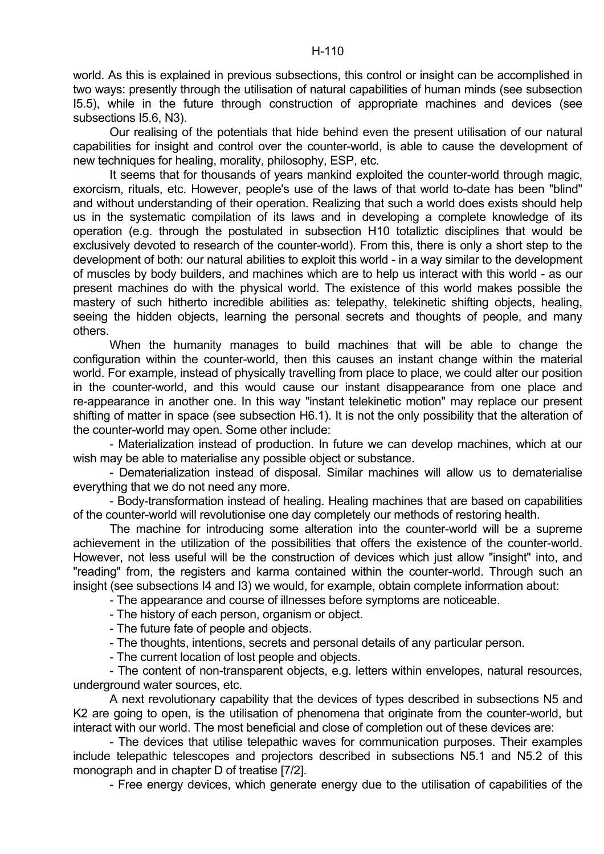world. As this is explained in previous subsections, this control or insight can be accomplished in two ways: presently through the utilisation of natural capabilities of human minds (see subsection I5.5), while in the future through construction of appropriate machines and devices (see subsections I5.6, N3).

 Our realising of the potentials that hide behind even the present utilisation of our natural capabilities for insight and control over the counter-world, is able to cause the development of new techniques for healing, morality, philosophy, ESP, etc.

 It seems that for thousands of years mankind exploited the counter-world through magic, exorcism, rituals, etc. However, people's use of the laws of that world to-date has been "blind" and without understanding of their operation. Realizing that such a world does exists should help us in the systematic compilation of its laws and in developing a complete knowledge of its operation (e.g. through the postulated in subsection H10 totaliztic disciplines that would be exclusively devoted to research of the counter-world). From this, there is only a short step to the development of both: our natural abilities to exploit this world - in a way similar to the development of muscles by body builders, and machines which are to help us interact with this world - as our present machines do with the physical world. The existence of this world makes possible the mastery of such hitherto incredible abilities as: telepathy, telekinetic shifting objects, healing, seeing the hidden objects, learning the personal secrets and thoughts of people, and many others.

 When the humanity manages to build machines that will be able to change the configuration within the counter-world, then this causes an instant change within the material world. For example, instead of physically travelling from place to place, we could alter our position in the counter-world, and this would cause our instant disappearance from one place and re-appearance in another one. In this way "instant telekinetic motion" may replace our present shifting of matter in space (see subsection H6.1). It is not the only possibility that the alteration of the counter-world may open. Some other include:

 - Materialization instead of production. In future we can develop machines, which at our wish may be able to materialise any possible object or substance.

 - Dematerialization instead of disposal. Similar machines will allow us to dematerialise everything that we do not need any more.

 - Body-transformation instead of healing. Healing machines that are based on capabilities of the counter-world will revolutionise one day completely our methods of restoring health.

 The machine for introducing some alteration into the counter-world will be a supreme achievement in the utilization of the possibilities that offers the existence of the counter-world. However, not less useful will be the construction of devices which just allow "insight" into, and "reading" from, the registers and karma contained within the counter-world. Through such an insight (see subsections I4 and I3) we would, for example, obtain complete information about:

- The appearance and course of illnesses before symptoms are noticeable.

- The history of each person, organism or object.

- The future fate of people and objects.

- The thoughts, intentions, secrets and personal details of any particular person.

- The current location of lost people and objects.

 - The content of non-transparent objects, e.g. letters within envelopes, natural resources, underground water sources, etc.

 A next revolutionary capability that the devices of types described in subsections N5 and K2 are going to open, is the utilisation of phenomena that originate from the counter-world, but interact with our world. The most beneficial and close of completion out of these devices are:

 - The devices that utilise telepathic waves for communication purposes. Their examples include telepathic telescopes and projectors described in subsections N5.1 and N5.2 of this monograph and in chapter D of treatise [7/2].

- Free energy devices, which generate energy due to the utilisation of capabilities of the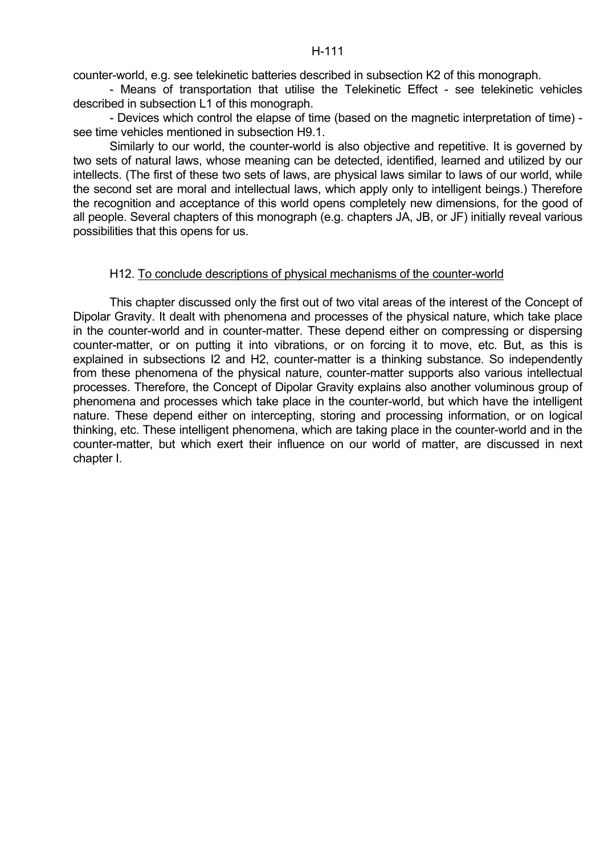counter-world, e.g. see telekinetic batteries described in subsection K2 of this monograph.

 - Means of transportation that utilise the Telekinetic Effect - see telekinetic vehicles described in subsection L1 of this monograph.

 - Devices which control the elapse of time (based on the magnetic interpretation of time) see time vehicles mentioned in subsection H9.1.

 Similarly to our world, the counter-world is also objective and repetitive. It is governed by two sets of natural laws, whose meaning can be detected, identified, learned and utilized by our intellects. (The first of these two sets of laws, are physical laws similar to laws of our world, while the second set are moral and intellectual laws, which apply only to intelligent beings.) Therefore the recognition and acceptance of this world opens completely new dimensions, for the good of all people. Several chapters of this monograph (e.g. chapters JA, JB, or JF) initially reveal various possibilities that this opens for us.

#### H12. To conclude descriptions of physical mechanisms of the counter-world

 This chapter discussed only the first out of two vital areas of the interest of the Concept of Dipolar Gravity. It dealt with phenomena and processes of the physical nature, which take place in the counter-world and in counter-matter. These depend either on compressing or dispersing counter-matter, or on putting it into vibrations, or on forcing it to move, etc. But, as this is explained in subsections I2 and H2, counter-matter is a thinking substance. So independently from these phenomena of the physical nature, counter-matter supports also various intellectual processes. Therefore, the Concept of Dipolar Gravity explains also another voluminous group of phenomena and processes which take place in the counter-world, but which have the intelligent nature. These depend either on intercepting, storing and processing information, or on logical thinking, etc. These intelligent phenomena, which are taking place in the counter-world and in the counter-matter, but which exert their influence on our world of matter, are discussed in next chapter I.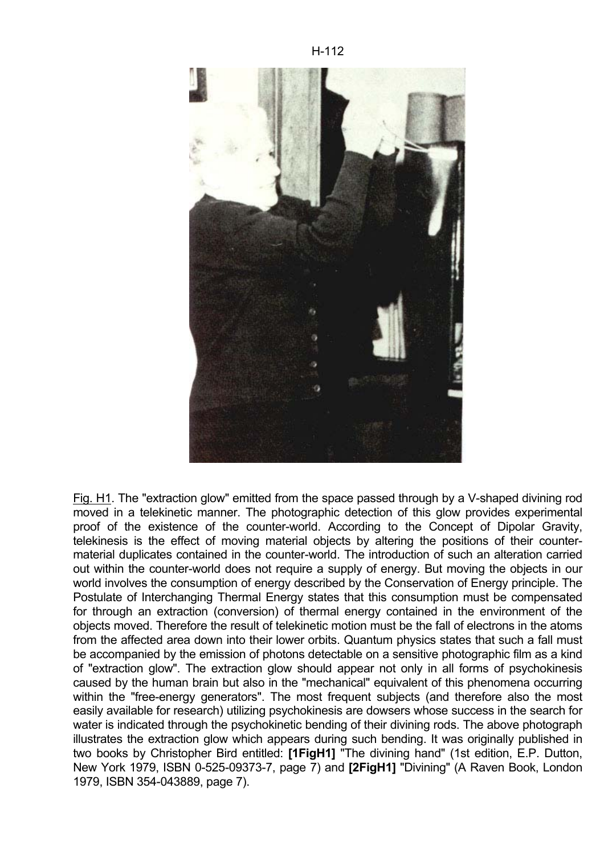



Fig. H1. The "extraction glow" emitted from the space passed through by a V-shaped divining rod moved in a telekinetic manner. The photographic detection of this glow provides experimental proof of the existence of the counter-world. According to the Concept of Dipolar Gravity, telekinesis is the effect of moving material objects by altering the positions of their countermaterial duplicates contained in the counter-world. The introduction of such an alteration carried out within the counter-world does not require a supply of energy. But moving the objects in our world involves the consumption of energy described by the Conservation of Energy principle. The Postulate of Interchanging Thermal Energy states that this consumption must be compensated for through an extraction (conversion) of thermal energy contained in the environment of the objects moved. Therefore the result of telekinetic motion must be the fall of electrons in the atoms from the affected area down into their lower orbits. Quantum physics states that such a fall must be accompanied by the emission of photons detectable on a sensitive photographic film as a kind of "extraction glow". The extraction glow should appear not only in all forms of psychokinesis caused by the human brain but also in the "mechanical" equivalent of this phenomena occurring within the "free-energy generators". The most frequent subjects (and therefore also the most easily available for research) utilizing psychokinesis are dowsers whose success in the search for water is indicated through the psychokinetic bending of their divining rods. The above photograph illustrates the extraction glow which appears during such bending. It was originally published in two books by Christopher Bird entitled: **[1FigH1]** "The divining hand" (1st edition, E.P. Dutton, New York 1979, ISBN 0-525-09373-7, page 7) and **[2FigH1]** "Divining" (A Raven Book, London 1979, ISBN 354-043889, page 7).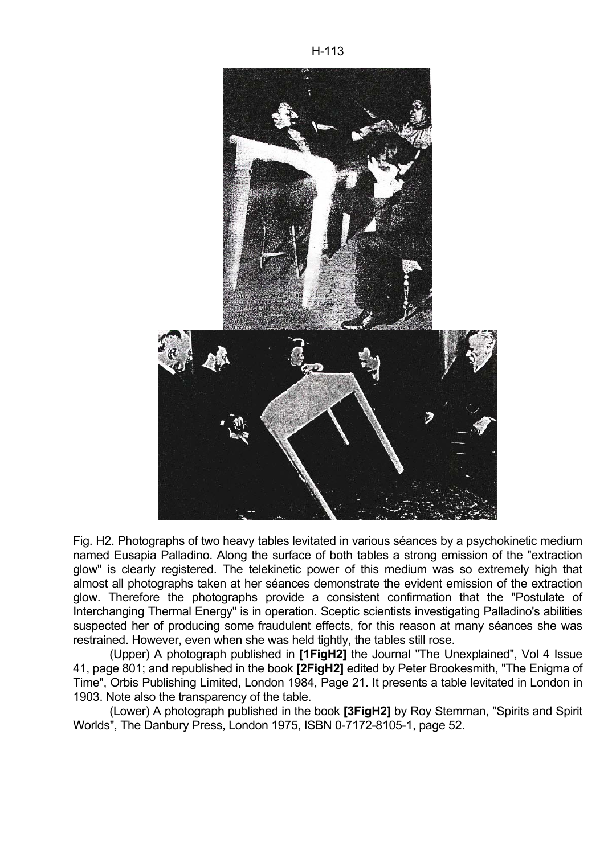

Fig. H2. Photographs of two heavy tables levitated in various séances by a psychokinetic medium named Eusapia Palladino. Along the surface of both tables a strong emission of the "extraction glow" is clearly registered. The telekinetic power of this medium was so extremely high that almost all photographs taken at her séances demonstrate the evident emission of the extraction glow. Therefore the photographs provide a consistent confirmation that the "Postulate of Interchanging Thermal Energy" is in operation. Sceptic scientists investigating Palladino's abilities suspected her of producing some fraudulent effects, for this reason at many séances she was restrained. However, even when she was held tightly, the tables still rose.

 (Upper) A photograph published in **[1FigH2]** the Journal "The Unexplained", Vol 4 Issue 41, page 801; and republished in the book **[2FigH2]** edited by Peter Brookesmith, "The Enigma of Time", Orbis Publishing Limited, London 1984, Page 21. It presents a table levitated in London in 1903. Note also the transparency of the table.

 (Lower) A photograph published in the book **[3FigH2]** by Roy Stemman, "Spirits and Spirit Worlds", The Danbury Press, London 1975, ISBN 0-7172-8105-1, page 52.

H-113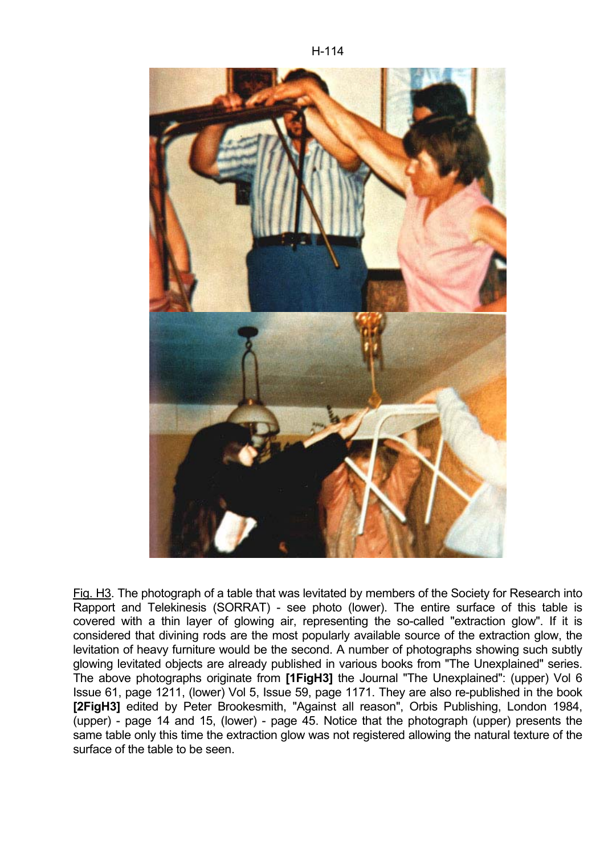H-114



Fig. H3. The photograph of a table that was levitated by members of the Society for Research into Rapport and Telekinesis (SORRAT) - see photo (lower). The entire surface of this table is covered with a thin layer of glowing air, representing the so-called "extraction glow". If it is considered that divining rods are the most popularly available source of the extraction glow, the levitation of heavy furniture would be the second. A number of photographs showing such subtly glowing levitated objects are already published in various books from "The Unexplained" series. The above photographs originate from **[1FigH3]** the Journal "The Unexplained": (upper) Vol 6 Issue 61, page 1211, (lower) Vol 5, Issue 59, page 1171. They are also re-published in the book **[2FigH3]** edited by Peter Brookesmith, "Against all reason", Orbis Publishing, London 1984, (upper) - page 14 and 15, (lower) - page 45. Notice that the photograph (upper) presents the same table only this time the extraction glow was not registered allowing the natural texture of the surface of the table to be seen.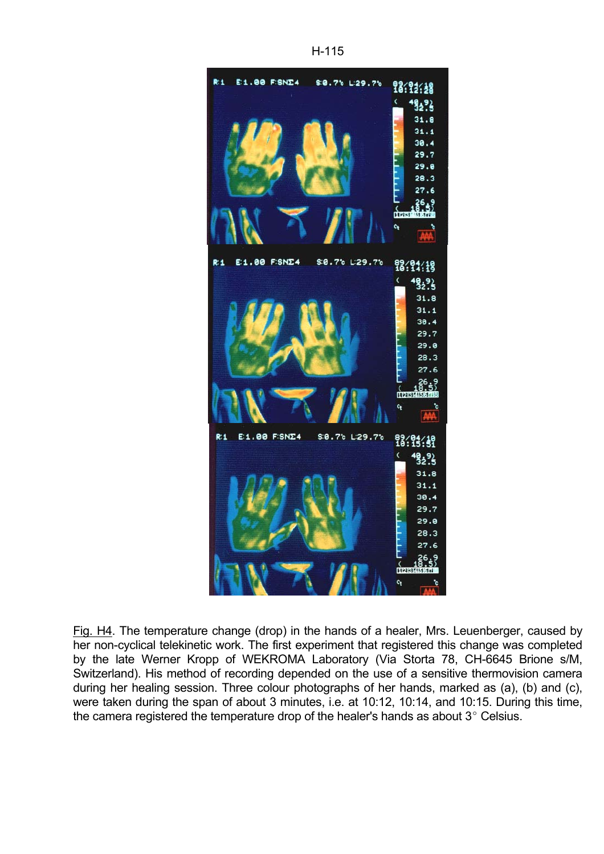H-115



Fig. H4. The temperature change (drop) in the hands of a healer, Mrs. Leuenberger, caused by her non-cyclical telekinetic work. The first experiment that registered this change was completed by the late Werner Kropp of WEKROMA Laboratory (Via Storta 78, CH-6645 Brione s/M, Switzerland). His method of recording depended on the use of a sensitive thermovision camera during her healing session. Three colour photographs of her hands, marked as (a), (b) and (c), were taken during the span of about 3 minutes, i.e. at 10:12, 10:14, and 10:15. During this time, the camera registered the temperature drop of the healer's hands as about  $3^{\circ}$  Celsius.